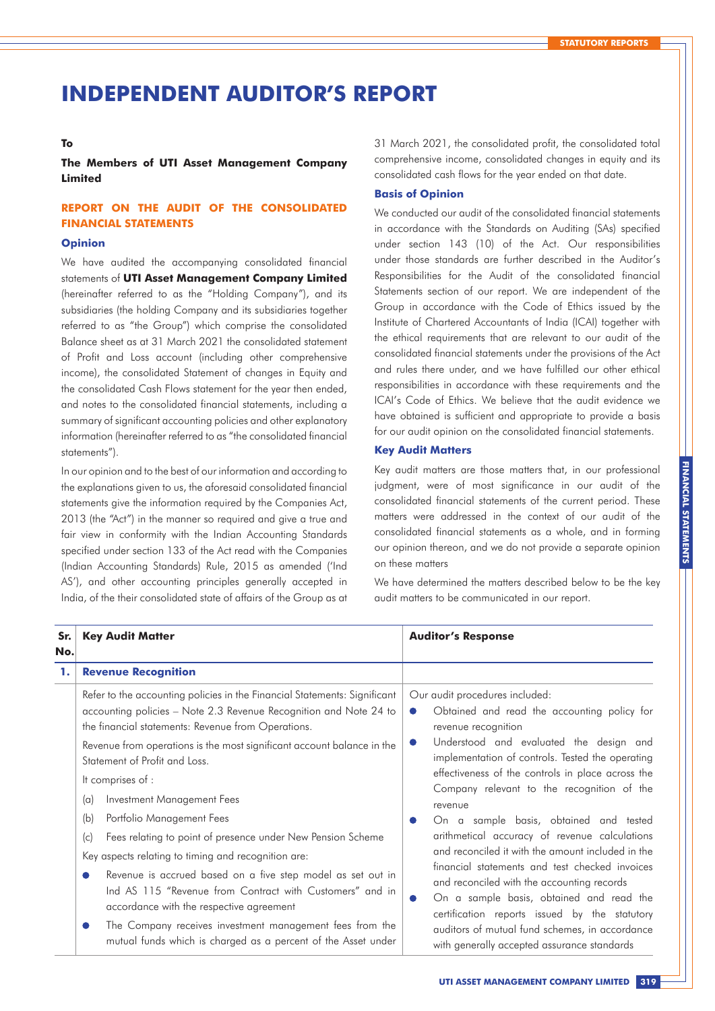## **INDEPENDENT AUDITOR'S REPORT**

#### **To**

**The Members of UTI Asset Management Company Limited**

### **REPORT ON THE AUDIT OF THE CONSOLIDATED FINANCIAL STATEMENTS**

#### **Opinion**

We have audited the accompanying consolidated financial statements of **UTI Asset Management Company Limited**  (hereinafter referred to as the "Holding Company"), and its subsidiaries (the holding Company and its subsidiaries together referred to as "the Group") which comprise the consolidated Balance sheet as at 31 March 2021 the consolidated statement of Profit and Loss account (including other comprehensive income), the consolidated Statement of changes in Equity and the consolidated Cash Flows statement for the year then ended, and notes to the consolidated financial statements, including a summary of significant accounting policies and other explanatory information (hereinafter referred to as "the consolidated financial statements").

In our opinion and to the best of our information and according to the explanations given to us, the aforesaid consolidated financial statements give the information required by the Companies Act, 2013 (the "Act") in the manner so required and give a true and fair view in conformity with the Indian Accounting Standards specified under section 133 of the Act read with the Companies (Indian Accounting Standards) Rule, 2015 as amended ('Ind AS'), and other accounting principles generally accepted in India, of the their consolidated state of affairs of the Group as at 31 March 2021, the consolidated profit, the consolidated total comprehensive income, consolidated changes in equity and its consolidated cash flows for the year ended on that date.

#### **Basis of Opinion**

We conducted our audit of the consolidated financial statements in accordance with the Standards on Auditing (SAs) specified under section 143 (10) of the Act. Our responsibilities under those standards are further described in the Auditor's Responsibilities for the Audit of the consolidated financial Statements section of our report. We are independent of the Group in accordance with the Code of Ethics issued by the Institute of Chartered Accountants of India (ICAI) together with the ethical requirements that are relevant to our audit of the consolidated financial statements under the provisions of the Act and rules there under, and we have fulfilled our other ethical responsibilities in accordance with these requirements and the ICAI's Code of Ethics. We believe that the audit evidence we have obtained is sufficient and appropriate to provide a basis for our audit opinion on the consolidated financial statements.

#### **Key Audit Matters**

Key audit matters are those matters that, in our professional judgment, were of most significance in our audit of the consolidated financial statements of the current period. These matters were addressed in the context of our audit of the consolidated financial statements as a whole, and in forming our opinion thereon, and we do not provide a separate opinion on these matters

We have determined the matters described below to be the key audit matters to be communicated in our report.

| Sr.<br>No. | <b>Key Audit Matter</b>                                                                                                                                                                                                                                                                                                                                                                                                                                                                                                                                                                                                                                                                                                                                                                                                                               | <b>Auditor's Response</b>                                                                                                                                                                                                                                                                                                                                                                                                                                                                                                                                                                                                                                                                                                                                                                      |
|------------|-------------------------------------------------------------------------------------------------------------------------------------------------------------------------------------------------------------------------------------------------------------------------------------------------------------------------------------------------------------------------------------------------------------------------------------------------------------------------------------------------------------------------------------------------------------------------------------------------------------------------------------------------------------------------------------------------------------------------------------------------------------------------------------------------------------------------------------------------------|------------------------------------------------------------------------------------------------------------------------------------------------------------------------------------------------------------------------------------------------------------------------------------------------------------------------------------------------------------------------------------------------------------------------------------------------------------------------------------------------------------------------------------------------------------------------------------------------------------------------------------------------------------------------------------------------------------------------------------------------------------------------------------------------|
| 1.         | <b>Revenue Recognition</b>                                                                                                                                                                                                                                                                                                                                                                                                                                                                                                                                                                                                                                                                                                                                                                                                                            |                                                                                                                                                                                                                                                                                                                                                                                                                                                                                                                                                                                                                                                                                                                                                                                                |
|            | Refer to the accounting policies in the Financial Statements: Significant<br>accounting policies - Note 2.3 Revenue Recognition and Note 24 to<br>the financial statements: Revenue from Operations.<br>Revenue from operations is the most significant account balance in the<br>Statement of Profit and Loss.<br>It comprises of :<br>Investment Management Fees<br>$(\alpha)$<br>Portfolio Management Fees<br>(b)<br>Fees relating to point of presence under New Pension Scheme<br>(c)<br>Key aspects relating to timing and recognition are:<br>Revenue is accrued based on a five step model as set out in<br>Ind AS 115 "Revenue from Contract with Customers" and in<br>accordance with the respective agreement<br>The Company receives investment management fees from the<br>mutual funds which is charged as a percent of the Asset under | Our audit procedures included:<br>Obtained and read the accounting policy for<br>$\bullet$<br>revenue recognition<br>Understood and evaluated the design and<br>O<br>implementation of controls. Tested the operating<br>effectiveness of the controls in place across the<br>Company relevant to the recognition of the<br>revenue<br>On a sample basis, obtained and tested<br>arithmetical accuracy of revenue calculations<br>and reconciled it with the amount included in the<br>financial statements and test checked invoices<br>and reconciled with the accounting records<br>On a sample basis, obtained and read the<br>$\bullet$<br>certification reports issued by the statutory<br>auditors of mutual fund schemes, in accordance<br>with generally accepted assurance standards |

**FINANCIAL STATEMENTS**

FINANCIAL STATEMENTS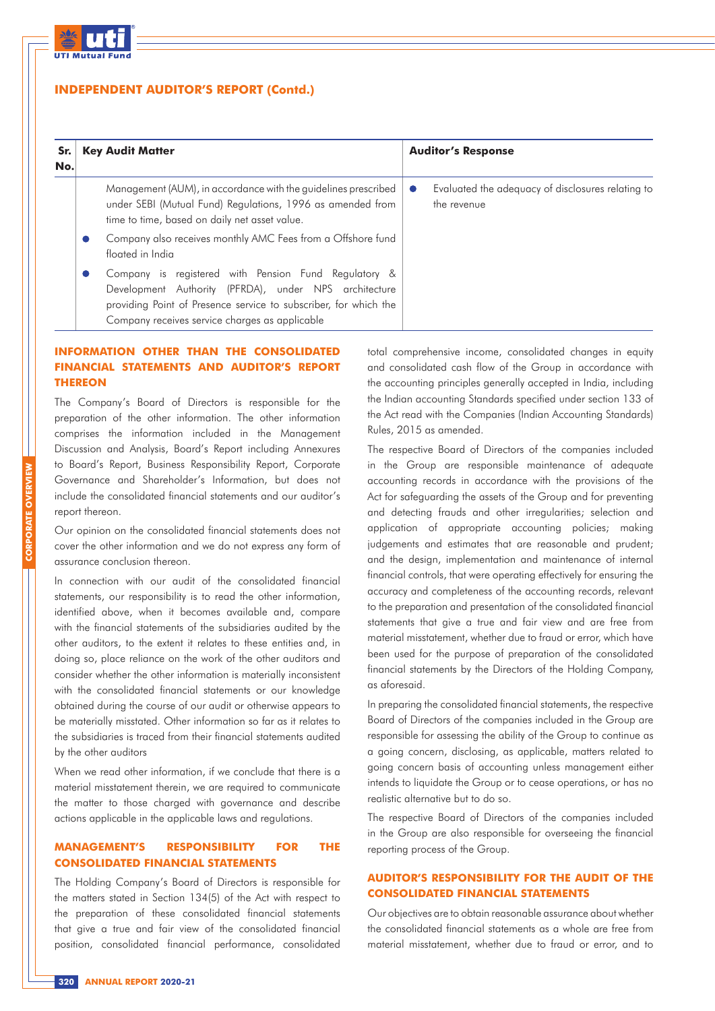

### **INDEPENDENT AUDITOR'S REPORT (Contd.)**

| Sr.<br>No. | <b>Key Audit Matter</b>                                                                                                                                                                                                             | <b>Auditor's Response</b>                                        |
|------------|-------------------------------------------------------------------------------------------------------------------------------------------------------------------------------------------------------------------------------------|------------------------------------------------------------------|
|            | Management (AUM), in accordance with the quidelines prescribed<br>under SEBI (Mutual Fund) Regulations, 1996 as amended from<br>time to time, based on daily net asset value.                                                       | Evaluated the adequacy of disclosures relating to<br>the revenue |
|            | Company also receives monthly AMC Fees from a Offshore fund<br>floated in India                                                                                                                                                     |                                                                  |
|            | Company is registered with Pension Fund Regulatory &<br>Development Authority (PFRDA), under NPS architecture<br>providing Point of Presence service to subscriber, for which the<br>Company receives service charges as applicable |                                                                  |

### **INFORMATION OTHER THAN THE CONSOLIDATED FINANCIAL STATEMENTS AND AUDITOR'S REPORT THEREON**

The Company's Board of Directors is responsible for the preparation of the other information. The other information comprises the information included in the Management Discussion and Analysis, Board's Report including Annexures to Board's Report, Business Responsibility Report, Corporate Governance and Shareholder's Information, but does not include the consolidated financial statements and our auditor's report thereon.

Our opinion on the consolidated financial statements does not cover the other information and we do not express any form of assurance conclusion thereon.

In connection with our audit of the consolidated financial statements, our responsibility is to read the other information, identified above, when it becomes available and, compare with the financial statements of the subsidiaries audited by the other auditors, to the extent it relates to these entities and, in doing so, place reliance on the work of the other auditors and consider whether the other information is materially inconsistent with the consolidated financial statements or our knowledge obtained during the course of our audit or otherwise appears to be materially misstated. Other information so far as it relates to the subsidiaries is traced from their financial statements audited by the other auditors

When we read other information, if we conclude that there is a material misstatement therein, we are required to communicate the matter to those charged with governance and describe actions applicable in the applicable laws and regulations.

### **MANAGEMENT'S RESPONSIBILITY FOR THE CONSOLIDATED FINANCIAL STATEMENTS**

The Holding Company's Board of Directors is responsible for the matters stated in Section 134(5) of the Act with respect to the preparation of these consolidated financial statements that give a true and fair view of the consolidated financial position, consolidated financial performance, consolidated

total comprehensive income, consolidated changes in equity and consolidated cash flow of the Group in accordance with the accounting principles generally accepted in India, including the Indian accounting Standards specified under section 133 of the Act read with the Companies (Indian Accounting Standards) Rules, 2015 as amended.

The respective Board of Directors of the companies included in the Group are responsible maintenance of adequate accounting records in accordance with the provisions of the Act for safeguarding the assets of the Group and for preventing and detecting frauds and other irregularities; selection and application of appropriate accounting policies; making judgements and estimates that are reasonable and prudent; and the design, implementation and maintenance of internal financial controls, that were operating effectively for ensuring the accuracy and completeness of the accounting records, relevant to the preparation and presentation of the consolidated financial statements that give a true and fair view and are free from material misstatement, whether due to fraud or error, which have been used for the purpose of preparation of the consolidated financial statements by the Directors of the Holding Company, as aforesaid.

In preparing the consolidated financial statements, the respective Board of Directors of the companies included in the Group are responsible for assessing the ability of the Group to continue as a going concern, disclosing, as applicable, matters related to going concern basis of accounting unless management either intends to liquidate the Group or to cease operations, or has no realistic alternative but to do so.

The respective Board of Directors of the companies included in the Group are also responsible for overseeing the financial reporting process of the Group.

### **AUDITOR'S RESPONSIBILITY FOR THE AUDIT OF THE CONSOLIDATED FINANCIAL STATEMENTS**

Our objectives are to obtain reasonable assurance about whether the consolidated financial statements as a whole are free from material misstatement, whether due to fraud or error, and to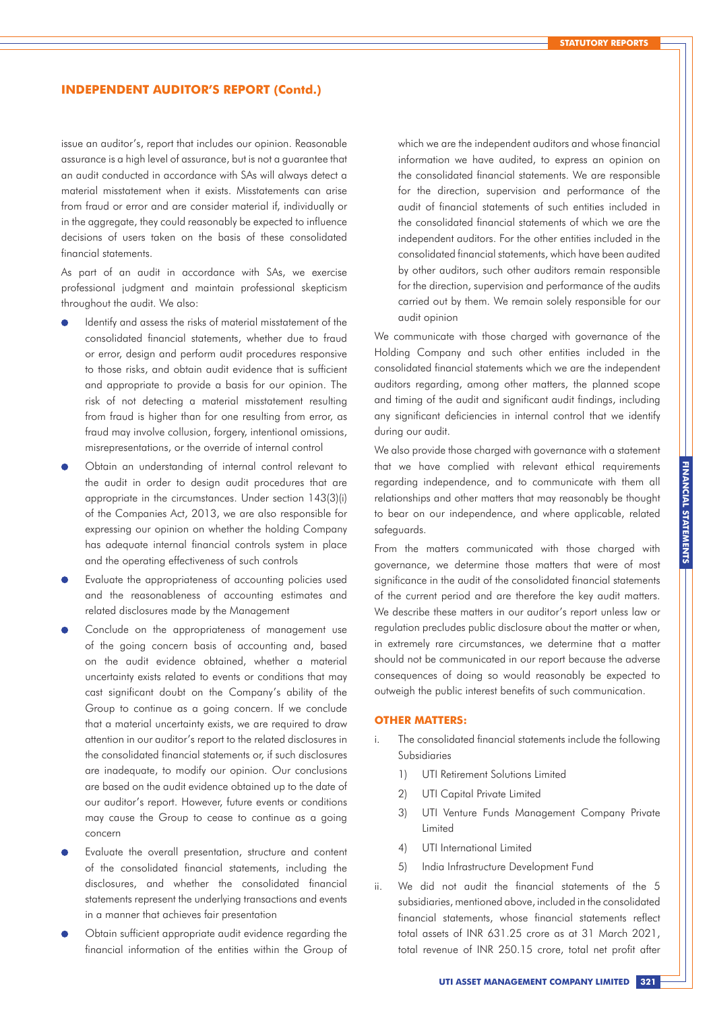#### **INDEPENDENT AUDITOR'S REPORT (Contd.)**

issue an auditor's, report that includes our opinion. Reasonable assurance is a high level of assurance, but is not a guarantee that an audit conducted in accordance with SAs will always detect a material misstatement when it exists. Misstatements can arise from fraud or error and are consider material if, individually or in the aggregate, they could reasonably be expected to influence decisions of users taken on the basis of these consolidated financial statements.

As part of an audit in accordance with SAs, we exercise professional judgment and maintain professional skepticism throughout the audit. We also:

- Identify and assess the risks of material misstatement of the consolidated financial statements, whether due to fraud or error, design and perform audit procedures responsive to those risks, and obtain audit evidence that is sufficient and appropriate to provide a basis for our opinion. The risk of not detecting a material misstatement resulting from fraud is higher than for one resulting from error, as fraud may involve collusion, forgery, intentional omissions, misrepresentations, or the override of internal control
- Obtain an understanding of internal control relevant to the audit in order to design audit procedures that are appropriate in the circumstances. Under section 143(3)(i) of the Companies Act, 2013, we are also responsible for expressing our opinion on whether the holding Company has adequate internal financial controls system in place and the operating effectiveness of such controls
- Evaluate the appropriateness of accounting policies used and the reasonableness of accounting estimates and related disclosures made by the Management
- Conclude on the appropriateness of management use of the going concern basis of accounting and, based on the audit evidence obtained, whether a material uncertainty exists related to events or conditions that may cast significant doubt on the Company's ability of the Group to continue as a going concern. If we conclude that a material uncertainty exists, we are required to draw attention in our auditor's report to the related disclosures in the consolidated financial statements or, if such disclosures are inadequate, to modify our opinion. Our conclusions are based on the audit evidence obtained up to the date of our auditor's report. However, future events or conditions may cause the Group to cease to continue as a going concern
- Evaluate the overall presentation, structure and content of the consolidated financial statements, including the disclosures, and whether the consolidated financial statements represent the underlying transactions and events in a manner that achieves fair presentation
- Obtain sufficient appropriate audit evidence regarding the financial information of the entities within the Group of

which we are the independent auditors and whose financial information we have audited, to express an opinion on the consolidated financial statements. We are responsible for the direction, supervision and performance of the audit of financial statements of such entities included in the consolidated financial statements of which we are the independent auditors. For the other entities included in the consolidated financial statements, which have been audited by other auditors, such other auditors remain responsible for the direction, supervision and performance of the audits carried out by them. We remain solely responsible for our audit opinion

We communicate with those charged with governance of the Holding Company and such other entities included in the consolidated financial statements which we are the independent auditors regarding, among other matters, the planned scope and timing of the audit and significant audit findings, including any significant deficiencies in internal control that we identify during our audit.

We also provide those charged with governance with a statement that we have complied with relevant ethical requirements regarding independence, and to communicate with them all relationships and other matters that may reasonably be thought to bear on our independence, and where applicable, related safeguards.

From the matters communicated with those charged with governance, we determine those matters that were of most significance in the audit of the consolidated financial statements of the current period and are therefore the key audit matters. We describe these matters in our auditor's report unless law or regulation precludes public disclosure about the matter or when, in extremely rare circumstances, we determine that a matter should not be communicated in our report because the adverse consequences of doing so would reasonably be expected to outweigh the public interest benefits of such communication.

#### **OTHER MATTERS:**

- i. The consolidated financial statements include the following Subsidiaries
	- 1) UTI Retirement Solutions Limited
	- 2) UTI Capital Private Limited
	- 3) UTI Venture Funds Management Company Private Limited
	- 4) UTI International Limited
	- 5) India Infrastructure Development Fund
- ii. We did not audit the financial statements of the 5 subsidiaries, mentioned above, included in the consolidated financial statements, whose financial statements reflect total assets of INR 631.25 crore as at 31 March 2021, total revenue of INR 250.15 crore, total net profit after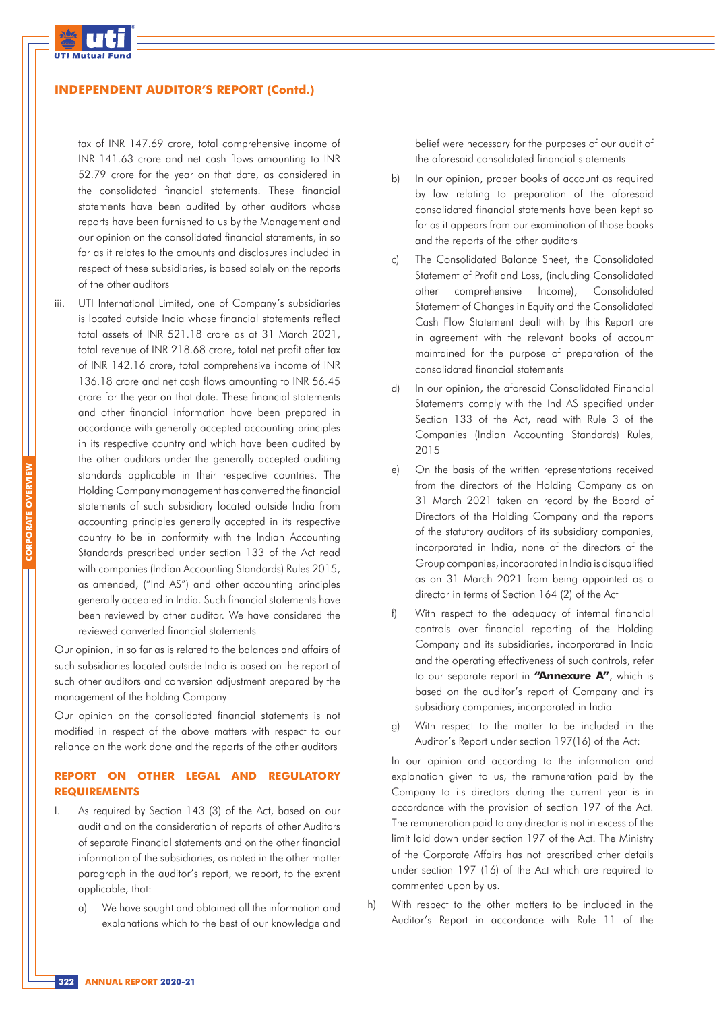

**CORPORATE OVERVIEW**

**OVERVIEW** 

### **INDEPENDENT AUDITOR'S REPORT (Contd.)**

tax of INR 147.69 crore, total comprehensive income of INR 141.63 crore and net cash flows amounting to INR 52.79 crore for the year on that date, as considered in the consolidated financial statements. These financial statements have been audited by other auditors whose reports have been furnished to us by the Management and our opinion on the consolidated financial statements, in so far as it relates to the amounts and disclosures included in respect of these subsidiaries, is based solely on the reports of the other auditors

iii. UTI International Limited, one of Company's subsidiaries is located outside India whose financial statements reflect total assets of INR 521.18 crore as at 31 March 2021, total revenue of INR 218.68 crore, total net profit after tax of INR 142.16 crore, total comprehensive income of INR 136.18 crore and net cash flows amounting to INR 56.45 crore for the year on that date. These financial statements and other financial information have been prepared in accordance with generally accepted accounting principles in its respective country and which have been audited by the other auditors under the generally accepted auditing standards applicable in their respective countries. The Holding Company management has converted the financial statements of such subsidiary located outside India from accounting principles generally accepted in its respective country to be in conformity with the Indian Accounting Standards prescribed under section 133 of the Act read with companies (Indian Accounting Standards) Rules 2015, as amended, ("Ind AS") and other accounting principles generally accepted in India. Such financial statements have been reviewed by other auditor. We have considered the reviewed converted financial statements

Our opinion, in so far as is related to the balances and affairs of such subsidiaries located outside India is based on the report of such other auditors and conversion adjustment prepared by the management of the holding Company

Our opinion on the consolidated financial statements is not modified in respect of the above matters with respect to our reliance on the work done and the reports of the other auditors

### **REPORT ON OTHER LEGAL AND REGULATORY REQUIREMENTS**

- I. As required by Section 143 (3) of the Act, based on our audit and on the consideration of reports of other Auditors of separate Financial statements and on the other financial information of the subsidiaries, as noted in the other matter paragraph in the auditor's report, we report, to the extent applicable, that:
	- a) We have sought and obtained all the information and explanations which to the best of our knowledge and

belief were necessary for the purposes of our audit of the aforesaid consolidated financial statements

- b) In our opinion, proper books of account as required by law relating to preparation of the aforesaid consolidated financial statements have been kept so far as it appears from our examination of those books and the reports of the other auditors
- c) The Consolidated Balance Sheet, the Consolidated Statement of Profit and Loss, (including Consolidated other comprehensive Income), Consolidated Statement of Changes in Equity and the Consolidated Cash Flow Statement dealt with by this Report are in agreement with the relevant books of account maintained for the purpose of preparation of the consolidated financial statements
- d) In our opinion, the aforesaid Consolidated Financial Statements comply with the Ind AS specified under Section 133 of the Act, read with Rule 3 of the Companies (Indian Accounting Standards) Rules, 2015
- e) On the basis of the written representations received from the directors of the Holding Company as on 31 March 2021 taken on record by the Board of Directors of the Holding Company and the reports of the statutory auditors of its subsidiary companies, incorporated in India, none of the directors of the Group companies, incorporated in India is disqualified as on 31 March 2021 from being appointed as a director in terms of Section 164 (2) of the Act
- f) With respect to the adequacy of internal financial controls over financial reporting of the Holding Company and its subsidiaries, incorporated in India and the operating effectiveness of such controls, refer to our separate report in **"Annexure A"**, which is based on the auditor's report of Company and its subsidiary companies, incorporated in India
- g) With respect to the matter to be included in the Auditor's Report under section 197(16) of the Act:

In our opinion and according to the information and explanation given to us, the remuneration paid by the Company to its directors during the current year is in accordance with the provision of section 197 of the Act. The remuneration paid to any director is not in excess of the limit laid down under section 197 of the Act. The Ministry of the Corporate Affairs has not prescribed other details under section 197 (16) of the Act which are required to commented upon by us.

h) With respect to the other matters to be included in the Auditor's Report in accordance with Rule 11 of the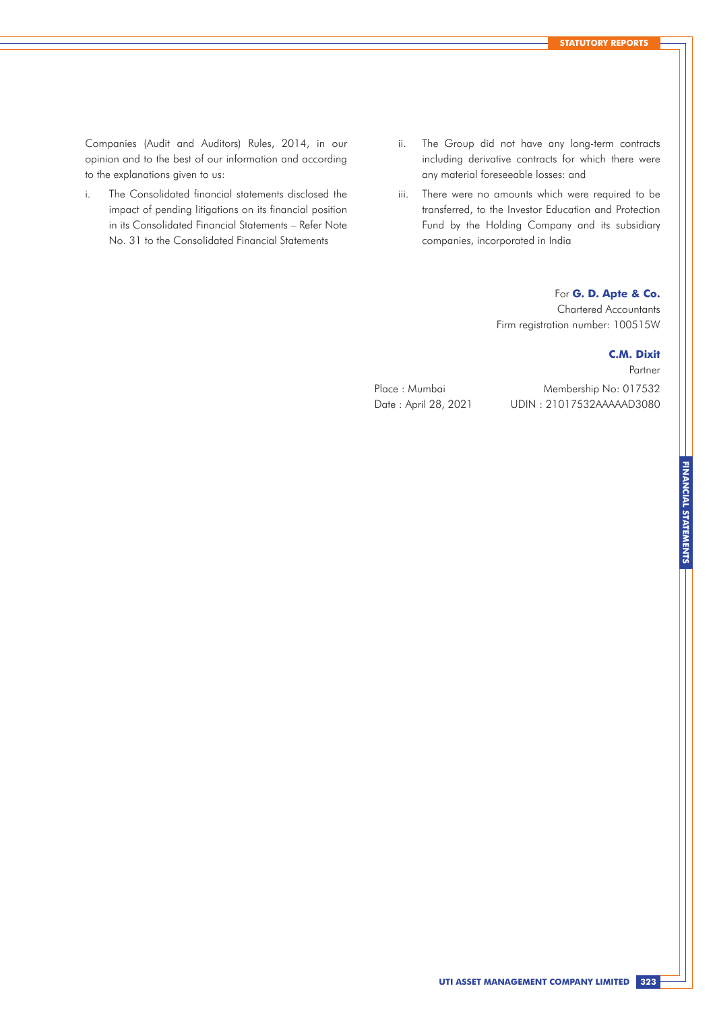Companies (Audit and Auditors) Rules, 2014, in our opinion and to the best of our information and according to the explanations given to us:

- i. The Consolidated financial statements disclosed the impact of pending litigations on its financial position in its Consolidated Financial Statements – Refer Note No. 31 to the Consolidated Financial Statements
- ii. The Group did not have any long-term contracts including derivative contracts for which there were any material foreseeable losses: and
- iii. There were no amounts which were required to be transferred, to the Investor Education and Protection Fund by the Holding Company and its subsidiary companies, incorporated in India

#### For **G. D. Apte & Co.**

Chartered Accountants Firm registration number: 100515W

### **C.M. Dixit**

Partner

Place : Mumbai Membership No: 017532 Date : April 28, 2021 UDIN : 21017532AAAAAD3080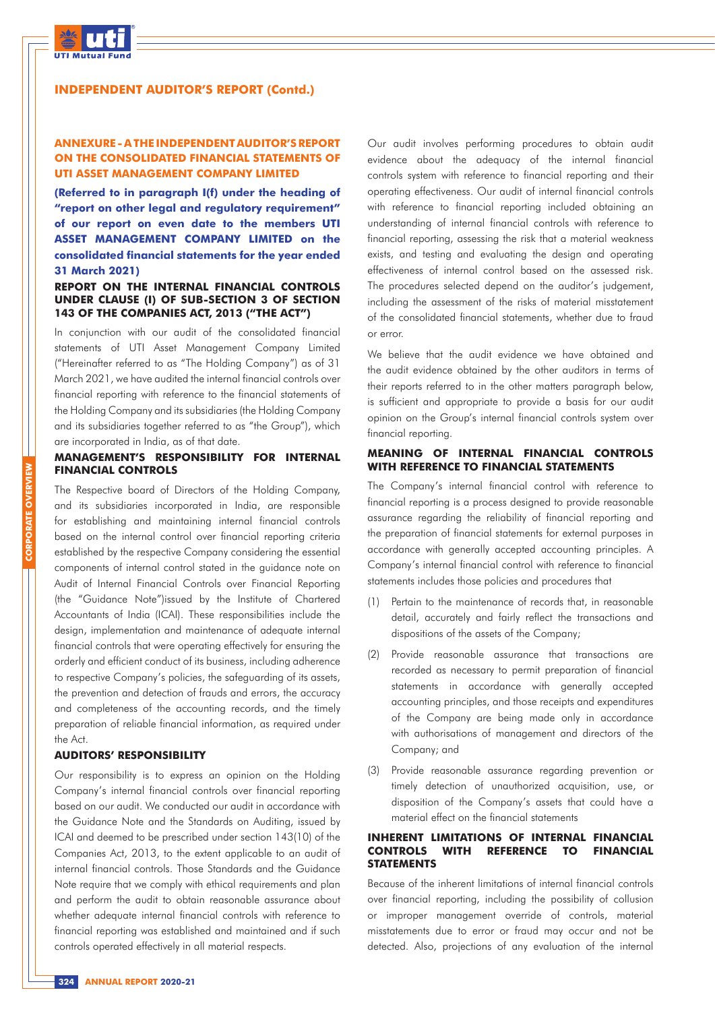

### **INDEPENDENT AUDITOR'S REPORT (Contd.)**

### **ANNEXURE - A THE INDEPENDENT AUDITOR'S REPORT ON THE CONSOLIDATED FINANCIAL STATEMENTS OF UTI ASSET MANAGEMENT COMPANY LIMITED**

**(Referred to in paragraph I(f) under the heading of "report on other legal and regulatory requirement" of our report on even date to the members UTI ASSET MANAGEMENT COMPANY LIMITED on the consolidated financial statements for the year ended 31 March 2021)**

#### **REPORT ON THE INTERNAL FINANCIAL CONTROLS UNDER CLAUSE (I) OF SUB-SECTION 3 OF SECTION 143 OF THE COMPANIES ACT, 2013 ("THE ACT")**

In conjunction with our audit of the consolidated financial statements of UTI Asset Management Company Limited ("Hereinafter referred to as "The Holding Company") as of 31 March 2021, we have audited the internal financial controls over financial reporting with reference to the financial statements of the Holding Company and its subsidiaries (the Holding Company and its subsidiaries together referred to as "the Group"), which are incorporated in India, as of that date.

### **MANAGEMENT'S RESPONSIBILITY FOR INTERNAL FINANCIAL CONTROLS**

The Respective board of Directors of the Holding Company, and its subsidiaries incorporated in India, are responsible for establishing and maintaining internal financial controls based on the internal control over financial reporting criteria established by the respective Company considering the essential components of internal control stated in the guidance note on Audit of Internal Financial Controls over Financial Reporting (the "Guidance Note")issued by the Institute of Chartered Accountants of India (ICAI). These responsibilities include the design, implementation and maintenance of adequate internal financial controls that were operating effectively for ensuring the orderly and efficient conduct of its business, including adherence to respective Company's policies, the safeguarding of its assets, the prevention and detection of frauds and errors, the accuracy and completeness of the accounting records, and the timely preparation of reliable financial information, as required under the Act.

#### **AUDITORS' RESPONSIBILITY**

Our responsibility is to express an opinion on the Holding Company's internal financial controls over financial reporting based on our audit. We conducted our audit in accordance with the Guidance Note and the Standards on Auditing, issued by ICAI and deemed to be prescribed under section 143(10) of the Companies Act, 2013, to the extent applicable to an audit of internal financial controls. Those Standards and the Guidance Note require that we comply with ethical requirements and plan and perform the audit to obtain reasonable assurance about whether adequate internal financial controls with reference to financial reporting was established and maintained and if such controls operated effectively in all material respects.

Our audit involves performing procedures to obtain audit evidence about the adequacy of the internal financial controls system with reference to financial reporting and their operating effectiveness. Our audit of internal financial controls with reference to financial reporting included obtaining an understanding of internal financial controls with reference to financial reporting, assessing the risk that a material weakness exists, and testing and evaluating the design and operating effectiveness of internal control based on the assessed risk. The procedures selected depend on the auditor's judgement, including the assessment of the risks of material misstatement of the consolidated financial statements, whether due to fraud or error.

We believe that the audit evidence we have obtained and the audit evidence obtained by the other auditors in terms of their reports referred to in the other matters paragraph below, is sufficient and appropriate to provide a basis for our audit opinion on the Group's internal financial controls system over financial reporting.

### **MEANING OF INTERNAL FINANCIAL CONTROLS WITH REFERENCE TO FINANCIAL STATEMENTS**

The Company's internal financial control with reference to financial reporting is a process designed to provide reasonable assurance regarding the reliability of financial reporting and the preparation of financial statements for external purposes in accordance with generally accepted accounting principles. A Company's internal financial control with reference to financial statements includes those policies and procedures that

- (1) Pertain to the maintenance of records that, in reasonable detail, accurately and fairly reflect the transactions and dispositions of the assets of the Company;
- (2) Provide reasonable assurance that transactions are recorded as necessary to permit preparation of financial statements in accordance with generally accepted accounting principles, and those receipts and expenditures of the Company are being made only in accordance with authorisations of management and directors of the Company; and
- (3) Provide reasonable assurance regarding prevention or timely detection of unauthorized acquisition, use, or disposition of the Company's assets that could have a material effect on the financial statements

#### **INHERENT LIMITATIONS OF INTERNAL FINANCIAL CONTROLS WITH REFERENCE TO STATEMENTS**

Because of the inherent limitations of internal financial controls over financial reporting, including the possibility of collusion or improper management override of controls, material misstatements due to error or fraud may occur and not be detected. Also, projections of any evaluation of the internal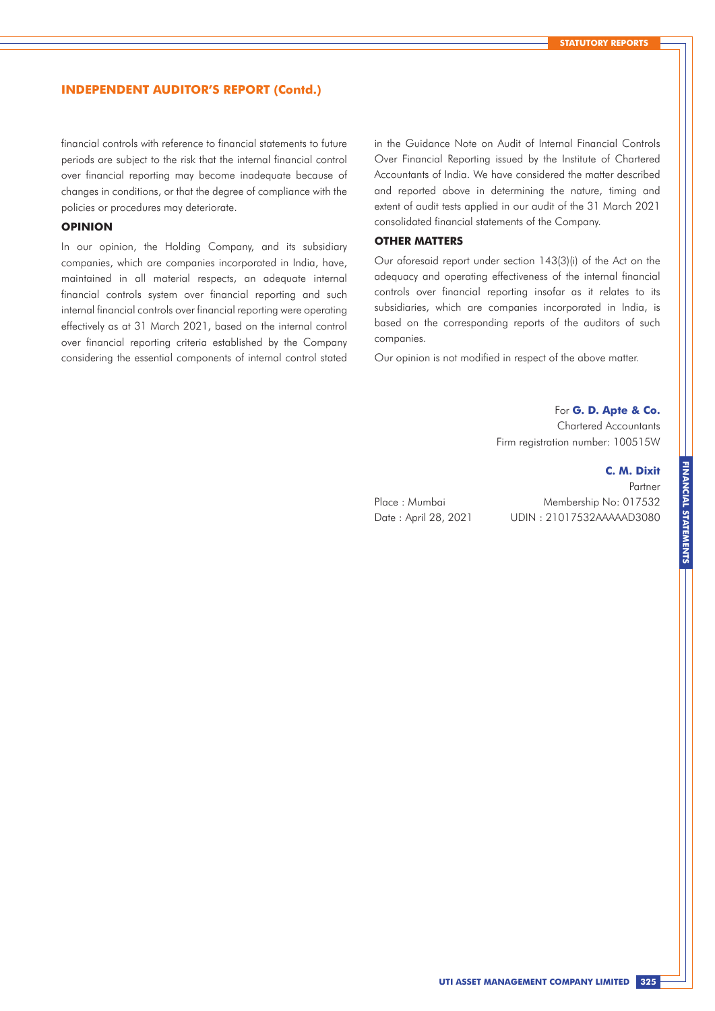#### **INDEPENDENT AUDITOR'S REPORT (Contd.)**

financial controls with reference to financial statements to future periods are subject to the risk that the internal financial control over financial reporting may become inadequate because of changes in conditions, or that the degree of compliance with the policies or procedures may deteriorate.

#### **OPINION**

In our opinion, the Holding Company, and its subsidiary companies, which are companies incorporated in India, have, maintained in all material respects, an adequate internal financial controls system over financial reporting and such internal financial controls over financial reporting were operating effectively as at 31 March 2021, based on the internal control over financial reporting criteria established by the Company considering the essential components of internal control stated

in the Guidance Note on Audit of Internal Financial Controls Over Financial Reporting issued by the Institute of Chartered Accountants of India. We have considered the matter described and reported above in determining the nature, timing and extent of audit tests applied in our audit of the 31 March 2021 consolidated financial statements of the Company.

#### **OTHER MATTERS**

Our aforesaid report under section 143(3)(i) of the Act on the adequacy and operating effectiveness of the internal financial controls over financial reporting insofar as it relates to its subsidiaries, which are companies incorporated in India, is based on the corresponding reports of the auditors of such companies.

Our opinion is not modified in respect of the above matter.

#### For **G. D. Apte & Co.**

Chartered Accountants Firm registration number: 100515W

### **C. M. Dixit**

Partner Place : Mumbai Membership No: 017532 Date : April 28, 2021 UDIN : 21017532AAAAAD3080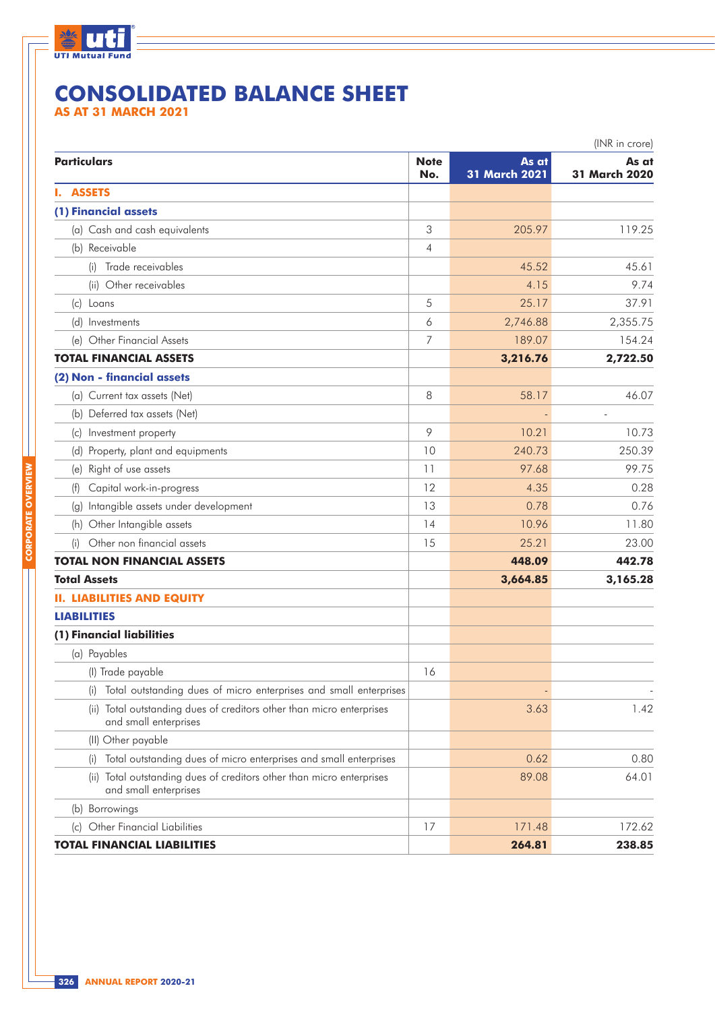

# **CONSOLIDATED BALANCE SHEET**

**AS AT 31 MARCH 2021**

|                                                                                                   |                    |                               | (INR in crore)         |
|---------------------------------------------------------------------------------------------------|--------------------|-------------------------------|------------------------|
| <b>Particulars</b>                                                                                | <b>Note</b><br>No. | As at<br><b>31 March 2021</b> | As at<br>31 March 2020 |
| <b>ASSETS</b>                                                                                     |                    |                               |                        |
| (1) Financial assets                                                                              |                    |                               |                        |
| (a) Cash and cash equivalents                                                                     | 3                  | 205.97                        | 119.25                 |
| (b) Receivable                                                                                    | 4                  |                               |                        |
| Trade receivables<br>(i)                                                                          |                    | 45.52                         | 45.61                  |
| (ii) Other receivables                                                                            |                    | 4.15                          | 9.74                   |
| (c) Loans                                                                                         | 5                  | 25.17                         | 37.91                  |
| (d) Investments                                                                                   | 6                  | 2,746.88                      | 2,355.75               |
| (e) Other Financial Assets                                                                        | 7                  | 189.07                        | 154.24                 |
| <b>TOTAL FINANCIAL ASSETS</b>                                                                     |                    | 3,216.76                      | 2,722.50               |
| (2) Non - financial assets                                                                        |                    |                               |                        |
| (a) Current tax assets (Net)                                                                      | 8                  | 58.17                         | 46.07                  |
| (b) Deferred tax assets (Net)                                                                     |                    |                               | ÷,                     |
| Investment property<br>(c)                                                                        | 9                  | 10.21                         | 10.73                  |
| (d) Property, plant and equipments                                                                | 10                 | 240.73                        | 250.39                 |
| Right of use assets<br>(e)                                                                        | 11                 | 97.68                         | 99.75                  |
| Capital work-in-progress<br>(f)                                                                   | 12                 | 4.35                          | 0.28                   |
| Intangible assets under development<br>(q)                                                        | 13                 | 0.78                          | 0.76                   |
| Other Intangible assets<br>(h)                                                                    | 14                 | 10.96                         | 11.80                  |
| Other non financial assets<br>(i)                                                                 | 15                 | 25.21                         | 23.00                  |
| <b>TOTAL NON FINANCIAL ASSETS</b>                                                                 |                    | 448.09                        | 442.78                 |
| <b>Total Assets</b>                                                                               |                    | 3,664.85                      | 3,165.28               |
| <b>II. LIABILITIES AND EQUITY</b>                                                                 |                    |                               |                        |
| <b>LIABILITIES</b>                                                                                |                    |                               |                        |
| (1) Financial liabilities                                                                         |                    |                               |                        |
| (a) Payables                                                                                      |                    |                               |                        |
| (I) Trade payable                                                                                 | 16                 |                               |                        |
| Total outstanding dues of micro enterprises and small enterprises<br>(i)                          |                    |                               |                        |
| Total outstanding dues of creditors other than micro enterprises<br>(ii)<br>and small enterprises |                    | 3.63                          | 1.42                   |
| (II) Other payable                                                                                |                    |                               |                        |
| Total outstanding dues of micro enterprises and small enterprises<br>(i)                          |                    | 0.62                          | 0.80                   |
| Total outstanding dues of creditors other than micro enterprises<br>(ii)<br>and small enterprises |                    | 89.08                         | 64.01                  |
| (b) Borrowings                                                                                    |                    |                               |                        |
| Other Financial Liabilities<br>(c)                                                                | 17                 | 171.48                        | 172.62                 |
| <b>TOTAL FINANCIAL LIABILITIES</b>                                                                |                    | 264.81                        | 238.85                 |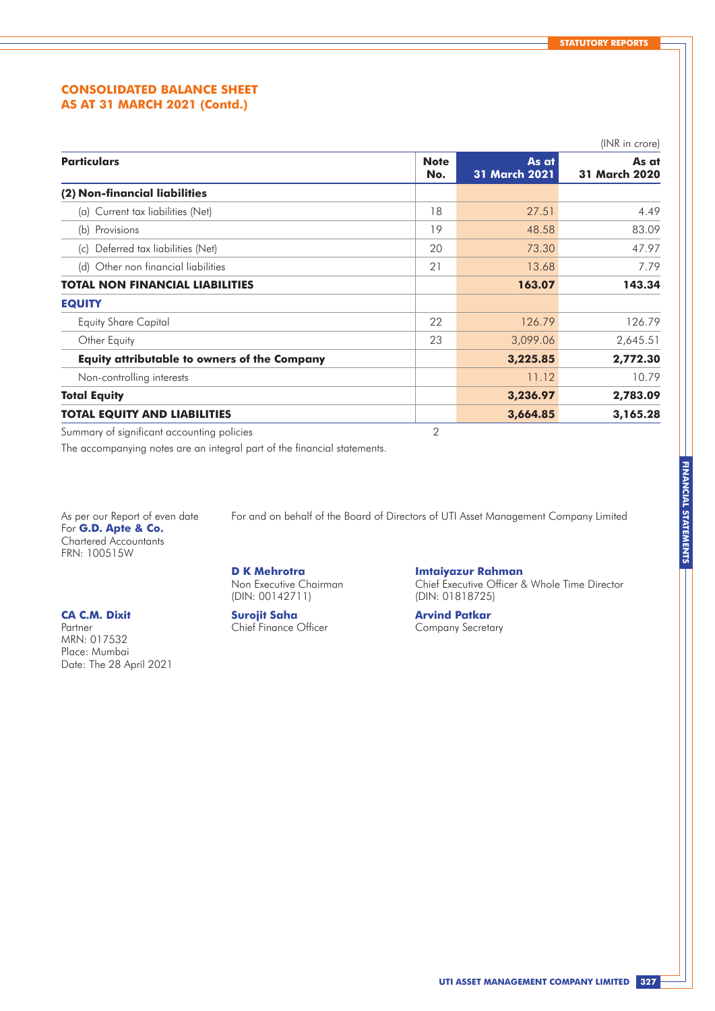### **CONSOLIDATED BALANCE SHEET AS AT 31 MARCH 2021 (Contd.)**

|                                                     |                    |                               | (INR in crore)         |
|-----------------------------------------------------|--------------------|-------------------------------|------------------------|
| <b>Particulars</b>                                  | <b>Note</b><br>No. | As at<br><b>31 March 2021</b> | As at<br>31 March 2020 |
| (2) Non-financial liabilities                       |                    |                               |                        |
| (a) Current tax liabilities (Net)                   | 18                 | 27.51                         | 4.49                   |
| (b) Provisions                                      | 19                 | 48.58                         | 83.09                  |
| Deferred tax liabilities (Net)<br>(c)               | 20                 | 73.30                         | 47.97                  |
| (d) Other non financial liabilities                 | 21                 | 13.68                         | 7.79                   |
| <b>TOTAL NON FINANCIAL LIABILITIES</b>              |                    | 163.07                        | 143.34                 |
| <b>EQUITY</b>                                       |                    |                               |                        |
| <b>Equity Share Capital</b>                         | 22                 | 126.79                        | 126.79                 |
| Other Equity                                        | 23                 | 3,099.06                      | 2,645.51               |
| <b>Equity attributable to owners of the Company</b> |                    | 3,225.85                      | 2,772.30               |
| Non-controlling interests                           |                    | 11.12                         | 10.79                  |
| <b>Total Equity</b>                                 |                    | 3,236.97                      | 2,783.09               |
| <b>TOTAL EQUITY AND LIABILITIES</b>                 |                    | 3,664.85                      | 3,165.28               |
| Summany of cignificant accounting policies          | ⌒                  |                               |                        |

Summary of significant accounting policies 2

The accompanying notes are an integral part of the financial statements.

As per our Report of even date<br>For **G.D. Apte & Co.** Chartered Accountants FRN: 100515W

MRN: 017532 Place: Mumbai Date: The 28 April 2021 **D K Mehrotra Imtaiyazur Rahman**<br>Non Executive Chairman **Interventional Chief Executive Officer** 8 (DIN: 00142711)

**CA C.M. Dixit Surojit Saha Arvind Patkar**

For and on behalf of the Board of Directors of UTI Asset Management Company Limited

Chief Executive Officer & Whole Time Director<br>(DIN: 01818725)

Company Secretary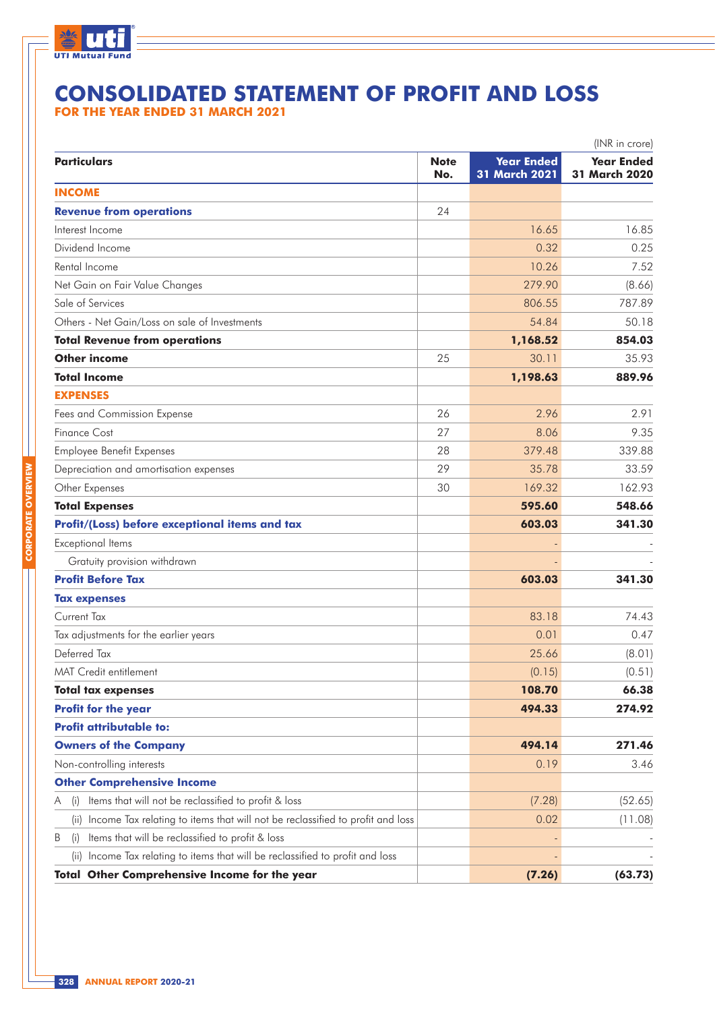

# **CONSOLIDATED STATEMENT OF PROFIT AND LOSS**

**FOR THE YEAR ENDED 31 MARCH 2021**

| <b>Particulars</b><br><b>Year Ended</b><br><b>Year Ended</b><br><b>Note</b><br><b>31 March 2021</b><br>31 March 2020<br>No.<br><b>INCOME</b><br><b>Revenue from operations</b><br>24<br>16.65<br>Interest Income<br>Dividend Income<br>0.32<br>Rental Income<br>10.26<br>279.90<br>Net Gain on Fair Value Changes<br>(8.66)<br>Sale of Services<br>806.55<br>787.89<br>Others - Net Gain/Loss on sale of Investments<br>54.84<br>50.18<br><b>Total Revenue from operations</b><br>1,168.52<br><b>Other income</b><br>30.11<br>25<br>35.93<br><b>Total Income</b><br>1,198.63<br>889.96<br><b>EXPENSES</b><br>26<br>2.96<br>2.91<br>Fees and Commission Expense<br><b>Finance Cost</b><br>27<br>8.06<br>379.48<br><b>Employee Benefit Expenses</b><br>28<br>Depreciation and amortisation expenses<br>29<br>35.78<br>33.59<br>Other Expenses<br>30<br>169.32<br>162.93<br>595.60<br>548.66<br><b>Total Expenses</b><br>341.30<br>Profit/(Loss) before exceptional items and tax<br>603.03<br><b>Exceptional Items</b><br>Gratuity provision withdrawn<br><b>Profit Before Tax</b><br>603.03<br>341.30<br><b>Tax expenses</b><br>Current Tax<br>83.18<br>Tax adjustments for the earlier years<br>0.01<br>0.47<br>Deferred Tax<br>25.66<br>(8.01)<br>(0.51)<br><b>MAT Credit entitlement</b><br>(0.15)<br>108.70<br><b>Total tax expenses</b><br><b>Profit for the year</b><br>494.33<br><b>Profit attributable to:</b><br>494.14<br><b>Owners of the Company</b><br>Non-controlling interests<br>0.19<br>3.46<br><b>Other Comprehensive Income</b><br>Items that will not be reclassified to profit & loss<br>(7.28)<br>(52.65)<br>(i)<br>A<br>Income Tax relating to items that will not be reclassified to profit and loss<br>0.02<br>(11.08)<br>(ii)<br>Items that will be reclassified to profit & loss<br>B<br>(i)<br>Income Tax relating to items that will be reclassified to profit and loss<br>(ii)<br>Total Other Comprehensive Income for the year<br>(7.26) |  | (INR in crore) |
|------------------------------------------------------------------------------------------------------------------------------------------------------------------------------------------------------------------------------------------------------------------------------------------------------------------------------------------------------------------------------------------------------------------------------------------------------------------------------------------------------------------------------------------------------------------------------------------------------------------------------------------------------------------------------------------------------------------------------------------------------------------------------------------------------------------------------------------------------------------------------------------------------------------------------------------------------------------------------------------------------------------------------------------------------------------------------------------------------------------------------------------------------------------------------------------------------------------------------------------------------------------------------------------------------------------------------------------------------------------------------------------------------------------------------------------------------------------------------------------------------------------------------------------------------------------------------------------------------------------------------------------------------------------------------------------------------------------------------------------------------------------------------------------------------------------------------------------------------------------------------------------------------------------------------------------------------------------------|--|----------------|
|                                                                                                                                                                                                                                                                                                                                                                                                                                                                                                                                                                                                                                                                                                                                                                                                                                                                                                                                                                                                                                                                                                                                                                                                                                                                                                                                                                                                                                                                                                                                                                                                                                                                                                                                                                                                                                                                                                                                                                        |  |                |
|                                                                                                                                                                                                                                                                                                                                                                                                                                                                                                                                                                                                                                                                                                                                                                                                                                                                                                                                                                                                                                                                                                                                                                                                                                                                                                                                                                                                                                                                                                                                                                                                                                                                                                                                                                                                                                                                                                                                                                        |  |                |
|                                                                                                                                                                                                                                                                                                                                                                                                                                                                                                                                                                                                                                                                                                                                                                                                                                                                                                                                                                                                                                                                                                                                                                                                                                                                                                                                                                                                                                                                                                                                                                                                                                                                                                                                                                                                                                                                                                                                                                        |  |                |
|                                                                                                                                                                                                                                                                                                                                                                                                                                                                                                                                                                                                                                                                                                                                                                                                                                                                                                                                                                                                                                                                                                                                                                                                                                                                                                                                                                                                                                                                                                                                                                                                                                                                                                                                                                                                                                                                                                                                                                        |  | 16.85          |
|                                                                                                                                                                                                                                                                                                                                                                                                                                                                                                                                                                                                                                                                                                                                                                                                                                                                                                                                                                                                                                                                                                                                                                                                                                                                                                                                                                                                                                                                                                                                                                                                                                                                                                                                                                                                                                                                                                                                                                        |  | 0.25           |
|                                                                                                                                                                                                                                                                                                                                                                                                                                                                                                                                                                                                                                                                                                                                                                                                                                                                                                                                                                                                                                                                                                                                                                                                                                                                                                                                                                                                                                                                                                                                                                                                                                                                                                                                                                                                                                                                                                                                                                        |  | 7.52           |
|                                                                                                                                                                                                                                                                                                                                                                                                                                                                                                                                                                                                                                                                                                                                                                                                                                                                                                                                                                                                                                                                                                                                                                                                                                                                                                                                                                                                                                                                                                                                                                                                                                                                                                                                                                                                                                                                                                                                                                        |  |                |
|                                                                                                                                                                                                                                                                                                                                                                                                                                                                                                                                                                                                                                                                                                                                                                                                                                                                                                                                                                                                                                                                                                                                                                                                                                                                                                                                                                                                                                                                                                                                                                                                                                                                                                                                                                                                                                                                                                                                                                        |  |                |
|                                                                                                                                                                                                                                                                                                                                                                                                                                                                                                                                                                                                                                                                                                                                                                                                                                                                                                                                                                                                                                                                                                                                                                                                                                                                                                                                                                                                                                                                                                                                                                                                                                                                                                                                                                                                                                                                                                                                                                        |  |                |
|                                                                                                                                                                                                                                                                                                                                                                                                                                                                                                                                                                                                                                                                                                                                                                                                                                                                                                                                                                                                                                                                                                                                                                                                                                                                                                                                                                                                                                                                                                                                                                                                                                                                                                                                                                                                                                                                                                                                                                        |  | 854.03         |
|                                                                                                                                                                                                                                                                                                                                                                                                                                                                                                                                                                                                                                                                                                                                                                                                                                                                                                                                                                                                                                                                                                                                                                                                                                                                                                                                                                                                                                                                                                                                                                                                                                                                                                                                                                                                                                                                                                                                                                        |  |                |
|                                                                                                                                                                                                                                                                                                                                                                                                                                                                                                                                                                                                                                                                                                                                                                                                                                                                                                                                                                                                                                                                                                                                                                                                                                                                                                                                                                                                                                                                                                                                                                                                                                                                                                                                                                                                                                                                                                                                                                        |  |                |
|                                                                                                                                                                                                                                                                                                                                                                                                                                                                                                                                                                                                                                                                                                                                                                                                                                                                                                                                                                                                                                                                                                                                                                                                                                                                                                                                                                                                                                                                                                                                                                                                                                                                                                                                                                                                                                                                                                                                                                        |  |                |
|                                                                                                                                                                                                                                                                                                                                                                                                                                                                                                                                                                                                                                                                                                                                                                                                                                                                                                                                                                                                                                                                                                                                                                                                                                                                                                                                                                                                                                                                                                                                                                                                                                                                                                                                                                                                                                                                                                                                                                        |  |                |
|                                                                                                                                                                                                                                                                                                                                                                                                                                                                                                                                                                                                                                                                                                                                                                                                                                                                                                                                                                                                                                                                                                                                                                                                                                                                                                                                                                                                                                                                                                                                                                                                                                                                                                                                                                                                                                                                                                                                                                        |  | 9.35           |
|                                                                                                                                                                                                                                                                                                                                                                                                                                                                                                                                                                                                                                                                                                                                                                                                                                                                                                                                                                                                                                                                                                                                                                                                                                                                                                                                                                                                                                                                                                                                                                                                                                                                                                                                                                                                                                                                                                                                                                        |  | 339.88         |
|                                                                                                                                                                                                                                                                                                                                                                                                                                                                                                                                                                                                                                                                                                                                                                                                                                                                                                                                                                                                                                                                                                                                                                                                                                                                                                                                                                                                                                                                                                                                                                                                                                                                                                                                                                                                                                                                                                                                                                        |  |                |
|                                                                                                                                                                                                                                                                                                                                                                                                                                                                                                                                                                                                                                                                                                                                                                                                                                                                                                                                                                                                                                                                                                                                                                                                                                                                                                                                                                                                                                                                                                                                                                                                                                                                                                                                                                                                                                                                                                                                                                        |  |                |
|                                                                                                                                                                                                                                                                                                                                                                                                                                                                                                                                                                                                                                                                                                                                                                                                                                                                                                                                                                                                                                                                                                                                                                                                                                                                                                                                                                                                                                                                                                                                                                                                                                                                                                                                                                                                                                                                                                                                                                        |  |                |
|                                                                                                                                                                                                                                                                                                                                                                                                                                                                                                                                                                                                                                                                                                                                                                                                                                                                                                                                                                                                                                                                                                                                                                                                                                                                                                                                                                                                                                                                                                                                                                                                                                                                                                                                                                                                                                                                                                                                                                        |  |                |
|                                                                                                                                                                                                                                                                                                                                                                                                                                                                                                                                                                                                                                                                                                                                                                                                                                                                                                                                                                                                                                                                                                                                                                                                                                                                                                                                                                                                                                                                                                                                                                                                                                                                                                                                                                                                                                                                                                                                                                        |  |                |
|                                                                                                                                                                                                                                                                                                                                                                                                                                                                                                                                                                                                                                                                                                                                                                                                                                                                                                                                                                                                                                                                                                                                                                                                                                                                                                                                                                                                                                                                                                                                                                                                                                                                                                                                                                                                                                                                                                                                                                        |  |                |
|                                                                                                                                                                                                                                                                                                                                                                                                                                                                                                                                                                                                                                                                                                                                                                                                                                                                                                                                                                                                                                                                                                                                                                                                                                                                                                                                                                                                                                                                                                                                                                                                                                                                                                                                                                                                                                                                                                                                                                        |  |                |
|                                                                                                                                                                                                                                                                                                                                                                                                                                                                                                                                                                                                                                                                                                                                                                                                                                                                                                                                                                                                                                                                                                                                                                                                                                                                                                                                                                                                                                                                                                                                                                                                                                                                                                                                                                                                                                                                                                                                                                        |  |                |
|                                                                                                                                                                                                                                                                                                                                                                                                                                                                                                                                                                                                                                                                                                                                                                                                                                                                                                                                                                                                                                                                                                                                                                                                                                                                                                                                                                                                                                                                                                                                                                                                                                                                                                                                                                                                                                                                                                                                                                        |  | 74.43          |
|                                                                                                                                                                                                                                                                                                                                                                                                                                                                                                                                                                                                                                                                                                                                                                                                                                                                                                                                                                                                                                                                                                                                                                                                                                                                                                                                                                                                                                                                                                                                                                                                                                                                                                                                                                                                                                                                                                                                                                        |  |                |
|                                                                                                                                                                                                                                                                                                                                                                                                                                                                                                                                                                                                                                                                                                                                                                                                                                                                                                                                                                                                                                                                                                                                                                                                                                                                                                                                                                                                                                                                                                                                                                                                                                                                                                                                                                                                                                                                                                                                                                        |  |                |
|                                                                                                                                                                                                                                                                                                                                                                                                                                                                                                                                                                                                                                                                                                                                                                                                                                                                                                                                                                                                                                                                                                                                                                                                                                                                                                                                                                                                                                                                                                                                                                                                                                                                                                                                                                                                                                                                                                                                                                        |  |                |
|                                                                                                                                                                                                                                                                                                                                                                                                                                                                                                                                                                                                                                                                                                                                                                                                                                                                                                                                                                                                                                                                                                                                                                                                                                                                                                                                                                                                                                                                                                                                                                                                                                                                                                                                                                                                                                                                                                                                                                        |  | 66.38          |
|                                                                                                                                                                                                                                                                                                                                                                                                                                                                                                                                                                                                                                                                                                                                                                                                                                                                                                                                                                                                                                                                                                                                                                                                                                                                                                                                                                                                                                                                                                                                                                                                                                                                                                                                                                                                                                                                                                                                                                        |  | 274.92         |
|                                                                                                                                                                                                                                                                                                                                                                                                                                                                                                                                                                                                                                                                                                                                                                                                                                                                                                                                                                                                                                                                                                                                                                                                                                                                                                                                                                                                                                                                                                                                                                                                                                                                                                                                                                                                                                                                                                                                                                        |  |                |
|                                                                                                                                                                                                                                                                                                                                                                                                                                                                                                                                                                                                                                                                                                                                                                                                                                                                                                                                                                                                                                                                                                                                                                                                                                                                                                                                                                                                                                                                                                                                                                                                                                                                                                                                                                                                                                                                                                                                                                        |  | 271.46         |
|                                                                                                                                                                                                                                                                                                                                                                                                                                                                                                                                                                                                                                                                                                                                                                                                                                                                                                                                                                                                                                                                                                                                                                                                                                                                                                                                                                                                                                                                                                                                                                                                                                                                                                                                                                                                                                                                                                                                                                        |  |                |
|                                                                                                                                                                                                                                                                                                                                                                                                                                                                                                                                                                                                                                                                                                                                                                                                                                                                                                                                                                                                                                                                                                                                                                                                                                                                                                                                                                                                                                                                                                                                                                                                                                                                                                                                                                                                                                                                                                                                                                        |  |                |
|                                                                                                                                                                                                                                                                                                                                                                                                                                                                                                                                                                                                                                                                                                                                                                                                                                                                                                                                                                                                                                                                                                                                                                                                                                                                                                                                                                                                                                                                                                                                                                                                                                                                                                                                                                                                                                                                                                                                                                        |  |                |
|                                                                                                                                                                                                                                                                                                                                                                                                                                                                                                                                                                                                                                                                                                                                                                                                                                                                                                                                                                                                                                                                                                                                                                                                                                                                                                                                                                                                                                                                                                                                                                                                                                                                                                                                                                                                                                                                                                                                                                        |  |                |
|                                                                                                                                                                                                                                                                                                                                                                                                                                                                                                                                                                                                                                                                                                                                                                                                                                                                                                                                                                                                                                                                                                                                                                                                                                                                                                                                                                                                                                                                                                                                                                                                                                                                                                                                                                                                                                                                                                                                                                        |  |                |
|                                                                                                                                                                                                                                                                                                                                                                                                                                                                                                                                                                                                                                                                                                                                                                                                                                                                                                                                                                                                                                                                                                                                                                                                                                                                                                                                                                                                                                                                                                                                                                                                                                                                                                                                                                                                                                                                                                                                                                        |  |                |
|                                                                                                                                                                                                                                                                                                                                                                                                                                                                                                                                                                                                                                                                                                                                                                                                                                                                                                                                                                                                                                                                                                                                                                                                                                                                                                                                                                                                                                                                                                                                                                                                                                                                                                                                                                                                                                                                                                                                                                        |  | (63.73)        |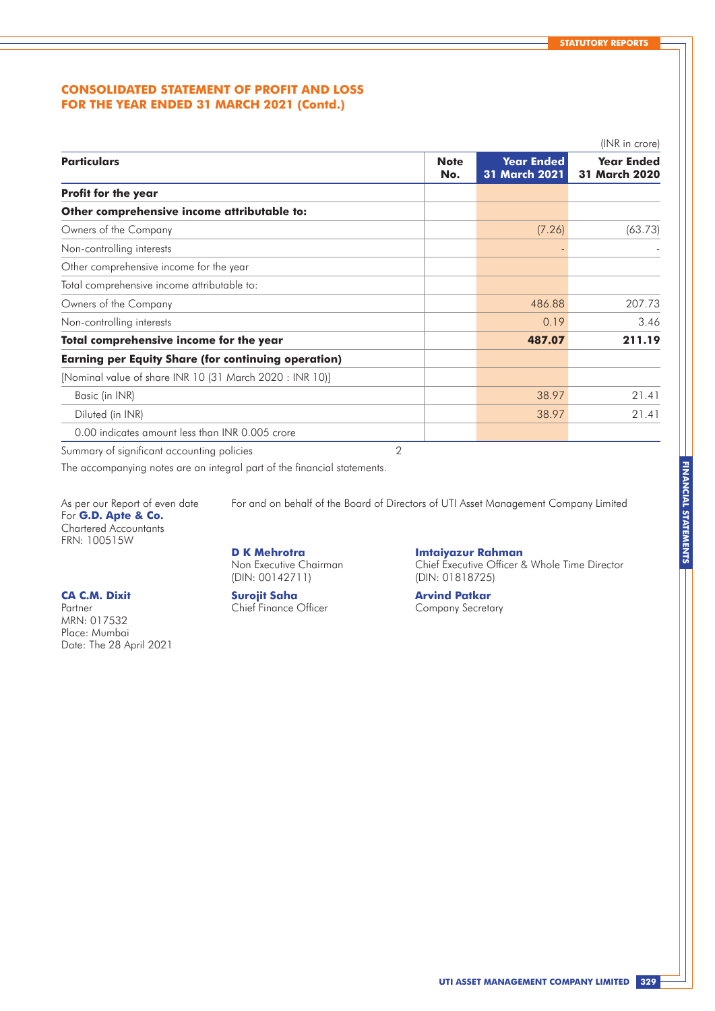### **CONSOLIDATED STATEMENT OF PROFIT AND LOSS FOR THE YEAR ENDED 31 MARCH 2021 (Contd.)**

|                                                            |                    |                                    | (INR in crore)                     |
|------------------------------------------------------------|--------------------|------------------------------------|------------------------------------|
| <b>Particulars</b>                                         | <b>Note</b><br>No. | <b>Year Ended</b><br>31 March 2021 | <b>Year Ended</b><br>31 March 2020 |
| <b>Profit for the year</b>                                 |                    |                                    |                                    |
| Other comprehensive income attributable to:                |                    |                                    |                                    |
| Owners of the Company                                      |                    | (7.26)                             | (63.73)                            |
| Non-controlling interests                                  |                    |                                    |                                    |
| Other comprehensive income for the year                    |                    |                                    |                                    |
| Total comprehensive income attributable to:                |                    |                                    |                                    |
| Owners of the Company                                      |                    | 486.88                             | 207.73                             |
| Non-controlling interests                                  |                    | 0.19                               | 3.46                               |
| Total comprehensive income for the year                    |                    | 487.07                             | 211.19                             |
| <b>Earning per Equity Share (for continuing operation)</b> |                    |                                    |                                    |
| [Nominal value of share INR 10 (31 March 2020 : INR 10)]   |                    |                                    |                                    |
| Basic (in INR)                                             |                    | 38.97                              | 21.41                              |
| Diluted (in INR)                                           |                    | 38.97                              | 21.41                              |
| 0.00 indicates amount less than INR 0.005 crore            |                    |                                    |                                    |
| Summary of significant accounting policies                 | 2                  |                                    |                                    |

The accompanying notes are an integral part of the financial statements.

For **G.D. Apte & Co.** Chartered Accountants FRN: 100515W

# As per our Report of even date For and on behalf of the Board of Directors of UTI Asset Management Company Limited

(DIN: 00142711)

MRN: 017532 Place: Mumbai Date: The 28 April 2021

**CA C.M. Dixit Surojit Saha Arvind Patkar** Partner Chief Finance Officer Company Secretary

**D K Mehrotra Imtaiyazur Rahman** Non Executive Chairman Chief Executive Officer & Whole Time Director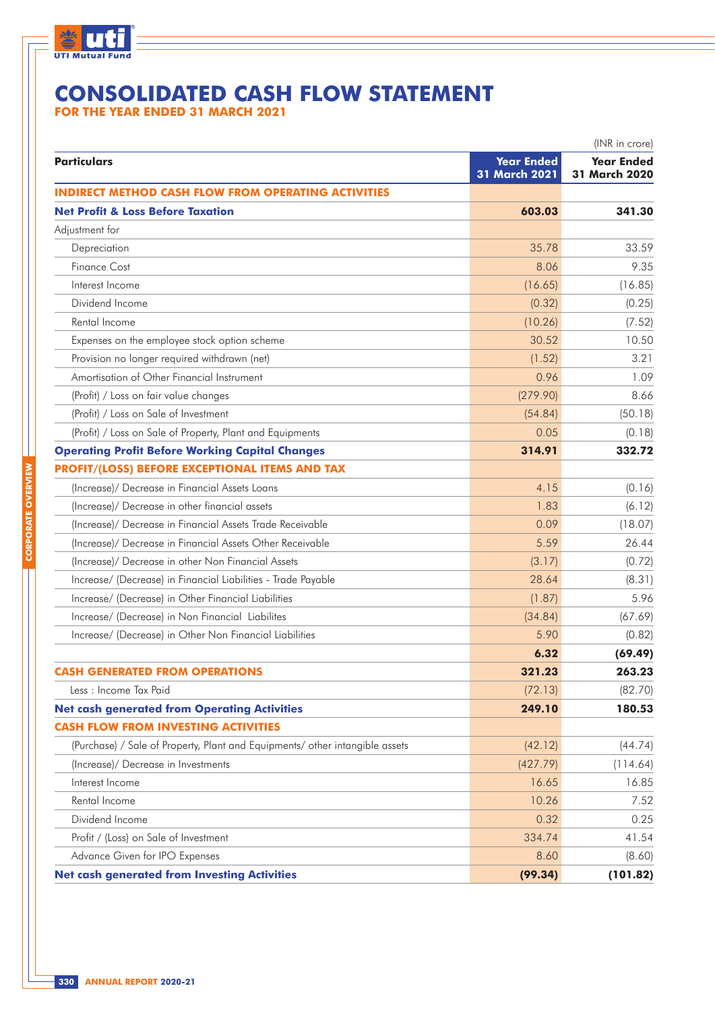

## **CONSOLIDATED CASH FLOW STATEMENT**

**FOR THE YEAR ENDED 31 MARCH 2021**

|                                                                              |                                           | (INR in crore)                     |
|------------------------------------------------------------------------------|-------------------------------------------|------------------------------------|
| <b>Particulars</b>                                                           | <b>Year Ended</b><br><b>31 March 2021</b> | <b>Year Ended</b><br>31 March 2020 |
| <b>INDIRECT METHOD CASH FLOW FROM OPERATING ACTIVITIES</b>                   |                                           |                                    |
| <b>Net Profit &amp; Loss Before Taxation</b>                                 | 603.03                                    | 341.30                             |
| Adjustment for                                                               |                                           |                                    |
| Depreciation                                                                 | 35.78                                     | 33.59                              |
| <b>Finance Cost</b>                                                          | 8.06                                      | 9.35                               |
| Interest Income                                                              | (16.65)                                   | (16.85)                            |
| Dividend Income                                                              | (0.32)                                    | (0.25)                             |
| Rental Income                                                                | (10.26)                                   | (7.52)                             |
| Expenses on the employee stock option scheme                                 | 30.52                                     | 10.50                              |
| Provision no longer required withdrawn (net)                                 | (1.52)                                    | 3.21                               |
| Amortisation of Other Financial Instrument                                   | 0.96                                      | 1.09                               |
| (Profit) / Loss on fair value changes                                        | (279.90)                                  | 8.66                               |
| (Profit) / Loss on Sale of Investment                                        | (54.84)                                   | (50.18)                            |
| (Profit) / Loss on Sale of Property, Plant and Equipments                    | 0.05                                      | (0.18)                             |
| <b>Operating Profit Before Working Capital Changes</b>                       | 314.91                                    | 332.72                             |
| <b>PROFIT/(LOSS) BEFORE EXCEPTIONAL ITEMS AND TAX</b>                        |                                           |                                    |
| (Increase)/ Decrease in Financial Assets Loans                               | 4.15                                      | (0.16)                             |
| (Increase)/ Decrease in other financial assets                               | 1.83                                      | (6.12)                             |
| (Increase)/ Decrease in Financial Assets Trade Receivable                    | 0.09                                      | (18.07)                            |
| (Increase)/ Decrease in Financial Assets Other Receivable                    | 5.59                                      | 26.44                              |
| (Increase)/ Decrease in other Non Financial Assets                           | (3.17)                                    | (0.72)                             |
| Increase/ (Decrease) in Financial Liabilities - Trade Payable                | 28.64                                     | (8.31)                             |
| Increase/ (Decrease) in Other Financial Liabilities                          | (1.87)                                    | 5.96                               |
| Increase/ (Decrease) in Non Financial Liabilites                             | (34.84)                                   | (67.69)                            |
| Increase/ (Decrease) in Other Non Financial Liabilities                      | 5.90                                      | (0.82)                             |
|                                                                              | 6.32                                      | (69.49)                            |
| <b>CASH GENERATED FROM OPERATIONS</b>                                        | 321.23                                    | 263.23                             |
| Less : Income Tax Paid                                                       | (72.13)                                   | (82.70)                            |
| <b>Net cash generated from Operating Activities</b>                          | 249.10                                    | 180.53                             |
| <b>CASH FLOW FROM INVESTING ACTIVITIES</b>                                   |                                           |                                    |
| (Purchase) / Sale of Property, Plant and Equipments/ other intangible assets | (42.12)                                   | (44.74)                            |
| (Increase)/ Decrease in Investments                                          | (427.79)                                  | (114.64)                           |
| Interest Income                                                              | 16.65                                     | 16.85                              |
| Rental Income                                                                | 10.26                                     | 7.52                               |
| Dividend Income                                                              | 0.32                                      | 0.25                               |
| Profit / (Loss) on Sale of Investment                                        | 334.74                                    | 41.54                              |
| Advance Given for IPO Expenses                                               | 8.60                                      | (8.60)                             |
| <b>Net cash generated from Investing Activities</b>                          | (99.34)                                   | (101.82)                           |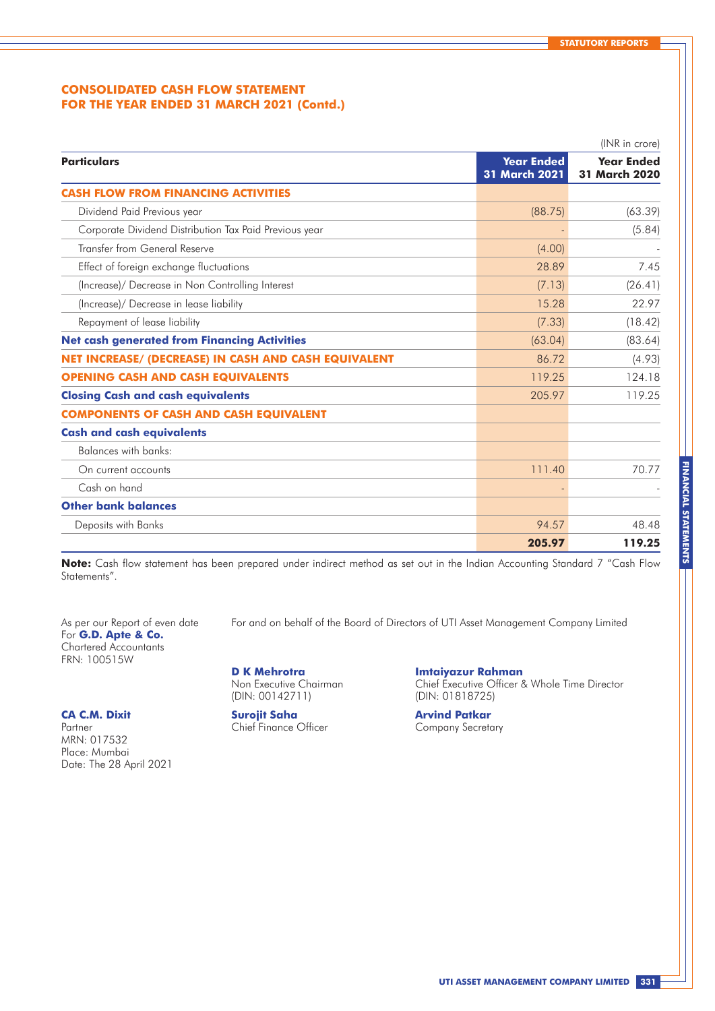### **CONSOLIDATED CASH FLOW STATEMENT FOR THE YEAR ENDED 31 MARCH 2021 (Contd.)**

|                                                        |                                           | (INR in crore)                            |
|--------------------------------------------------------|-------------------------------------------|-------------------------------------------|
| <b>Particulars</b>                                     | <b>Year Ended</b><br><b>31 March 2021</b> | <b>Year Ended</b><br><b>31 March 2020</b> |
| <b>CASH FLOW FROM FINANCING ACTIVITIES</b>             |                                           |                                           |
| Dividend Paid Previous year                            | (88.75)                                   | (63.39)                                   |
| Corporate Dividend Distribution Tax Paid Previous year |                                           | (5.84)                                    |
| Transfer from General Reserve                          | (4.00)                                    |                                           |
| Effect of foreign exchange fluctuations                | 28.89                                     | 7.45                                      |
| (Increase)/ Decrease in Non Controlling Interest       | (7.13)                                    | (26.41)                                   |
| (Increase)/ Decrease in lease liability                | 15.28                                     | 22.97                                     |
| Repayment of lease liability                           | (7.33)                                    | (18.42)                                   |
| <b>Net cash generated from Financing Activities</b>    | (63.04)                                   | (83.64)                                   |
| NET INCREASE/ (DECREASE) IN CASH AND CASH EQUIVALENT   | 86.72                                     | (4.93)                                    |
| <b>OPENING CASH AND CASH EQUIVALENTS</b>               | 119.25                                    | 124.18                                    |
| <b>Closing Cash and cash equivalents</b>               | 205.97                                    | 119.25                                    |
| <b>COMPONENTS OF CASH AND CASH EQUIVALENT</b>          |                                           |                                           |
| <b>Cash and cash equivalents</b>                       |                                           |                                           |
| Balances with banks:                                   |                                           |                                           |
| On current accounts                                    | 111.40                                    | 70.77                                     |
| Cash on hand                                           |                                           |                                           |
| <b>Other bank balances</b>                             |                                           |                                           |
| Deposits with Banks                                    | 94.57                                     | 48.48                                     |
|                                                        | 205.97                                    | 119.25                                    |

**Note:** Cash flow statement has been prepared under indirect method as set out in the Indian Accounting Standard 7 "Cash Flow Statements".

For **G.D. Apte & Co.** Chartered Accountants FRN: 100515W

**CA C.M. Dixit Surojit Saha Arvind Patkar** Partner **Chief Finance Officer** Company Secretary Company Secretary MRN: 017532 Place: Mumbai Date: The 28 April 2021

As per our Report of even date For and on behalf of the Board of Directors of UTI Asset Management Company Limited

**D K Mehrotra Imtaiyazur Rahman** (DIN: 00142711) (DIN: 01818725)

Non Executive Chairman Chief Executive Officer & Whole Time Director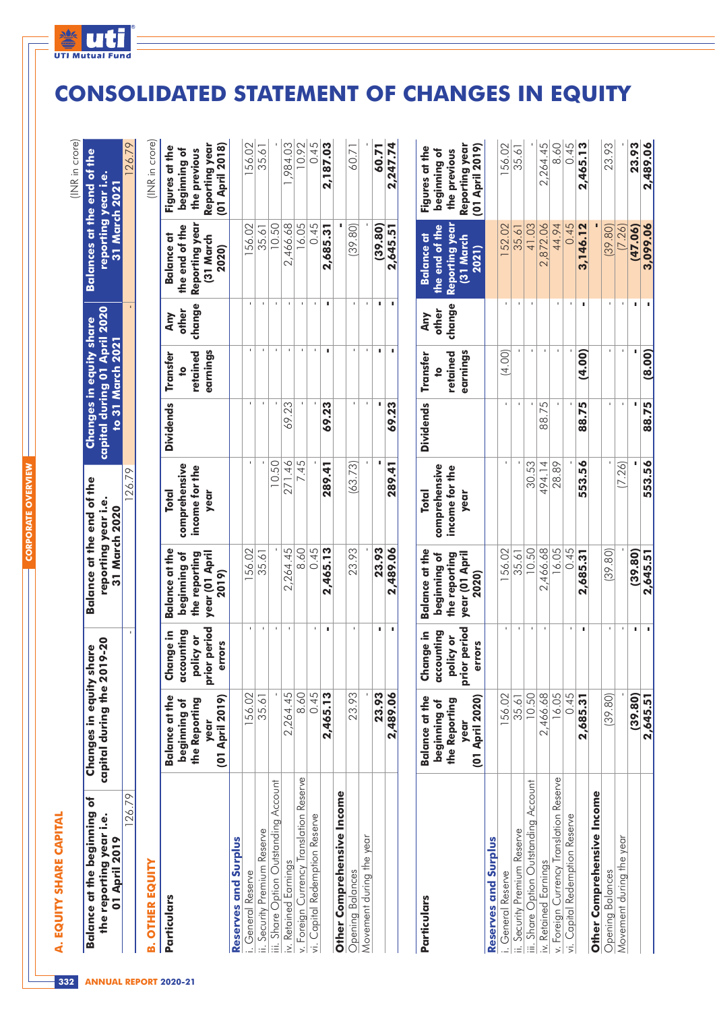

# **CONSOLIDATED STATEMENT OF CHANGES IN EQUITY**

| ļ                                                                                                                         |
|---------------------------------------------------------------------------------------------------------------------------|
|                                                                                                                           |
| г                                                                                                                         |
| I<br>Ī<br>ī                                                                                                               |
| L<br>֠                                                                                                                    |
| j                                                                                                                         |
| ׇ֚֡<br>Ì                                                                                                                  |
| I<br><b>STATE OF STATE OF STATE OF STATE OF STATE OF STATE OF STATE OF STATE OF STATE OF STATE OF STATE OF STATE OF S</b> |
|                                                                                                                           |
| i<br>ı                                                                                                                    |
| l<br>֠<br>I<br>$\overline{a}$                                                                                             |
|                                                                                                                           |

| INK In crore) | Balances at the end of the<br>reporting year i.e.<br>31 March 2021                 | 126.79      |
|---------------|------------------------------------------------------------------------------------|-------------|
|               | <b>Changes in equity share</b><br>capital during 01 April 2020<br>to 31 March 2021 |             |
|               | Balance at the end of the<br>reporting year i.e.<br>31 March 2020                  | 126.79      |
|               | 019-20<br>share<br>ξ<br>apital during the<br>hanges in eq                          |             |
|               | ن<br>-<br>the reporting year<br>01 April 2019<br>alance at the ber                 | ľ<br>)<br>J |

**CORPORATE OVERVIEW**

CORPORATE OVERVIEW

| Particulars                             | (01 April 2019)<br>Balance at the<br>the Reporting<br>beginning of<br>year | prior period<br>accounting<br>policy or<br>errors | Change in Balance at the<br>year (01 April<br>beginning of<br>the reporting<br>2019) | comprehensive<br>income for the<br><b>Total</b><br>year | Dividends   Transfer | retained<br>earnings<br>g | change<br>other<br>Any | Balance at<br>Reporting year<br>the end of the<br>(31 March<br>2020) | Figures at the<br>beginning of<br>the previous<br>Reporting yea<br>(01 April 2018 |
|-----------------------------------------|----------------------------------------------------------------------------|---------------------------------------------------|--------------------------------------------------------------------------------------|---------------------------------------------------------|----------------------|---------------------------|------------------------|----------------------------------------------------------------------|-----------------------------------------------------------------------------------|
| Reserves and Surplus                    |                                                                            |                                                   |                                                                                      |                                                         |                      |                           |                        |                                                                      |                                                                                   |
| i. General Reserve                      | 156.02                                                                     |                                                   | 156.02                                                                               |                                                         |                      |                           |                        | 156.02                                                               | 156.0                                                                             |
| ii. Security Premium Reserve            | 35.61                                                                      |                                                   | 35.61                                                                                |                                                         |                      |                           |                        | 35.61                                                                | 35.6                                                                              |
| iii. Share Option Outstanding Account   |                                                                            |                                                   |                                                                                      | 10.50                                                   |                      |                           |                        | 10.50                                                                |                                                                                   |
| iv. Retained Earnings                   | 2,264.45                                                                   |                                                   | 2,264.45                                                                             | 271.46                                                  | 69.23                |                           |                        | 2,466.68                                                             | 1,984.0                                                                           |
| v. Foreign Currency Translation Reserve | 8.60                                                                       |                                                   | 8.60                                                                                 | 7.45                                                    |                      |                           |                        | 16.05                                                                | $10.9^{\circ}$                                                                    |
| vi. Capital Redemption Reserve          | 0.45                                                                       |                                                   | 0.45                                                                                 |                                                         |                      |                           |                        | 0.45                                                                 | $rac{4}{\sqrt{2}}$                                                                |
|                                         | 2,465.13                                                                   |                                                   | 2,465.13                                                                             | 289.41                                                  | 69.23                |                           |                        | 2,685.31                                                             | 2,187.0                                                                           |
| Other Comprehensive Income              |                                                                            |                                                   |                                                                                      |                                                         |                      |                           |                        |                                                                      |                                                                                   |
| <b>Opening Balances</b>                 | 23.93                                                                      |                                                   | 23.93                                                                                | (63.73)                                                 |                      |                           |                        | (39.80)                                                              | 60.7                                                                              |
| Movement during the year                |                                                                            |                                                   |                                                                                      |                                                         |                      |                           |                        |                                                                      |                                                                                   |
|                                         | 23.93                                                                      |                                                   | 23.93                                                                                |                                                         |                      |                           |                        | (39.80)                                                              | 60.7                                                                              |
|                                         | 2,489.06                                                                   |                                                   | 2,489.06                                                                             | 289.41                                                  | 69.23                |                           |                        | 2,645.51                                                             | 2,247.7                                                                           |
|                                         |                                                                            |                                                   |                                                                                      |                                                         |                      |                           |                        |                                                                      |                                                                                   |

| A. EQUITY SHARE CAPITAL                                                 |                                                                                   |                                                                |                                                                                   |                                                         |                                      |                                             |                        |                                                                             | (INR in crore)                                                                      |
|-------------------------------------------------------------------------|-----------------------------------------------------------------------------------|----------------------------------------------------------------|-----------------------------------------------------------------------------------|---------------------------------------------------------|--------------------------------------|---------------------------------------------|------------------------|-----------------------------------------------------------------------------|-------------------------------------------------------------------------------------|
| Balance at the beginning of<br>the reporting year i.e.<br>01 April 2019 | capital during the 2<br>Changes in equity                                         | 2019-20<br>share                                               | Balance at the end of the<br>reporting year i.e.<br>31 March 2020                 |                                                         | capital during 01 April 2020         | Changes in equity share<br>to 31 March 2021 |                        | Balances at the end of the<br>reporting year i.e.<br>31 March 2021          |                                                                                     |
| 126.79                                                                  |                                                                                   |                                                                |                                                                                   | 26.79                                                   |                                      |                                             |                        |                                                                             | 126.79                                                                              |
| <b>B. OTHER EQUITY</b>                                                  |                                                                                   |                                                                |                                                                                   |                                                         |                                      |                                             |                        |                                                                             | (INR in crore)                                                                      |
| Particulars                                                             | (01 April 2019)<br><b>Balance at the</b><br>the Reporting<br>beginning of<br>year | prior period<br>accounting<br>Change in<br>policy or<br>errors | <b>Balance at the</b><br>year (01 April<br>the reporting<br>beginning of<br>2019) | comprehensive<br>income for the<br><b>Total</b><br>year | <b>Dividends</b>                     | earnings<br>retained<br>Transfer<br>g       | change<br>other<br>Any | Reporting year<br>the end of the<br><b>Balance at</b><br>(31 March<br>2020) | Reporting year<br>(01 April 2018)<br>Figures at the<br>beginning of<br>the previous |
| Reserves and Surplus                                                    |                                                                                   |                                                                |                                                                                   |                                                         |                                      |                                             |                        |                                                                             |                                                                                     |
| General Reserve                                                         | 156.02                                                                            |                                                                | 156.02                                                                            |                                                         |                                      |                                             | $\mathbf{I}$           | 156.02                                                                      | 156.02                                                                              |
| ii. Security Premium Reserve                                            | 35.61                                                                             | J.                                                             | 35.61                                                                             |                                                         |                                      | $\mathbf{L}$                                | $\mathbf{I}$           | 35.61                                                                       | 35.61                                                                               |
| iii. Share Option Outstanding Account                                   |                                                                                   |                                                                |                                                                                   | 10.50                                                   |                                      |                                             |                        | 10.50                                                                       |                                                                                     |
| iv. Retained Earnings                                                   | 2,264.45                                                                          |                                                                | 264.45<br>$\mathbf{C}$                                                            | 271.46                                                  | 23<br>69.                            | $\blacksquare$                              | $\blacksquare$         | 466.68<br>Ñ                                                                 | 1,984.03                                                                            |
| v. Foreign Currency Translation Reserve                                 | 8.60                                                                              |                                                                | 8.60                                                                              | 7.45                                                    |                                      | $\blacksquare$                              |                        | 16.05                                                                       | 10.92                                                                               |
| vi. Capital Redemption Reserve                                          | 0.45                                                                              | ٠                                                              | 0.45                                                                              |                                                         |                                      | ٠                                           | $\blacksquare$         | 0.45                                                                        | 0.45                                                                                |
|                                                                         | 2,465.13                                                                          | ٠                                                              | 2,465.13                                                                          | 289.41                                                  | 69.23                                | ٠                                           | ٠                      | 2,685.31                                                                    | 2,187.03                                                                            |
| Other Comprehensive Income                                              |                                                                                   |                                                                |                                                                                   |                                                         |                                      |                                             |                        |                                                                             |                                                                                     |
| Opening Balances                                                        | 23.93                                                                             |                                                                | 23.93                                                                             | (63.73)                                                 |                                      | $\blacksquare$                              |                        | (39.80)                                                                     | 60.71                                                                               |
| Movement during the year                                                |                                                                                   |                                                                |                                                                                   |                                                         |                                      | $\mathbf{I}$                                |                        |                                                                             |                                                                                     |
|                                                                         | 23.93                                                                             | ٠                                                              | 23.93                                                                             |                                                         | ٠                                    | ٠                                           | ٠                      | (39.80)                                                                     | 60.71                                                                               |
|                                                                         | 2,489.06                                                                          | p                                                              | 489.06<br>$\mathbf{a}$                                                            | 289.41                                                  | 69.23                                | ×                                           | ×                      | 2,645.51                                                                    | 2,247.74                                                                            |
| Particulars                                                             | (01 April 2020)<br>Balance at the<br>the Reporting<br>beginning of<br>year        | prior period<br>accounting<br>Change in<br>policy or<br>errors | <b>Balance at the</b><br>year (01 April<br>the reporting<br>beginning of<br>2020) | comprehensive<br>income for the<br><b>Total</b><br>year | <b>Dividends</b>                     | earnings<br>retained<br>Transfer<br>g       | change<br>other<br>Any | Reporting year<br>the end of the<br><b>Balance at</b><br>(31 March<br>2021) | Reporting year<br>(01 April 2019)<br>Figures at the<br>beginning of<br>the previous |
| Reserves and Surplus                                                    |                                                                                   |                                                                |                                                                                   |                                                         |                                      |                                             |                        |                                                                             |                                                                                     |
| General Reserve                                                         | 156.02                                                                            |                                                                | 156.02                                                                            |                                                         |                                      | (4.00)                                      |                        | 152.02                                                                      | 156.02                                                                              |
| ii. Security Premium Reserve                                            | 35.61                                                                             |                                                                | 35.61                                                                             |                                                         |                                      |                                             |                        | 35.61                                                                       | 35.61                                                                               |
| iii. Share Option Outstanding Account                                   | 10.50                                                                             |                                                                | 10.50                                                                             | 30.53                                                   |                                      |                                             |                        | 41.03                                                                       |                                                                                     |
| iv. Retained Earnings                                                   | 2,466.68                                                                          |                                                                | 466.68<br>$\sim$                                                                  | 494.14                                                  | 5<br>$\overline{ }$<br>$\frac{8}{8}$ | J.                                          |                        | 872.06<br>$\overline{\mathsf{C}}$                                           | 2,264.45                                                                            |
| v. Foreign Currency Translation Reserve                                 | 16.05                                                                             |                                                                | 16.05                                                                             | 28.89                                                   |                                      | $\blacksquare$                              |                        | 44.94                                                                       | 8.60                                                                                |
| vi. Capital Redemption Reserve                                          | $\frac{0.45}{2,685.31}$                                                           |                                                                | 0.45                                                                              |                                                         |                                      |                                             |                        | 0.45                                                                        | 0.45                                                                                |
| Other Comprehensive Income                                              |                                                                                   | ٠                                                              | 2,685.31                                                                          | 553.56                                                  | 88.75                                | (4.00)                                      | п                      | 3,146.12                                                                    | 2,465.13                                                                            |
| Opening Balances                                                        | (39.80)                                                                           |                                                                | (39.80)                                                                           |                                                         |                                      |                                             | $\mathbf{I}$           | (39.80)                                                                     | 23.93                                                                               |
| Movement during the year                                                |                                                                                   |                                                                |                                                                                   | (7.26)                                                  |                                      | $\blacksquare$                              | $\mathbf{I}$           | (7.26)                                                                      |                                                                                     |
|                                                                         | (39.80)                                                                           | ٠                                                              | (39.80)                                                                           |                                                         |                                      | ٠                                           | I,                     | (47.06)                                                                     | 23.93                                                                               |
|                                                                         | 2,645.51                                                                          | ×                                                              | 2,645.51                                                                          | 553.56                                                  | 88.75                                | (8.00)                                      | r                      | 3,099.06                                                                    | 2,489.06                                                                            |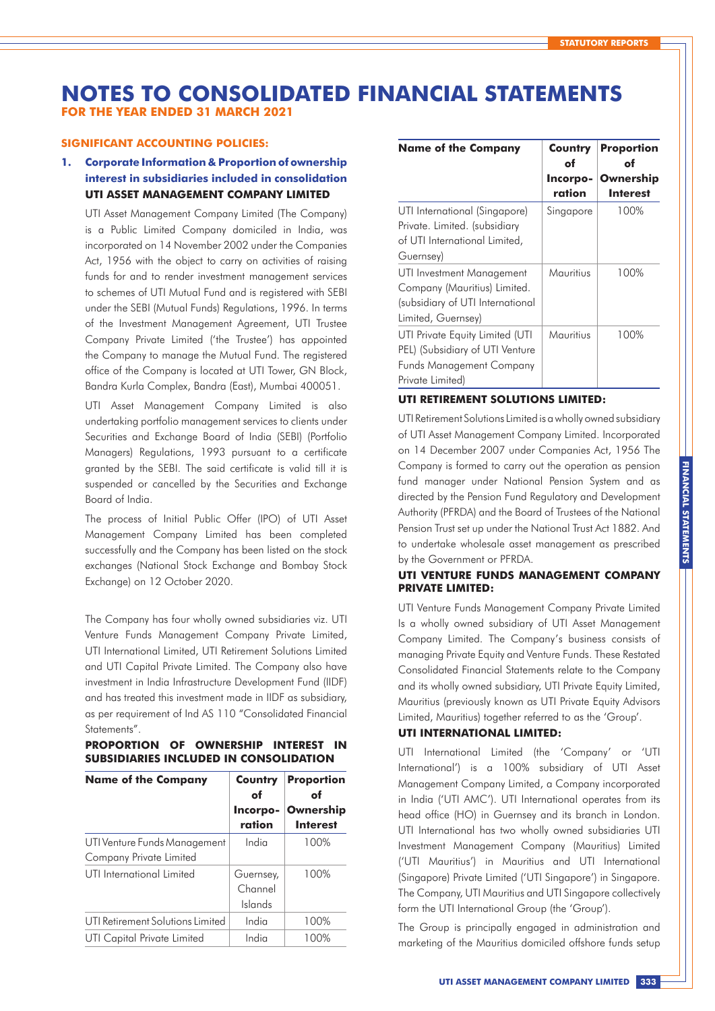#### **SIGNIFICANT ACCOUNTING POLICIES:**

### **1. Corporate Information & Proportion of ownership interest in subsidiaries included in consolidation UTI ASSET MANAGEMENT COMPANY LIMITED**

UTI Asset Management Company Limited (The Company) is a Public Limited Company domiciled in India, was incorporated on 14 November 2002 under the Companies Act, 1956 with the object to carry on activities of raising funds for and to render investment management services to schemes of UTI Mutual Fund and is registered with SEBI under the SEBI (Mutual Funds) Regulations, 1996. In terms of the Investment Management Agreement, UTI Trustee Company Private Limited ('the Trustee') has appointed the Company to manage the Mutual Fund. The registered office of the Company is located at UTI Tower, GN Block, Bandra Kurla Complex, Bandra (East), Mumbai 400051.

UTI Asset Management Company Limited is also undertaking portfolio management services to clients under Securities and Exchange Board of India (SEBI) (Portfolio Managers) Regulations, 1993 pursuant to a certificate granted by the SEBI. The said certificate is valid till it is suspended or cancelled by the Securities and Exchange Board of India.

The process of Initial Public Offer (IPO) of UTI Asset Management Company Limited has been completed successfully and the Company has been listed on the stock exchanges (National Stock Exchange and Bombay Stock Exchange) on 12 October 2020.

The Company has four wholly owned subsidiaries viz. UTI Venture Funds Management Company Private Limited, UTI International Limited, UTI Retirement Solutions Limited and UTI Capital Private Limited. The Company also have investment in India Infrastructure Development Fund (IIDF) and has treated this investment made in IIDF as subsidiary, as per requirement of Ind AS 110 "Consolidated Financial Statements".

### **PROPORTION OF OWNERSHIP INTEREST IN SUBSIDIARIES INCLUDED IN CONSOLIDATION**

| <b>Name of the Company</b>                              | Country<br>of                          | <b>Proportion</b><br>оf             |  |  |
|---------------------------------------------------------|----------------------------------------|-------------------------------------|--|--|
|                                                         | Incorpo-<br>ration                     | <b>Ownership</b><br><b>Interest</b> |  |  |
| UTI Venture Funds Management<br>Company Private Limited | India                                  | 100%                                |  |  |
| UTI International Limited                               | Guernsey,<br>Channel<br><b>Islands</b> | 100%                                |  |  |
| UTI Retirement Solutions Limited                        | India                                  | 100%                                |  |  |
| <b>UTI Capital Private Limited</b>                      | India                                  | 100%                                |  |  |

| <b>Name of the Company</b>                                                                                          | Country<br>of      | <b>Proportion</b><br>of      |  |  |
|---------------------------------------------------------------------------------------------------------------------|--------------------|------------------------------|--|--|
|                                                                                                                     | Incorpo-<br>ration | Ownership<br><b>Interest</b> |  |  |
| UTI International (Singapore)<br>Private. Limited. (subsidiary<br>of UTI International Limited,<br>Guernsey)        | Singapore          | 100%                         |  |  |
| UTI Investment Management<br>Company (Mauritius) Limited.<br>(subsidiary of UTI International<br>Limited, Guernsey) | Mauritius          | 100%                         |  |  |
| UTI Private Equity Limited (UTI<br>PEL) (Subsidiary of UTI Venture<br>Funds Management Company<br>Private Limited)  | Mauritius          | 100%                         |  |  |

### **UTI RETIREMENT SOLUTIONS LIMITED:**

UTI Retirement Solutions Limited is a wholly owned subsidiary of UTI Asset Management Company Limited. Incorporated on 14 December 2007 under Companies Act, 1956 The Company is formed to carry out the operation as pension fund manager under National Pension System and as directed by the Pension Fund Regulatory and Development Authority (PFRDA) and the Board of Trustees of the National Pension Trust set up under the National Trust Act 1882. And to undertake wholesale asset management as prescribed by the Government or PFRDA.

#### **UTI VENTURE FUNDS MANAGEMENT COMPANY PRIVATE LIMITED:**

UTI Venture Funds Management Company Private Limited Is a wholly owned subsidiary of UTI Asset Management Company Limited. The Company's business consists of managing Private Equity and Venture Funds. These Restated Consolidated Financial Statements relate to the Company and its wholly owned subsidiary, UTI Private Equity Limited, Mauritius (previously known as UTI Private Equity Advisors Limited, Mauritius) together referred to as the 'Group'.

#### **UTI INTERNATIONAL LIMITED:**

UTI International Limited (the 'Company' or 'UTI International') is a 100% subsidiary of UTI Asset Management Company Limited, a Company incorporated in India ('UTI AMC'). UTI International operates from its head office (HO) in Guernsey and its branch in London. UTI International has two wholly owned subsidiaries UTI Investment Management Company (Mauritius) Limited ('UTI Mauritius') in Mauritius and UTI International (Singapore) Private Limited ('UTI Singapore') in Singapore. The Company, UTI Mauritius and UTI Singapore collectively form the UTI International Group (the 'Group').

The Group is principally engaged in administration and marketing of the Mauritius domiciled offshore funds setup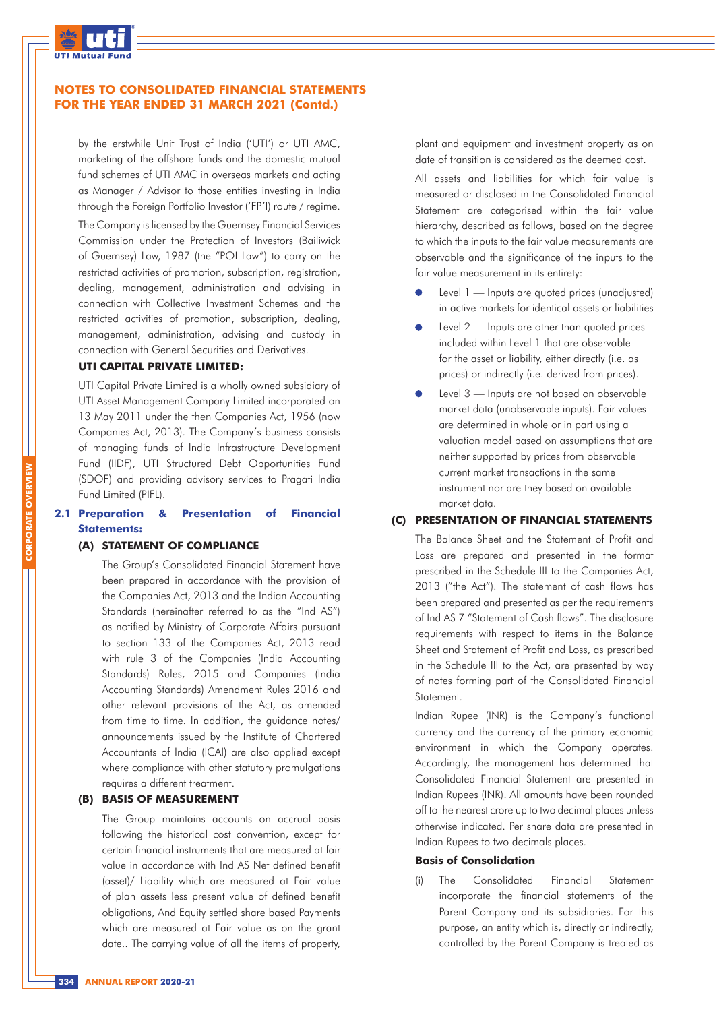

by the erstwhile Unit Trust of India ('UTI') or UTI AMC, marketing of the offshore funds and the domestic mutual fund schemes of UTI AMC in overseas markets and acting as Manager / Advisor to those entities investing in India through the Foreign Portfolio Investor ('FP'I) route / regime.

The Company is licensed by the Guernsey Financial Services Commission under the Protection of Investors (Bailiwick of Guernsey) Law, 1987 (the "POI Law") to carry on the restricted activities of promotion, subscription, registration, dealing, management, administration and advising in connection with Collective Investment Schemes and the restricted activities of promotion, subscription, dealing, management, administration, advising and custody in connection with General Securities and Derivatives.

#### **UTI CAPITAL PRIVATE LIMITED:**

UTI Capital Private Limited is a wholly owned subsidiary of UTI Asset Management Company Limited incorporated on 13 May 2011 under the then Companies Act, 1956 (now Companies Act, 2013). The Company's business consists of managing funds of India Infrastructure Development Fund (IIDF), UTI Structured Debt Opportunities Fund (SDOF) and providing advisory services to Pragati India Fund Limited (PIFL).

### **2.1 Preparation & Presentation of Financial Statements:**

#### **(A) STATEMENT OF COMPLIANCE**

The Group's Consolidated Financial Statement have been prepared in accordance with the provision of the Companies Act, 2013 and the Indian Accounting Standards (hereinafter referred to as the "Ind AS") as notified by Ministry of Corporate Affairs pursuant to section 133 of the Companies Act, 2013 read with rule 3 of the Companies (India Accounting Standards) Rules, 2015 and Companies (India Accounting Standards) Amendment Rules 2016 and other relevant provisions of the Act, as amended from time to time. In addition, the guidance notes/ announcements issued by the Institute of Chartered Accountants of India (ICAI) are also applied except where compliance with other statutory promulgations requires a different treatment.

#### **(B) BASIS OF MEASUREMENT**

The Group maintains accounts on accrual basis following the historical cost convention, except for certain financial instruments that are measured at fair value in accordance with Ind AS Net defined benefit (asset)/ Liability which are measured at Fair value of plan assets less present value of defined benefit obligations, And Equity settled share based Payments which are measured at Fair value as on the grant date.. The carrying value of all the items of property,

plant and equipment and investment property as on date of transition is considered as the deemed cost.

All assets and liabilities for which fair value is measured or disclosed in the Consolidated Financial Statement are categorised within the fair value hierarchy, described as follows, based on the degree to which the inputs to the fair value measurements are observable and the significance of the inputs to the fair value measurement in its entirety:

- Level 1 Inputs are quoted prices (unadjusted) in active markets for identical assets or liabilities
- Level 2 Inputs are other than quoted prices included within Level 1 that are observable for the asset or liability, either directly (i.e. as prices) or indirectly (i.e. derived from prices).
- Level 3 Inputs are not based on observable market data (unobservable inputs). Fair values are determined in whole or in part using a valuation model based on assumptions that are neither supported by prices from observable current market transactions in the same instrument nor are they based on available market data.

### **(C) PRESENTATION OF FINANCIAL STATEMENTS**

The Balance Sheet and the Statement of Profit and Loss are prepared and presented in the format prescribed in the Schedule III to the Companies Act, 2013 ("the Act"). The statement of cash flows has been prepared and presented as per the requirements of Ind AS 7 "Statement of Cash flows". The disclosure requirements with respect to items in the Balance Sheet and Statement of Profit and Loss, as prescribed in the Schedule III to the Act, are presented by way of notes forming part of the Consolidated Financial Statement.

Indian Rupee (INR) is the Company's functional currency and the currency of the primary economic environment in which the Company operates. Accordingly, the management has determined that Consolidated Financial Statement are presented in Indian Rupees (INR). All amounts have been rounded off to the nearest crore up to two decimal places unless otherwise indicated. Per share data are presented in Indian Rupees to two decimals places.

#### **Basis of Consolidation**

(i) The Consolidated Financial Statement incorporate the financial statements of the Parent Company and its subsidiaries. For this purpose, an entity which is, directly or indirectly, controlled by the Parent Company is treated as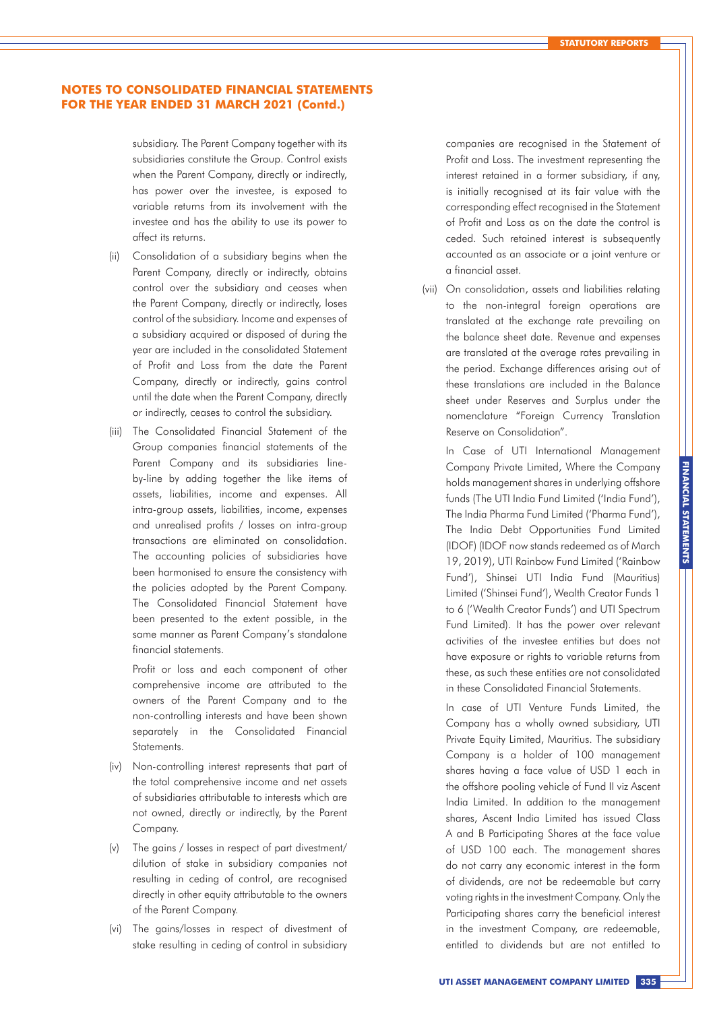subsidiary. The Parent Company together with its subsidiaries constitute the Group. Control exists when the Parent Company, directly or indirectly, has power over the investee, is exposed to variable returns from its involvement with the investee and has the ability to use its power to affect its returns.

- (ii) Consolidation of a subsidiary begins when the Parent Company, directly or indirectly, obtains control over the subsidiary and ceases when the Parent Company, directly or indirectly, loses control of the subsidiary. Income and expenses of a subsidiary acquired or disposed of during the year are included in the consolidated Statement of Profit and Loss from the date the Parent Company, directly or indirectly, gains control until the date when the Parent Company, directly or indirectly, ceases to control the subsidiary.
- (iii) The Consolidated Financial Statement of the Group companies financial statements of the Parent Company and its subsidiaries lineby-line by adding together the like items of assets, liabilities, income and expenses. All intra-group assets, liabilities, income, expenses and unrealised profits / losses on intra-group transactions are eliminated on consolidation. The accounting policies of subsidiaries have been harmonised to ensure the consistency with the policies adopted by the Parent Company. The Consolidated Financial Statement have been presented to the extent possible, in the same manner as Parent Company's standalone financial statements.

Profit or loss and each component of other comprehensive income are attributed to the owners of the Parent Company and to the non-controlling interests and have been shown separately in the Consolidated Financial Statements.

- (iv) Non-controlling interest represents that part of the total comprehensive income and net assets of subsidiaries attributable to interests which are not owned, directly or indirectly, by the Parent Company.
- (v) The gains / losses in respect of part divestment/ dilution of stake in subsidiary companies not resulting in ceding of control, are recognised directly in other equity attributable to the owners of the Parent Company.
- (vi) The gains/losses in respect of divestment of stake resulting in ceding of control in subsidiary

companies are recognised in the Statement of Profit and Loss. The investment representing the interest retained in a former subsidiary, if any, is initially recognised at its fair value with the corresponding effect recognised in the Statement of Profit and Loss as on the date the control is ceded. Such retained interest is subsequently accounted as an associate or a joint venture or a financial asset.

(vii) On consolidation, assets and liabilities relating to the non-integral foreign operations are translated at the exchange rate prevailing on the balance sheet date. Revenue and expenses are translated at the average rates prevailing in the period. Exchange differences arising out of these translations are included in the Balance sheet under Reserves and Surplus under the nomenclature "Foreign Currency Translation Reserve on Consolidation".

> In Case of UTI International Management Company Private Limited, Where the Company holds management shares in underlying offshore funds (The UTI India Fund Limited ('India Fund'), The India Pharma Fund Limited ('Pharma Fund'), The India Debt Opportunities Fund Limited (IDOF) (IDOF now stands redeemed as of March 19, 2019), UTI Rainbow Fund Limited ('Rainbow Fund'), Shinsei UTI India Fund (Mauritius) Limited ('Shinsei Fund'), Wealth Creator Funds 1 to 6 ('Wealth Creator Funds') and UTI Spectrum Fund Limited). It has the power over relevant activities of the investee entities but does not have exposure or rights to variable returns from these, as such these entities are not consolidated in these Consolidated Financial Statements.

> In case of UTI Venture Funds Limited, the Company has a wholly owned subsidiary, UTI Private Equity Limited, Mauritius. The subsidiary Company is a holder of 100 management shares having a face value of USD 1 each in the offshore pooling vehicle of Fund II viz Ascent India Limited. In addition to the management shares, Ascent India Limited has issued Class A and B Participating Shares at the face value of USD 100 each. The management shares do not carry any economic interest in the form of dividends, are not be redeemable but carry voting rights in the investment Company. Only the Participating shares carry the beneficial interest in the investment Company, are redeemable, entitled to dividends but are not entitled to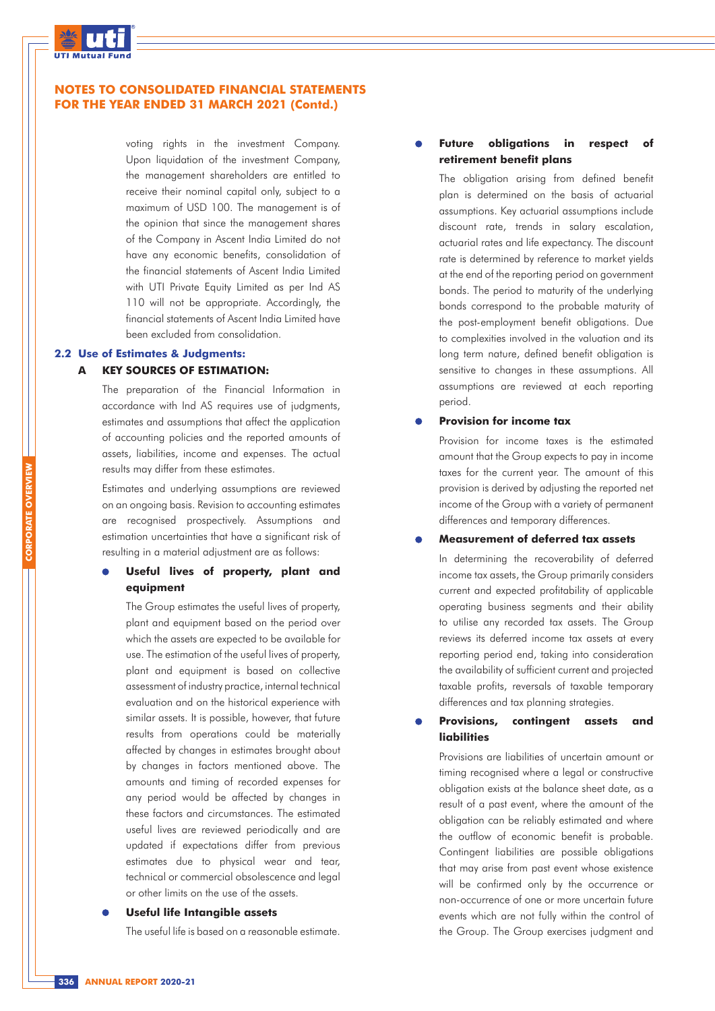

voting rights in the investment Company. Upon liquidation of the investment Company, the management shareholders are entitled to receive their nominal capital only, subject to a maximum of USD 100. The management is of the opinion that since the management shares of the Company in Ascent India Limited do not have any economic benefits, consolidation of the financial statements of Ascent India Limited with UTI Private Equity Limited as per Ind AS 110 will not be appropriate. Accordingly, the financial statements of Ascent India Limited have been excluded from consolidation.

#### **2.2 Use of Estimates & Judgments:**

#### **A KEY SOURCES OF ESTIMATION:**

The preparation of the Financial Information in accordance with Ind AS requires use of judgments, estimates and assumptions that affect the application of accounting policies and the reported amounts of assets, liabilities, income and expenses. The actual results may differ from these estimates.

Estimates and underlying assumptions are reviewed on an ongoing basis. Revision to accounting estimates are recognised prospectively. Assumptions and estimation uncertainties that have a significant risk of resulting in a material adjustment are as follows:

### **Useful lives of property, plant and equipment**

The Group estimates the useful lives of property, plant and equipment based on the period over which the assets are expected to be available for use. The estimation of the useful lives of property, plant and equipment is based on collective assessment of industry practice, internal technical evaluation and on the historical experience with similar assets. It is possible, however, that future results from operations could be materially affected by changes in estimates brought about by changes in factors mentioned above. The amounts and timing of recorded expenses for any period would be affected by changes in these factors and circumstances. The estimated useful lives are reviewed periodically and are updated if expectations differ from previous estimates due to physical wear and tear, technical or commercial obsolescence and legal or other limits on the use of the assets.

#### **Useful life Intangible assets**

The useful life is based on a reasonable estimate.

#### **Future obligations in respect of retirement benefit plans**

The obligation arising from defined benefit plan is determined on the basis of actuarial assumptions. Key actuarial assumptions include discount rate, trends in salary escalation, actuarial rates and life expectancy. The discount rate is determined by reference to market yields at the end of the reporting period on government bonds. The period to maturity of the underlying bonds correspond to the probable maturity of the post-employment benefit obligations. Due to complexities involved in the valuation and its long term nature, defined benefit obligation is sensitive to changes in these assumptions. All assumptions are reviewed at each reporting period.

#### **Provision for income tax**

Provision for income taxes is the estimated amount that the Group expects to pay in income taxes for the current year. The amount of this provision is derived by adjusting the reported net income of the Group with a variety of permanent differences and temporary differences.

#### **Measurement of deferred tax assets**

In determining the recoverability of deferred income tax assets, the Group primarily considers current and expected profitability of applicable operating business segments and their ability to utilise any recorded tax assets. The Group reviews its deferred income tax assets at every reporting period end, taking into consideration the availability of sufficient current and projected taxable profits, reversals of taxable temporary differences and tax planning strategies.

### **Provisions, contingent assets and liabilities**

Provisions are liabilities of uncertain amount or timing recognised where a legal or constructive obligation exists at the balance sheet date, as a result of a past event, where the amount of the obligation can be reliably estimated and where the outflow of economic benefit is probable. Contingent liabilities are possible obligations that may arise from past event whose existence will be confirmed only by the occurrence or non-occurrence of one or more uncertain future events which are not fully within the control of the Group. The Group exercises judgment and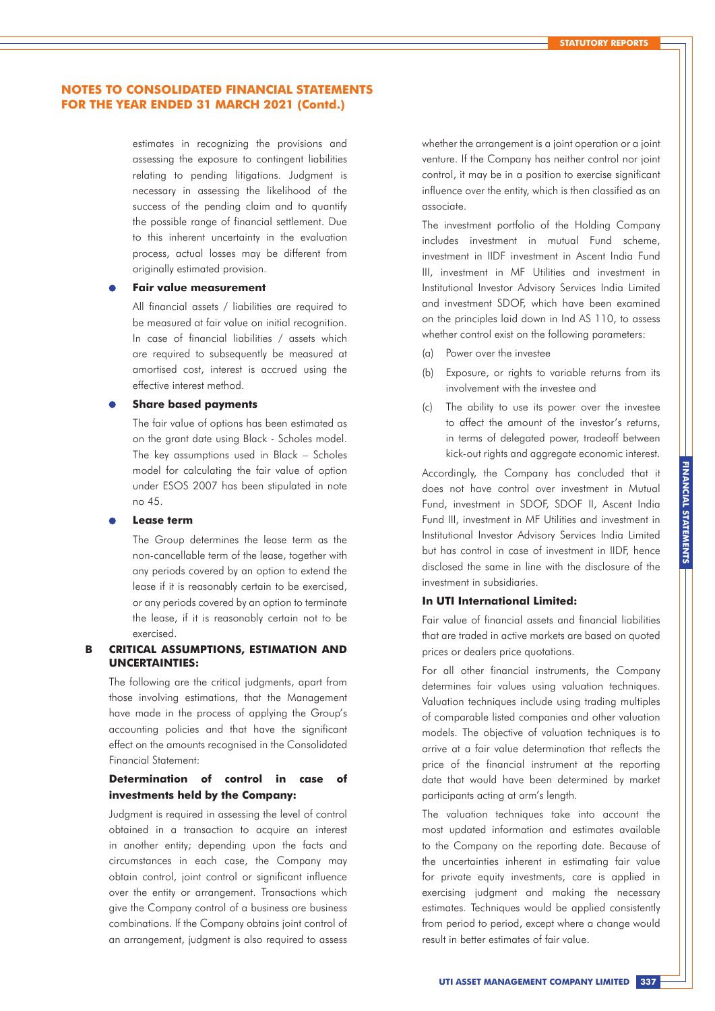estimates in recognizing the provisions and assessing the exposure to contingent liabilities relating to pending litigations. Judgment is necessary in assessing the likelihood of the success of the pending claim and to quantify the possible range of financial settlement. Due to this inherent uncertainty in the evaluation process, actual losses may be different from originally estimated provision.

#### **Fair value measurement**

All financial assets / liabilities are required to be measured at fair value on initial recognition. In case of financial liabilities / assets which are required to subsequently be measured at amortised cost, interest is accrued using the effective interest method.

#### **Share based payments**

The fair value of options has been estimated as on the grant date using Black - Scholes model. The key assumptions used in Black – Scholes model for calculating the fair value of option under ESOS 2007 has been stipulated in note no 45.

#### **Lease term**

The Group determines the lease term as the non-cancellable term of the lease, together with any periods covered by an option to extend the lease if it is reasonably certain to be exercised, or any periods covered by an option to terminate the lease, if it is reasonably certain not to be exercised.

#### **B CRITICAL ASSUMPTIONS, ESTIMATION AND UNCERTAINTIES:**

The following are the critical judgments, apart from those involving estimations, that the Management have made in the process of applying the Group's accounting policies and that have the significant effect on the amounts recognised in the Consolidated Financial Statement:

#### **Determination of control in case of investments held by the Company:**

Judgment is required in assessing the level of control obtained in a transaction to acquire an interest in another entity; depending upon the facts and circumstances in each case, the Company may obtain control, joint control or significant influence over the entity or arrangement. Transactions which give the Company control of a business are business combinations. If the Company obtains joint control of an arrangement, judgment is also required to assess

whether the arrangement is a joint operation or a joint venture. If the Company has neither control nor joint control, it may be in a position to exercise significant influence over the entity, which is then classified as an associate.

The investment portfolio of the Holding Company includes investment in mutual Fund scheme, investment in IIDF investment in Ascent India Fund III, investment in MF Utilities and investment in Institutional Investor Advisory Services India Limited and investment SDOF, which have been examined on the principles laid down in Ind AS 110, to assess whether control exist on the following parameters:

- (a) Power over the investee
- (b) Exposure, or rights to variable returns from its involvement with the investee and
- (c) The ability to use its power over the investee to affect the amount of the investor's returns, in terms of delegated power, tradeoff between kick-out rights and aggregate economic interest.

Accordingly, the Company has concluded that it does not have control over investment in Mutual Fund, investment in SDOF, SDOF II, Ascent India Fund III, investment in MF Utilities and investment in Institutional Investor Advisory Services India Limited but has control in case of investment in IIDF, hence disclosed the same in line with the disclosure of the investment in subsidiaries.

#### **In UTI International Limited:**

Fair value of financial assets and financial liabilities that are traded in active markets are based on quoted prices or dealers price quotations.

For all other financial instruments, the Company determines fair values using valuation techniques. Valuation techniques include using trading multiples of comparable listed companies and other valuation models. The objective of valuation techniques is to arrive at a fair value determination that reflects the price of the financial instrument at the reporting date that would have been determined by market participants acting at arm's length.

The valuation techniques take into account the most updated information and estimates available to the Company on the reporting date. Because of the uncertainties inherent in estimating fair value for private equity investments, care is applied in exercising judgment and making the necessary estimates. Techniques would be applied consistently from period to period, except where a change would result in better estimates of fair value.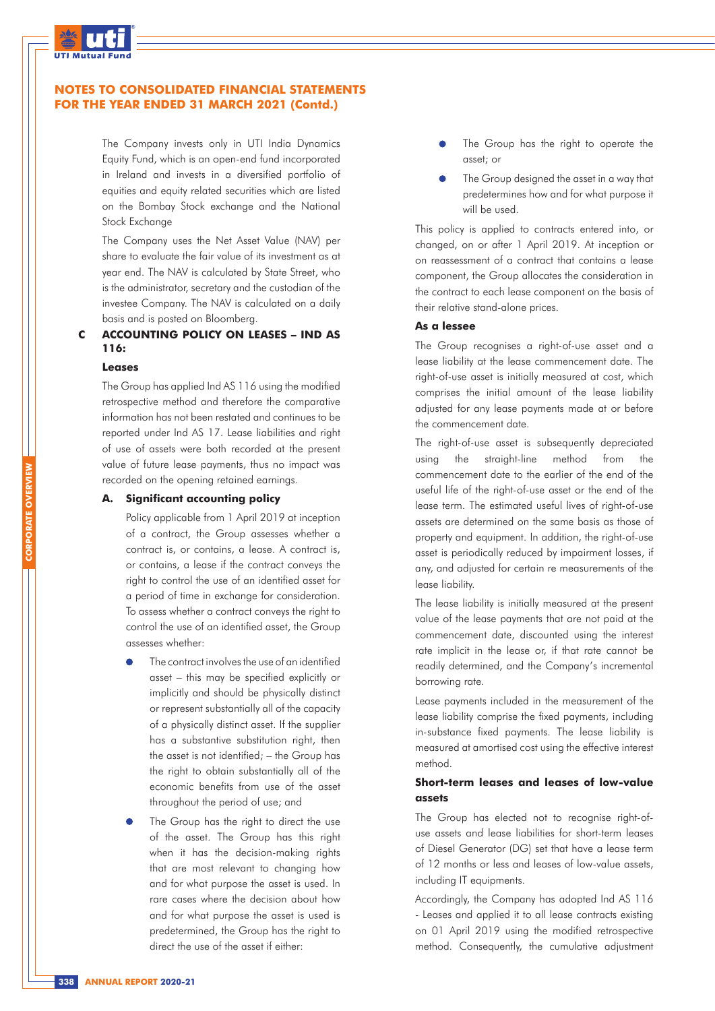

The Company invests only in UTI India Dynamics Equity Fund, which is an open-end fund incorporated in Ireland and invests in a diversified portfolio of equities and equity related securities which are listed on the Bombay Stock exchange and the National Stock Exchange

The Company uses the Net Asset Value (NAV) per share to evaluate the fair value of its investment as at year end. The NAV is calculated by State Street, who is the administrator, secretary and the custodian of the investee Company. The NAV is calculated on a daily basis and is posted on Bloomberg.

### **C ACCOUNTING POLICY ON LEASES – IND AS 116:**

#### **Leases**

The Group has applied Ind AS 116 using the modified retrospective method and therefore the comparative information has not been restated and continues to be reported under Ind AS 17. Lease liabilities and right of use of assets were both recorded at the present value of future lease payments, thus no impact was recorded on the opening retained earnings.

#### **A. Significant accounting policy**

Policy applicable from 1 April 2019 at inception of a contract, the Group assesses whether a contract is, or contains, a lease. A contract is, or contains, a lease if the contract conveys the right to control the use of an identified asset for a period of time in exchange for consideration. To assess whether a contract conveys the right to control the use of an identified asset, the Group assesses whether:

- The contract involves the use of an identified asset – this may be specified explicitly or implicitly and should be physically distinct or represent substantially all of the capacity of a physically distinct asset. If the supplier has a substantive substitution right, then the asset is not identified; – the Group has the right to obtain substantially all of the economic benefits from use of the asset throughout the period of use; and
- The Group has the right to direct the use of the asset. The Group has this right when it has the decision-making rights that are most relevant to changing how and for what purpose the asset is used. In rare cases where the decision about how and for what purpose the asset is used is predetermined, the Group has the right to direct the use of the asset if either:
- The Group has the right to operate the asset; or
- The Group designed the asset in a way that predetermines how and for what purpose it will be used.

This policy is applied to contracts entered into, or changed, on or after 1 April 2019. At inception or on reassessment of a contract that contains a lease component, the Group allocates the consideration in the contract to each lease component on the basis of their relative stand-alone prices.

#### **As a lessee**

The Group recognises a right-of-use asset and a lease liability at the lease commencement date. The right-of-use asset is initially measured at cost, which comprises the initial amount of the lease liability adjusted for any lease payments made at or before the commencement date.

The right-of-use asset is subsequently depreciated using the straight-line method from the commencement date to the earlier of the end of the useful life of the right-of-use asset or the end of the lease term. The estimated useful lives of right-of-use assets are determined on the same basis as those of property and equipment. In addition, the right-of-use asset is periodically reduced by impairment losses, if any, and adjusted for certain re measurements of the lease liability.

The lease liability is initially measured at the present value of the lease payments that are not paid at the commencement date, discounted using the interest rate implicit in the lease or, if that rate cannot be readily determined, and the Company's incremental borrowing rate.

Lease payments included in the measurement of the lease liability comprise the fixed payments, including in-substance fixed payments. The lease liability is measured at amortised cost using the effective interest method.

### **Short-term leases and leases of low-value assets**

The Group has elected not to recognise right-ofuse assets and lease liabilities for short-term leases of Diesel Generator (DG) set that have a lease term of 12 months or less and leases of low-value assets, including IT equipments.

Accordingly, the Company has adopted Ind AS 116 - Leases and applied it to all lease contracts existing on 01 April 2019 using the modified retrospective method. Consequently, the cumulative adjustment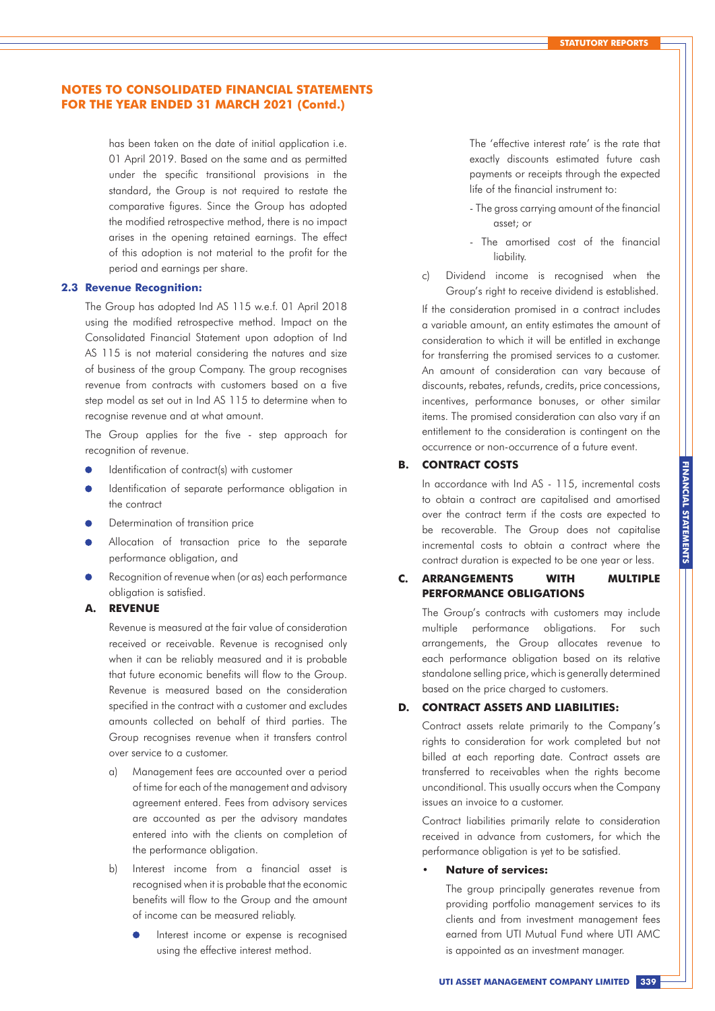has been taken on the date of initial application i.e. 01 April 2019. Based on the same and as permitted under the specific transitional provisions in the standard, the Group is not required to restate the comparative figures. Since the Group has adopted the modified retrospective method, there is no impact arises in the opening retained earnings. The effect of this adoption is not material to the profit for the period and earnings per share.

#### **2.3 Revenue Recognition:**

The Group has adopted Ind AS 115 w.e.f. 01 April 2018 using the modified retrospective method. Impact on the Consolidated Financial Statement upon adoption of Ind AS 115 is not material considering the natures and size of business of the group Company. The group recognises revenue from contracts with customers based on a five step model as set out in Ind AS 115 to determine when to recognise revenue and at what amount.

The Group applies for the five - step approach for recognition of revenue.

- Identification of contract(s) with customer
- Identification of separate performance obligation in the contract
- Determination of transition price
- Allocation of transaction price to the separate performance obligation, and
- Recognition of revenue when (or as) each performance obligation is satisfied.

### **A. REVENUE**

Revenue is measured at the fair value of consideration received or receivable. Revenue is recognised only when it can be reliably measured and it is probable that future economic benefits will flow to the Group. Revenue is measured based on the consideration specified in the contract with a customer and excludes amounts collected on behalf of third parties. The Group recognises revenue when it transfers control over service to a customer.

- a) Management fees are accounted over a period of time for each of the management and advisory agreement entered. Fees from advisory services are accounted as per the advisory mandates entered into with the clients on completion of the performance obligation.
- b) Interest income from a financial asset is recognised when it is probable that the economic benefits will flow to the Group and the amount of income can be measured reliably.
	- Interest income or expense is recognised using the effective interest method.

The 'effective interest rate' is the rate that exactly discounts estimated future cash payments or receipts through the expected life of the financial instrument to:

- The gross carrying amount of the financial asset; or
- The amortised cost of the financial liability.
- c) Dividend income is recognised when the Group's right to receive dividend is established.

If the consideration promised in a contract includes a variable amount, an entity estimates the amount of consideration to which it will be entitled in exchange for transferring the promised services to a customer. An amount of consideration can vary because of discounts, rebates, refunds, credits, price concessions, incentives, performance bonuses, or other similar items. The promised consideration can also vary if an entitlement to the consideration is contingent on the occurrence or non-occurrence of a future event.

#### **B. CONTRACT COSTS**

In accordance with Ind AS - 115, incremental costs to obtain a contract are capitalised and amortised over the contract term if the costs are expected to be recoverable. The Group does not capitalise incremental costs to obtain a contract where the contract duration is expected to be one year or less.

### **C. ARRANGEMENTS WITH MULTIPLE PERFORMANCE OBLIGATIONS**

The Group's contracts with customers may include multiple performance obligations. For such arrangements, the Group allocates revenue to each performance obligation based on its relative standalone selling price, which is generally determined based on the price charged to customers.

#### **D. CONTRACT ASSETS AND LIABILITIES:**

Contract assets relate primarily to the Company's rights to consideration for work completed but not billed at each reporting date. Contract assets are transferred to receivables when the rights become unconditional. This usually occurs when the Company issues an invoice to a customer.

Contract liabilities primarily relate to consideration received in advance from customers, for which the performance obligation is yet to be satisfied.

#### **• Nature of services:**

The group principally generates revenue from providing portfolio management services to its clients and from investment management fees earned from UTI Mutual Fund where UTI AMC is appointed as an investment manager.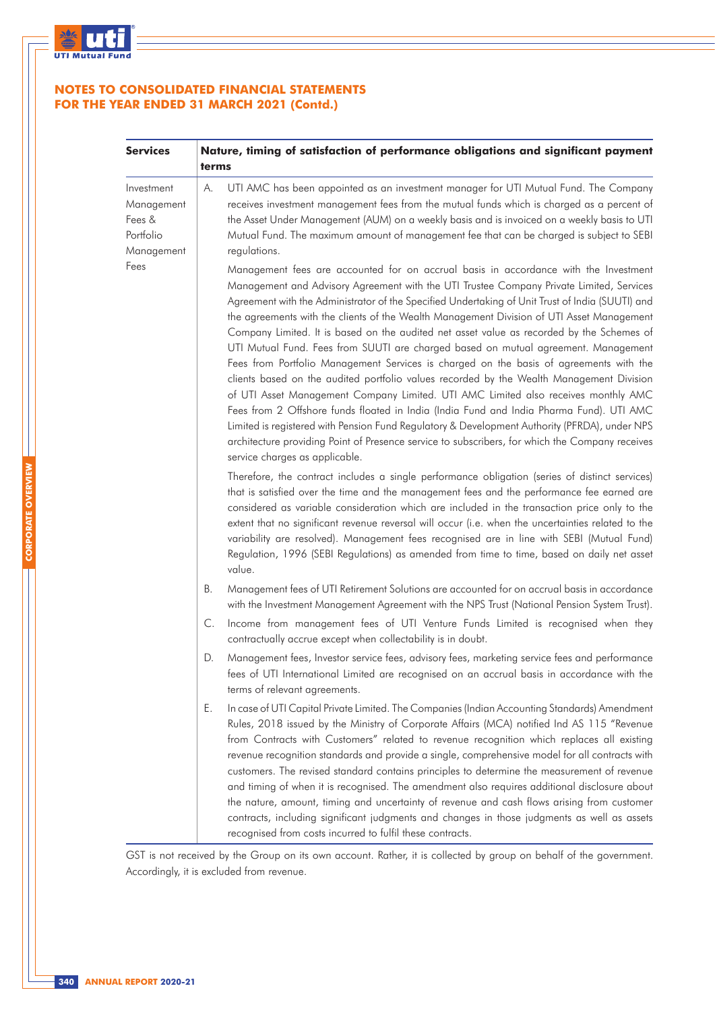

| <b>Services</b>                                               | Nature, timing of satisfaction of performance obligations and significant payment<br>terms                                                                                                                                                                                                                                                                                                                                                                                                                                                                                                                                                                                                                                                                                                                                                                                                                                                                                                                                                                                                                                                                                        |  |  |  |  |  |  |
|---------------------------------------------------------------|-----------------------------------------------------------------------------------------------------------------------------------------------------------------------------------------------------------------------------------------------------------------------------------------------------------------------------------------------------------------------------------------------------------------------------------------------------------------------------------------------------------------------------------------------------------------------------------------------------------------------------------------------------------------------------------------------------------------------------------------------------------------------------------------------------------------------------------------------------------------------------------------------------------------------------------------------------------------------------------------------------------------------------------------------------------------------------------------------------------------------------------------------------------------------------------|--|--|--|--|--|--|
| Investment<br>Management<br>Fees &<br>Portfolio<br>Management | UTI AMC has been appointed as an investment manager for UTI Mutual Fund. The Company<br>А.<br>receives investment management fees from the mutual funds which is charged as a percent of<br>the Asset Under Management (AUM) on a weekly basis and is invoiced on a weekly basis to UTI<br>Mutual Fund. The maximum amount of management fee that can be charged is subject to SEBI<br>regulations.                                                                                                                                                                                                                                                                                                                                                                                                                                                                                                                                                                                                                                                                                                                                                                               |  |  |  |  |  |  |
| Fees                                                          | Management fees are accounted for on accrual basis in accordance with the Investment<br>Management and Advisory Agreement with the UTI Trustee Company Private Limited, Services<br>Agreement with the Administrator of the Specified Undertaking of Unit Trust of India (SUUTI) and<br>the agreements with the clients of the Wealth Management Division of UTI Asset Management<br>Company Limited. It is based on the audited net asset value as recorded by the Schemes of<br>UTI Mutual Fund. Fees from SUUTI are charged based on mutual agreement. Management<br>Fees from Portfolio Management Services is charged on the basis of agreements with the<br>clients based on the audited portfolio values recorded by the Wealth Management Division<br>of UTI Asset Management Company Limited. UTI AMC Limited also receives monthly AMC<br>Fees from 2 Offshore funds floated in India (India Fund and India Pharma Fund). UTI AMC<br>Limited is registered with Pension Fund Regulatory & Development Authority (PFRDA), under NPS<br>architecture providing Point of Presence service to subscribers, for which the Company receives<br>service charges as applicable. |  |  |  |  |  |  |
|                                                               | Therefore, the contract includes a single performance obligation (series of distinct services)<br>that is satisfied over the time and the management fees and the performance fee earned are<br>considered as variable consideration which are included in the transaction price only to the<br>extent that no significant revenue reversal will occur (i.e. when the uncertainties related to the<br>variability are resolved). Management fees recognised are in line with SEBI (Mutual Fund)<br>Regulation, 1996 (SEBI Regulations) as amended from time to time, based on daily net asset<br>value.                                                                                                                                                                                                                                                                                                                                                                                                                                                                                                                                                                           |  |  |  |  |  |  |
|                                                               | Management fees of UTI Retirement Solutions are accounted for on accrual basis in accordance<br>В.<br>with the Investment Management Agreement with the NPS Trust (National Pension System Trust).                                                                                                                                                                                                                                                                                                                                                                                                                                                                                                                                                                                                                                                                                                                                                                                                                                                                                                                                                                                |  |  |  |  |  |  |
|                                                               | С.<br>Income from management fees of UTI Venture Funds Limited is recognised when they<br>contractually accrue except when collectability is in doubt.                                                                                                                                                                                                                                                                                                                                                                                                                                                                                                                                                                                                                                                                                                                                                                                                                                                                                                                                                                                                                            |  |  |  |  |  |  |
|                                                               | Management fees, Investor service fees, advisory fees, marketing service fees and performance<br>D.<br>fees of UTI International Limited are recognised on an accrual basis in accordance with the<br>terms of relevant agreements.                                                                                                                                                                                                                                                                                                                                                                                                                                                                                                                                                                                                                                                                                                                                                                                                                                                                                                                                               |  |  |  |  |  |  |
|                                                               | Ε.<br>In case of UTI Capital Private Limited. The Companies (Indian Accounting Standards) Amendment<br>Rules, 2018 issued by the Ministry of Corporate Affairs (MCA) notified Ind AS 115 "Revenue<br>from Contracts with Customers" related to revenue recognition which replaces all existing<br>revenue recognition standards and provide a single, comprehensive model for all contracts with<br>customers. The revised standard contains principles to determine the measurement of revenue<br>and timing of when it is recognised. The amendment also requires additional disclosure about<br>the nature, amount, timing and uncertainty of revenue and cash flows arising from customer<br>contracts, including significant judgments and changes in those judgments as well as assets<br>recognised from costs incurred to fulfil these contracts.                                                                                                                                                                                                                                                                                                                         |  |  |  |  |  |  |

GST is not received by the Group on its own account. Rather, it is collected by group on behalf of the government. Accordingly, it is excluded from revenue.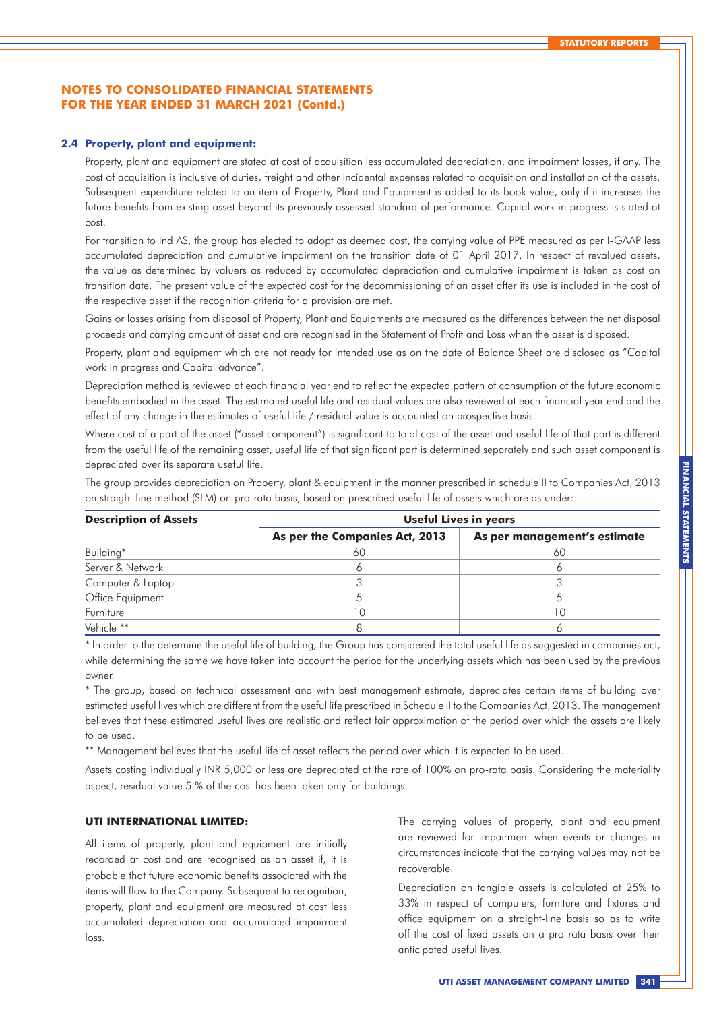#### **2.4 Property, plant and equipment:**

Property, plant and equipment are stated at cost of acquisition less accumulated depreciation, and impairment losses, if any. The cost of acquisition is inclusive of duties, freight and other incidental expenses related to acquisition and installation of the assets. Subsequent expenditure related to an item of Property, Plant and Equipment is added to its book value, only if it increases the future benefits from existing asset beyond its previously assessed standard of performance. Capital work in progress is stated at cost.

For transition to Ind AS, the group has elected to adopt as deemed cost, the carrying value of PPE measured as per I-GAAP less accumulated depreciation and cumulative impairment on the transition date of 01 April 2017. In respect of revalued assets, the value as determined by valuers as reduced by accumulated depreciation and cumulative impairment is taken as cost on transition date. The present value of the expected cost for the decommissioning of an asset after its use is included in the cost of the respective asset if the recognition criteria for a provision are met.

Gains or losses arising from disposal of Property, Plant and Equipments are measured as the differences between the net disposal proceeds and carrying amount of asset and are recognised in the Statement of Profit and Loss when the asset is disposed.

Property, plant and equipment which are not ready for intended use as on the date of Balance Sheet are disclosed as "Capital work in progress and Capital advance".

Depreciation method is reviewed at each financial year end to reflect the expected pattern of consumption of the future economic benefits embodied in the asset. The estimated useful life and residual values are also reviewed at each financial year end and the effect of any change in the estimates of useful life / residual value is accounted on prospective basis.

Where cost of a part of the asset ("asset component") is significant to total cost of the asset and useful life of that part is different from the useful life of the remaining asset, useful life of that significant part is determined separately and such asset component is depreciated over its separate useful life.

The group provides depreciation on Property, plant & equipment in the manner prescribed in schedule II to Companies Act, 2013 on straight line method (SLM) on pro-rata basis, based on prescribed useful life of assets which are as under:

| <b>Description of Assets</b> | <b>Useful Lives in years</b>   |                              |  |  |  |  |
|------------------------------|--------------------------------|------------------------------|--|--|--|--|
|                              | As per the Companies Act, 2013 | As per management's estimate |  |  |  |  |
| Building*                    | 60                             | 60                           |  |  |  |  |
| Server & Network             |                                |                              |  |  |  |  |
| Computer & Laptop            |                                |                              |  |  |  |  |
| Office Equipment             |                                |                              |  |  |  |  |
| Furniture                    | 0                              | l C                          |  |  |  |  |
| Vehicle **                   |                                |                              |  |  |  |  |

\* In order to the determine the useful life of building, the Group has considered the total useful life as suggested in companies act, while determining the same we have taken into account the period for the underlying assets which has been used by the previous owner.

\* The group, based on technical assessment and with best management estimate, depreciates certain items of building over estimated useful lives which are different from the useful life prescribed in Schedule II to the Companies Act, 2013. The management believes that these estimated useful lives are realistic and reflect fair approximation of the period over which the assets are likely to be used.

\*\* Management believes that the useful life of asset reflects the period over which it is expected to be used.

Assets costing individually INR 5,000 or less are depreciated at the rate of 100% on pro-rata basis. Considering the materiality aspect, residual value 5 % of the cost has been taken only for buildings.

### **UTI INTERNATIONAL LIMITED:**

All items of property, plant and equipment are initially recorded at cost and are recognised as an asset if, it is probable that future economic benefits associated with the items will flow to the Company. Subsequent to recognition, property, plant and equipment are measured at cost less accumulated depreciation and accumulated impairment loss.

The carrying values of property, plant and equipment are reviewed for impairment when events or changes in circumstances indicate that the carrying values may not be recoverable.

Depreciation on tangible assets is calculated at 25% to 33% in respect of computers, furniture and fixtures and office equipment on a straight-line basis so as to write off the cost of fixed assets on a pro rata basis over their anticipated useful lives.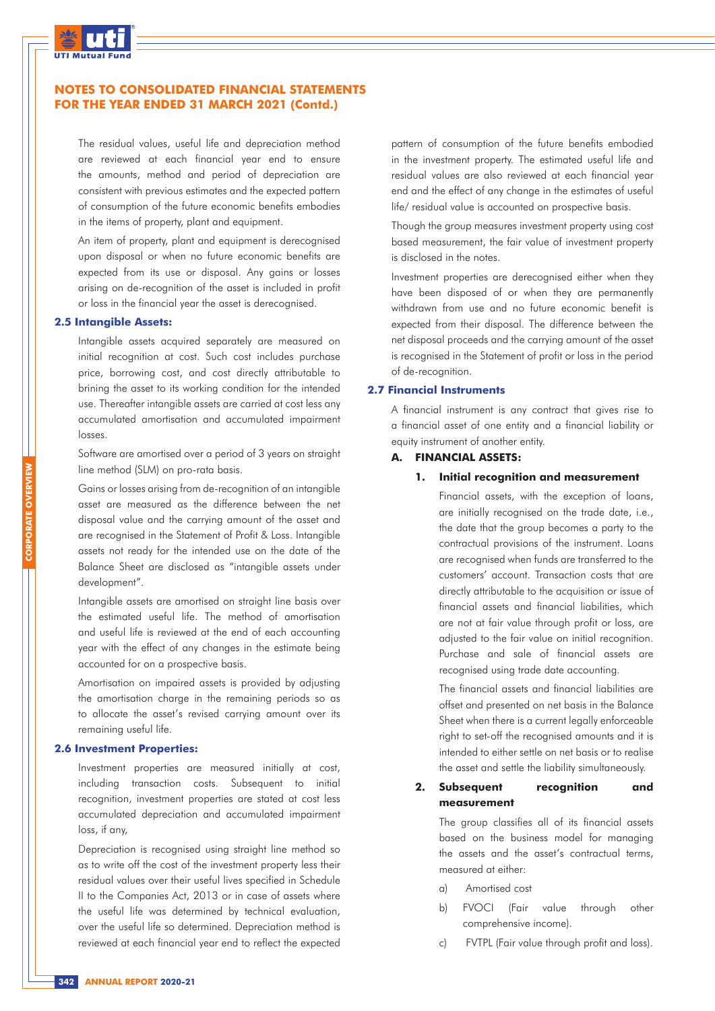

The residual values, useful life and depreciation method are reviewed at each financial year end to ensure the amounts, method and period of depreciation are consistent with previous estimates and the expected pattern of consumption of the future economic benefits embodies in the items of property, plant and equipment.

An item of property, plant and equipment is derecognised upon disposal or when no future economic benefits are expected from its use or disposal. Any gains or losses arising on de-recognition of the asset is included in profit or loss in the financial year the asset is derecognised.

#### **2.5 Intangible Assets:**

Intangible assets acquired separately are measured on initial recognition at cost. Such cost includes purchase price, borrowing cost, and cost directly attributable to brining the asset to its working condition for the intended use. Thereafter intangible assets are carried at cost less any accumulated amortisation and accumulated impairment losses.

Software are amortised over a period of 3 years on straight line method (SLM) on pro-rata basis.

Gains or losses arising from de-recognition of an intangible asset are measured as the difference between the net disposal value and the carrying amount of the asset and are recognised in the Statement of Profit & Loss. Intangible assets not ready for the intended use on the date of the Balance Sheet are disclosed as "intangible assets under development".

Intangible assets are amortised on straight line basis over the estimated useful life. The method of amortisation and useful life is reviewed at the end of each accounting year with the effect of any changes in the estimate being accounted for on a prospective basis.

Amortisation on impaired assets is provided by adjusting the amortisation charge in the remaining periods so as to allocate the asset's revised carrying amount over its remaining useful life.

#### **2.6 Investment Properties:**

Investment properties are measured initially at cost, including transaction costs. Subsequent to initial recognition, investment properties are stated at cost less accumulated depreciation and accumulated impairment loss, if any,

Depreciation is recognised using straight line method so as to write off the cost of the investment property less their residual values over their useful lives specified in Schedule II to the Companies Act, 2013 or in case of assets where the useful life was determined by technical evaluation, over the useful life so determined. Depreciation method is reviewed at each financial year end to reflect the expected

pattern of consumption of the future benefits embodied in the investment property. The estimated useful life and residual values are also reviewed at each financial year end and the effect of any change in the estimates of useful life/ residual value is accounted on prospective basis.

Though the group measures investment property using cost based measurement, the fair value of investment property is disclosed in the notes.

Investment properties are derecognised either when they have been disposed of or when they are permanently withdrawn from use and no future economic benefit is expected from their disposal. The difference between the net disposal proceeds and the carrying amount of the asset is recognised in the Statement of profit or loss in the period of de-recognition.

#### **2.7 Financial Instruments**

A financial instrument is any contract that gives rise to a financial asset of one entity and a financial liability or equity instrument of another entity.

#### **A. FINANCIAL ASSETS:**

#### **1. Initial recognition and measurement**

Financial assets, with the exception of loans, are initially recognised on the trade date, i.e., the date that the group becomes a party to the contractual provisions of the instrument. Loans are recognised when funds are transferred to the customers' account. Transaction costs that are directly attributable to the acquisition or issue of financial assets and financial liabilities, which are not at fair value through profit or loss, are adjusted to the fair value on initial recognition. Purchase and sale of financial assets are recognised using trade date accounting.

The financial assets and financial liabilities are offset and presented on net basis in the Balance Sheet when there is a current legally enforceable right to set-off the recognised amounts and it is intended to either settle on net basis or to realise the asset and settle the liability simultaneously.

### **2. Subsequent recognition and measurement**

The group classifies all of its financial assets based on the business model for managing the assets and the asset's contractual terms, measured at either:

- a) Amortised cost
- b) FVOCI (Fair value through other comprehensive income).
- c) FVTPL (Fair value through profit and loss).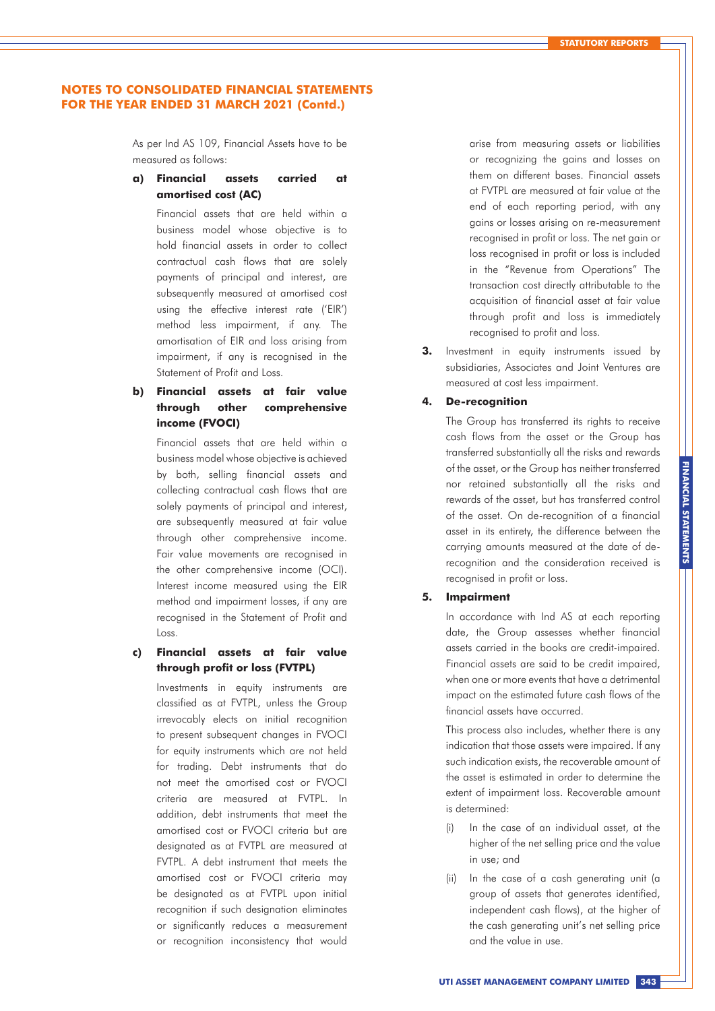As per Ind AS 109, Financial Assets have to be measured as follows:

**a) Financial assets carried at amortised cost (AC)** 

> Financial assets that are held within a business model whose objective is to hold financial assets in order to collect contractual cash flows that are solely payments of principal and interest, are subsequently measured at amortised cost using the effective interest rate ('EIR') method less impairment, if any. The amortisation of EIR and loss arising from impairment, if any is recognised in the Statement of Profit and Loss.

### **b) Financial assets at fair value through other comprehensive income (FVOCI)**

Financial assets that are held within a business model whose objective is achieved by both, selling financial assets and collecting contractual cash flows that are solely payments of principal and interest, are subsequently measured at fair value through other comprehensive income. Fair value movements are recognised in the other comprehensive income (OCI). Interest income measured using the EIR method and impairment losses, if any are recognised in the Statement of Profit and Loss.

### **c) Financial assets at fair value through profit or loss (FVTPL)**

Investments in equity instruments are classified as at FVTPL, unless the Group irrevocably elects on initial recognition to present subsequent changes in FVOCI for equity instruments which are not held for trading. Debt instruments that do not meet the amortised cost or FVOCI criteria are measured at FVTPL. In addition, debt instruments that meet the amortised cost or FVOCI criteria but are designated as at FVTPL are measured at FVTPL. A debt instrument that meets the amortised cost or FVOCI criteria may be designated as at FVTPL upon initial recognition if such designation eliminates or significantly reduces a measurement or recognition inconsistency that would

arise from measuring assets or liabilities or recognizing the gains and losses on them on different bases. Financial assets at FVTPL are measured at fair value at the end of each reporting period, with any gains or losses arising on re-measurement recognised in profit or loss. The net gain or loss recognised in profit or loss is included in the "Revenue from Operations" The transaction cost directly attributable to the acquisition of financial asset at fair value through profit and loss is immediately recognised to profit and loss.

**3.** Investment in equity instruments issued by subsidiaries, Associates and Joint Ventures are measured at cost less impairment.

#### **4. De-recognition**

The Group has transferred its rights to receive cash flows from the asset or the Group has transferred substantially all the risks and rewards of the asset, or the Group has neither transferred nor retained substantially all the risks and rewards of the asset, but has transferred control of the asset. On de-recognition of a financial asset in its entirety, the difference between the carrying amounts measured at the date of derecognition and the consideration received is recognised in profit or loss.

**FINANCIAL STATEMENTS**

FINANCIAL STATEMENTS

### **5. Impairment**

In accordance with Ind AS at each reporting date, the Group assesses whether financial assets carried in the books are credit-impaired. Financial assets are said to be credit impaired, when one or more events that have a detrimental impact on the estimated future cash flows of the financial assets have occurred.

This process also includes, whether there is any indication that those assets were impaired. If any such indication exists, the recoverable amount of the asset is estimated in order to determine the extent of impairment loss. Recoverable amount is determined:

- (i) In the case of an individual asset, at the higher of the net selling price and the value in use; and
- (ii) In the case of a cash generating unit (a group of assets that generates identified, independent cash flows), at the higher of the cash generating unit's net selling price and the value in use.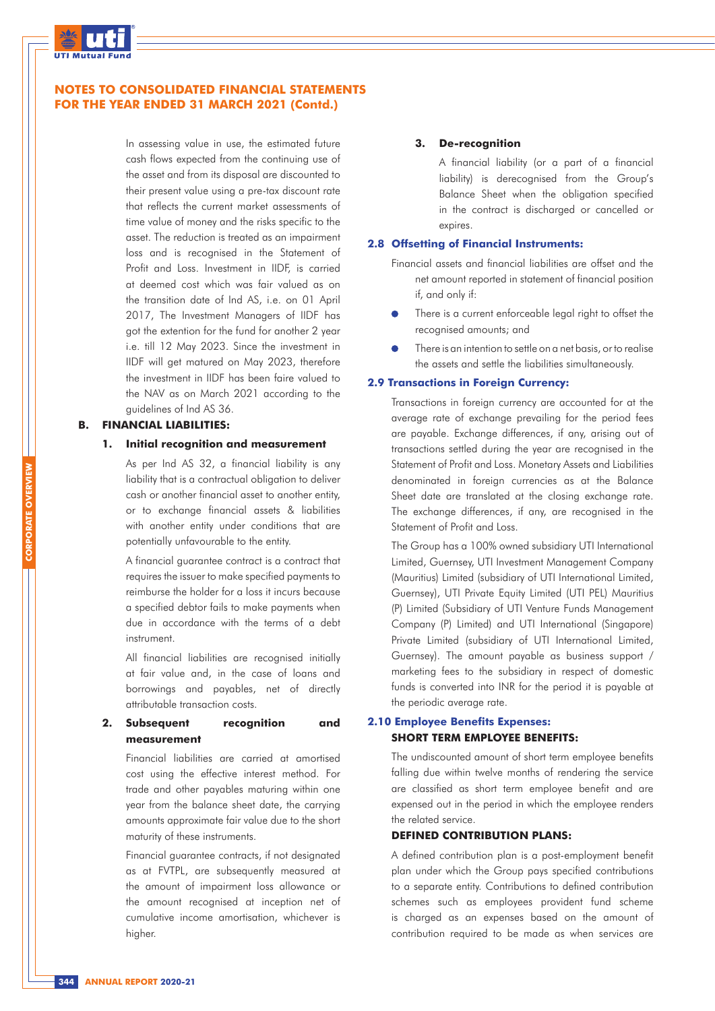

In assessing value in use, the estimated future cash flows expected from the continuing use of the asset and from its disposal are discounted to their present value using a pre-tax discount rate that reflects the current market assessments of time value of money and the risks specific to the asset. The reduction is treated as an impairment loss and is recognised in the Statement of Profit and Loss. Investment in IIDF, is carried at deemed cost which was fair valued as on the transition date of Ind AS, i.e. on 01 April 2017, The Investment Managers of IIDF has got the extention for the fund for another 2 year i.e. till 12 May 2023. Since the investment in IIDF will get matured on May 2023, therefore the investment in IIDF has been faire valued to the NAV as on March 2021 according to the guidelines of Ind AS 36.

#### **B. FINANCIAL LIABILITIES:**

#### **1. Initial recognition and measurement**

As per Ind AS 32, a financial liability is any liability that is a contractual obligation to deliver cash or another financial asset to another entity, or to exchange financial assets & liabilities with another entity under conditions that are potentially unfavourable to the entity.

A financial guarantee contract is a contract that requires the issuer to make specified payments to reimburse the holder for a loss it incurs because a specified debtor fails to make payments when due in accordance with the terms of a debt instrument.

All financial liabilities are recognised initially at fair value and, in the case of loans and borrowings and payables, net of directly attributable transaction costs.

### **2. Subsequent recognition and measurement**

Financial liabilities are carried at amortised cost using the effective interest method. For trade and other payables maturing within one year from the balance sheet date, the carrying amounts approximate fair value due to the short maturity of these instruments.

Financial guarantee contracts, if not designated as at FVTPL, are subsequently measured at the amount of impairment loss allowance or the amount recognised at inception net of cumulative income amortisation, whichever is higher.

#### **3. De-recognition**

A financial liability (or a part of a financial liability) is derecognised from the Group's Balance Sheet when the obligation specified in the contract is discharged or cancelled or expires.

### **2.8 Offsetting of Financial Instruments:**

- Financial assets and financial liabilities are offset and the net amount reported in statement of financial position if, and only if:
- There is a current enforceable legal right to offset the recognised amounts; and
- There is an intention to settle on a net basis, or to realise the assets and settle the liabilities simultaneously.

#### **2.9 Transactions in Foreign Currency:**

Transactions in foreign currency are accounted for at the average rate of exchange prevailing for the period fees are payable. Exchange differences, if any, arising out of transactions settled during the year are recognised in the Statement of Profit and Loss. Monetary Assets and Liabilities denominated in foreign currencies as at the Balance Sheet date are translated at the closing exchange rate. The exchange differences, if any, are recognised in the Statement of Profit and Loss.

The Group has a 100% owned subsidiary UTI International Limited, Guernsey, UTI Investment Management Company (Mauritius) Limited (subsidiary of UTI International Limited, Guernsey), UTI Private Equity Limited (UTI PEL) Mauritius (P) Limited (Subsidiary of UTI Venture Funds Management Company (P) Limited) and UTI International (Singapore) Private Limited (subsidiary of UTI International Limited, Guernsey). The amount payable as business support / marketing fees to the subsidiary in respect of domestic funds is converted into INR for the period it is payable at the periodic average rate.

### **2.10 Employee Benefits Expenses: SHORT TERM EMPLOYEE BENEFITS:**

The undiscounted amount of short term employee benefits falling due within twelve months of rendering the service are classified as short term employee benefit and are expensed out in the period in which the employee renders the related service.

#### **DEFINED CONTRIBUTION PLANS:**

A defined contribution plan is a post-employment benefit plan under which the Group pays specified contributions to a separate entity. Contributions to defined contribution schemes such as employees provident fund scheme is charged as an expenses based on the amount of contribution required to be made as when services are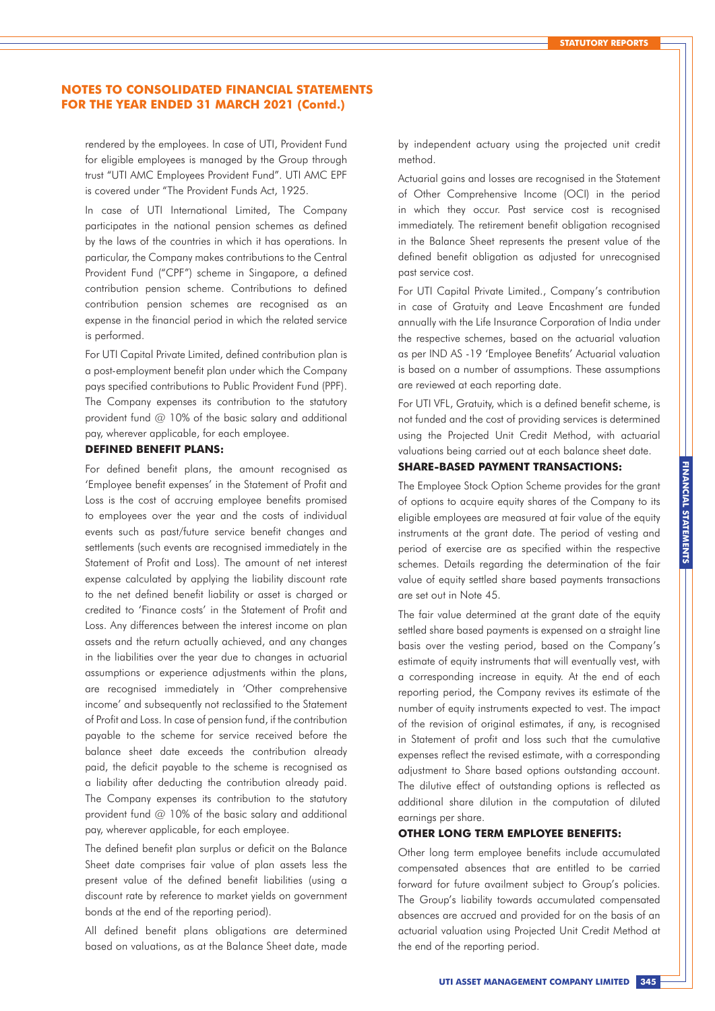rendered by the employees. In case of UTI, Provident Fund for eligible employees is managed by the Group through trust "UTI AMC Employees Provident Fund". UTI AMC EPF is covered under "The Provident Funds Act, 1925.

In case of UTI International Limited, The Company participates in the national pension schemes as defined by the laws of the countries in which it has operations. In particular, the Company makes contributions to the Central Provident Fund ("CPF") scheme in Singapore, a defined contribution pension scheme. Contributions to defined contribution pension schemes are recognised as an expense in the financial period in which the related service is performed.

For UTI Capital Private Limited, defined contribution plan is a post-employment benefit plan under which the Company pays specified contributions to Public Provident Fund (PPF). The Company expenses its contribution to the statutory provident fund  $@$  10% of the basic salary and additional pay, wherever applicable, for each employee.

#### **DEFINED BENEFIT PLANS:**

For defined benefit plans, the amount recognised as 'Employee benefit expenses' in the Statement of Profit and Loss is the cost of accruing employee benefits promised to employees over the year and the costs of individual events such as past/future service benefit changes and settlements (such events are recognised immediately in the Statement of Profit and Loss). The amount of net interest expense calculated by applying the liability discount rate to the net defined benefit liability or asset is charged or credited to 'Finance costs' in the Statement of Profit and Loss. Any differences between the interest income on plan assets and the return actually achieved, and any changes in the liabilities over the year due to changes in actuarial assumptions or experience adjustments within the plans, are recognised immediately in 'Other comprehensive income' and subsequently not reclassified to the Statement of Profit and Loss. In case of pension fund, if the contribution payable to the scheme for service received before the balance sheet date exceeds the contribution already paid, the deficit payable to the scheme is recognised as a liability after deducting the contribution already paid. The Company expenses its contribution to the statutory provident fund @ 10% of the basic salary and additional pay, wherever applicable, for each employee.

The defined benefit plan surplus or deficit on the Balance Sheet date comprises fair value of plan assets less the present value of the defined benefit liabilities (using a discount rate by reference to market yields on government bonds at the end of the reporting period).

All defined benefit plans obligations are determined based on valuations, as at the Balance Sheet date, made by independent actuary using the projected unit credit method.

Actuarial gains and losses are recognised in the Statement of Other Comprehensive Income (OCI) in the period in which they occur. Past service cost is recognised immediately. The retirement benefit obligation recognised in the Balance Sheet represents the present value of the defined benefit obligation as adjusted for unrecognised past service cost.

For UTI Capital Private Limited., Company's contribution in case of Gratuity and Leave Encashment are funded annually with the Life Insurance Corporation of India under the respective schemes, based on the actuarial valuation as per IND AS -19 'Employee Benefits' Actuarial valuation is based on a number of assumptions. These assumptions are reviewed at each reporting date.

For UTI VFL, Gratuity, which is a defined benefit scheme, is not funded and the cost of providing services is determined using the Projected Unit Credit Method, with actuarial valuations being carried out at each balance sheet date.

### **SHARE-BASED PAYMENT TRANSACTIONS:**

The Employee Stock Option Scheme provides for the grant of options to acquire equity shares of the Company to its eligible employees are measured at fair value of the equity instruments at the grant date. The period of vesting and period of exercise are as specified within the respective schemes. Details regarding the determination of the fair value of equity settled share based payments transactions are set out in Note 45.

The fair value determined at the grant date of the equity settled share based payments is expensed on a straight line basis over the vesting period, based on the Company's estimate of equity instruments that will eventually vest, with a corresponding increase in equity. At the end of each reporting period, the Company revives its estimate of the number of equity instruments expected to vest. The impact of the revision of original estimates, if any, is recognised in Statement of profit and loss such that the cumulative expenses reflect the revised estimate, with a corresponding adjustment to Share based options outstanding account. The dilutive effect of outstanding options is reflected as additional share dilution in the computation of diluted earnings per share.

#### **OTHER LONG TERM EMPLOYEE BENEFITS:**

Other long term employee benefits include accumulated compensated absences that are entitled to be carried forward for future availment subject to Group's policies. The Group's liability towards accumulated compensated absences are accrued and provided for on the basis of an actuarial valuation using Projected Unit Credit Method at the end of the reporting period.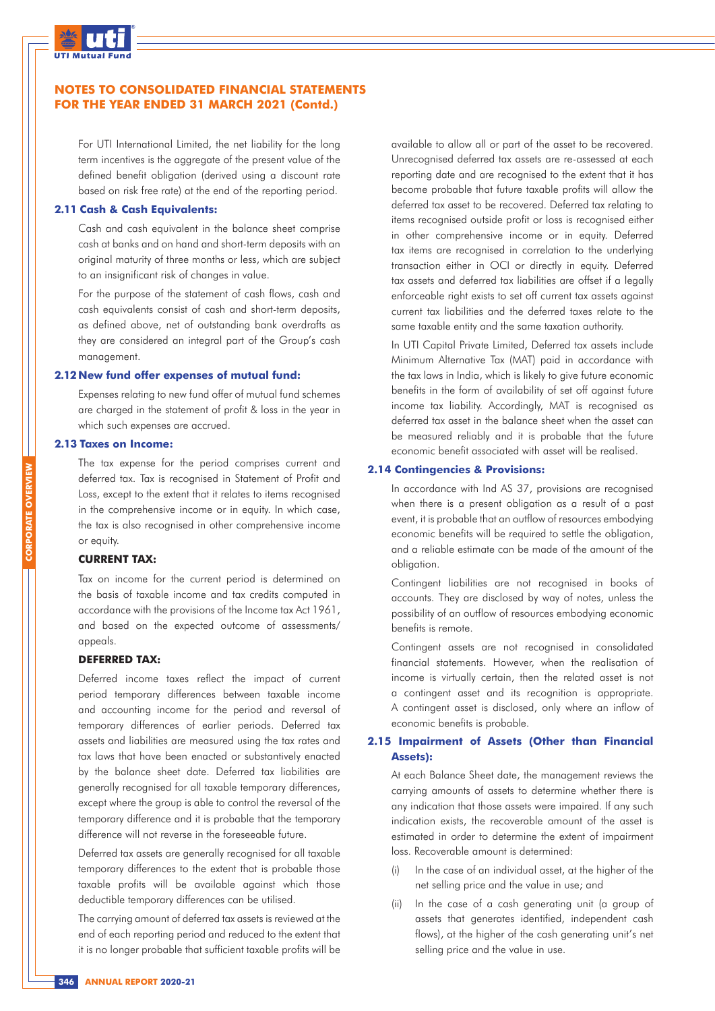

For UTI International Limited, the net liability for the long term incentives is the aggregate of the present value of the defined benefit obligation (derived using a discount rate based on risk free rate) at the end of the reporting period.

#### **2.11 Cash & Cash Equivalents:**

Cash and cash equivalent in the balance sheet comprise cash at banks and on hand and short-term deposits with an original maturity of three months or less, which are subject to an insignificant risk of changes in value.

For the purpose of the statement of cash flows, cash and cash equivalents consist of cash and short-term deposits, as defined above, net of outstanding bank overdrafts as they are considered an integral part of the Group's cash management.

#### **2.12New fund offer expenses of mutual fund:**

Expenses relating to new fund offer of mutual fund schemes are charged in the statement of profit & loss in the year in which such expenses are accrued.

### **2.13 Taxes on Income:**

The tax expense for the period comprises current and deferred tax. Tax is recognised in Statement of Profit and Loss, except to the extent that it relates to items recognised in the comprehensive income or in equity. In which case, the tax is also recognised in other comprehensive income or equity.

#### **CURRENT TAX:**

Tax on income for the current period is determined on the basis of taxable income and tax credits computed in accordance with the provisions of the Income tax Act 1961, and based on the expected outcome of assessments/ appeals.

#### **DEFERRED TAX:**

Deferred income taxes reflect the impact of current period temporary differences between taxable income and accounting income for the period and reversal of temporary differences of earlier periods. Deferred tax assets and liabilities are measured using the tax rates and tax laws that have been enacted or substantively enacted by the balance sheet date. Deferred tax liabilities are generally recognised for all taxable temporary differences, except where the group is able to control the reversal of the temporary difference and it is probable that the temporary difference will not reverse in the foreseeable future.

Deferred tax assets are generally recognised for all taxable temporary differences to the extent that is probable those taxable profits will be available against which those deductible temporary differences can be utilised.

The carrying amount of deferred tax assets is reviewed at the end of each reporting period and reduced to the extent that it is no longer probable that sufficient taxable profits will be

available to allow all or part of the asset to be recovered. Unrecognised deferred tax assets are re-assessed at each reporting date and are recognised to the extent that it has become probable that future taxable profits will allow the deferred tax asset to be recovered. Deferred tax relating to items recognised outside profit or loss is recognised either in other comprehensive income or in equity. Deferred tax items are recognised in correlation to the underlying transaction either in OCI or directly in equity. Deferred tax assets and deferred tax liabilities are offset if a legally enforceable right exists to set off current tax assets against current tax liabilities and the deferred taxes relate to the same taxable entity and the same taxation authority.

In UTI Capital Private Limited, Deferred tax assets include Minimum Alternative Tax (MAT) paid in accordance with the tax laws in India, which is likely to give future economic benefits in the form of availability of set off against future income tax liability. Accordingly, MAT is recognised as deferred tax asset in the balance sheet when the asset can be measured reliably and it is probable that the future economic benefit associated with asset will be realised.

#### **2.14 Contingencies & Provisions:**

In accordance with Ind AS 37, provisions are recognised when there is a present obligation as a result of a past event, it is probable that an outflow of resources embodying economic benefits will be required to settle the obligation, and a reliable estimate can be made of the amount of the obligation.

Contingent liabilities are not recognised in books of accounts. They are disclosed by way of notes, unless the possibility of an outflow of resources embodying economic benefits is remote.

Contingent assets are not recognised in consolidated financial statements. However, when the realisation of income is virtually certain, then the related asset is not a contingent asset and its recognition is appropriate. A contingent asset is disclosed, only where an inflow of economic benefits is probable.

### **2.15 Impairment of Assets (Other than Financial Assets):**

At each Balance Sheet date, the management reviews the carrying amounts of assets to determine whether there is any indication that those assets were impaired. If any such indication exists, the recoverable amount of the asset is estimated in order to determine the extent of impairment loss. Recoverable amount is determined:

- (i) In the case of an individual asset, at the higher of the net selling price and the value in use; and
- (ii) In the case of a cash generating unit (a group of assets that generates identified, independent cash flows), at the higher of the cash generating unit's net selling price and the value in use.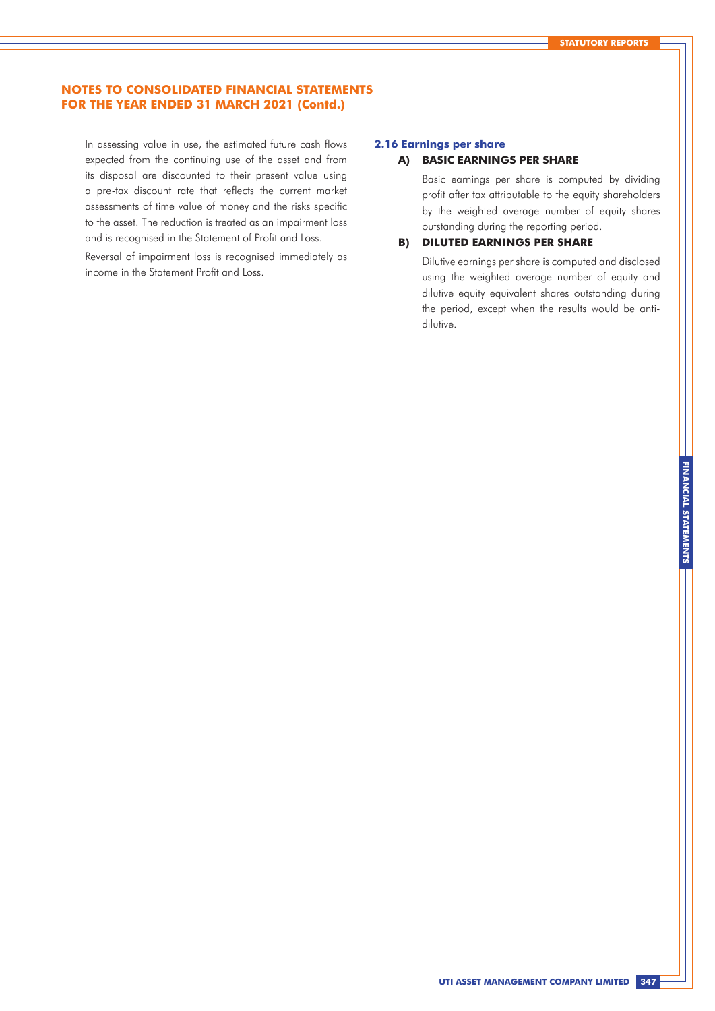In assessing value in use, the estimated future cash flows expected from the continuing use of the asset and from its disposal are discounted to their present value using a pre-tax discount rate that reflects the current market assessments of time value of money and the risks specific to the asset. The reduction is treated as an impairment loss and is recognised in the Statement of Profit and Loss.

Reversal of impairment loss is recognised immediately as income in the Statement Profit and Loss.

#### **2.16 Earnings per share**

#### **A) BASIC EARNINGS PER SHARE**

Basic earnings per share is computed by dividing profit after tax attributable to the equity shareholders by the weighted average number of equity shares outstanding during the reporting period.

### **B) DILUTED EARNINGS PER SHARE**

Dilutive earnings per share is computed and disclosed using the weighted average number of equity and dilutive equity equivalent shares outstanding during the period, except when the results would be antidilutive.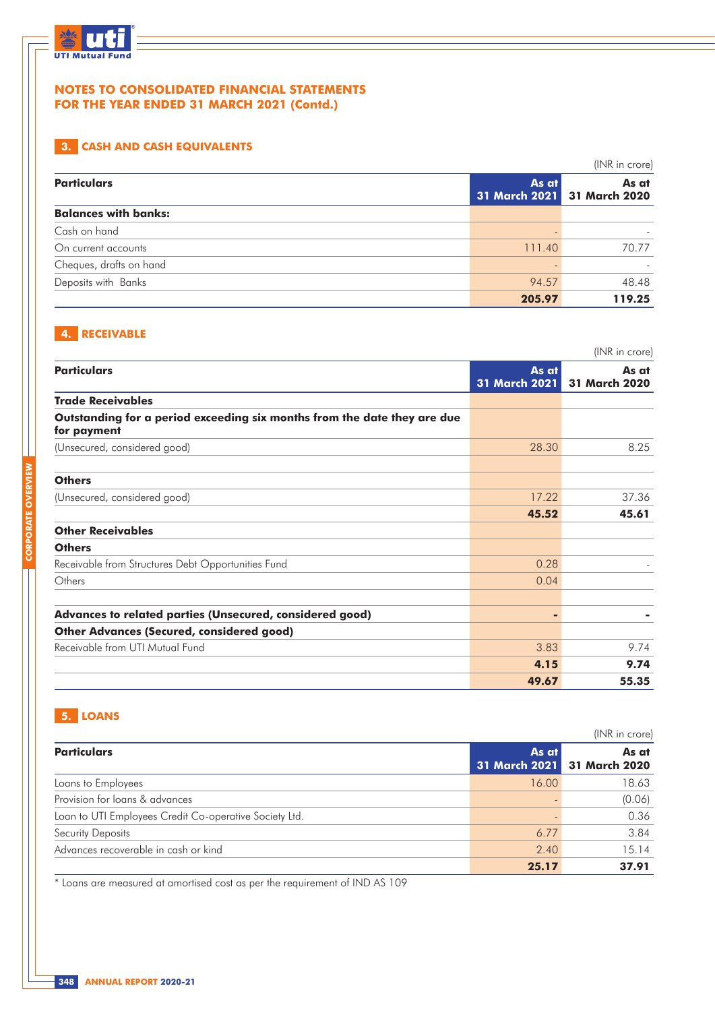

### **3. CASH AND CASH EQUIVALENTS**

|                             | (INR in crore) |                                      |  |  |
|-----------------------------|----------------|--------------------------------------|--|--|
| <b>Particulars</b>          | As at          | As at<br>31 March 2021 31 March 2020 |  |  |
| <b>Balances with banks:</b> |                |                                      |  |  |
| Cash on hand                |                |                                      |  |  |
| On current accounts         | 111.40         | 70.77                                |  |  |
| Cheques, drafts on hand     |                |                                      |  |  |
| Deposits with Banks         | 94.57          | 48.48                                |  |  |
|                             | 205.97         | 119.25                               |  |  |

### **4. RECEIVABLE**

|                                                                                         |                               | (INR in crore)         |
|-----------------------------------------------------------------------------------------|-------------------------------|------------------------|
| <b>Particulars</b>                                                                      | As at<br><b>31 March 2021</b> | As at<br>31 March 2020 |
| <b>Trade Receivables</b>                                                                |                               |                        |
| Outstanding for a period exceeding six months from the date they are due<br>for payment |                               |                        |
| (Unsecured, considered good)                                                            | 28.30                         | 8.25                   |
|                                                                                         |                               |                        |
| <b>Others</b>                                                                           |                               |                        |
| (Unsecured, considered good)                                                            | 17.22                         | 37.36                  |
|                                                                                         | 45.52                         | 45.61                  |
| <b>Other Receivables</b>                                                                |                               |                        |
| <b>Others</b>                                                                           |                               |                        |
| Receivable from Structures Debt Opportunities Fund                                      | 0.28                          |                        |
| Others                                                                                  | 0.04                          |                        |
|                                                                                         |                               |                        |
| Advances to related parties (Unsecured, considered good)                                | ۰                             |                        |
| <b>Other Advances (Secured, considered good)</b>                                        |                               |                        |
| Receivable from UTI Mutual Fund                                                         | 3.83                          | 9.74                   |
|                                                                                         | 4.15                          | 9.74                   |
|                                                                                         | 49.67                         | 55.35                  |

## **5. LOANS**

|                                                        |                        | (INR in crore)         |
|--------------------------------------------------------|------------------------|------------------------|
| <b>Particulars</b>                                     | As at<br>31 March 2021 | As at<br>31 March 2020 |
| Loans to Employees                                     | 16.00                  | 18.63                  |
| Provision for loans & advances                         |                        | (0.06)                 |
| Loan to UTI Employees Credit Co-operative Society Ltd. |                        | 0.36                   |
| Security Deposits                                      | 6.77                   | 3.84                   |
| Advances recoverable in cash or kind                   | 2.40                   | 15.14                  |
|                                                        | 25.17                  | 37.91                  |

\* Loans are measured at amortised cost as per the requirement of IND AS 109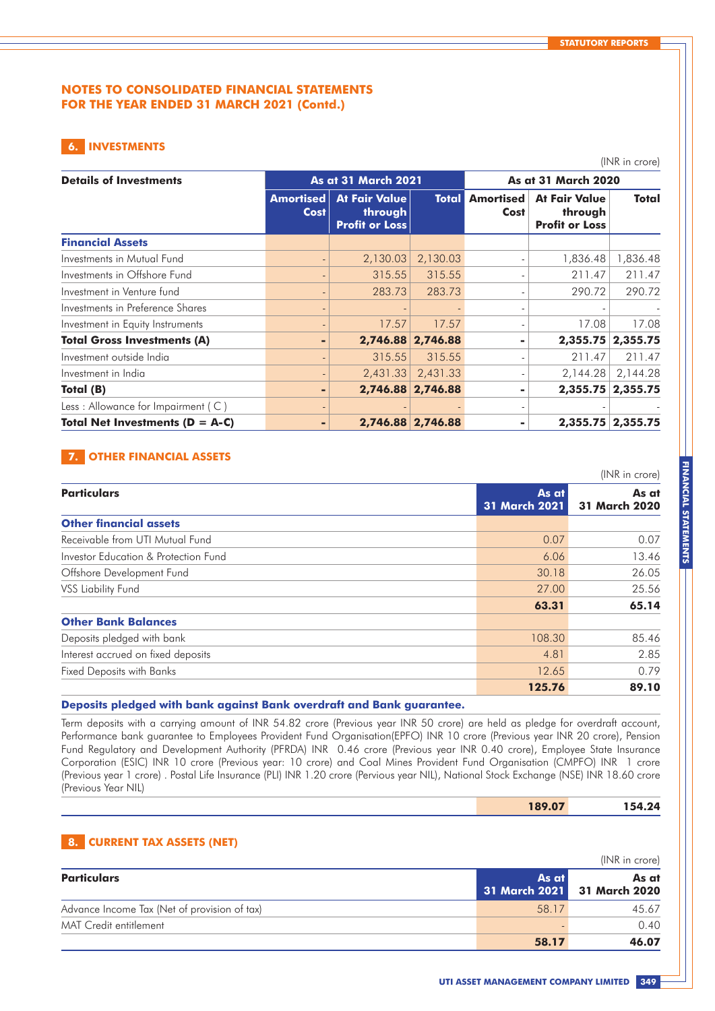(INR in crore)

### **NOTES TO CONSOLIDATED FINANCIAL STATEMENTS FOR THE YEAR ENDED 31 MARCH 2021 (Contd.)**

### **6. INVESTMENTS**

| <b>Details of Investments</b>       |                          | <b>As at 31 March 2021</b>                               |                   | As at 31 March 2020             |                                                          |                   |  |
|-------------------------------------|--------------------------|----------------------------------------------------------|-------------------|---------------------------------|----------------------------------------------------------|-------------------|--|
|                                     | <b>Amortised</b><br>Cost | <b>At Fair Value</b><br>through<br><b>Profit or Loss</b> | <b>Total</b>      | <b>Amortised</b><br><b>Cost</b> | <b>At Fair Value</b><br>through<br><b>Profit or Loss</b> | Total             |  |
| <b>Financial Assets</b>             |                          |                                                          |                   |                                 |                                                          |                   |  |
| Investments in Mutual Fund          |                          | 2,130.03                                                 | 2,130.03          |                                 | 1,836.48                                                 | 1,836.48          |  |
| Investments in Offshore Fund        |                          | 315.55                                                   | 315.55            |                                 | 211.47                                                   | 211.47            |  |
| Investment in Venture fund          |                          | 283.73                                                   | 283.73            |                                 | 290.72                                                   | 290.72            |  |
| Investments in Preference Shares    |                          |                                                          |                   |                                 |                                                          |                   |  |
| Investment in Equity Instruments    |                          | 17.57                                                    | 17.57             |                                 | 17.08                                                    | 17.08             |  |
| <b>Total Gross Investments (A)</b>  | ٠                        |                                                          | 2,746.88 2,746.88 | ۰                               |                                                          | 2,355.75 2,355.75 |  |
| Investment outside India            |                          | 315.55                                                   | 315.55            |                                 | 211.47                                                   | 211.47            |  |
| Investment in India                 |                          | 2,431.33                                                 | 2,431.33          |                                 | 2,144.28                                                 | 2,144.28          |  |
| Total (B)                           | ٠                        |                                                          | 2,746.88 2,746.88 |                                 |                                                          | 2,355.75 2,355.75 |  |
| Less: Allowance for Impairment (C)  |                          |                                                          |                   |                                 |                                                          |                   |  |
| Total Net Investments ( $D = A-C$ ) | ٠                        |                                                          | 2,746.88 2,746.88 |                                 |                                                          | 2,355.75 2,355.75 |  |

### **7. OTHER FINANCIAL ASSETS**

|                                      |                               | (INR in crore)                |
|--------------------------------------|-------------------------------|-------------------------------|
| <b>Particulars</b>                   | As at<br><b>31 March 2021</b> | As at<br><b>31 March 2020</b> |
| <b>Other financial assets</b>        |                               |                               |
| Receivable from UTI Mutual Fund      | 0.07                          | 0.07                          |
| Investor Education & Protection Fund | 6.06                          | 13.46                         |
| Offshore Development Fund            | 30.18                         | 26.05                         |
| VSS Liability Fund                   | 27.00                         | 25.56                         |
|                                      | 63.31                         | 65.14                         |
| <b>Other Bank Balances</b>           |                               |                               |
| Deposits pledged with bank           | 108.30                        | 85.46                         |
| Interest accrued on fixed deposits   | 4.81                          | 2.85                          |
| <b>Fixed Deposits with Banks</b>     | 12.65                         | 0.79                          |
|                                      | 125.76                        | 89.10                         |

### **Deposits pledged with bank against Bank overdraft and Bank guarantee.**

Term deposits with a carrying amount of INR 54.82 crore (Previous year INR 50 crore) are held as pledge for overdraft account, Performance bank guarantee to Employees Provident Fund Organisation(EPFO) INR 10 crore (Previous year INR 20 crore), Pension Fund Regulatory and Development Authority (PFRDA) INR 0.46 crore (Previous year INR 0.40 crore), Employee State Insurance Corporation (ESIC) INR 10 crore (Previous year: 10 crore) and Coal Mines Provident Fund Organisation (CMPFO) INR 1 crore (Previous year 1 crore) . Postal Life Insurance (PLI) INR 1.20 crore (Pervious year NIL), National Stock Exchange (NSE) INR 18.60 crore (Previous Year NIL)

| 189.07 | 154.24 |
|--------|--------|
|        |        |

### **8. CURRENT TAX ASSETS (NET)**

|                                              |       | (INR in crore)                       |
|----------------------------------------------|-------|--------------------------------------|
| <b>Particulars</b>                           | As at | As at<br>31 March 2021 31 March 2020 |
| Advance Income Tax (Net of provision of tax) | 58.17 | 45.67                                |
| <b>MAT Credit entitlement</b>                | 0.40  |                                      |
|                                              | 58.17 | 46.07                                |

**FINANCIAL STATEMENTS**

**FINANCIAL STATEMENTS**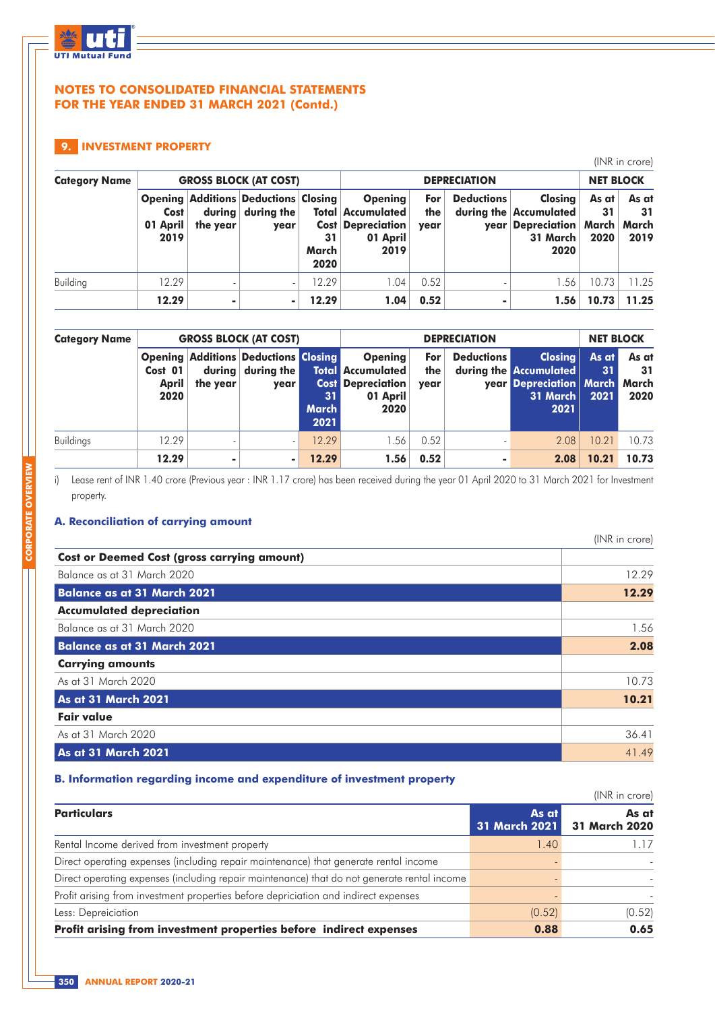

### **9. INVESTMENT PROPERTY**

|                      |                                 |          |                                                                                                          |                     |                                                                                            |                    | <b>DEPRECIATION</b> |                                                                                        |                                           | (INR in crore)               |
|----------------------|---------------------------------|----------|----------------------------------------------------------------------------------------------------------|---------------------|--------------------------------------------------------------------------------------------|--------------------|---------------------|----------------------------------------------------------------------------------------|-------------------------------------------|------------------------------|
| <b>Category Name</b> | <b>Cost</b><br>01 April<br>2019 | the year | <b>GROSS BLOCK (AT COST)</b><br><b>Opening Additions Deductions Closing</b><br>during during the<br>year | 31<br>March<br>2020 | <b>Opening</b><br><b>Total Accumulated</b><br><b>Cost Depreciation</b><br>01 April<br>2019 | For<br>the<br>year | <b>Deductions</b>   | Closing<br>during the Accumulated<br>year   Depreciation   March  <br>31 March<br>2020 | <b>NET BLOCK</b><br>As at I<br>31<br>2020 | As at<br>31<br>March<br>2019 |
| Building             | 12.29                           |          |                                                                                                          | 12.29               | .04                                                                                        | 0.52               |                     | .56                                                                                    | 10.73                                     | 11.25                        |
|                      | 12.29                           | ۰        | ٠                                                                                                        | 12.29               | 1.04                                                                                       | 0.52               |                     | 1.56                                                                                   | 10.73                                     | 11.25                        |

| <b>Category Name</b> |                                 |          | <b>GROSS BLOCK (AT COST)</b>                                             |                            |                                                                                            | <b>NET BLOCK</b>   |                   |                                                                                                   |                     |                     |
|----------------------|---------------------------------|----------|--------------------------------------------------------------------------|----------------------------|--------------------------------------------------------------------------------------------|--------------------|-------------------|---------------------------------------------------------------------------------------------------|---------------------|---------------------|
|                      | Cost 01<br><b>April</b><br>2020 | the year | <b>Opening Additions Deductions Closing</b><br>during during the<br>year | 31<br><b>March</b><br>2021 | <b>Opening</b><br><b>Total Accumulated</b><br><b>Cost Depreciation</b><br>01 April<br>2020 | For<br>the<br>year | <b>Deductions</b> | <b>Closing</b><br>during the Accumulated<br>year Depreciation   March   March<br>31 March<br>2021 | As at<br>31<br>2021 | As at<br>31<br>2020 |
| Buildings            | 12.29                           |          |                                                                          | 12.29                      | .56                                                                                        | 0.52               |                   | 2.08                                                                                              | 10.21               | 10.73               |
|                      | 12.29                           | ۰        | ٠                                                                        | 12.29                      | 1.56                                                                                       | 0.52               | ٠                 | 2.08                                                                                              | 10.21               | 10.73               |

i) Lease rent of INR 1.40 crore (Previous year : INR 1.17 crore) has been received during the year 01 April 2020 to 31 March 2021 for Investment property.

### **A. Reconciliation of carrying amount**

|                                                    | (INR in crore) |
|----------------------------------------------------|----------------|
| <b>Cost or Deemed Cost (gross carrying amount)</b> |                |
| Balance as at 31 March 2020                        | 12.29          |
| Balance as at 31 March 2021                        | 12.29          |
| <b>Accumulated depreciation</b>                    |                |
| Balance as at 31 March 2020                        | 1.56           |
| Balance as at 31 March 2021                        | 2.08           |
| <b>Carrying amounts</b>                            |                |
| As at 31 March 2020                                | 10.73          |
| As at 31 March 2021                                | 10.21          |
| <b>Fair value</b>                                  |                |
| As at 31 March 2020                                | 36.41          |
| <b>As at 31 March 2021</b>                         | 41.49          |

### **B. Information regarding income and expenditure of investment property**

|                                                                                             |                               | (INR in crore)                |
|---------------------------------------------------------------------------------------------|-------------------------------|-------------------------------|
| <b>Particulars</b>                                                                          | As at<br><b>31 March 2021</b> | As at<br><b>31 March 2020</b> |
| Rental Income derived from investment property                                              | 1.40                          | 117                           |
| Direct operating expenses (including repair maintenance) that generate rental income        |                               |                               |
| Direct operating expenses (including repair maintenance) that do not generate rental income | -                             |                               |
| Profit arising from investment properties before depriciation and indirect expenses         | -                             |                               |
| Less: Depreiciation                                                                         | (0.52)                        | (0.52)                        |
| Profit arising from investment properties before indirect expenses                          | 0.88                          | 0.65                          |

**CORPORATE OVERVIEW**

**DRO** 

**ORATE OVERVIEW**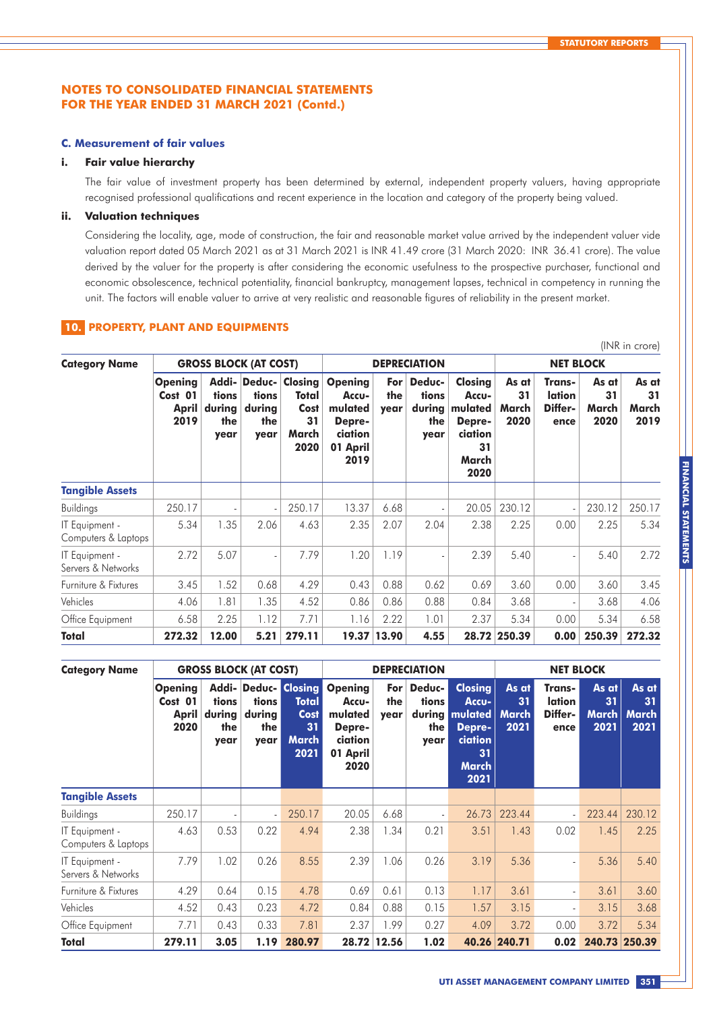#### **C. Measurement of fair values**

#### **i. Fair value hierarchy**

The fair value of investment property has been determined by external, independent property valuers, having appropriate recognised professional qualifications and recent experience in the location and category of the property being valued.

### **ii. Valuation techniques**

Considering the locality, age, mode of construction, the fair and reasonable market value arrived by the independent valuer vide valuation report dated 05 March 2021 as at 31 March 2021 is INR 41.49 crore (31 March 2020: INR 36.41 crore). The value derived by the valuer for the property is after considering the economic usefulness to the prospective purchaser, functional and economic obsolescence, technical potentiality, financial bankruptcy, management lapses, technical in competency in running the unit. The factors will enable valuer to arrive at very realistic and reasonable figures of reliability in the present market.

#### **10. PROPERTY, PLANT AND EQUIPMENTS**

|                                       |                                                   |                                |                                |                                                                     |                                                                             |                    |                                          |                                                                         |                              |                                     |                              | (INR in crore)               |
|---------------------------------------|---------------------------------------------------|--------------------------------|--------------------------------|---------------------------------------------------------------------|-----------------------------------------------------------------------------|--------------------|------------------------------------------|-------------------------------------------------------------------------|------------------------------|-------------------------------------|------------------------------|------------------------------|
| <b>Category Name</b>                  |                                                   |                                | <b>GROSS BLOCK (AT COST)</b>   |                                                                     |                                                                             |                    | <b>DEPRECIATION</b>                      |                                                                         | <b>NET BLOCK</b>             |                                     |                              |                              |
|                                       | <b>Opening</b><br>Cost 01<br><b>April</b><br>2019 | tions<br>during<br>the<br>year | tions<br>during<br>the<br>year | Addi- Deduc- Closing<br>Total<br><b>Cost</b><br>31<br>March<br>2020 | <b>Opening</b><br>Accu-<br>mulated<br>Depre-<br>ciation<br>01 April<br>2019 | For<br>the<br>year | Deduc-<br>tions<br>during<br>the<br>year | Closina<br>Accu-<br>mulated<br>Depre-<br>ciation<br>31<br>March<br>2020 | As at<br>31<br>March<br>2020 | Trans-<br>lation<br>Differ-<br>ence | As at<br>31<br>March<br>2020 | As at<br>31<br>March<br>2019 |
| <b>Tangible Assets</b>                |                                                   |                                |                                |                                                                     |                                                                             |                    |                                          |                                                                         |                              |                                     |                              |                              |
| <b>Buildings</b>                      | 250.17                                            |                                | $\blacksquare$                 | 250.17                                                              | 13.37                                                                       | 6.68               |                                          | 20.05                                                                   | 230.12                       |                                     | 230.12                       | 250.17                       |
| IT Equipment -<br>Computers & Laptops | 5.34                                              | 1.35                           | 2.06                           | 4.63                                                                | 2.35                                                                        | 2.07               | 2.04                                     | 2.38                                                                    | 2.25                         | 0.00                                | 2.25                         | 5.34                         |
| IT Equipment -<br>Servers & Networks  | 2.72                                              | 5.07                           | ÷,                             | 7.79                                                                | 1.20                                                                        | 1.19               |                                          | 2.39                                                                    | 5.40                         |                                     | 5.40                         | 2.72                         |
| Furniture & Fixtures                  | 3.45                                              | 1.52                           | 0.68                           | 4.29                                                                | 0.43                                                                        | 0.88               | 0.62                                     | 0.69                                                                    | 3.60                         | 0.00                                | 3.60                         | 3.45                         |
| Vehicles                              | 4.06                                              | 1.81                           | 1.35                           | 4.52                                                                | 0.86                                                                        | 0.86               | 0.88                                     | 0.84                                                                    | 3.68                         |                                     | 3.68                         | 4.06                         |
| Office Equipment                      | 6.58                                              | 2.25                           | 1.12                           | 7.71                                                                | 1.16                                                                        | 2.22               | 1.01                                     | 2.37                                                                    | 5.34                         | 0.00                                | 5.34                         | 6.58                         |
| Total                                 | 272.32                                            | 12.00                          | 5.21                           | 279.11                                                              |                                                                             | 19.37 13.90        | 4.55                                     |                                                                         | 28.72 250.39                 | 0.00                                | 250.39                       | 272.32                       |

| <b>Category Name</b>                  |                                            |                                | <b>GROSS BLOCK (AT COST)</b>   |                                                                     |                                                                             |                       | <b>DEPRECIATION</b>            |                                                                                              | <b>NET BLOCK</b>             |                                            |                                     |                                     |
|---------------------------------------|--------------------------------------------|--------------------------------|--------------------------------|---------------------------------------------------------------------|-----------------------------------------------------------------------------|-----------------------|--------------------------------|----------------------------------------------------------------------------------------------|------------------------------|--------------------------------------------|-------------------------------------|-------------------------------------|
|                                       | <b>Opening</b><br>Cost 01<br>April<br>2020 | tions<br>during<br>the<br>year | tions<br>during<br>the<br>year | Addi- Deduc- Closing<br>Total<br><b>Cost</b><br>31<br>March<br>2021 | <b>Opening</b><br>Accu-<br>mulated<br>Depre-<br>ciation<br>01 April<br>2020 | $For \sqrt{ }theyear$ | Deduc-<br>tions<br>the<br>year | <b>Closing</b><br>Accu-<br>during mulated<br>Depre-<br>ciation<br>31<br><b>March</b><br>2021 | As at<br>31<br>March<br>2021 | Trans-<br><b>lation</b><br>Differ-<br>ence | As at<br>31<br><b>March</b><br>2021 | As at<br>31<br><b>March</b><br>2021 |
| <b>Tangible Assets</b>                |                                            |                                |                                |                                                                     |                                                                             |                       |                                |                                                                                              |                              |                                            |                                     |                                     |
| <b>Buildings</b>                      | 250.17                                     |                                |                                | 250.17                                                              | 20.05                                                                       | 6.68                  |                                | 26.73                                                                                        | 223.44                       |                                            | 223.44                              | 230.12                              |
| IT Equipment -<br>Computers & Laptops | 4.63                                       | 0.53                           | 0.22                           | 4.94                                                                | 2.38                                                                        | 1.34                  | 0.21                           | 3.51                                                                                         | 1.43                         | 0.02                                       | 1.45                                | 2.25                                |
| IT Equipment -<br>Servers & Networks  | 7.79                                       | 1.02                           | 0.26                           | 8.55                                                                | 2.39                                                                        | 1.06                  | 0.26                           | 3.19                                                                                         | 5.36                         |                                            | 5.36                                | 5.40                                |
| Furniture & Fixtures                  | 4.29                                       | 0.64                           | 0.15                           | 4.78                                                                | 0.69                                                                        | 0.61                  | 0.13                           | 1.17                                                                                         | 3.61                         | ÷.                                         | 3.61                                | 3.60                                |
| Vehicles                              | 4.52                                       | 0.43                           | 0.23                           | 4.72                                                                | 0.84                                                                        | 0.88                  | 0.15                           | 1.57                                                                                         | 3.15                         | ÷.                                         | 3.15                                | 3.68                                |
| Office Equipment                      | 7.71                                       | 0.43                           | 0.33                           | 7.81                                                                | 2.37                                                                        | 1.99                  | 0.27                           | 4.09                                                                                         | 3.72                         | 0.00                                       | 3.72                                | 5.34                                |
| Total                                 | 279.11                                     | 3.05                           | 1.19                           | 280.97                                                              |                                                                             | 28.72 12.56           | 1.02                           |                                                                                              | 40.26 240.71                 | 0.02                                       | 240.73 250.39                       |                                     |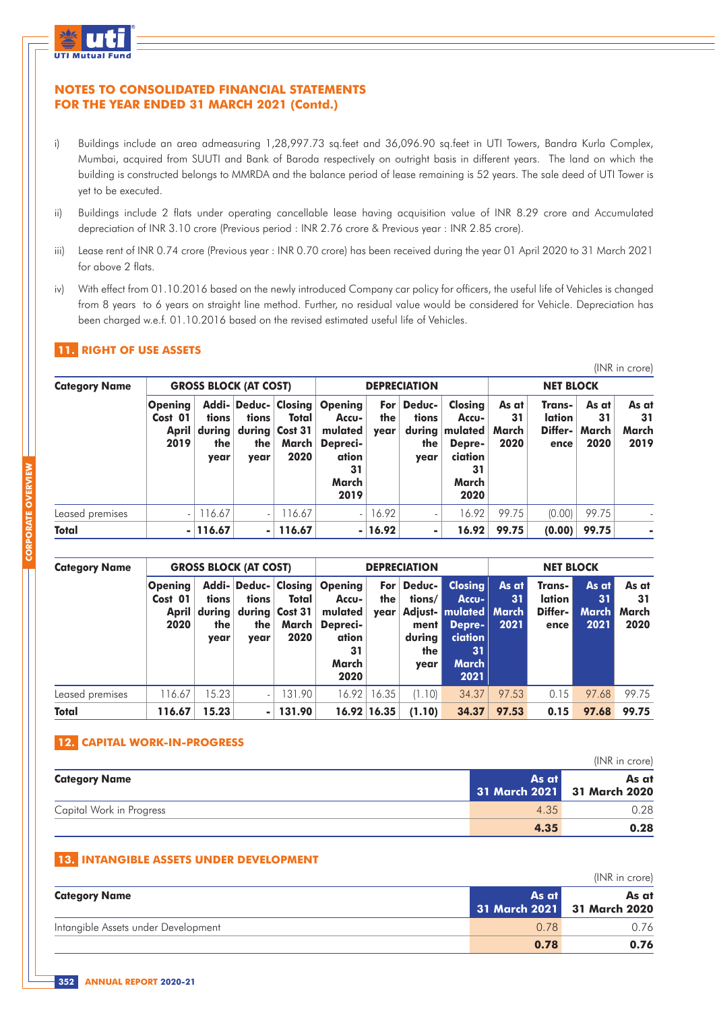

- i) Buildings include an area admeasuring 1,28,997.73 sq.feet and 36,096.90 sq.feet in UTI Towers, Bandra Kurla Complex, Mumbai, acquired from SUUTI and Bank of Baroda respectively on outright basis in different years. The land on which the building is constructed belongs to MMRDA and the balance period of lease remaining is 52 years. The sale deed of UTI Tower is yet to be executed.
- ii) Buildings include 2 flats under operating cancellable lease having acquisition value of INR 8.29 crore and Accumulated depreciation of INR 3.10 crore (Previous period : INR 2.76 crore & Previous year : INR 2.85 crore).
- iii) Lease rent of INR 0.74 crore (Previous year : INR 0.70 crore) has been received during the year 01 April 2020 to 31 March 2021 for above 2 flats.
- iv) With effect from 01.10.2016 based on the newly introduced Company car policy for officers, the useful life of Vehicles is changed from 8 years to 6 years on straight line method. Further, no residual value would be considered for Vehicle. Depreciation has been charged w.e.f. 01.10.2016 based on the revised estimated useful life of Vehicles.

(INR in crore)

 $(1)$ 

### **11. RIGHT OF USE ASSETS**

| <b>Category Name</b> |                                   | <b>GROSS BLOCK (AT COST)</b>         |                      | <b>DEPRECIATION</b>                        |                                                                                                       |             |                                    | <b>NET BLOCK</b>                                                                      |                              |                                            |                              |                              |
|----------------------|-----------------------------------|--------------------------------------|----------------------|--------------------------------------------|-------------------------------------------------------------------------------------------------------|-------------|------------------------------------|---------------------------------------------------------------------------------------|------------------------------|--------------------------------------------|------------------------------|------------------------------|
|                      | <b>Opening</b><br>Cost 01<br>2019 | tions<br>April during<br>the<br>year | tions<br>the<br>year | Total<br>during Cost 31<br>March  <br>2020 | Addi- Deduc- Closing   Opening<br><b>Accu-</b><br>mulated<br>Depreci-<br>ation<br>31<br>March<br>2019 | the<br>year | For Deduc-<br>tions<br>the<br>year | Closing<br>Accu-<br>$dur$ ing   mulated  <br>Depre-<br>ciation<br>31<br>March<br>2020 | As at<br>31<br>March<br>2020 | Trans-<br><b>lation</b><br>Differ-<br>ence | As at<br>31<br>March<br>2020 | As at<br>31<br>March<br>2019 |
| Leased premises      |                                   | 116.67                               |                      | 116.67                                     |                                                                                                       | 16.92       | $\overline{a}$                     | 16.92                                                                                 | 99.75                        | (0.00)                                     | 99.75                        |                              |
| Total                |                                   | $-116.67$                            | ۰.                   | 116.67                                     |                                                                                                       | $-16.92$    | ٠                                  | 16.92                                                                                 | 99.75                        | (0.00)                                     | 99.75                        |                              |

| <b>Category Name</b> |                                   | <b>GROSS BLOCK (AT COST)</b>         |                      |                                              |                                                                                                |             | <b>DEPRECIATION</b>                                    |                                                                                                       |                     |                                             | <b>NET BLOCK</b>                      |                              |  |  |
|----------------------|-----------------------------------|--------------------------------------|----------------------|----------------------------------------------|------------------------------------------------------------------------------------------------|-------------|--------------------------------------------------------|-------------------------------------------------------------------------------------------------------|---------------------|---------------------------------------------|---------------------------------------|------------------------------|--|--|
|                      | <b>Opening</b><br>Cost 01<br>2020 | tions<br>April during<br>the<br>year | tions<br>the<br>year | Total<br>during   Cost 31<br>March  <br>2020 | Addi- Deduc- Closing   Opening<br>Accu-<br>mulated<br>Depreci-<br>ation<br>31<br>March<br>2020 | the<br>year | For Deduc-<br>tions/I<br>ment<br>during<br>the<br>year | <b>Closing</b><br>Accu-<br><b>Adjust- mulated March</b><br>Depre-<br>ciation<br>31<br>March  <br>2021 | As at<br>31<br>2021 | Trans-l<br><b>lation</b><br>Differ-<br>ence | As at I<br>31<br><b>March</b><br>2021 | As at<br>31<br>March<br>2020 |  |  |
| Leased premises      | 116.67                            | 15.23                                |                      | 131.90                                       | 16.92                                                                                          | 16.35       | (1.10)                                                 | 34.37                                                                                                 | 97.53               | 0.15                                        | 97.68                                 | 99.75                        |  |  |
| Total                | 116.67                            | 15.23                                | - 1                  | 131.90                                       |                                                                                                | 16.92 16.35 | (1.10)                                                 | 34.37                                                                                                 | 97.53               | 0.15                                        | 97.68                                 | 99.75                        |  |  |

### **12. CAPITAL WORK-IN-PROGRESS**

|                          |                                      | (IIVK IN Crore) |
|--------------------------|--------------------------------------|-----------------|
| <b>Category Name</b>     | As at<br>31 March 2021 31 March 2020 | As at           |
| Capital Work in Progress | 4 3 5                                | 0.28            |
|                          | 4.35                                 | 0.28            |

### **13. INTANGIBLE ASSETS UNDER DEVELOPMENT**

|                                     |                                      | (INR in crore) |
|-------------------------------------|--------------------------------------|----------------|
| <b>Category Name</b>                | As at<br>31 March 2021 31 March 2020 | As at          |
| Intangible Assets under Development | 0.78                                 | 0.76           |
|                                     | 0.78                                 | 0.76           |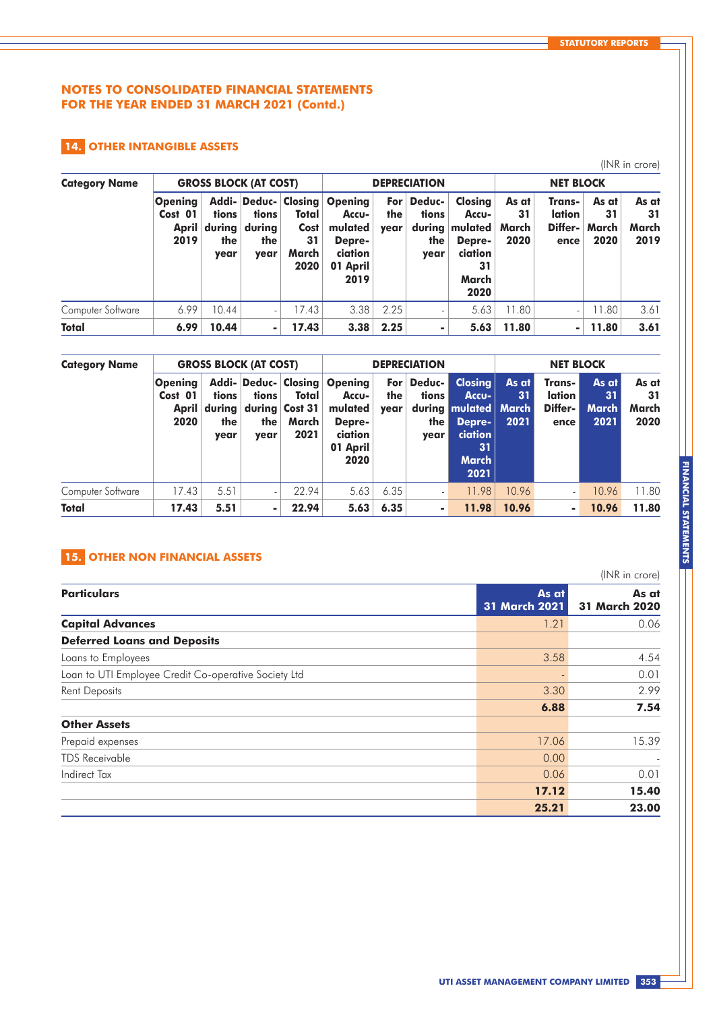### **14. OTHER INTANGIBLE ASSETS**

|                      |                                   |                                      |                                |                                      |                                                                                             |                            |                                |                                                                                    |                              |                                     |                              | (INR in crore)               |
|----------------------|-----------------------------------|--------------------------------------|--------------------------------|--------------------------------------|---------------------------------------------------------------------------------------------|----------------------------|--------------------------------|------------------------------------------------------------------------------------|------------------------------|-------------------------------------|------------------------------|------------------------------|
| <b>Category Name</b> |                                   | <b>GROSS BLOCK (AT COST)</b>         |                                |                                      | <b>DEPRECIATION</b>                                                                         |                            |                                |                                                                                    | <b>NET BLOCK</b>             |                                     |                              |                              |
|                      | <b>Opening</b><br>Cost 01<br>2019 | tions<br>April during<br>the<br>year | tions<br>durina<br>the<br>year | Total<br>Cost<br>31<br>March<br>2020 | Addi- Deduc- Closing   Opening<br>Accu-<br>mulated<br>Depre-<br>ciation<br>01 April<br>2019 | For $\vert$<br>the<br>year | Deduc-<br>tions<br>the<br>year | Closing<br>Accu-<br>during   mulated  <br>Depre-<br>ciation<br>31<br>March<br>2020 | As at<br>31<br>March<br>2020 | Trans-<br>lation<br>Differ-<br>ence | As at<br>31<br>March<br>2020 | As at<br>31<br>March<br>2019 |
| Computer Software    | 6.99                              | 10.44                                | $\overline{\phantom{a}}$       | 17.43                                | 3.38                                                                                        | 2.25                       |                                | 5.63                                                                               | 11.80                        |                                     | 11.80                        | 3.61                         |
| Total                | 6.99                              | 10.44                                | ۰                              | 17.43                                | 3.38                                                                                        | 2.25                       | ٠                              | 5.63                                                                               | 11.80                        |                                     | 11.80                        | 3.61                         |

| <b>Category Name</b> |                                   | <b>GROSS BLOCK (AT COST)</b>         |                          |                                          |                                                                                               | <b>DEPRECIATION</b> |                                    |                                                                                                        |                     | <b>NET BLOCK</b>                           |                                     |                              |  |
|----------------------|-----------------------------------|--------------------------------------|--------------------------|------------------------------------------|-----------------------------------------------------------------------------------------------|---------------------|------------------------------------|--------------------------------------------------------------------------------------------------------|---------------------|--------------------------------------------|-------------------------------------|------------------------------|--|
|                      | <b>Opening</b><br>Cost 01<br>2020 | tions<br>April during<br>the<br>year | tions<br>the<br>year     | Total<br>during Cost 31<br>March<br>2021 | Addi- Deduc- Closing   Opening  <br>Accu-<br>mulated<br>Depre-<br>ciation<br>01 April<br>2020 | the<br>year         | For Deduc-<br>tions<br>the<br>year | <b>Closing</b><br>Accu-<br>during mulated   March  <br>Depre-<br>ciation<br>31<br><b>March</b><br>2021 | As at<br>31<br>2021 | Trans-<br><b>lation</b><br>Differ-<br>ence | As at<br>31<br><b>March</b><br>2021 | As at<br>31<br>March<br>2020 |  |
| Computer Software    | 17.43                             | 5.51                                 | $\overline{\phantom{a}}$ | 22.94                                    | 5.63                                                                                          | 6.35                | ٠                                  | 11.98                                                                                                  | 10.96               |                                            | 10.96                               | 11.80                        |  |
| <b>Total</b>         | 17.43                             | 5.51                                 | ٠                        | 22.94                                    | 5.63                                                                                          | 6.35                | ٠                                  | 11.98                                                                                                  | 10.96               | ٠                                          | 10.96                               | 11.80                        |  |

## **15. OTHER NON FINANCIAL ASSETS**

|                                                      |                               | (INR in crore)         |
|------------------------------------------------------|-------------------------------|------------------------|
| <b>Particulars</b>                                   | As at<br><b>31 March 2021</b> | As at<br>31 March 2020 |
| <b>Capital Advances</b>                              | 1.21                          | 0.06                   |
| <b>Deferred Loans and Deposits</b>                   |                               |                        |
| Loans to Employees                                   | 3.58                          | 4.54                   |
| Loan to UTI Employee Credit Co-operative Society Ltd |                               | 0.01                   |
| <b>Rent Deposits</b>                                 | 3.30                          | 2.99                   |
|                                                      | 6.88                          | 7.54                   |
| <b>Other Assets</b>                                  |                               |                        |
| Prepaid expenses                                     | 17.06                         | 15.39                  |
| <b>TDS Receivable</b>                                | 0.00                          |                        |
| Indirect Tax                                         | 0.06                          | 0.01                   |
|                                                      | 17.12                         | 15.40                  |
|                                                      | 25.21                         | 23.00                  |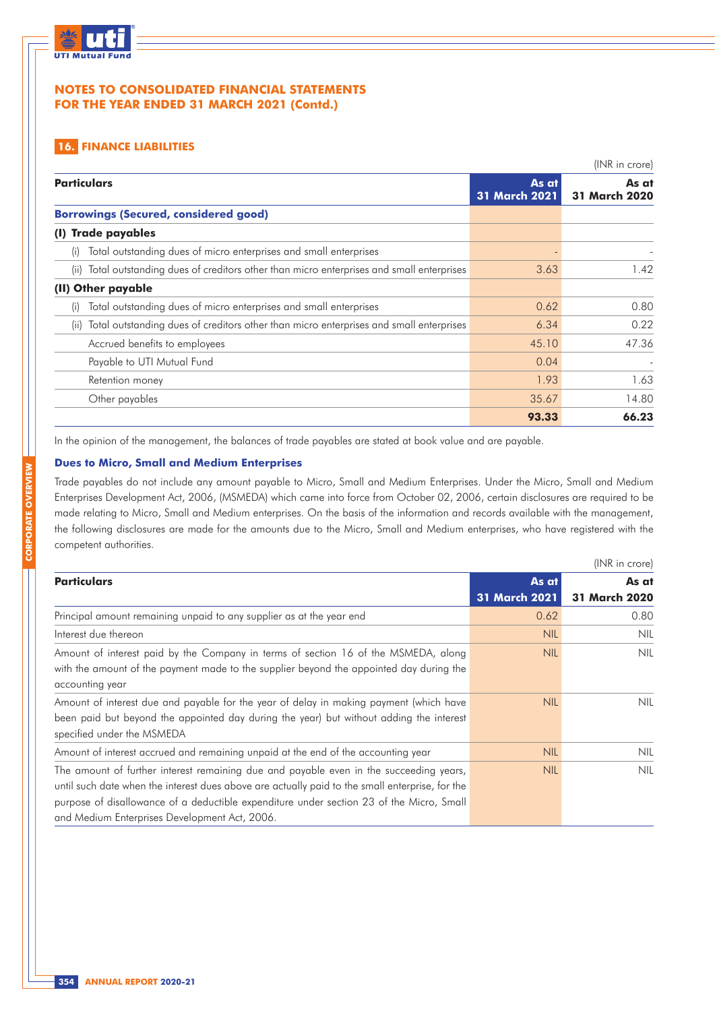

### **16. FINANCE LIABILITIES**

|                                                                                                |                               | (INR in crore)                |
|------------------------------------------------------------------------------------------------|-------------------------------|-------------------------------|
| <b>Particulars</b>                                                                             | As at<br><b>31 March 2021</b> | As at<br><b>31 March 2020</b> |
| <b>Borrowings (Secured, considered good)</b>                                                   |                               |                               |
| (I) Trade payables                                                                             |                               |                               |
| Total outstanding dues of micro enterprises and small enterprises                              |                               |                               |
| Total outstanding dues of creditors other than micro enterprises and small enterprises<br>(ii) | 3.63                          | 1.42                          |
| (II) Other payable                                                                             |                               |                               |
| Total outstanding dues of micro enterprises and small enterprises<br>(i)                       | 0.62                          | 0.80                          |
| Total outstanding dues of creditors other than micro enterprises and small enterprises<br>(ii) | 6.34                          | 0.22                          |
| Accrued benefits to employees                                                                  | 45.10                         | 47.36                         |
| Payable to UTI Mutual Fund                                                                     | 0.04                          |                               |
| Retention money                                                                                | 1.93                          | 1.63                          |
| Other payables                                                                                 | 35.67                         | 14.80                         |
|                                                                                                | 93.33                         | 66.23                         |

In the opinion of the management, the balances of trade payables are stated at book value and are payable.

### **Dues to Micro, Small and Medium Enterprises**

Trade payables do not include any amount payable to Micro, Small and Medium Enterprises. Under the Micro, Small and Medium Enterprises Development Act, 2006, (MSMEDA) which came into force from October 02, 2006, certain disclosures are required to be made relating to Micro, Small and Medium enterprises. On the basis of the information and records available with the management, the following disclosures are made for the amounts due to the Micro, Small and Medium enterprises, who have registered with the competent authorities.

|                                                                                                                                                                                                                                                                                                                                        |                      | (INR in crore) |
|----------------------------------------------------------------------------------------------------------------------------------------------------------------------------------------------------------------------------------------------------------------------------------------------------------------------------------------|----------------------|----------------|
| <b>Particulars</b>                                                                                                                                                                                                                                                                                                                     | As at                | As at          |
|                                                                                                                                                                                                                                                                                                                                        | <b>31 March 2021</b> | 31 March 2020  |
| Principal amount remaining unpaid to any supplier as at the year end                                                                                                                                                                                                                                                                   | 0.62                 | 0.80           |
| Interest due thereon                                                                                                                                                                                                                                                                                                                   | NIL.                 | <b>NIL</b>     |
| Amount of interest paid by the Company in terms of section 16 of the MSMEDA, along<br>with the amount of the payment made to the supplier beyond the appointed day during the<br>accounting year                                                                                                                                       | NIL.                 | <b>NIL</b>     |
| Amount of interest due and payable for the year of delay in making payment (which have<br>been paid but beyond the appointed day during the year) but without adding the interest<br>specified under the MSMEDA                                                                                                                        | NIL.                 | NIL            |
| Amount of interest accrued and remaining unpaid at the end of the accounting year                                                                                                                                                                                                                                                      | NIL                  | NIL            |
| The amount of further interest remaining due and payable even in the succeeding years,<br>until such date when the interest dues above are actually paid to the small enterprise, for the<br>purpose of disallowance of a deductible expenditure under section 23 of the Micro, Small<br>and Medium Enterprises Development Act, 2006. | <b>NIL</b>           | <b>NIL</b>     |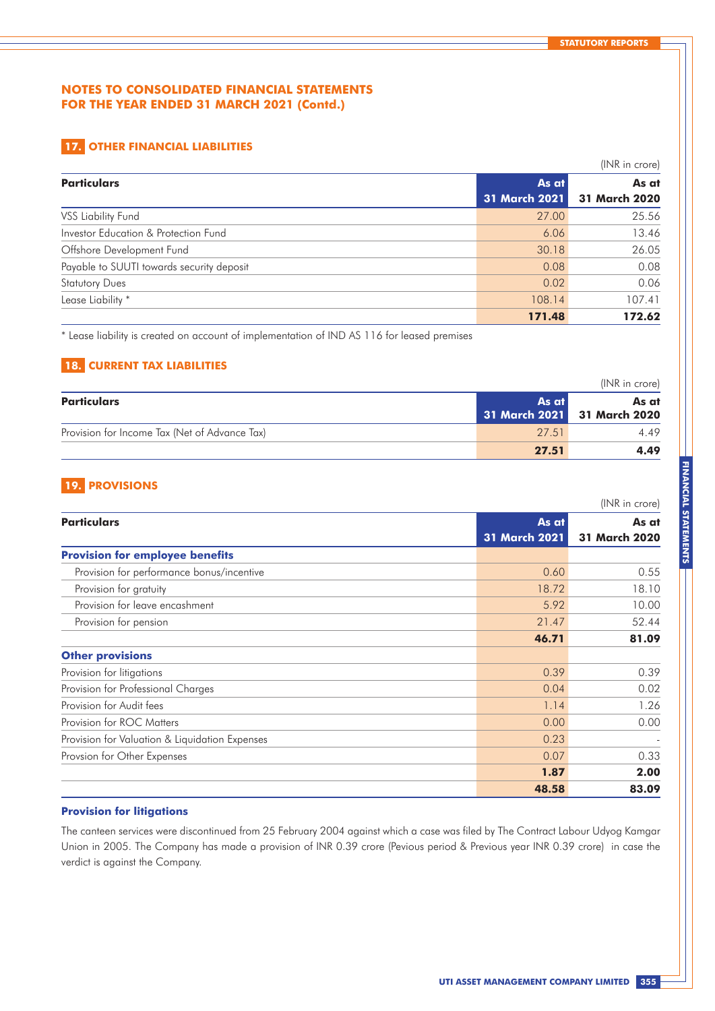### **17. OTHER FINANCIAL LIABILITIES**

|                                           |                      | (INR in crore)       |
|-------------------------------------------|----------------------|----------------------|
| <b>Particulars</b>                        | As at                | As at                |
|                                           | <b>31 March 2021</b> | <b>31 March 2020</b> |
| VSS Liability Fund                        | 27.00                | 25.56                |
| Investor Education & Protection Fund      | 6.06                 | 13.46                |
| Offshore Development Fund                 | 30.18                | 26.05                |
| Payable to SUUTI towards security deposit | 0.08                 | 0.08                 |
| <b>Statutory Dues</b>                     | 0.02                 | 0.06                 |
| Lease Liability *                         | 108.14               | 107.41               |
|                                           | 171.48               | 172.62               |

\* Lease liability is created on account of implementation of IND AS 116 for leased premises

### **18. CURRENT TAX LIABILITIES**

|                                               |                                      | (INR in crore) |
|-----------------------------------------------|--------------------------------------|----------------|
| <b>Particulars</b>                            | As at<br>31 March 2021 31 March 2020 | As at          |
| Provision for Income Tax (Net of Advance Tax) | 27.51                                | 449            |
|                                               | 27.51                                | 4.49           |

### **19. PROVISIONS**

|                                                |                      | (INR in crore)       |
|------------------------------------------------|----------------------|----------------------|
| <b>Particulars</b>                             |                      | As at                |
|                                                | <b>31 March 2021</b> | <b>31 March 2020</b> |
| <b>Provision for employee benefits</b>         |                      |                      |
| Provision for performance bonus/incentive      | 0.60                 | 0.55                 |
| Provision for gratuity                         | 18.72                | 18.10                |
| Provision for leave encashment                 | 5.92                 | 10.00                |
| Provision for pension                          | 21.47                | 52.44                |
|                                                | 46.71                | 81.09                |
| <b>Other provisions</b>                        |                      |                      |
| Provision for litigations                      | 0.39                 | 0.39                 |
| Provision for Professional Charges             | 0.04                 | 0.02                 |
| Provision for Audit fees                       | 1.14                 | 1.26                 |
| Provision for ROC Matters                      | 0.00                 | 0.00                 |
| Provision for Valuation & Liquidation Expenses | 0.23                 |                      |
| Provsion for Other Expenses                    | 0.07                 | 0.33                 |
|                                                | 1.87                 | 2.00                 |
|                                                | 48.58                | 83.09                |

### **Provision for litigations**

The canteen services were discontinued from 25 February 2004 against which a case was filed by The Contract Labour Udyog Kamgar Union in 2005. The Company has made a provision of INR 0.39 crore (Pevious period & Previous year INR 0.39 crore) in case the verdict is against the Company.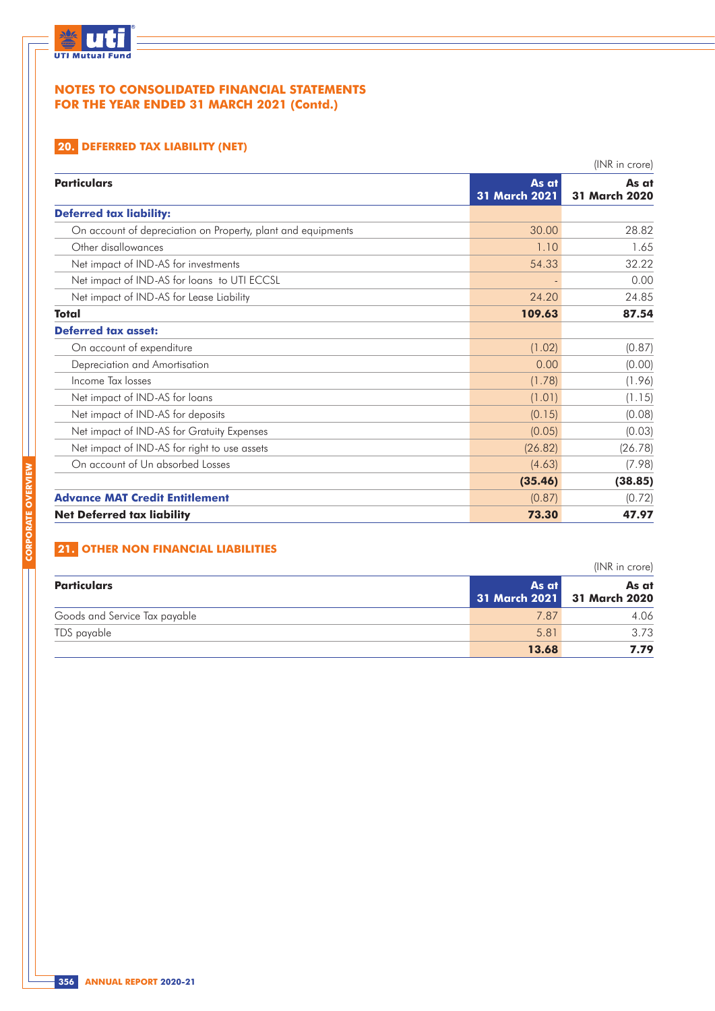

## **20. DEFERRED TAX LIABILITY (NET)**

|                                                              |                               | (INR in crore)                |
|--------------------------------------------------------------|-------------------------------|-------------------------------|
| <b>Particulars</b>                                           | As at<br><b>31 March 2021</b> | As at<br><b>31 March 2020</b> |
| <b>Deferred tax liability:</b>                               |                               |                               |
| On account of depreciation on Property, plant and equipments | 30.00                         | 28.82                         |
| Other disallowances                                          | 1.10                          | 1.65                          |
| Net impact of IND-AS for investments                         | 54.33                         | 32.22                         |
| Net impact of IND-AS for loans to UTI ECCSL                  |                               | 0.00                          |
| Net impact of IND-AS for Lease Liability                     | 24.20                         | 24.85                         |
| Total                                                        | 109.63                        | 87.54                         |
| <b>Deferred tax asset:</b>                                   |                               |                               |
| On account of expenditure                                    | (1.02)                        | (0.87)                        |
| Depreciation and Amortisation                                | 0.00                          | (0.00)                        |
| Income Tax losses                                            | (1.78)                        | (1.96)                        |
| Net impact of IND-AS for loans                               | (1.01)                        | (1.15)                        |
| Net impact of IND-AS for deposits                            | (0.15)                        | (0.08)                        |
| Net impact of IND-AS for Gratuity Expenses                   | (0.05)                        | (0.03)                        |
| Net impact of IND-AS for right to use assets                 | (26.82)                       | (26.78)                       |
| On account of Un absorbed Losses                             | (4.63)                        | (7.98)                        |
|                                                              | (35.46)                       | (38.85)                       |
| <b>Advance MAT Credit Entitlement</b>                        | (0.87)                        | (0.72)                        |
| <b>Net Deferred tax liability</b>                            | 73.30                         | 47.97                         |

## **21. OTHER NON FINANCIAL LIABILITIES**

|                               |       | (INR in crore)                       |
|-------------------------------|-------|--------------------------------------|
| <b>Particulars</b>            | As at | As at<br>31 March 2021 31 March 2020 |
| Goods and Service Tax payable | 7.87  | 4.06                                 |
| TDS payable                   | 5.81  | 3.73                                 |
|                               | 13.68 | 7.79                                 |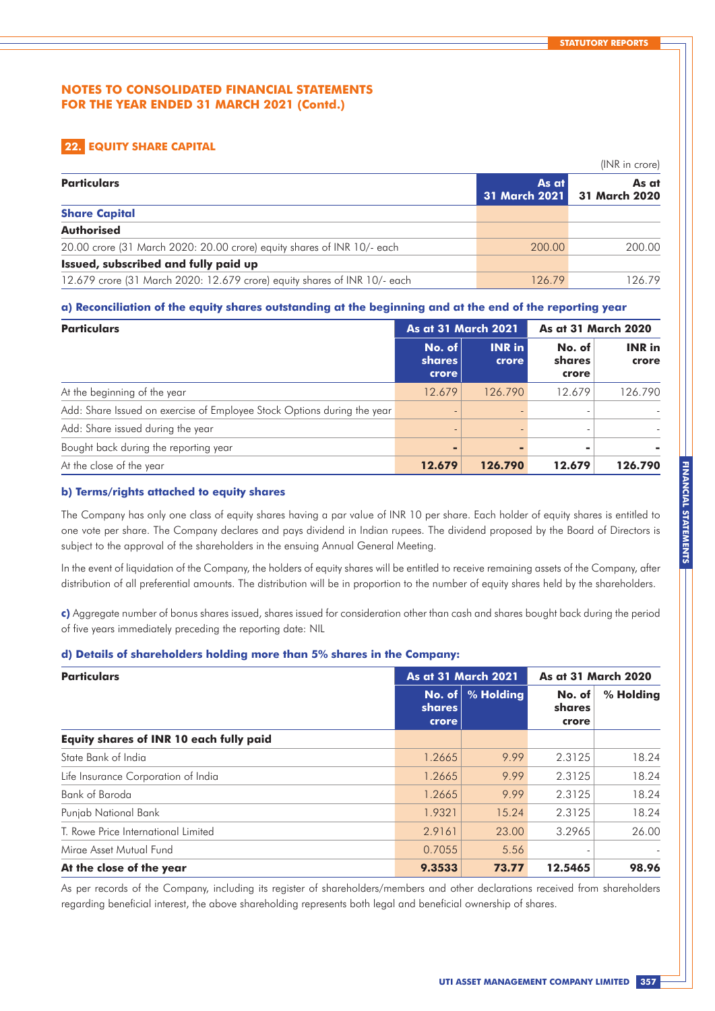### **22. EQUITY SHARE CAPITAL**

|                                                                           |                               | (INR in crore)                |
|---------------------------------------------------------------------------|-------------------------------|-------------------------------|
| <b>Particulars</b>                                                        | As at<br><b>31 March 2021</b> | As at<br><b>31 March 2020</b> |
| <b>Share Capital</b>                                                      |                               |                               |
| <b>Authorised</b>                                                         |                               |                               |
| 20.00 crore (31 March 2020: 20.00 crore) equity shares of INR 10/- each   | 200.00                        | 200.00                        |
| Issued, subscribed and fully paid up                                      |                               |                               |
| 12.679 crore (31 March 2020: 12.679 crore) equity shares of INR 10/- each | 126.79                        | 126 79                        |

#### **a) Reconciliation of the equity shares outstanding at the beginning and at the end of the reporting year**

| <b>Particulars</b>                                                      | As at 31 March 2021       |                        | As at 31 March 2020       |                        |
|-------------------------------------------------------------------------|---------------------------|------------------------|---------------------------|------------------------|
|                                                                         | No. of<br>shares<br>crore | <b>INR</b> in<br>crore | No. of<br>shares<br>crore | <b>INR</b> in<br>crore |
| At the beginning of the year                                            | 12.679                    | 126.790                | 12.679                    | 126.790                |
| Add: Share Issued on exercise of Employee Stock Options during the year |                           |                        |                           |                        |
| Add: Share issued during the year                                       |                           |                        |                           |                        |
| Bought back during the reporting year                                   |                           |                        |                           |                        |
| At the close of the year                                                | 12.679                    | 126.790                | 12.679                    | 126.790                |

#### **b) Terms/rights attached to equity shares**

The Company has only one class of equity shares having a par value of INR 10 per share. Each holder of equity shares is entitled to one vote per share. The Company declares and pays dividend in Indian rupees. The dividend proposed by the Board of Directors is subject to the approval of the shareholders in the ensuing Annual General Meeting.

In the event of liquidation of the Company, the holders of equity shares will be entitled to receive remaining assets of the Company, after distribution of all preferential amounts. The distribution will be in proportion to the number of equity shares held by the shareholders.

**c)** Aggregate number of bonus shares issued, shares issued for consideration other than cash and shares bought back during the period of five years immediately preceding the reporting date: NIL

#### **d) Details of shareholders holding more than 5% shares in the Company:**

| <b>Particulars</b>                             |                        | <b>As at 31 March 2021</b> |                           | As at 31 March 2020 |  |
|------------------------------------------------|------------------------|----------------------------|---------------------------|---------------------|--|
|                                                | <b>shares</b><br>crore | No. of $\mid$ % Holding    | No. of<br>shares<br>crore | % Holding           |  |
| <b>Equity shares of INR 10 each fully paid</b> |                        |                            |                           |                     |  |
| State Bank of India                            | 1.2665                 | 9.99                       | 2.3125                    | 18.24               |  |
| Life Insurance Corporation of India            | 1.2665                 | 9.99                       | 2.3125                    | 18.24               |  |
| Bank of Baroda                                 | 1.2665                 | 9.99                       | 2.3125                    | 18.24               |  |
| Punjab National Bank                           | 1.9321                 | 15.24                      | 2.3125                    | 18.24               |  |
| T. Rowe Price International Limited            | 2.9161                 | 23.00                      | 3.2965                    | 26.00               |  |
| Mirge Asset Mutual Fund                        | 0.7055                 | 5.56                       |                           |                     |  |
| At the close of the year                       | 9.3533                 | 73.77                      | 12.5465                   | 98.96               |  |

As per records of the Company, including its register of shareholders/members and other declarations received from shareholders regarding beneficial interest, the above shareholding represents both legal and beneficial ownership of shares.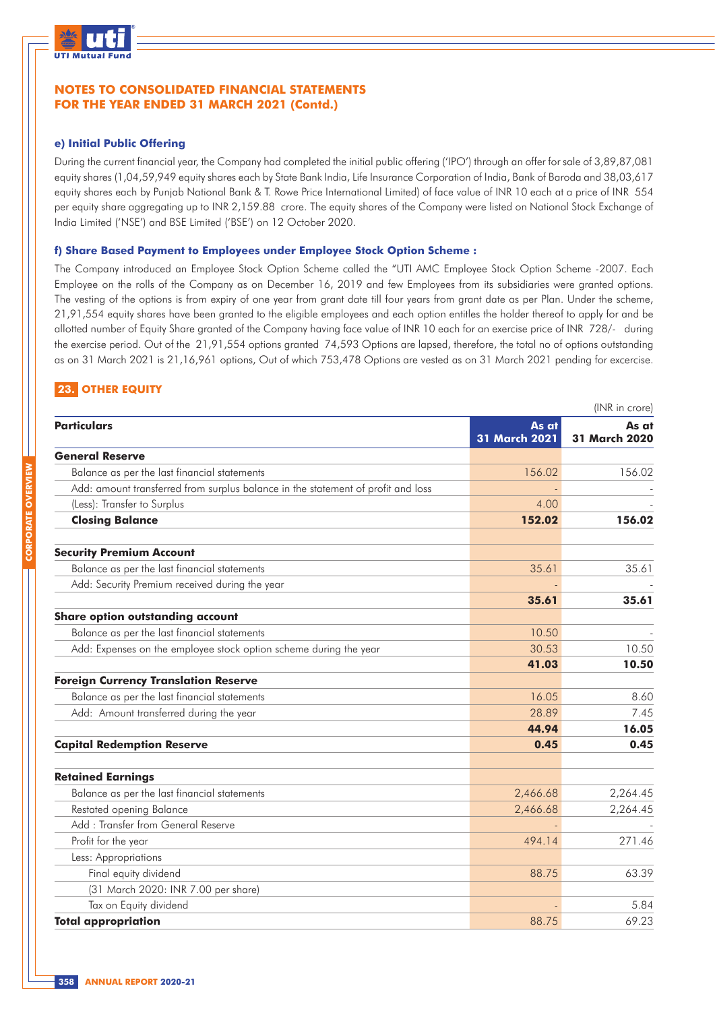

#### **e) Initial Public Offering**

During the current financial year, the Company had completed the initial public offering ('IPO') through an offer for sale of 3,89,87,081 equity shares (1,04,59,949 equity shares each by State Bank India, Life Insurance Corporation of India, Bank of Baroda and 38,03,617 equity shares each by Punjab National Bank & T. Rowe Price International Limited) of face value of INR 10 each at a price of INR 554 per equity share aggregating up to INR 2,159.88 crore. The equity shares of the Company were listed on National Stock Exchange of India Limited ('NSE') and BSE Limited ('BSE') on 12 October 2020.

### **f) Share Based Payment to Employees under Employee Stock Option Scheme :**

The Company introduced an Employee Stock Option Scheme called the "UTI AMC Employee Stock Option Scheme -2007. Each Employee on the rolls of the Company as on December 16, 2019 and few Employees from its subsidiaries were granted options. The vesting of the options is from expiry of one year from grant date till four years from grant date as per Plan. Under the scheme, 21,91,554 equity shares have been granted to the eligible employees and each option entitles the holder thereof to apply for and be allotted number of Equity Share granted of the Company having face value of INR 10 each for an exercise price of INR 728/- during the exercise period. Out of the 21,91,554 options granted 74,593 Options are lapsed, therefore, the total no of options outstanding as on 31 March 2021 is 21,16,961 options, Out of which 753,478 Options are vested as on 31 March 2021 pending for excercise.

### **23. OTHER EQUITY**

|                                                                                  |                        | (INR in crore)         |
|----------------------------------------------------------------------------------|------------------------|------------------------|
| <b>Particulars</b>                                                               | As at<br>31 March 2021 | As at<br>31 March 2020 |
| <b>General Reserve</b>                                                           |                        |                        |
| Balance as per the last financial statements                                     | 156.02                 | 156.02                 |
| Add: amount transferred from surplus balance in the statement of profit and loss |                        |                        |
| (Less): Transfer to Surplus                                                      | 4.00                   |                        |
| <b>Closing Balance</b>                                                           | 152.02                 | 156.02                 |
| <b>Security Premium Account</b>                                                  |                        |                        |
| Balance as per the last financial statements                                     | 35.61                  | 35.61                  |
| Add: Security Premium received during the year                                   |                        |                        |
|                                                                                  | 35.61                  | 35.61                  |
| Share option outstanding account                                                 |                        |                        |
| Balance as per the last financial statements                                     | 10.50                  |                        |
| Add: Expenses on the employee stock option scheme during the year                | 30.53                  | 10.50                  |
|                                                                                  | 41.03                  | 10.50                  |
| <b>Foreign Currency Translation Reserve</b>                                      |                        |                        |
| Balance as per the last financial statements                                     | 16.05                  | 8.60                   |
| Add: Amount transferred during the year                                          | 28.89                  | 7.45                   |
|                                                                                  | 44.94                  | 16.05                  |
| <b>Capital Redemption Reserve</b>                                                | 0.45                   | 0.45                   |
| <b>Retained Earnings</b>                                                         |                        |                        |
| Balance as per the last financial statements                                     | 2,466.68               | 2,264.45               |
| Restated opening Balance                                                         | 2,466.68               | 2,264.45               |
| Add: Transfer from General Reserve                                               |                        |                        |
| Profit for the year                                                              | 494.14                 | 271.46                 |
| Less: Appropriations                                                             |                        |                        |
| Final equity dividend                                                            | 88.75                  | 63.39                  |
| (31 March 2020: INR 7.00 per share)                                              |                        |                        |
| Tax on Equity dividend                                                           |                        | 5.84                   |
| <b>Total appropriation</b>                                                       | 88.75                  | 69.23                  |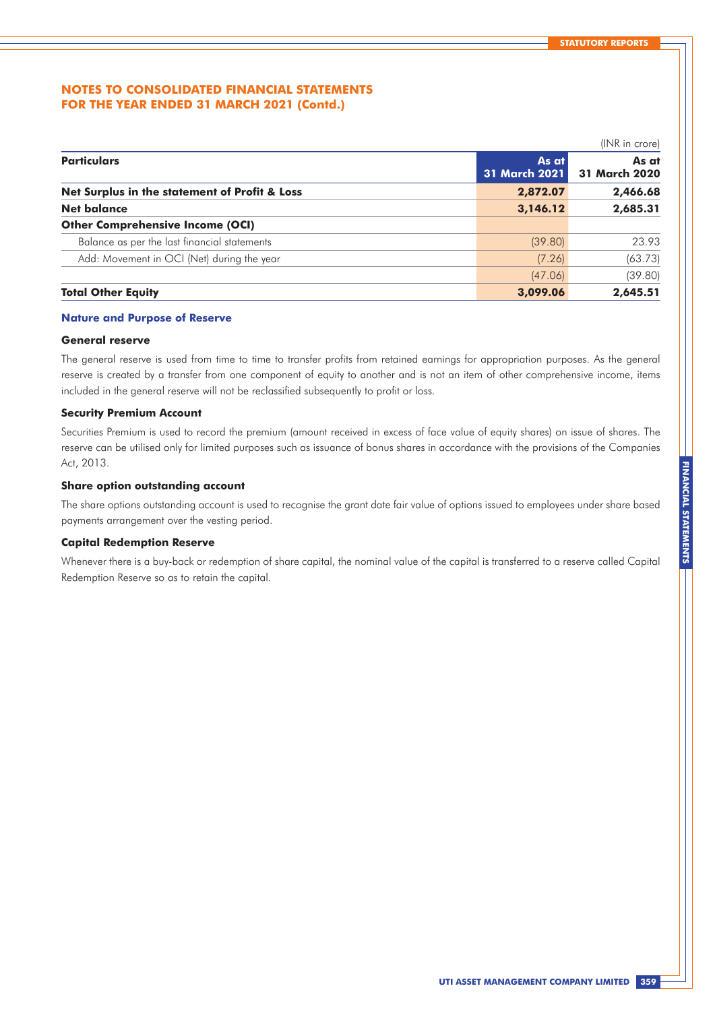|                                               |                               | (INR in crore)                |
|-----------------------------------------------|-------------------------------|-------------------------------|
| <b>Particulars</b>                            | As at<br><b>31 March 2021</b> | As at<br><b>31 March 2020</b> |
| Net Surplus in the statement of Profit & Loss | 2,872.07                      | 2,466.68                      |
| <b>Net balance</b>                            | 3,146.12                      | 2,685.31                      |
| <b>Other Comprehensive Income (OCI)</b>       |                               |                               |
| Balance as per the last financial statements  | (39.80)                       | 23.93                         |
| Add: Movement in OCI (Net) during the year    | (7.26)                        | (63.73)                       |
|                                               | (47.06)                       | (39.80)                       |
| <b>Total Other Equity</b>                     | 3,099.06                      | 2,645.51                      |

#### **Nature and Purpose of Reserve**

#### **General reserve**

The general reserve is used from time to time to transfer profits from retained earnings for appropriation purposes. As the general reserve is created by a transfer from one component of equity to another and is not an item of other comprehensive income, items included in the general reserve will not be reclassified subsequently to profit or loss.

#### **Security Premium Account**

Securities Premium is used to record the premium (amount received in excess of face value of equity shares) on issue of shares. The reserve can be utilised only for limited purposes such as issuance of bonus shares in accordance with the provisions of the Companies Act, 2013.

#### **Share option outstanding account**

The share options outstanding account is used to recognise the grant date fair value of options issued to employees under share based payments arrangement over the vesting period.

#### **Capital Redemption Reserve**

Whenever there is a buy-back or redemption of share capital, the nominal value of the capital is transferred to a reserve called Capital Redemption Reserve so as to retain the capital.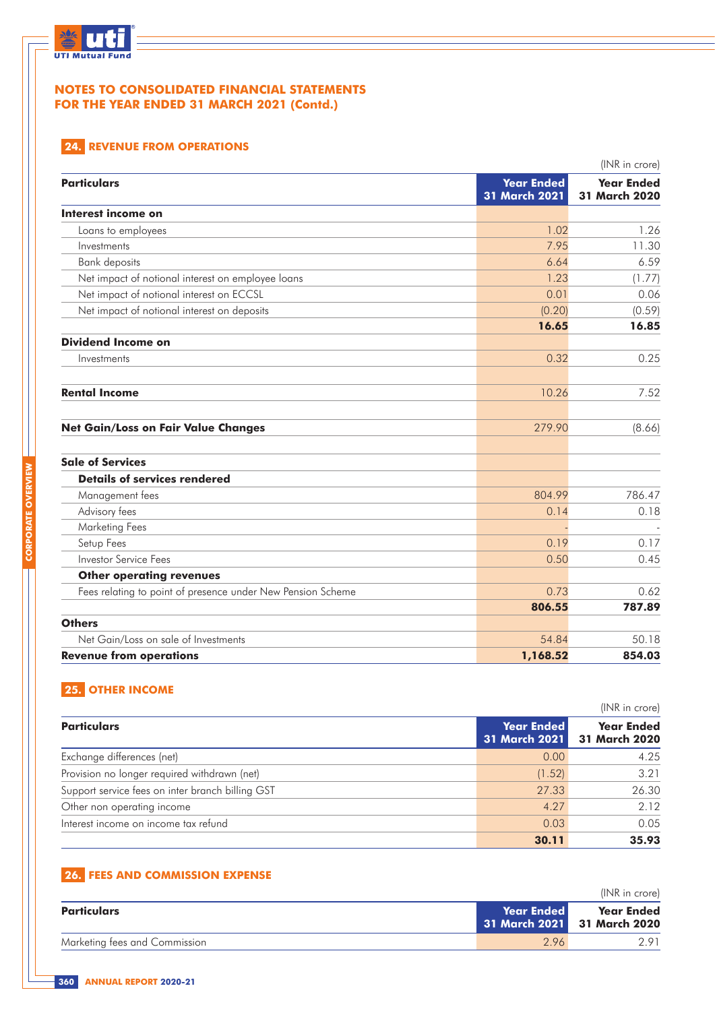

### **24. REVENUE FROM OPERATIONS**

| <b>Particulars</b>                                          | <b>Year Ended</b><br><b>31 March 2021</b> | <b>Year Ended</b><br>31 March 2020 |
|-------------------------------------------------------------|-------------------------------------------|------------------------------------|
| Interest income on                                          |                                           |                                    |
| Loans to employees                                          | 1.02                                      | 1.26                               |
| Investments                                                 | 7.95                                      | 11.30                              |
| <b>Bank deposits</b>                                        | 6.64                                      | 6.59                               |
| Net impact of notional interest on employee loans           | 1.23                                      | (1.77)                             |
| Net impact of notional interest on ECCSL                    | 0.01                                      | 0.06                               |
| Net impact of notional interest on deposits                 | (0.20)                                    | (0.59)                             |
|                                                             | 16.65                                     | 16.85                              |
| <b>Dividend Income on</b>                                   |                                           |                                    |
| Investments                                                 | 0.32                                      | 0.25                               |
| <b>Rental Income</b>                                        | 10.26                                     | 7.52                               |
| <b>Net Gain/Loss on Fair Value Changes</b>                  | 279.90                                    | (8.66)                             |
| <b>Sale of Services</b>                                     |                                           |                                    |
| <b>Details of services rendered</b>                         |                                           |                                    |
| Management fees                                             | 804.99                                    | 786.47                             |
| Advisory fees                                               | 0.14                                      | 0.18                               |
| Marketing Fees                                              |                                           |                                    |
| Setup Fees                                                  | 0.19                                      | 0.17                               |
| <b>Investor Service Fees</b>                                | 0.50                                      | 0.45                               |
| <b>Other operating revenues</b>                             |                                           |                                    |
| Fees relating to point of presence under New Pension Scheme | 0.73                                      | 0.62                               |
|                                                             | 806.55                                    | 787.89                             |
| <b>Others</b>                                               |                                           |                                    |
| Net Gain/Loss on sale of Investments                        | 54.84                                     | 50.18                              |
| <b>Revenue from operations</b>                              | 1,168.52                                  | 854.03                             |

### **25. OTHER INCOME**

|                                                  |                                           | (INR in crore)                            |
|--------------------------------------------------|-------------------------------------------|-------------------------------------------|
| <b>Particulars</b>                               | <b>Year Ended</b><br><b>31 March 2021</b> | <b>Year Ended</b><br><b>31 March 2020</b> |
| Exchange differences (net)                       | 0.00                                      | 4.25                                      |
| Provision no longer required withdrawn (net)     | (1.52)                                    | 3.21                                      |
| Support service fees on inter branch billing GST | 27.33                                     | 26.30                                     |
| Other non operating income                       | 4.27                                      | 2.12                                      |
| Interest income on income tax refund             | 0.03                                      | 0.05                                      |
|                                                  | 30.11                                     | 35.93                                     |

### **26. FEES AND COMMISSION EXPENSE**

|                               |                                                         | (INR in crore)    |
|-------------------------------|---------------------------------------------------------|-------------------|
| <b>Particulars</b>            | <b>Year Ended</b><br><b>31 March 2021</b> 31 March 2020 | <b>Year Ended</b> |
| Marketing fees and Commission | 296                                                     | 291               |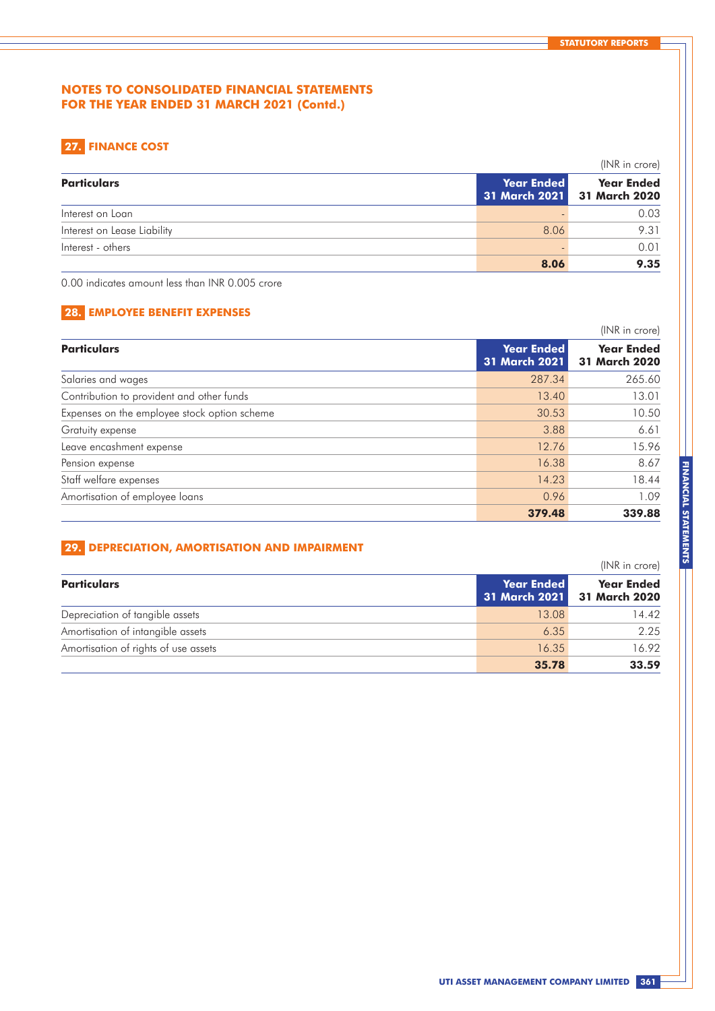### **27. FINANCE COST**

| (INR in crore)              |                                           |                   |
|-----------------------------|-------------------------------------------|-------------------|
| <b>Particulars</b>          | Year Ended<br>31 March 2021 31 March 2020 | <b>Year Ended</b> |
| Interest on Loan            |                                           | 0.03              |
| Interest on Lease Liability | 8.06                                      | 9.31              |
| Interest - others           |                                           | 0.01              |
|                             | 8.06                                      | 9.35              |

0.00 indicates amount less than INR 0.005 crore

### **28. EMPLOYEE BENEFIT EXPENSES**

|                                              |                                           | (INR in crore)                            |
|----------------------------------------------|-------------------------------------------|-------------------------------------------|
| <b>Particulars</b>                           | <b>Year Ended</b><br><b>31 March 2021</b> | <b>Year Ended</b><br><b>31 March 2020</b> |
| Salaries and wages                           | 287.34                                    | 265.60                                    |
| Contribution to provident and other funds    | 13.40                                     | 13.01                                     |
| Expenses on the employee stock option scheme | 30.53                                     | 10.50                                     |
| Gratuity expense                             | 3.88                                      | 6.61                                      |
| Leave encashment expense                     | 12.76                                     | 15.96                                     |
| Pension expense                              | 16.38                                     | 8.67                                      |
| Staff welfare expenses                       | 14.23                                     | 18.44                                     |
| Amortisation of employee loans               | 0.96                                      | 1.09                                      |
|                                              | 379.48                                    | 339.88                                    |

### **29. DEPRECIATION, AMORTISATION AND IMPAIRMENT**

|                                      |                                           | (INR in crore)                     |
|--------------------------------------|-------------------------------------------|------------------------------------|
| <b>Particulars</b>                   | <b>Year Ended</b><br><b>31 March 2021</b> | <b>Year Ended</b><br>31 March 2020 |
| Depreciation of tangible assets      | 13.08                                     | 14.42                              |
| Amortisation of intangible assets    | 6.35                                      | 2.25                               |
| Amortisation of rights of use assets | 16.35                                     | 16.92                              |
|                                      | 35.78                                     | 33.59                              |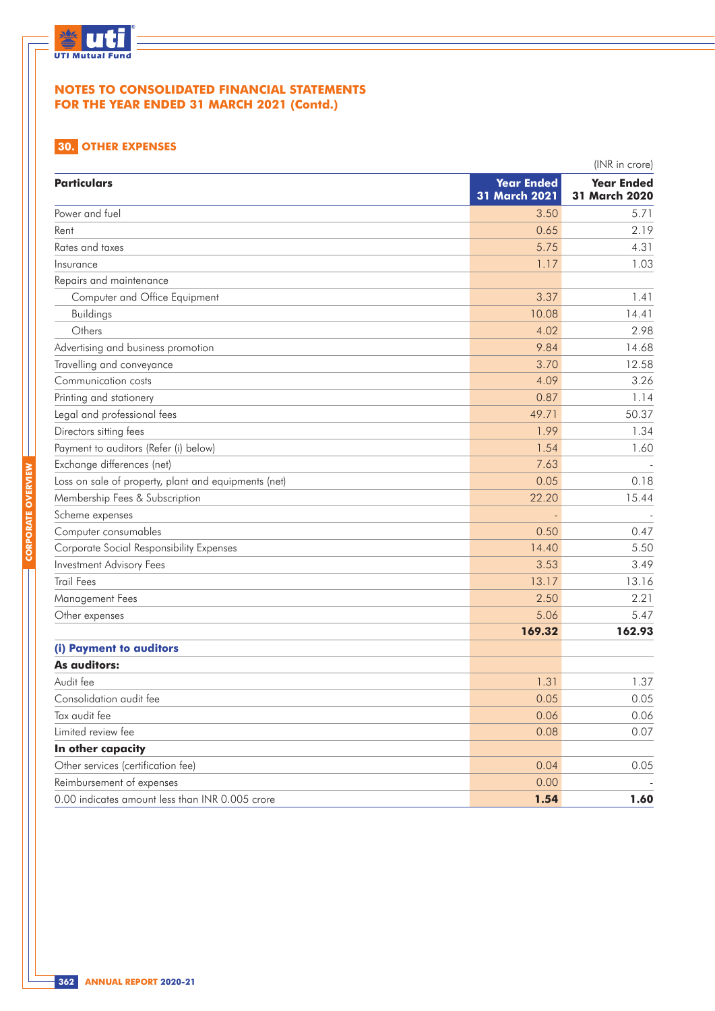

### **30. OTHER EXPENSES**

|                                                      |                                    | (INR in crore)                     |
|------------------------------------------------------|------------------------------------|------------------------------------|
| <b>Particulars</b>                                   | <b>Year Ended</b><br>31 March 2021 | <b>Year Ended</b><br>31 March 2020 |
| Power and fuel                                       | 3.50                               | 5.71                               |
| Rent                                                 | 0.65                               | 2.19                               |
| Rates and taxes                                      | 5.75                               | 4.31                               |
| Insurance                                            | 1.17                               | 1.03                               |
| Repairs and maintenance                              |                                    |                                    |
| Computer and Office Equipment                        | 3.37                               | 1.41                               |
| <b>Buildings</b>                                     | 10.08                              | 14.41                              |
| Others                                               | 4.02                               | 2.98                               |
| Advertising and business promotion                   | 9.84                               | 14.68                              |
| Travelling and conveyance                            | 3.70                               | 12.58                              |
| Communication costs                                  | 4.09                               | 3.26                               |
| Printing and stationery                              | 0.87                               | 1.14                               |
| Legal and professional fees                          | 49.71                              | 50.37                              |
| Directors sitting fees                               | 1.99                               | 1.34                               |
| Payment to auditors (Refer (i) below)                | 1.54                               | 1.60                               |
| Exchange differences (net)                           | 7.63                               |                                    |
| Loss on sale of property, plant and equipments (net) | 0.05                               | 0.18                               |
| Membership Fees & Subscription                       | 22.20                              | 15.44                              |
| Scheme expenses                                      |                                    |                                    |
| Computer consumables                                 | 0.50                               | 0.47                               |
| Corporate Social Responsibility Expenses             | 14.40                              | 5.50                               |
| <b>Investment Advisory Fees</b>                      | 3.53                               | 3.49                               |
| <b>Trail Fees</b>                                    | 13.17                              | 13.16                              |
| Management Fees                                      | 2.50                               | 2.21                               |
| Other expenses                                       | 5.06                               | 5.47                               |
|                                                      | 169.32                             | 162.93                             |
| (i) Payment to auditors                              |                                    |                                    |
| As auditors:                                         |                                    |                                    |
| Audit fee                                            | 1.31                               | 1.37                               |
| Consolidation audit fee                              | 0.05                               | 0.05                               |
| Tax audit fee                                        | 0.06                               | 0.06                               |
| Limited review fee                                   | 0.08                               | 0.07                               |
| In other capacity                                    |                                    |                                    |
| Other services (certification fee)                   | 0.04                               | 0.05                               |
| Reimbursement of expenses                            | 0.00                               |                                    |
| 0.00 indicates amount less than INR 0.005 crore      | 1.54                               | 1.60                               |
|                                                      |                                    |                                    |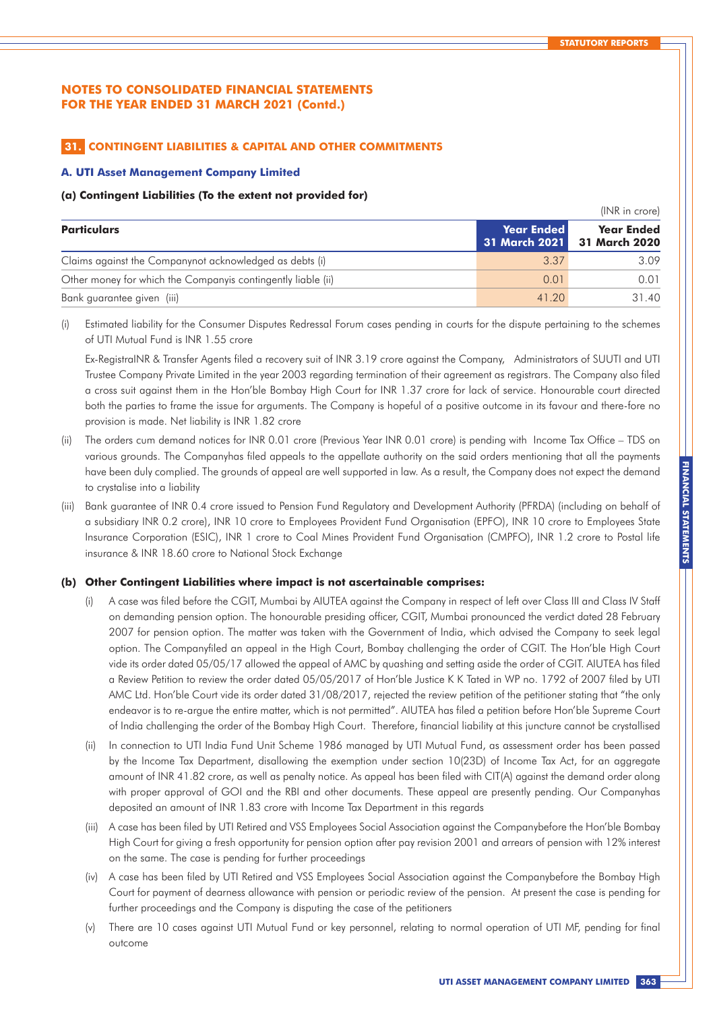#### **31. CONTINGENT LIABILITIES & CAPITAL AND OTHER COMMITMENTS**

#### **A. UTI Asset Management Company Limited**

#### **(a) Contingent Liabilities (To the extent not provided for)**

|                                                              |                                             | (INR in crore)                            |  |
|--------------------------------------------------------------|---------------------------------------------|-------------------------------------------|--|
| Particulars                                                  | <b>Year Ended</b><br>31 March 2021 <b>1</b> | <b>Year Ended</b><br><b>31 March 2020</b> |  |
| Claims against the Companynot acknowledged as debts (i)      | 3 3 7                                       | 3.09                                      |  |
| Other money for which the Companyis contingently liable (ii) | 0 <sub>01</sub>                             | 0.01                                      |  |
| Bank guarantee given (iii)                                   | 41.20                                       | 31.40                                     |  |

(i) Estimated liability for the Consumer Disputes Redressal Forum cases pending in courts for the dispute pertaining to the schemes of UTI Mutual Fund is INR 1.55 crore

Ex-RegistraINR & Transfer Agents filed a recovery suit of INR 3.19 crore against the Company, Administrators of SUUTI and UTI Trustee Company Private Limited in the year 2003 regarding termination of their agreement as registrars. The Company also filed a cross suit against them in the Hon'ble Bombay High Court for INR 1.37 crore for lack of service. Honourable court directed both the parties to frame the issue for arguments. The Company is hopeful of a positive outcome in its favour and there-fore no provision is made. Net liability is INR 1.82 crore

- (ii) The orders cum demand notices for INR 0.01 crore (Previous Year INR 0.01 crore) is pending with Income Tax Office TDS on various grounds. The Companyhas filed appeals to the appellate authority on the said orders mentioning that all the payments have been duly complied. The grounds of appeal are well supported in law. As a result, the Company does not expect the demand to crystalise into a liability
- (iii) Bank guarantee of INR 0.4 crore issued to Pension Fund Regulatory and Development Authority (PFRDA) (including on behalf of a subsidiary INR 0.2 crore), INR 10 crore to Employees Provident Fund Organisation (EPFO), INR 10 crore to Employees State Insurance Corporation (ESIC), INR 1 crore to Coal Mines Provident Fund Organisation (CMPFO), INR 1.2 crore to Postal life insurance & INR 18.60 crore to National Stock Exchange

#### **(b) Other Contingent Liabilities where impact is not ascertainable comprises:**

- (i) A case was filed before the CGIT, Mumbai by AIUTEA against the Company in respect of left over Class III and Class IV Staff on demanding pension option. The honourable presiding officer, CGIT, Mumbai pronounced the verdict dated 28 February 2007 for pension option. The matter was taken with the Government of India, which advised the Company to seek legal option. The Companyfiled an appeal in the High Court, Bombay challenging the order of CGIT. The Hon'ble High Court vide its order dated 05/05/17 allowed the appeal of AMC by quashing and setting aside the order of CGIT. AIUTEA has filed a Review Petition to review the order dated 05/05/2017 of Hon'ble Justice K K Tated in WP no. 1792 of 2007 filed by UTI AMC Ltd. Hon'ble Court vide its order dated 31/08/2017, rejected the review petition of the petitioner stating that "the only endeavor is to re-argue the entire matter, which is not permitted". AIUTEA has filed a petition before Hon'ble Supreme Court of India challenging the order of the Bombay High Court. Therefore, financial liability at this juncture cannot be crystallised
- (ii) In connection to UTI India Fund Unit Scheme 1986 managed by UTI Mutual Fund, as assessment order has been passed by the Income Tax Department, disallowing the exemption under section 10(23D) of Income Tax Act, for an aggregate amount of INR 41.82 crore, as well as penalty notice. As appeal has been filed with CIT(A) against the demand order along with proper approval of GOI and the RBI and other documents. These appeal are presently pending. Our Companyhas deposited an amount of INR 1.83 crore with Income Tax Department in this regards
- (iii) A case has been filed by UTI Retired and VSS Employees Social Association against the Companybefore the Hon'ble Bombay High Court for giving a fresh opportunity for pension option after pay revision 2001 and arrears of pension with 12% interest on the same. The case is pending for further proceedings
- (iv) A case has been filed by UTI Retired and VSS Employees Social Association against the Companybefore the Bombay High Court for payment of dearness allowance with pension or periodic review of the pension. At present the case is pending for further proceedings and the Company is disputing the case of the petitioners
- (v) There are 10 cases against UTI Mutual Fund or key personnel, relating to normal operation of UTI MF, pending for final outcome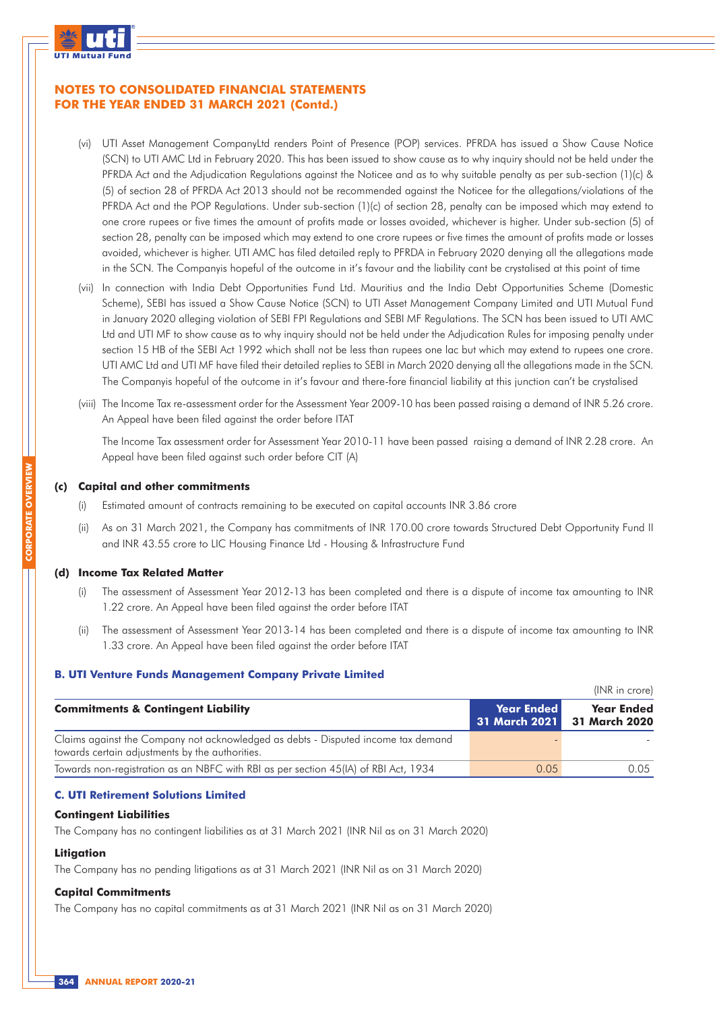

- (vi) UTI Asset Management CompanyLtd renders Point of Presence (POP) services. PFRDA has issued a Show Cause Notice (SCN) to UTI AMC Ltd in February 2020. This has been issued to show cause as to why inquiry should not be held under the PFRDA Act and the Adjudication Regulations against the Noticee and as to why suitable penalty as per sub-section (1)(c) & (5) of section 28 of PFRDA Act 2013 should not be recommended against the Noticee for the allegations/violations of the PFRDA Act and the POP Regulations. Under sub-section (1)(c) of section 28, penalty can be imposed which may extend to one crore rupees or five times the amount of profits made or losses avoided, whichever is higher. Under sub-section (5) of section 28, penalty can be imposed which may extend to one crore rupees or five times the amount of profits made or losses avoided, whichever is higher. UTI AMC has filed detailed reply to PFRDA in February 2020 denying all the allegations made in the SCN. The Companyis hopeful of the outcome in it's favour and the liability cant be crystalised at this point of time
- (vii) In connection with India Debt Opportunities Fund Ltd. Mauritius and the India Debt Opportunities Scheme (Domestic Scheme), SEBI has issued a Show Cause Notice (SCN) to UTI Asset Management Company Limited and UTI Mutual Fund in January 2020 alleging violation of SEBI FPI Regulations and SEBI MF Regulations. The SCN has been issued to UTI AMC Ltd and UTI MF to show cause as to why inquiry should not be held under the Adjudication Rules for imposing penalty under section 15 HB of the SEBI Act 1992 which shall not be less than rupees one lac but which may extend to rupees one crore. UTI AMC Ltd and UTI MF have filed their detailed replies to SEBI in March 2020 denying all the allegations made in the SCN. The Companyis hopeful of the outcome in it's favour and there-fore financial liability at this junction can't be crystalised
- (viii) The Income Tax re-assessment order for the Assessment Year 2009-10 has been passed raising a demand of INR 5.26 crore. An Appeal have been filed against the order before ITAT

 The Income Tax assessment order for Assessment Year 2010-11 have been passed raising a demand of INR 2.28 crore. An Appeal have been filed against such order before CIT (A)

#### **(c) Capital and other commitments**

- (i) Estimated amount of contracts remaining to be executed on capital accounts INR 3.86 crore
- (ii) As on 31 March 2021, the Company has commitments of INR 170.00 crore towards Structured Debt Opportunity Fund II and INR 43.55 crore to LIC Housing Finance Ltd - Housing & Infrastructure Fund

#### **(d) Income Tax Related Matter**

- (i) The assessment of Assessment Year 2012-13 has been completed and there is a dispute of income tax amounting to INR 1.22 crore. An Appeal have been filed against the order before ITAT
- (ii) The assessment of Assessment Year 2013-14 has been completed and there is a dispute of income tax amounting to INR 1.33 crore. An Appeal have been filed against the order before ITAT

#### **B. UTI Venture Funds Management Company Private Limited**

|                                                                                                                                      |                   | (INR in crore)                                   |
|--------------------------------------------------------------------------------------------------------------------------------------|-------------------|--------------------------------------------------|
| <b>Commitments &amp; Contingent Liability</b>                                                                                        | <b>Year Ended</b> | <b>Year Ended</b><br>31 March 2021 31 March 2020 |
| Claims against the Company not acknowledged as debts - Disputed income tax demand<br>towards certain adjustments by the authorities. |                   |                                                  |
| Towards non-registration as an NBFC with RBI as per section 45(IA) of RBI Act, 1934                                                  | 0.05              | O 0.5                                            |

#### **C. UTI Retirement Solutions Limited**

#### **Contingent Liabilities**

The Company has no contingent liabilities as at 31 March 2021 (INR Nil as on 31 March 2020)

#### **Litigation**

The Company has no pending litigations as at 31 March 2021 (INR Nil as on 31 March 2020)

#### **Capital Commitments**

The Company has no capital commitments as at 31 March 2021 (INR Nil as on 31 March 2020)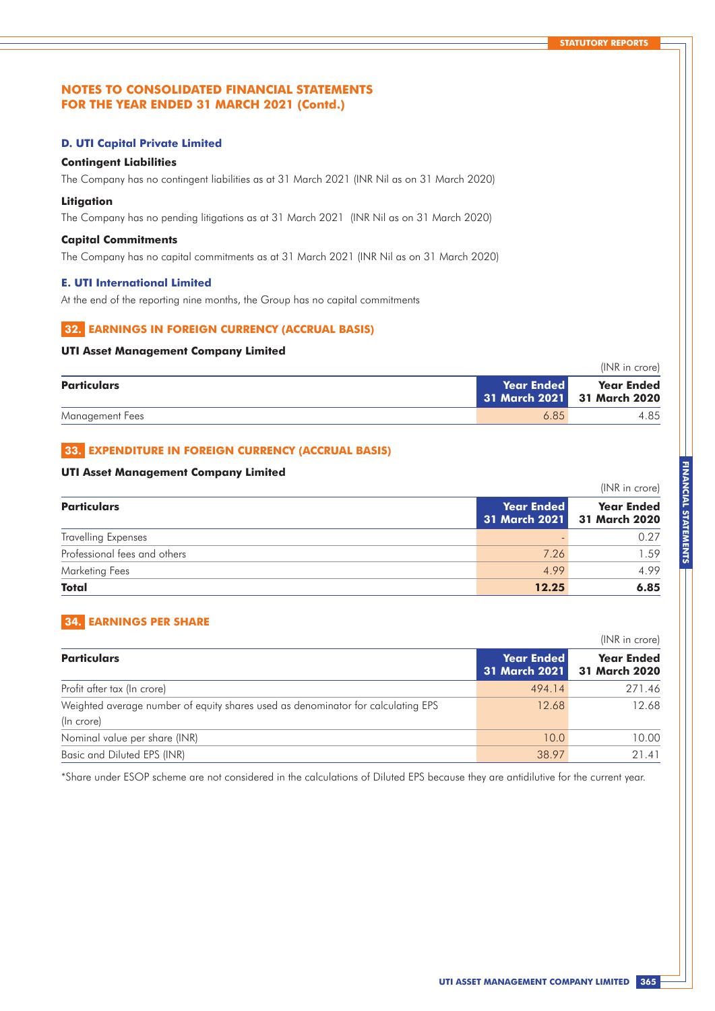#### **D. UTI Capital Private Limited**

#### **Contingent Liabilities**

The Company has no contingent liabilities as at 31 March 2021 (INR Nil as on 31 March 2020)

#### **Litigation**

The Company has no pending litigations as at 31 March 2021 (INR Nil as on 31 March 2020)

#### **Capital Commitments**

The Company has no capital commitments as at 31 March 2021 (INR Nil as on 31 March 2020)

#### **E. UTI International Limited**

At the end of the reporting nine months, the Group has no capital commitments

#### **32. EARNINGS IN FOREIGN CURRENCY (ACCRUAL BASIS)**

#### **UTI Asset Management Company Limited**

|                    |                                                  | (INR in crore)    |
|--------------------|--------------------------------------------------|-------------------|
| <b>Particulars</b> | <b>Year Ended</b><br>31 March 2021 31 March 2020 | <b>Year Ended</b> |
| Management Fees    | 6.85                                             | 4.85              |

### **33. EXPENDITURE IN FOREIGN CURRENCY (ACCRUAL BASIS)**

#### **UTI Asset Management Company Limited**

|                              |                                    | (INR in crore)                     |  |
|------------------------------|------------------------------------|------------------------------------|--|
| <b>Particulars</b>           | <b>Year Ended</b><br>31 March 2021 | <b>Year Ended</b><br>31 March 2020 |  |
| <b>Travelling Expenses</b>   |                                    | 0.27                               |  |
| Professional fees and others | 7.26                               | 1.59                               |  |
| <b>Marketing Fees</b>        | 4.99                               | 4.99                               |  |
| <b>Total</b>                 | 12.25                              | 6.85                               |  |

### **34. EARNINGS PER SHARE**

|                                                                                  | (INR in crore)                     |                                           |
|----------------------------------------------------------------------------------|------------------------------------|-------------------------------------------|
| <b>Particulars</b>                                                               | <b>Year Ended</b><br>31 March 2021 | <b>Year Ended</b><br><b>31 March 2020</b> |
| Profit after tax (In crore)                                                      | 494.14                             | 271.46                                    |
| Weighted average number of equity shares used as denominator for calculating EPS | 12.68                              | 12.68                                     |
| (In crore)                                                                       |                                    |                                           |
| Nominal value per share (INR)                                                    | 10.0                               | 10.00                                     |
| Basic and Diluted EPS (INR)                                                      | 38.97                              | 21.41                                     |

\*Share under ESOP scheme are not considered in the calculations of Diluted EPS because they are antidilutive for the current year.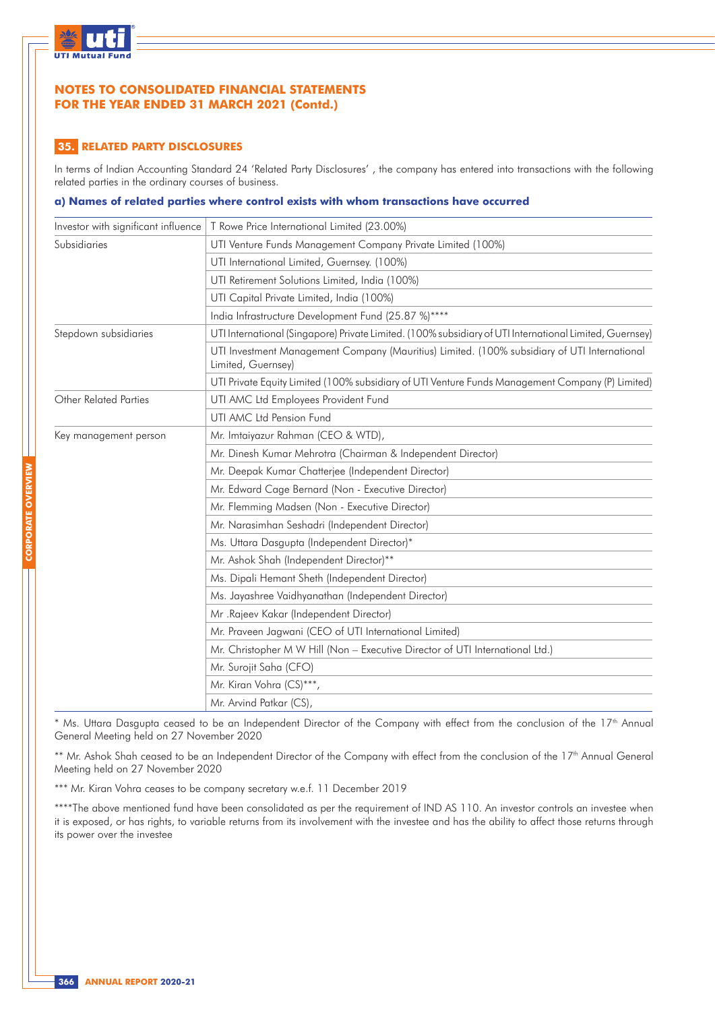

### **35. RELATED PARTY DISCLOSURES**

In terms of Indian Accounting Standard 24 'Related Party Disclosures' , the company has entered into transactions with the following related parties in the ordinary courses of business.

#### **a) Names of related parties where control exists with whom transactions have occurred**

| Investor with significant influence | T Rowe Price International Limited (23.00%)                                                                        |
|-------------------------------------|--------------------------------------------------------------------------------------------------------------------|
| Subsidiaries                        | UTI Venture Funds Management Company Private Limited (100%)                                                        |
|                                     | UTI International Limited, Guernsey. (100%)                                                                        |
|                                     | UTI Retirement Solutions Limited, India (100%)                                                                     |
|                                     | UTI Capital Private Limited, India (100%)                                                                          |
|                                     | India Infrastructure Development Fund (25.87 %)****                                                                |
| Stepdown subsidiaries               | UTI International (Singapore) Private Limited. (100% subsidiary of UTI International Limited, Guernsey)            |
|                                     | UTI Investment Management Company (Mauritius) Limited. (100% subsidiary of UTI International<br>Limited, Guernsey) |
|                                     | UTI Private Equity Limited (100% subsidiary of UTI Venture Funds Management Company (P) Limited)                   |
| Other Related Parties               | UTI AMC Ltd Employees Provident Fund                                                                               |
|                                     | UTI AMC Ltd Pension Fund                                                                                           |
| Key management person               | Mr. Imtaiyazur Rahman (CEO & WTD),                                                                                 |
|                                     | Mr. Dinesh Kumar Mehrotra (Chairman & Independent Director)                                                        |
|                                     | Mr. Deepak Kumar Chatterjee (Independent Director)                                                                 |
|                                     | Mr. Edward Cage Bernard (Non - Executive Director)                                                                 |
|                                     | Mr. Flemming Madsen (Non - Executive Director)                                                                     |
|                                     | Mr. Narasimhan Seshadri (Independent Director)                                                                     |
|                                     | Ms. Uttara Dasgupta (Independent Director)*                                                                        |
|                                     | Mr. Ashok Shah (Independent Director)**                                                                            |
|                                     | Ms. Dipali Hemant Sheth (Independent Director)                                                                     |
|                                     | Ms. Jayashree Vaidhyanathan (Independent Director)                                                                 |
|                                     | Mr .Rajeev Kakar (Independent Director)                                                                            |
|                                     | Mr. Praveen Jagwani (CEO of UTI International Limited)                                                             |
|                                     | Mr. Christopher M W Hill (Non - Executive Director of UTI International Ltd.)                                      |
|                                     | Mr. Surojit Saha (CFO)                                                                                             |
|                                     | Mr. Kiran Vohra (CS)***,                                                                                           |
|                                     | Mr. Arvind Patkar (CS),                                                                                            |

\* Ms. Uttara Dasgupta ceased to be an Independent Director of the Company with effect from the conclusion of the 17<sup>th</sup> Annual General Meeting held on 27 November 2020

\*\* Mr. Ashok Shah ceased to be an Independent Director of the Company with effect from the conclusion of the 17<sup>th</sup> Annual General Meeting held on 27 November 2020

\*\*\* Mr. Kiran Vohra ceases to be company secretary w.e.f. 11 December 2019

\*\*\*\*The above mentioned fund have been consolidated as per the requirement of IND AS 110. An investor controls an investee when it is exposed, or has rights, to variable returns from its involvement with the investee and has the ability to affect those returns through its power over the investee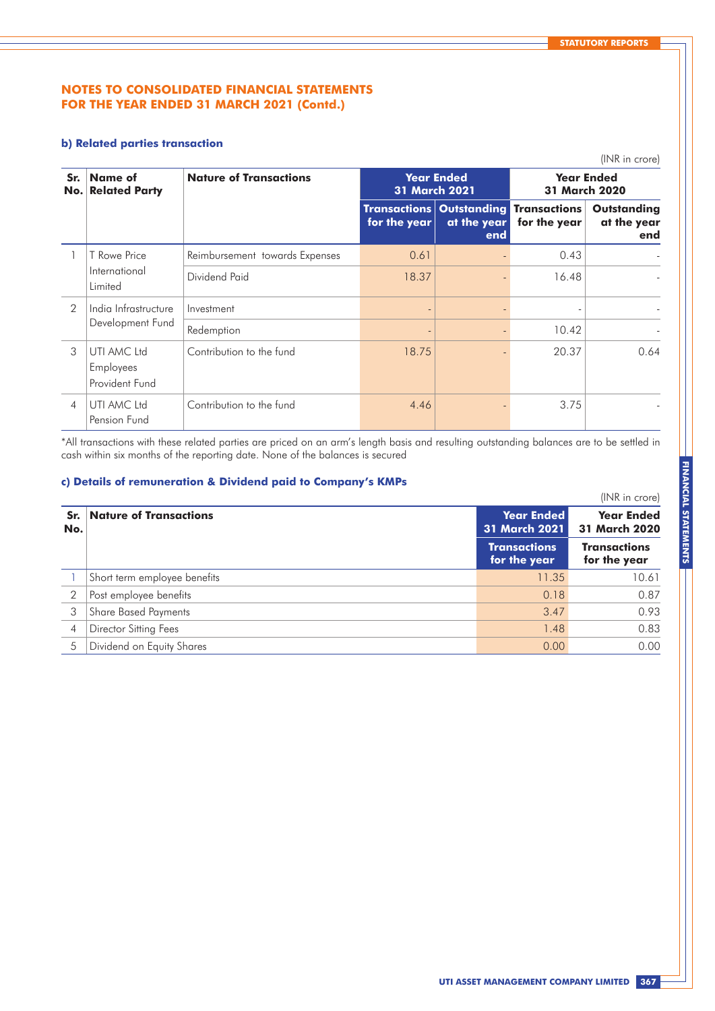#### **b) Related parties transaction**

|                                                      |                                                          |                                |              |                                                                    |                                           | (INR in crore)                    |  |
|------------------------------------------------------|----------------------------------------------------------|--------------------------------|--------------|--------------------------------------------------------------------|-------------------------------------------|-----------------------------------|--|
| <b>Name of</b><br>Sr.<br><b>Related Party</b><br>No. |                                                          | <b>Nature of Transactions</b>  |              | <b>Year Ended</b><br><b>31 March 2021</b>                          | <b>Year Ended</b><br><b>31 March 2020</b> |                                   |  |
|                                                      |                                                          |                                | for the year | <b>Transactions Outstanding Transactions</b><br>at the year<br>end | for the year                              | Outstanding<br>at the year<br>end |  |
|                                                      | T Rowe Price                                             | Reimbursement towards Expenses | 0.61         |                                                                    | 0.43                                      |                                   |  |
| International<br>Limited                             | Dividend Paid                                            | 18.37                          |              | 16.48                                                              |                                           |                                   |  |
| 2                                                    | India Infrastructure                                     | Investment                     |              |                                                                    |                                           |                                   |  |
|                                                      | Development Fund                                         | Redemption                     |              |                                                                    | 10.42                                     |                                   |  |
| 3                                                    | <b>UTI AMC Ltd</b><br><b>Employees</b><br>Provident Fund | Contribution to the fund       | 18.75        |                                                                    | 20.37                                     | 0.64                              |  |
| 4                                                    | <b>UTI AMC Ltd</b><br>Pension Fund                       | Contribution to the fund       | 4.46         |                                                                    | 3.75                                      |                                   |  |

\*All transactions with these related parties are priced on an arm's length basis and resulting outstanding balances are to be settled in cash within six months of the reporting date. None of the balances is secured

### **c) Details of remuneration & Dividend paid to Company's KMPs**

|            |                               |                                     | (INK In crore)                            |
|------------|-------------------------------|-------------------------------------|-------------------------------------------|
| Sr.<br>No. | <b>Nature of Transactions</b> | <b>Year Ended</b><br>31 March 2021  | <b>Year Ended</b><br><b>31 March 2020</b> |
|            |                               | <b>Transactions</b><br>for the year | <b>Transactions</b><br>for the year       |
|            | Short term employee benefits  | 11.35                               | 10.61                                     |
|            | Post employee benefits        | 0.18                                | 0.87                                      |
| 3          | <b>Share Based Payments</b>   | 3.47                                | 0.93                                      |
| 4          | <b>Director Sitting Fees</b>  | 1.48                                | 0.83                                      |
| 5          | Dividend on Equity Shares     | 0.00                                | 0.00                                      |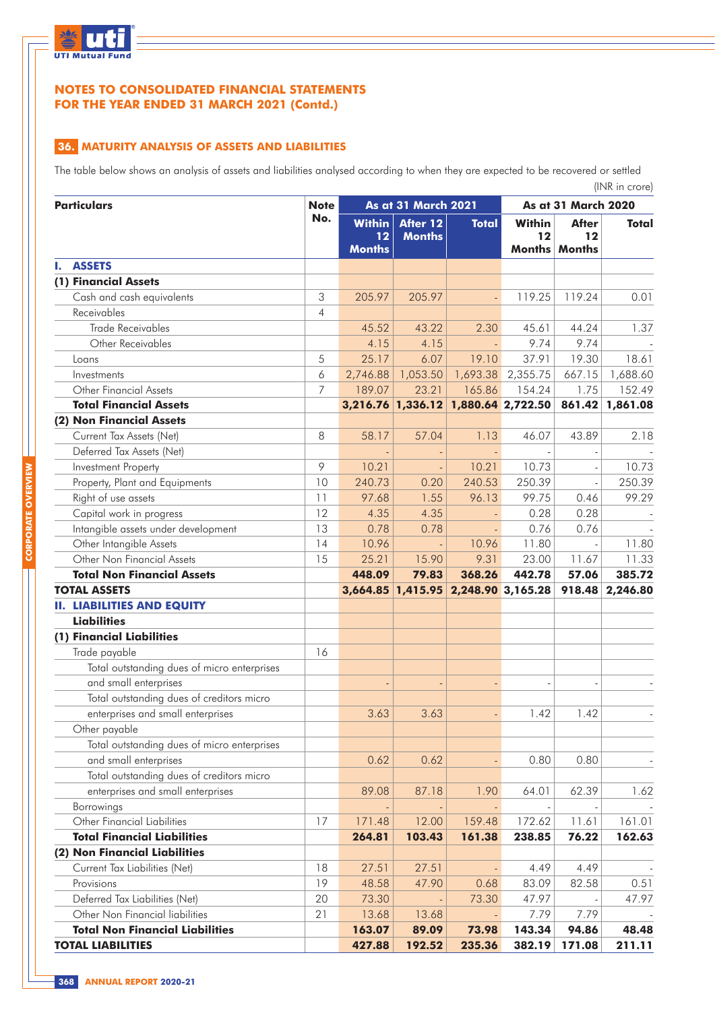

### **36. MATURITY ANALYSIS OF ASSETS AND LIABILITIES**

The table below shows an analysis of assets and liabilities analysed according to when they are expected to be recovered or settled (INR in crore)

| <b>Particulars</b>                          | <b>Note</b><br><b>As at 31 March 2021</b> |                                      |                           | As at 31 March 2020 |                          |                                                 |              |
|---------------------------------------------|-------------------------------------------|--------------------------------------|---------------------------|---------------------|--------------------------|-------------------------------------------------|--------------|
|                                             | No.                                       | <b>Within</b><br>12<br><b>Months</b> | After 12<br><b>Months</b> | <b>Total</b>        | <b>Within</b><br>$12 \,$ | <b>After</b><br>$12 \,$<br><b>Months Months</b> | <b>Total</b> |
| <b>ASSETS</b><br>Ъ.                         |                                           |                                      |                           |                     |                          |                                                 |              |
| (1) Financial Assets                        |                                           |                                      |                           |                     |                          |                                                 |              |
| Cash and cash equivalents                   | 3                                         | 205.97                               | 205.97                    | $\blacksquare$      | 119.25                   | 119.24                                          | 0.01         |
| Receivables                                 | $\overline{4}$                            |                                      |                           |                     |                          |                                                 |              |
| <b>Trade Receivables</b>                    |                                           | 45.52                                | 43.22                     | 2.30                | 45.61                    | 44.24                                           | 1.37         |
| Other Receivables                           |                                           | 4.15                                 | 4.15                      |                     | 9.74                     | 9.74                                            |              |
| Loans                                       | 5                                         | 25.17                                | 6.07                      | 19.10               | 37.91                    | 19.30                                           | 18.61        |
| Investments                                 | 6                                         | 2,746.88                             | 1,053.50                  | 1,693.38            | 2,355.75                 | 667.15                                          | 1,688.60     |
| Other Financial Assets                      | $\overline{7}$                            | 189.07                               | 23.21                     | 165.86              | 154.24                   | 1.75                                            | 152.49       |
| <b>Total Financial Assets</b>               |                                           |                                      | 3,216.76 1,336.12         |                     | 1,880.64 2,722.50        | 861.42                                          | 1,861.08     |
| (2) Non Financial Assets                    |                                           |                                      |                           |                     |                          |                                                 |              |
| Current Tax Assets (Net)                    | 8                                         | 58.17                                | 57.04                     | 1.13                | 46.07                    | 43.89                                           | 2.18         |
| Deferred Tax Assets (Net)                   |                                           |                                      |                           |                     |                          |                                                 |              |
| <b>Investment Property</b>                  | 9                                         | 10.21                                |                           | 10.21               | 10.73                    |                                                 | 10.73        |
| Property, Plant and Equipments              | 10                                        | 240.73                               | 0.20                      | 240.53              | 250.39                   |                                                 | 250.39       |
| Right of use assets                         | 11                                        | 97.68                                | 1.55                      | 96.13               | 99.75                    | 0.46                                            | 99.29        |
| Capital work in progress                    | 12                                        | 4.35                                 | 4.35                      |                     | 0.28                     | 0.28                                            |              |
| Intangible assets under development         | 13                                        | 0.78                                 | 0.78                      |                     | 0.76                     | 0.76                                            |              |
| Other Intangible Assets                     | 14                                        | 10.96                                |                           | 10.96               | 11.80                    |                                                 | 11.80        |
| Other Non Financial Assets                  | 15                                        | 25.21                                | 15.90                     | 9.31                | 23.00                    | 11.67                                           | 11.33        |
| <b>Total Non Financial Assets</b>           |                                           | 448.09                               | 79.83                     | 368.26              | 442.78                   | 57.06                                           | 385.72       |
| <b>TOTAL ASSETS</b>                         |                                           |                                      | 3,664.85 1,415.95         | 2,248.90 3,165.28   |                          | 918.48                                          | 2,246.80     |
| <b>II. LIABILITIES AND EQUITY</b>           |                                           |                                      |                           |                     |                          |                                                 |              |
| <b>Liabilities</b>                          |                                           |                                      |                           |                     |                          |                                                 |              |
| (1) Financial Liabilities                   |                                           |                                      |                           |                     |                          |                                                 |              |
| Trade payable                               | 16                                        |                                      |                           |                     |                          |                                                 |              |
| Total outstanding dues of micro enterprises |                                           |                                      |                           |                     |                          |                                                 |              |
| and small enterprises                       |                                           |                                      |                           |                     |                          |                                                 |              |
| Total outstanding dues of creditors micro   |                                           |                                      |                           |                     |                          |                                                 |              |
| enterprises and small enterprises           |                                           | 3.63                                 | 3.63                      |                     | 1.42                     | 1.42                                            |              |
| Other payable                               |                                           |                                      |                           |                     |                          |                                                 |              |
| Total outstanding dues of micro enterprises |                                           |                                      |                           |                     |                          |                                                 |              |
| and small enterprises                       |                                           | 0.62                                 | 0.62                      |                     | 0.80                     | 0.80                                            |              |
| Total outstanding dues of creditors micro   |                                           |                                      |                           |                     |                          |                                                 |              |
| enterprises and small enterprises           |                                           | 89.08                                | 87.18                     | 1.90                | 64.01                    | 62.39                                           | 1.62         |
| Borrowings                                  |                                           |                                      |                           |                     |                          |                                                 |              |
| Other Financial Liabilities                 | 17                                        | 171.48                               | 12.00                     | 159.48              | 172.62                   | 11.61                                           | 161.01       |
| <b>Total Financial Liabilities</b>          |                                           | 264.81                               | 103.43                    | 161.38              | 238.85                   | 76.22                                           | 162.63       |
| (2) Non Financial Liabilities               |                                           |                                      |                           |                     |                          |                                                 |              |
| Current Tax Liabilities (Net)               | 18                                        | 27.51                                | 27.51                     |                     | 4.49                     | 4.49                                            |              |
| Provisions                                  | 19                                        | 48.58                                | 47.90                     | 0.68                | 83.09                    | 82.58                                           | 0.51         |
| Deferred Tax Liabilities (Net)              | 20                                        | 73.30                                |                           | 73.30               | 47.97                    |                                                 | 47.97        |
| Other Non Financial liabilities             | 21                                        | 13.68                                | 13.68                     |                     | 7.79                     | 7.79                                            |              |
| <b>Total Non Financial Liabilities</b>      |                                           | 163.07                               | 89.09                     | 73.98               | 143.34                   | 94.86                                           | 48.48        |
| <b>TOTAL LIABILITIES</b>                    |                                           | 427.88                               | 192.52                    | 235.36              | 382.19                   | 171.08                                          | 211.11       |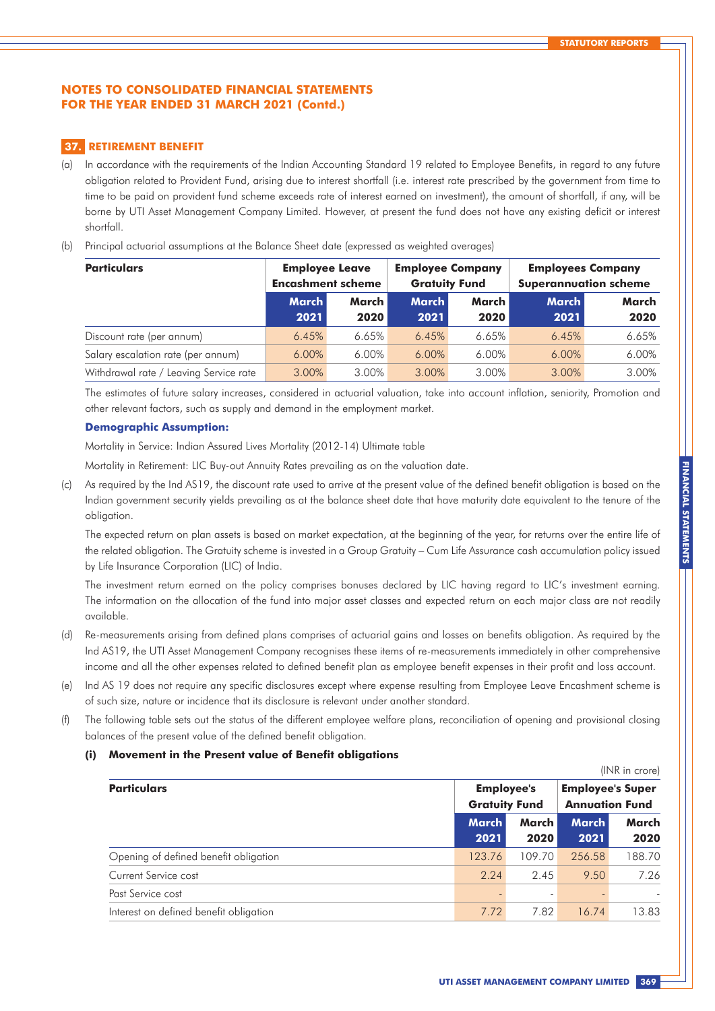### **37. RETIREMENT BENEFIT**

- (a) In accordance with the requirements of the Indian Accounting Standard 19 related to Employee Benefits, in regard to any future obligation related to Provident Fund, arising due to interest shortfall (i.e. interest rate prescribed by the government from time to time to be paid on provident fund scheme exceeds rate of interest earned on investment), the amount of shortfall, if any, will be borne by UTI Asset Management Company Limited. However, at present the fund does not have any existing deficit or interest shortfall.
- (b) Principal actuarial assumptions at the Balance Sheet date (expressed as weighted averages)

| <b>Particulars</b>                     | <b>Employee Leave</b>    |          |                      | <b>Employee Company</b> | <b>Employees Company</b> |                              |  |
|----------------------------------------|--------------------------|----------|----------------------|-------------------------|--------------------------|------------------------------|--|
|                                        | <b>Encashment scheme</b> |          | <b>Gratuity Fund</b> |                         |                          | <b>Superannuation scheme</b> |  |
|                                        | <b>March</b>             | March I  | <b>March</b>         | <b>March</b>            | <b>March</b>             | March                        |  |
|                                        | 2021                     | 2020     | 2021                 | 2020                    | 2021                     | 2020                         |  |
| Discount rate (per annum)              | 6.45%                    | 6.65%    | 6.45%                | 6.65%                   | 6.45%                    | 6.65%                        |  |
| Salary escalation rate (per annum)     | $6.00\%$                 | $6.00\%$ | $6.00\%$             | $6.00\%$                | $6.00\%$                 | 6.00%                        |  |
| Withdrawal rate / Leaving Service rate | 3.00%                    | 3.00%    | $3.00\%$             | 3.00%                   | $3.00\%$                 | 3.00%                        |  |

The estimates of future salary increases, considered in actuarial valuation, take into account inflation, seniority, Promotion and other relevant factors, such as supply and demand in the employment market.

#### **Demographic Assumption:**

Mortality in Service: Indian Assured Lives Mortality (2012-14) Ultimate table

Mortality in Retirement: LIC Buy-out Annuity Rates prevailing as on the valuation date.

(c) As required by the Ind AS19, the discount rate used to arrive at the present value of the defined benefit obligation is based on the Indian government security yields prevailing as at the balance sheet date that have maturity date equivalent to the tenure of the obligation.

The expected return on plan assets is based on market expectation, at the beginning of the year, for returns over the entire life of the related obligation. The Gratuity scheme is invested in a Group Gratuity – Cum Life Assurance cash accumulation policy issued by Life Insurance Corporation (LIC) of India.

The investment return earned on the policy comprises bonuses declared by LIC having regard to LIC's investment earning. The information on the allocation of the fund into major asset classes and expected return on each major class are not readily available.

- (d) Re-measurements arising from defined plans comprises of actuarial gains and losses on benefits obligation. As required by the Ind AS19, the UTI Asset Management Company recognises these items of re-measurements immediately in other comprehensive income and all the other expenses related to defined benefit plan as employee benefit expenses in their profit and loss account.
- (e) Ind AS 19 does not require any specific disclosures except where expense resulting from Employee Leave Encashment scheme is of such size, nature or incidence that its disclosure is relevant under another standard.
- (f) The following table sets out the status of the different employee welfare plans, reconciliation of opening and provisional closing balances of the present value of the defined benefit obligation.

#### **(i) Movement in the Present value of Benefit obligations**

|                                        |                      |                                           |                      | (INR in crore)                                   |  |
|----------------------------------------|----------------------|-------------------------------------------|----------------------|--------------------------------------------------|--|
| <b>Particulars</b>                     |                      | <b>Employee's</b><br><b>Gratuity Fund</b> |                      | <b>Employee's Super</b><br><b>Annuation Fund</b> |  |
|                                        | <b>March</b><br>2021 | March l<br>2020                           | <b>March</b><br>2021 | March<br>2020                                    |  |
| Opening of defined benefit obligation  | 123.76               | 109.70                                    | 256.58               | 88.70                                            |  |
| Current Service cost                   | 2.24                 | 2.45                                      | 9.50                 | 7.26                                             |  |
| Past Service cost                      |                      |                                           |                      |                                                  |  |
| Interest on defined benefit obligation | 7.72                 | 7.82                                      | 16.74                | 13.83                                            |  |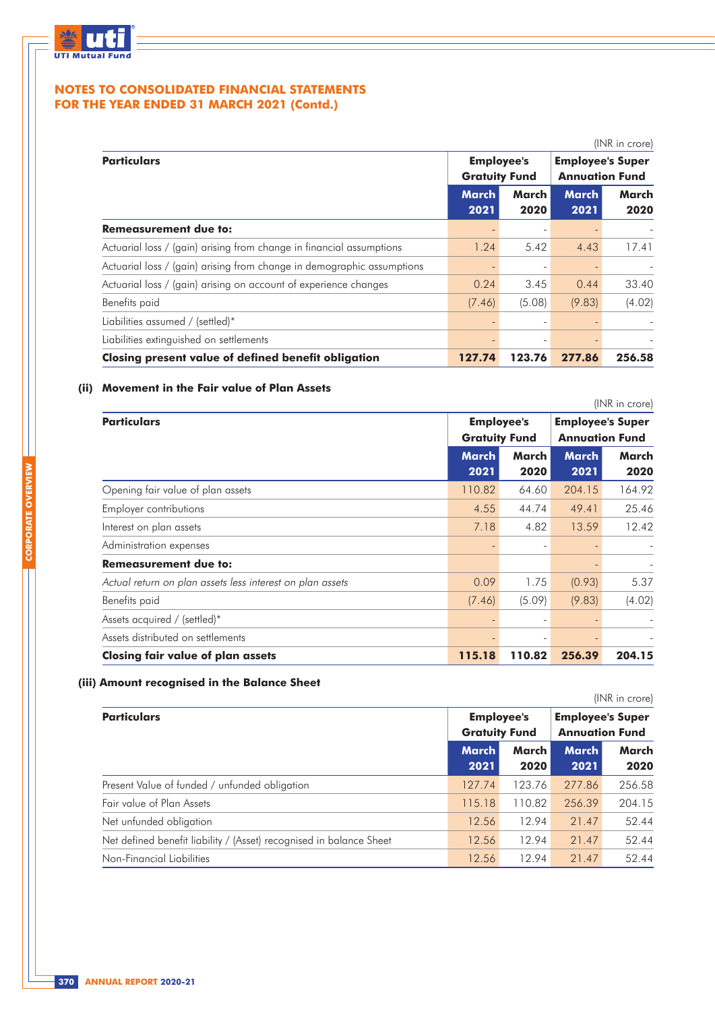

| (INR in crore)                                                         |                                           |               |                                                  |               |
|------------------------------------------------------------------------|-------------------------------------------|---------------|--------------------------------------------------|---------------|
| <b>Particulars</b>                                                     | <b>Employee's</b><br><b>Gratuity Fund</b> |               | <b>Employee's Super</b><br><b>Annuation Fund</b> |               |
|                                                                        | March<br>2021                             | March<br>2020 | <b>March</b><br>2021                             | March<br>2020 |
| <b>Remeasurement due to:</b>                                           |                                           |               |                                                  |               |
| Actuarial loss / (gain) arising from change in financial assumptions   | 1.24                                      | 5.42          | 4.43                                             | 17.41         |
| Actuarial loss / (gain) arising from change in demographic assumptions |                                           |               |                                                  |               |
| Actuarial loss / (gain) arising on account of experience changes       | 0.24                                      | 3.45          | 0.44                                             | 33.40         |
| Benefits paid                                                          | (7.46)                                    | (5.08)        | (9.83)                                           | (4.02)        |
| Liabilities assumed / (settled)*                                       |                                           |               |                                                  |               |
| Liabilities extinguished on settlements                                |                                           |               |                                                  |               |
| Closing present value of defined benefit obligation                    | 127.74                                    | 123.76        | 277.86                                           | 256.58        |

### **(ii) Movement in the Fair value of Plan Assets**

|                                                           |              |                                           |              | (INR in crore)          |  |
|-----------------------------------------------------------|--------------|-------------------------------------------|--------------|-------------------------|--|
| <b>Particulars</b>                                        |              | <b>Employee's</b><br><b>Gratuity Fund</b> |              | <b>Employee's Super</b> |  |
|                                                           |              |                                           |              | <b>Annuation Fund</b>   |  |
|                                                           | <b>March</b> | March                                     | <b>March</b> | March                   |  |
|                                                           | 2021         | 2020                                      | 2021         | 2020                    |  |
| Opening fair value of plan assets                         | 110.82       | 64.60                                     | 204.15       | 164.92                  |  |
| Employer contributions                                    | 4.55         | 44.74                                     | 49.41        | 25.46                   |  |
| Interest on plan assets                                   | 7.18         | 4.82                                      | 13.59        | 12.42                   |  |
| Administration expenses                                   |              |                                           |              |                         |  |
| <b>Remeasurement due to:</b>                              |              |                                           |              |                         |  |
| Actual return on plan assets less interest on plan assets | 0.09         | 1.75                                      | (0.93)       | 5.37                    |  |
| Benefits paid                                             | (7.46)       | (5.09)                                    | (9.83)       | (4.02)                  |  |
| Assets acquired / (settled)*                              |              |                                           |              |                         |  |
| Assets distributed on settlements                         |              |                                           |              |                         |  |
| <b>Closing fair value of plan assets</b>                  | 115.18       | 110.82                                    | 256.39       | 204.15                  |  |

### **(iii) Amount recognised in the Balance Sheet**

|                                                                     |                      |                                           |                                                  | (INR in crore) |
|---------------------------------------------------------------------|----------------------|-------------------------------------------|--------------------------------------------------|----------------|
| <b>Particulars</b>                                                  |                      | <b>Employee's</b><br><b>Gratuity Fund</b> | <b>Employee's Super</b><br><b>Annuation Fund</b> |                |
|                                                                     | <b>March</b><br>2021 | March<br>2020                             | March<br>2021                                    | March<br>2020  |
| Present Value of funded / unfunded obligation                       | 127.74               | 123.76                                    | 277.86                                           | 256.58         |
| Fair value of Plan Assets                                           | 115.18               | 110.82                                    | 256.39                                           | 204.15         |
| Net unfunded obligation                                             | 12.56                | 12.94                                     | 21.47                                            | 52.44          |
| Net defined benefit liability / (Asset) recognised in balance Sheet | 12.56                | 12.94                                     | 21.47                                            | 52.44          |
| Non-Financial Liabilities                                           | 12.56                | 12.94                                     | 21.47                                            | 52.44          |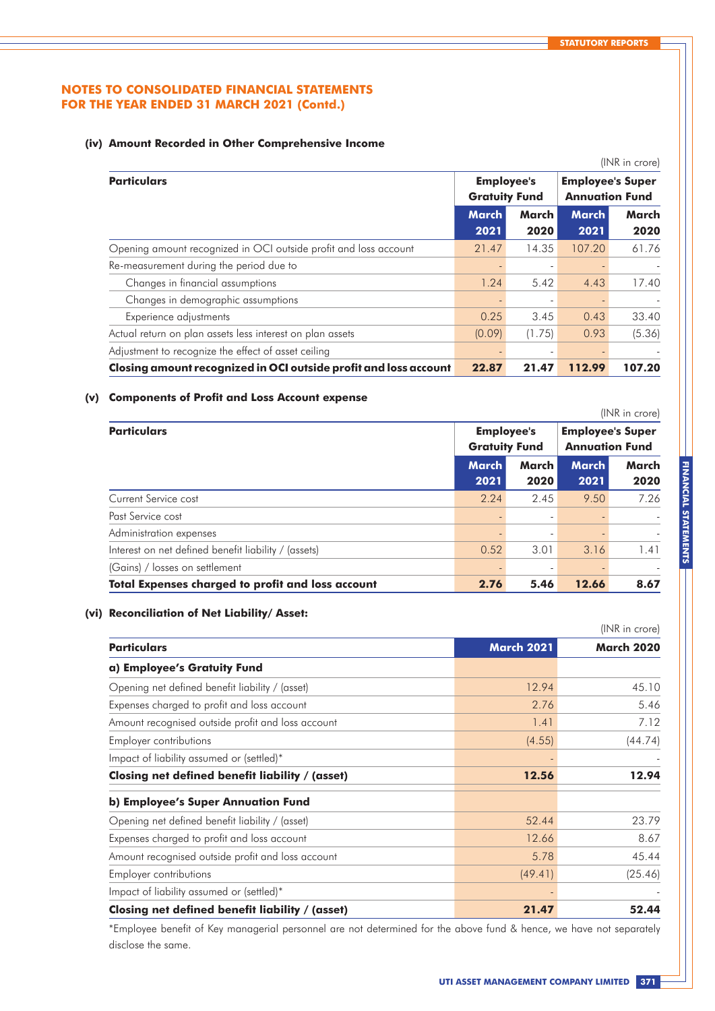#### **(iv) Amount Recorded in Other Comprehensive Income**

|                                                                  |                                        |        |                         | (INR in crore) |
|------------------------------------------------------------------|----------------------------------------|--------|-------------------------|----------------|
| <b>Particulars</b>                                               | <b>Employee's</b>                      |        | <b>Employee's Super</b> |                |
|                                                                  | <b>Gratuity Fund</b><br>March<br>March |        | <b>Annuation Fund</b>   |                |
|                                                                  |                                        |        | <b>March</b>            | March          |
|                                                                  | 2021                                   | 2020   | 2021                    | 2020           |
| Opening amount recognized in OCI outside profit and loss account | 21.47                                  | 14.35  | 107.20                  | 61.76          |
| Re-measurement during the period due to                          |                                        |        |                         |                |
| Changes in financial assumptions                                 | 1.24                                   | 5.42   | 4.43                    | 17.40          |
| Changes in demographic assumptions                               |                                        |        |                         |                |
| Experience adjustments                                           | 0.25                                   | 3.45   | 0.43                    | 33.40          |
| Actual return on plan assets less interest on plan assets        | (0.09)                                 | (1.75) | 0.93                    | (5.36)         |
| Adjustment to recognize the effect of asset ceiling              |                                        |        |                         |                |
| Closing amount recognized in OCI outside profit and loss account | 22.87                                  | 21.47  | 112.99                  | 107.20         |

### **(v) Components of Profit and Loss Account expense**

|                                                          |                                           |               |                                                  | (INR in crore) |
|----------------------------------------------------------|-------------------------------------------|---------------|--------------------------------------------------|----------------|
| <b>Particulars</b>                                       | <b>Employee's</b><br><b>Gratuity Fund</b> |               | <b>Employee's Super</b><br><b>Annuation Fund</b> |                |
|                                                          | <b>March</b><br>2021                      | March<br>2020 | March<br>2021                                    | March<br>2020  |
| Current Service cost                                     | 2.24                                      | 2.45          | 9.50                                             | 7.26           |
| Past Service cost                                        |                                           |               |                                                  |                |
| Administration expenses                                  |                                           |               |                                                  |                |
| Interest on net defined benefit liability / (assets)     | 0.52                                      | 3.01          | 3.16                                             | 1.41           |
| (Gains) / losses on settlement                           |                                           |               |                                                  |                |
| <b>Total Expenses charged to profit and loss account</b> | 2.76                                      | 5.46          | 12.66                                            | 8.67           |

### **(vi) Reconciliation of Net Liability/ Asset:**

|                                                   |                   | (INR in crore)    |
|---------------------------------------------------|-------------------|-------------------|
| <b>Particulars</b>                                | <b>March 2021</b> | <b>March 2020</b> |
| a) Employee's Gratuity Fund                       |                   |                   |
| Opening net defined benefit liability / (asset)   | 12.94             | 45.10             |
| Expenses charged to profit and loss account       | 2.76              | 5.46              |
| Amount recognised outside profit and loss account | 1.41              | 7.12              |
| Employer contributions                            | (4.55)            | (44.74)           |
| Impact of liability assumed or (settled)*         |                   |                   |
| Closing net defined benefit liability / (asset)   | 12.56             | 12.94             |
| b) Employee's Super Annuation Fund                |                   |                   |
| Opening net defined benefit liability / (asset)   | 52.44             | 23.79             |
| Expenses charged to profit and loss account       | 12.66             | 8.67              |
| Amount recognised outside profit and loss account | 5.78              | 45.44             |
| Employer contributions                            | (49.41)           | (25.46)           |
| Impact of liability assumed or (settled)*         |                   |                   |
| Closing net defined benefit liability / (asset)   | 21.47             | 52.44             |

\*Employee benefit of Key managerial personnel are not determined for the above fund & hence, we have not separately disclose the same.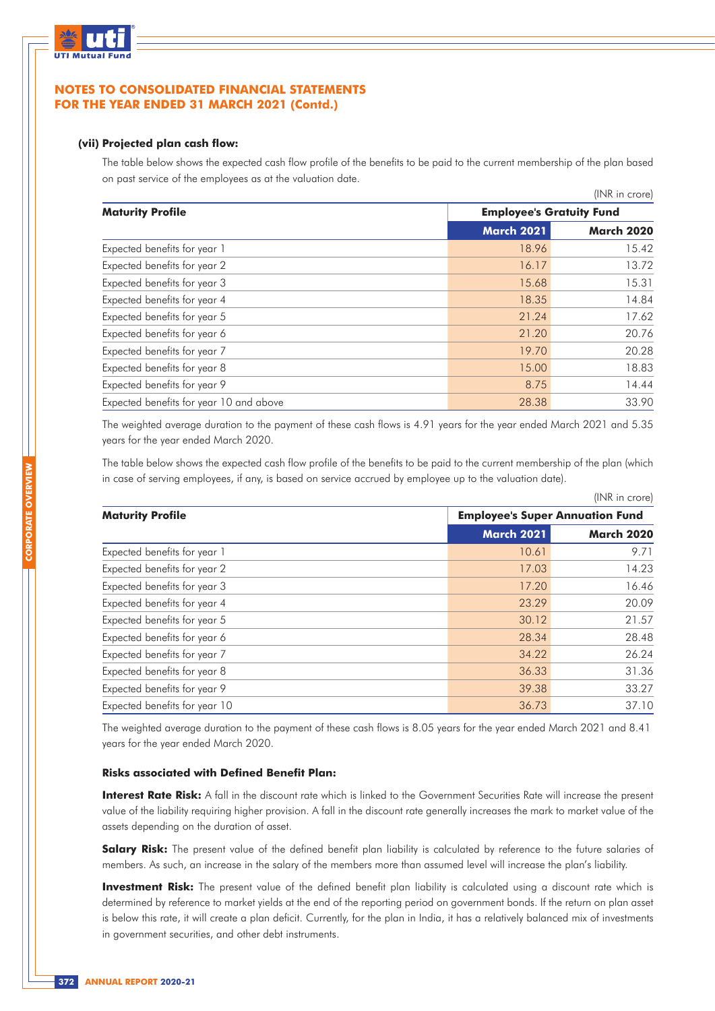

#### **(vii) Projected plan cash flow:**

The table below shows the expected cash flow profile of the benefits to be paid to the current membership of the plan based on past service of the employees as at the valuation date.

 $(1)$  in  $\cdot$ 

|                                         |                   | (IIVK IN Crore)                 |  |
|-----------------------------------------|-------------------|---------------------------------|--|
| <b>Maturity Profile</b>                 |                   | <b>Employee's Gratuity Fund</b> |  |
|                                         | <b>March 2021</b> | <b>March 2020</b>               |  |
| Expected benefits for year 1            | 18.96             | 15.42                           |  |
| Expected benefits for year 2            | 16.17             | 13.72                           |  |
| Expected benefits for year 3            | 15.68             | 15.31                           |  |
| Expected benefits for year 4            | 18.35             | 14.84                           |  |
| Expected benefits for year 5            | 21.24             | 17.62                           |  |
| Expected benefits for year 6            | 21.20             | 20.76                           |  |
| Expected benefits for year 7            | 19.70             | 20.28                           |  |
| Expected benefits for year 8            | 15.00             | 18.83                           |  |
| Expected benefits for year 9            | 8.75              | 14.44                           |  |
| Expected benefits for year 10 and above | 28.38             | 33.90                           |  |

The weighted average duration to the payment of these cash flows is 4.91 years for the year ended March 2021 and 5.35 years for the year ended March 2020.

The table below shows the expected cash flow profile of the benefits to be paid to the current membership of the plan (which in case of serving employees, if any, is based on service accrued by employee up to the valuation date).

|                               |                                        | (INR in crore)    |
|-------------------------------|----------------------------------------|-------------------|
| <b>Maturity Profile</b>       | <b>Employee's Super Annuation Fund</b> |                   |
|                               | <b>March 2021</b>                      | <b>March 2020</b> |
| Expected benefits for year 1  | 10.61                                  | 9.71              |
| Expected benefits for year 2  | 17.03                                  | 14.23             |
| Expected benefits for year 3  | 17.20                                  | 16.46             |
| Expected benefits for year 4  | 23.29                                  | 20.09             |
| Expected benefits for year 5  | 30.12                                  | 21.57             |
| Expected benefits for year 6  | 28.34                                  | 28.48             |
| Expected benefits for year 7  | 34.22                                  | 26.24             |
| Expected benefits for year 8  | 36.33                                  | 31.36             |
| Expected benefits for year 9  | 39.38                                  | 33.27             |
| Expected benefits for year 10 | 36.73                                  | 37.10             |

The weighted average duration to the payment of these cash flows is 8.05 years for the year ended March 2021 and 8.41 years for the year ended March 2020.

#### **Risks associated with Defined Benefit Plan:**

**Interest Rate Risk:** A fall in the discount rate which is linked to the Government Securities Rate will increase the present value of the liability requiring higher provision. A fall in the discount rate generally increases the mark to market value of the assets depending on the duration of asset.

**Salary Risk:** The present value of the defined benefit plan liability is calculated by reference to the future salaries of members. As such, an increase in the salary of the members more than assumed level will increase the plan's liability.

**Investment Risk:** The present value of the defined benefit plan liability is calculated using a discount rate which is determined by reference to market yields at the end of the reporting period on government bonds. If the return on plan asset is below this rate, it will create a plan deficit. Currently, for the plan in India, it has a relatively balanced mix of investments in government securities, and other debt instruments.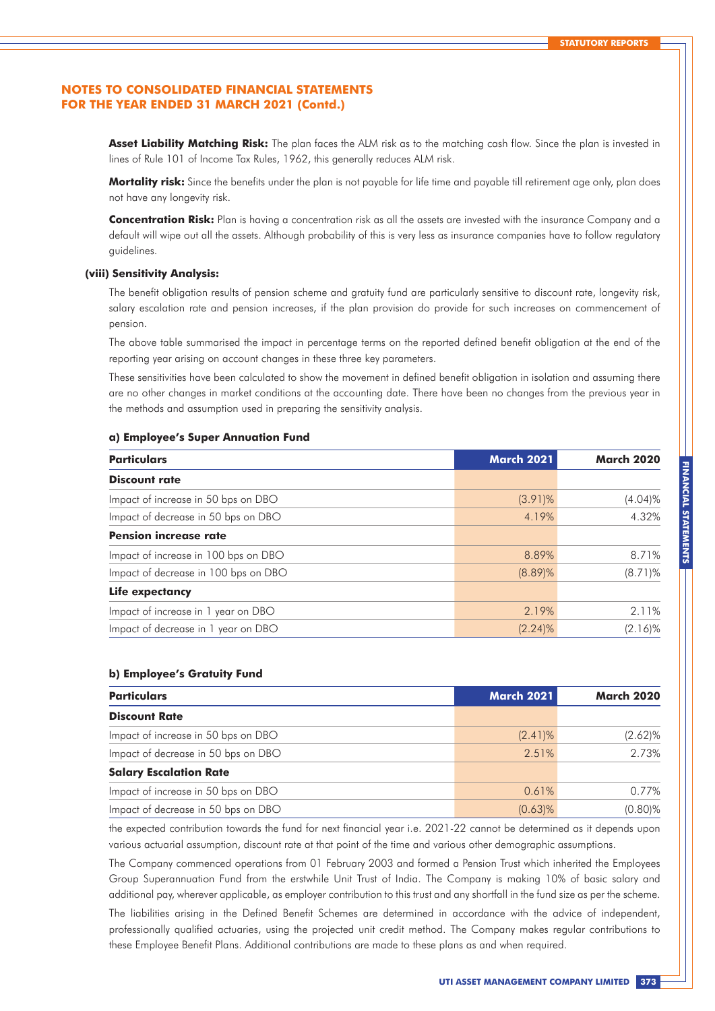**Asset Liability Matching Risk:** The plan faces the ALM risk as to the matching cash flow. Since the plan is invested in lines of Rule 101 of Income Tax Rules, 1962, this generally reduces ALM risk.

**Mortality risk:** Since the benefits under the plan is not payable for life time and payable till retirement age only, plan does not have any longevity risk.

**Concentration Risk:** Plan is having a concentration risk as all the assets are invested with the insurance Company and a default will wipe out all the assets. Although probability of this is very less as insurance companies have to follow regulatory guidelines.

#### **(viii) Sensitivity Analysis:**

The benefit obligation results of pension scheme and gratuity fund are particularly sensitive to discount rate, longevity risk, salary escalation rate and pension increases, if the plan provision do provide for such increases on commencement of pension.

The above table summarised the impact in percentage terms on the reported defined benefit obligation at the end of the reporting year arising on account changes in these three key parameters.

These sensitivities have been calculated to show the movement in defined benefit obligation in isolation and assuming there are no other changes in market conditions at the accounting date. There have been no changes from the previous year in the methods and assumption used in preparing the sensitivity analysis.

#### **a) Employee's Super Annuation Fund**

| <b>Particulars</b>                   | <b>March 2021</b> | <b>March 2020</b> |
|--------------------------------------|-------------------|-------------------|
| <b>Discount rate</b>                 |                   |                   |
| Impact of increase in 50 bps on DBO  | $(3.91)\%$        | $(4.04)\%$        |
| Impact of decrease in 50 bps on DBO  | 4.19%             | 4.32%             |
| <b>Pension increase rate</b>         |                   |                   |
| Impact of increase in 100 bps on DBO | 8.89%             | 8.71%             |
| Impact of decrease in 100 bps on DBO | (8.89)%           | (8.71)%           |
| Life expectancy                      |                   |                   |
| Impact of increase in 1 year on DBO  | 2.19%             | 2.11%             |
| Impact of decrease in 1 year on DBO  | $(2.24)\%$        | $(2.16)\%$        |

#### **b) Employee's Gratuity Fund**

| <b>Particulars</b>                  | <b>March 2021</b> | <b>March 2020</b> |
|-------------------------------------|-------------------|-------------------|
| <b>Discount Rate</b>                |                   |                   |
| Impact of increase in 50 bps on DBO | $(2.41)\%$        | $(2.62)\%$        |
| Impact of decrease in 50 bps on DBO | 2.51%             | 2.73%             |
| <b>Salary Escalation Rate</b>       |                   |                   |
| Impact of increase in 50 bps on DBO | 0.61%             | 0.77%             |
| Impact of decrease in 50 bps on DBO | $(0.63)\%$        | $(0.80)\%$        |

the expected contribution towards the fund for next financial year i.e. 2021-22 cannot be determined as it depends upon various actuarial assumption, discount rate at that point of the time and various other demographic assumptions.

The Company commenced operations from 01 February 2003 and formed a Pension Trust which inherited the Employees Group Superannuation Fund from the erstwhile Unit Trust of India. The Company is making 10% of basic salary and additional pay, wherever applicable, as employer contribution to this trust and any shortfall in the fund size as per the scheme.

The liabilities arising in the Defined Benefit Schemes are determined in accordance with the advice of independent, professionally qualified actuaries, using the projected unit credit method. The Company makes regular contributions to these Employee Benefit Plans. Additional contributions are made to these plans as and when required.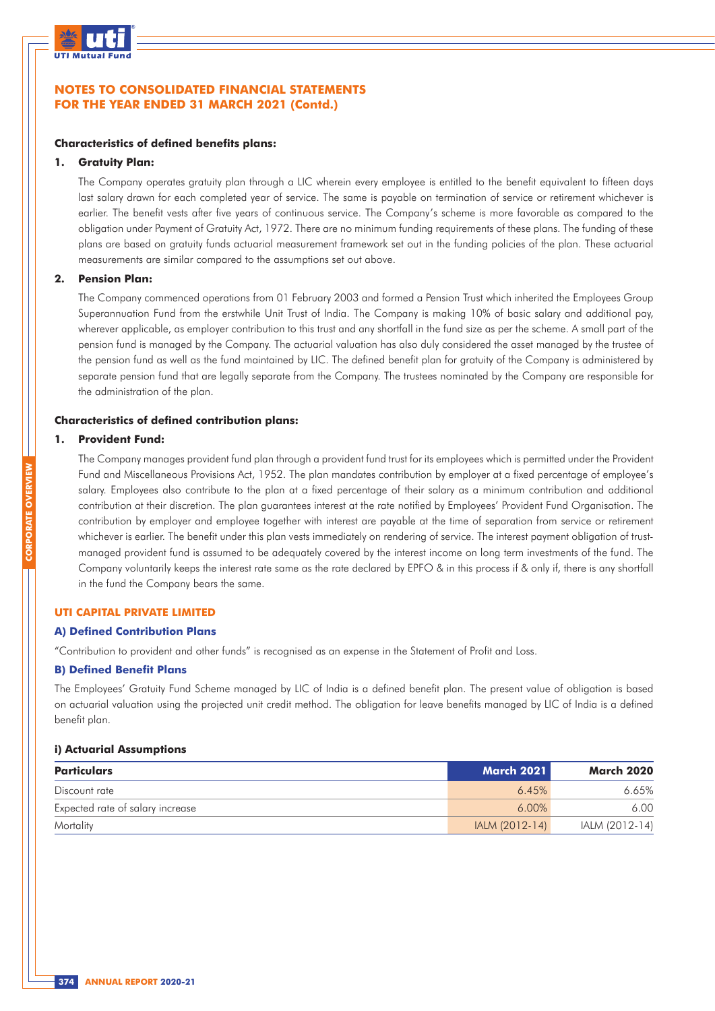

#### **Characteristics of defined benefits plans:**

#### **1. Gratuity Plan:**

The Company operates gratuity plan through a LIC wherein every employee is entitled to the benefit equivalent to fifteen days last salary drawn for each completed year of service. The same is payable on termination of service or retirement whichever is earlier. The benefit vests after five years of continuous service. The Company's scheme is more favorable as compared to the obligation under Payment of Gratuity Act, 1972. There are no minimum funding requirements of these plans. The funding of these plans are based on gratuity funds actuarial measurement framework set out in the funding policies of the plan. These actuarial measurements are similar compared to the assumptions set out above.

### **2. Pension Plan:**

The Company commenced operations from 01 February 2003 and formed a Pension Trust which inherited the Employees Group Superannuation Fund from the erstwhile Unit Trust of India. The Company is making 10% of basic salary and additional pay, wherever applicable, as employer contribution to this trust and any shortfall in the fund size as per the scheme. A small part of the pension fund is managed by the Company. The actuarial valuation has also duly considered the asset managed by the trustee of the pension fund as well as the fund maintained by LIC. The defined benefit plan for gratuity of the Company is administered by separate pension fund that are legally separate from the Company. The trustees nominated by the Company are responsible for the administration of the plan.

#### **Characteristics of defined contribution plans:**

#### **1. Provident Fund:**

The Company manages provident fund plan through a provident fund trust for its employees which is permitted under the Provident Fund and Miscellaneous Provisions Act, 1952. The plan mandates contribution by employer at a fixed percentage of employee's salary. Employees also contribute to the plan at a fixed percentage of their salary as a minimum contribution and additional contribution at their discretion. The plan guarantees interest at the rate notified by Employees' Provident Fund Organisation. The contribution by employer and employee together with interest are payable at the time of separation from service or retirement whichever is earlier. The benefit under this plan vests immediately on rendering of service. The interest payment obligation of trustmanaged provident fund is assumed to be adequately covered by the interest income on long term investments of the fund. The Company voluntarily keeps the interest rate same as the rate declared by EPFO & in this process if & only if, there is any shortfall in the fund the Company bears the same.

### **UTI CAPITAL PRIVATE LIMITED**

#### **A) Defined Contribution Plans**

"Contribution to provident and other funds" is recognised as an expense in the Statement of Profit and Loss.

#### **B) Defined Benefit Plans**

The Employees' Gratuity Fund Scheme managed by LIC of India is a defined benefit plan. The present value of obligation is based on actuarial valuation using the projected unit credit method. The obligation for leave benefits managed by LIC of India is a defined benefit plan.

#### **i) Actuarial Assumptions**

| <b>Particulars</b>               | <b>March 2021</b> | <b>March 2020</b> |
|----------------------------------|-------------------|-------------------|
| Discount rate                    | 6.45%             | 6.65%             |
| Expected rate of salary increase | $6.00\%$          | 6.00              |
| Mortality                        | IALM (2012-14)    | IALM (2012-14)    |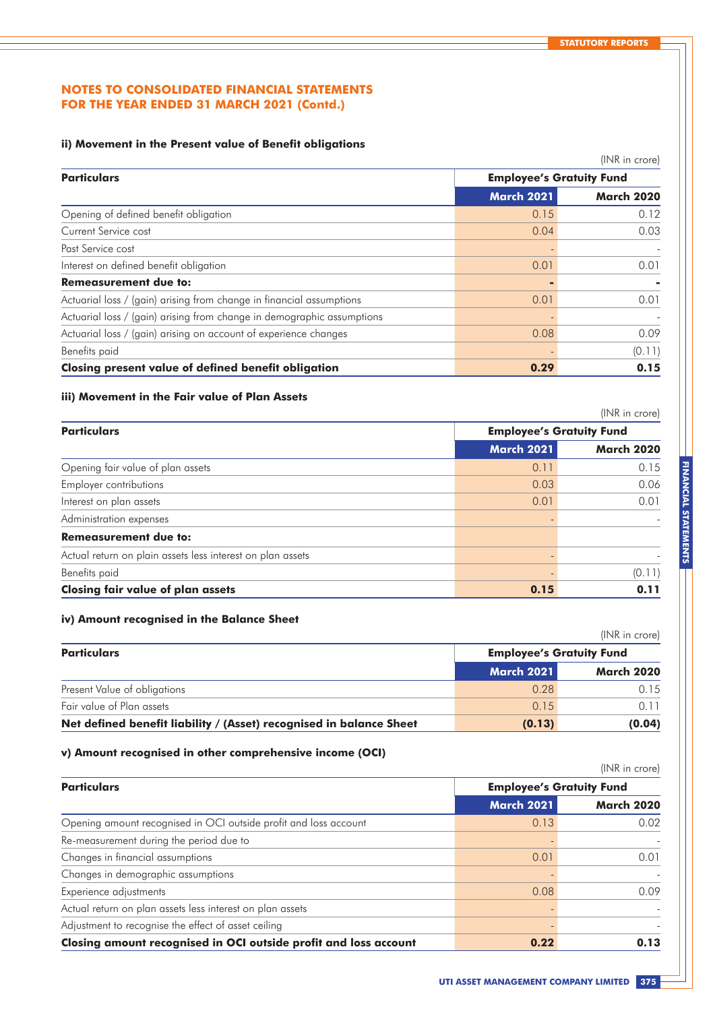#### **ii) Movement in the Present value of Benefit obligations**

|                                                                        |                   | (INR in crore)                  |  |
|------------------------------------------------------------------------|-------------------|---------------------------------|--|
| <b>Particulars</b>                                                     |                   | <b>Employee's Gratuity Fund</b> |  |
|                                                                        | <b>March 2021</b> | <b>March 2020</b>               |  |
| Opening of defined benefit obligation                                  | 0.15              | 0.12                            |  |
| Current Service cost                                                   | 0.04              | 0.03                            |  |
| Past Service cost                                                      |                   |                                 |  |
| Interest on defined benefit obligation                                 | 0.01              | 0.01                            |  |
| <b>Remeasurement due to:</b>                                           |                   |                                 |  |
| Actuarial loss / (gain) arising from change in financial assumptions   | 0.01              | 0.01                            |  |
| Actuarial loss / (gain) arising from change in demographic assumptions |                   |                                 |  |
| Actuarial loss / (gain) arising on account of experience changes       | 0.08              | 0.09                            |  |
| Benefits paid                                                          |                   | (0.11)                          |  |
| <b>Closing present value of defined benefit obligation</b>             | 0.29              | 0.15                            |  |

#### **iii) Movement in the Fair value of Plan Assets**

(INR in crore) **Particulars Employee's Gratuity Fund March 2021 March 2020** Opening fair value of plan assets and the contract of the contract of the contract of the contract of the contract of the contract of the contract of the contract of the contract of the contract of the contract of the cont Employer contributions 0.06 Interest on plan assets 0.01 0.01 Administration expenses - - **Remeasurement due to:** Actual return on plain assets less interest on plan assets - - Benefits paid (0.11) [0.11] [2] Denefits paid (0.11] [2] Denefits paid (0.11] [2] Denefits paid (0.11] [2] Denefits paid (0.11] [2] Denefits paid (0.11] [2] Denefits paid (0.11] [2] Denefits paid (0.11] [2] Denefits paid ( **Closing fair value of plan assets 0.15 0.11**

#### **iv) Amount recognised in the Balance Sheet**

|                                                                     |                                 | (INR in crore)    |
|---------------------------------------------------------------------|---------------------------------|-------------------|
| <b>Particulars</b>                                                  | <b>Employee's Gratuity Fund</b> |                   |
|                                                                     | <b>March 2021</b>               | <b>March 2020</b> |
| Present Value of obligations                                        | 0.28                            | 0.15              |
| Fair value of Plan assets                                           | 015                             | 0 1 1             |
| Net defined benefit liability / (Asset) recognised in balance Sheet | (0.13)                          | (0.04)            |

#### **v) Amount recognised in other comprehensive income (OCI)**

|                                                                  |                   | (INR in crore)                  |  |
|------------------------------------------------------------------|-------------------|---------------------------------|--|
| <b>Particulars</b>                                               |                   | <b>Employee's Gratuity Fund</b> |  |
|                                                                  | <b>March 2021</b> | <b>March 2020</b>               |  |
| Opening amount recognised in OCI outside profit and loss account | 0.13              | 0.02                            |  |
| Re-measurement during the period due to                          |                   |                                 |  |
| Changes in financial assumptions                                 | 0.01              | 0.01                            |  |
| Changes in demographic assumptions                               |                   |                                 |  |
| Experience adjustments                                           | 0.08              | 0.09                            |  |
| Actual return on plan assets less interest on plan assets        |                   |                                 |  |
| Adjustment to recognise the effect of asset ceiling              |                   |                                 |  |
| Closing amount recognised in OCI outside profit and loss account | 0.22              | 0.13                            |  |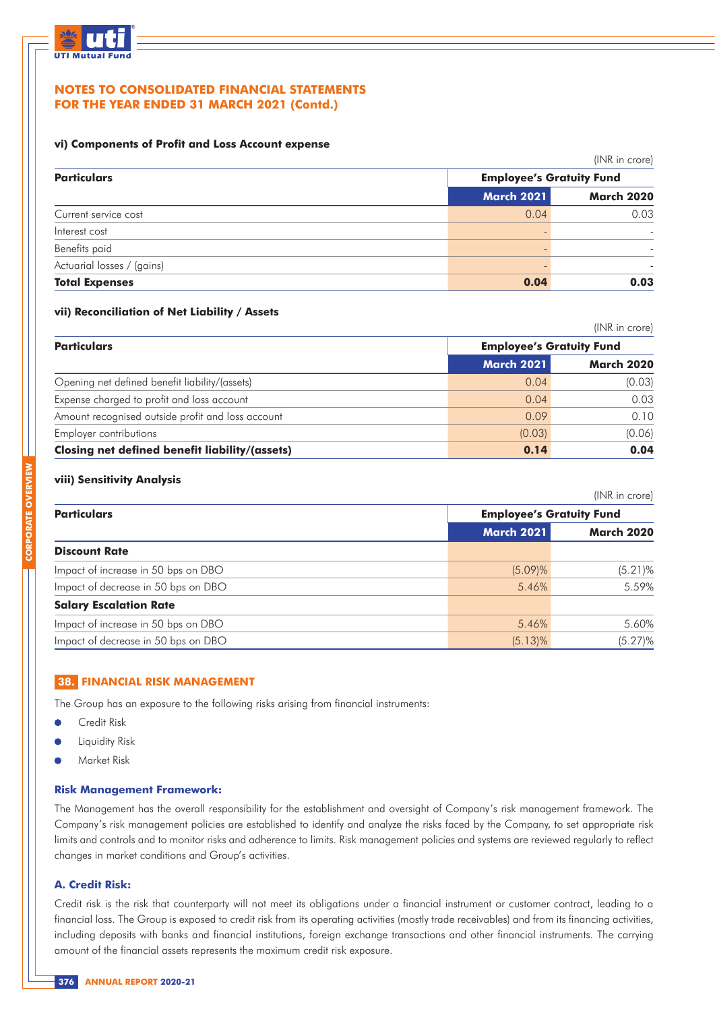

#### **vi) Components of Profit and Loss Account expense**

|                            |                   | (INK in crore)                  |  |
|----------------------------|-------------------|---------------------------------|--|
| <b>Particulars</b>         |                   | <b>Employee's Gratuity Fund</b> |  |
|                            | <b>March 2021</b> | <b>March 2020</b>               |  |
| Current service cost       | 0.04              | 0.03                            |  |
| Interest cost              |                   | $\overline{\phantom{a}}$        |  |
| Benefits paid              |                   |                                 |  |
| Actuarial losses / (gains) |                   |                                 |  |
| <b>Total Expenses</b>      | 0.04              | 0.03                            |  |

#### **vii) Reconciliation of Net Liability / Assets**

|                                                   |                   | (INR in <i>core</i> )           |  |
|---------------------------------------------------|-------------------|---------------------------------|--|
| <b>Particulars</b>                                |                   | <b>Employee's Gratuity Fund</b> |  |
|                                                   | <b>March 2021</b> | <b>March 2020</b>               |  |
| Opening net defined benefit liability/(assets)    | 0.04              | (0.03)                          |  |
| Expense charged to profit and loss account        | 0.04              | 0.03                            |  |
| Amount recognised outside profit and loss account | 0.09              | 0.10                            |  |
| Employer contributions                            | (0.03)            | (0.06)                          |  |
| Closing net defined benefit liability/(assets)    | 0.14              | 0.04                            |  |

### **viii) Sensitivity Analysis**

| <b>Particulars</b>                  |                   | <b>Employee's Gratuity Fund</b> |  |
|-------------------------------------|-------------------|---------------------------------|--|
|                                     | <b>March 2021</b> | <b>March 2020</b>               |  |
| <b>Discount Rate</b>                |                   |                                 |  |
| Impact of increase in 50 bps on DBO | $(5.09)\%$        | $(5.21)\%$                      |  |
| Impact of decrease in 50 bps on DBO | 5.46%             | 5.59%                           |  |
| <b>Salary Escalation Rate</b>       |                   |                                 |  |
| Impact of increase in 50 bps on DBO | 5.46%             | 5.60%                           |  |
| Impact of decrease in 50 bps on DBO | $(5.13)\%$        | $(5.27)\%$                      |  |

### **38. FINANCIAL RISK MANAGEMENT**

The Group has an exposure to the following risks arising from financial instruments:

- Credit Risk
- Liquidity Risk
- Market Risk

#### **Risk Management Framework:**

The Management has the overall responsibility for the establishment and oversight of Company's risk management framework. The Company's risk management policies are established to identify and analyze the risks faced by the Company, to set appropriate risk limits and controls and to monitor risks and adherence to limits. Risk management policies and systems are reviewed regularly to reflect changes in market conditions and Group's activities.

#### **A. Credit Risk:**

Credit risk is the risk that counterparty will not meet its obligations under a financial instrument or customer contract, leading to a financial loss. The Group is exposed to credit risk from its operating activities (mostly trade receivables) and from its financing activities, including deposits with banks and financial institutions, foreign exchange transactions and other financial instruments. The carrying amount of the financial assets represents the maximum credit risk exposure.

 $(1)$ 

(INR in crore)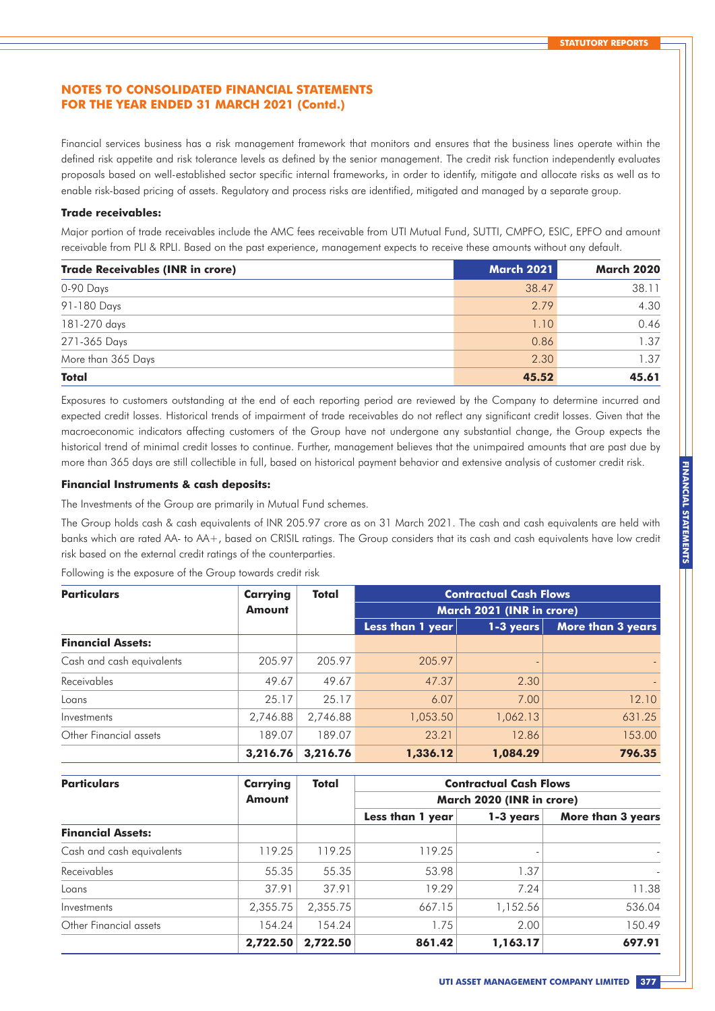Financial services business has a risk management framework that monitors and ensures that the business lines operate within the defined risk appetite and risk tolerance levels as defined by the senior management. The credit risk function independently evaluates proposals based on well-established sector specific internal frameworks, in order to identify, mitigate and allocate risks as well as to enable risk-based pricing of assets. Regulatory and process risks are identified, mitigated and managed by a separate group.

#### **Trade receivables:**

Major portion of trade receivables include the AMC fees receivable from UTI Mutual Fund, SUTTI, CMPFO, ESIC, EPFO and amount receivable from PLI & RPLI. Based on the past experience, management expects to receive these amounts without any default.

| <b>Trade Receivables (INR in crore)</b> | <b>March 2021</b> | <b>March 2020</b> |
|-----------------------------------------|-------------------|-------------------|
| 0-90 Days                               |                   | 38.11<br>38.47    |
| 91-180 Days                             |                   | 4.30<br>2.79      |
| 181-270 days                            |                   | 0.46<br>1.10      |
| 271-365 Days                            |                   | 1.37<br>0.86      |
| More than 365 Days                      |                   | 1.37<br>2.30      |
| Total                                   |                   | 45.61<br>45.52    |

Exposures to customers outstanding at the end of each reporting period are reviewed by the Company to determine incurred and expected credit losses. Historical trends of impairment of trade receivables do not reflect any significant credit losses. Given that the macroeconomic indicators affecting customers of the Group have not undergone any substantial change, the Group expects the historical trend of minimal credit losses to continue. Further, management believes that the unimpaired amounts that are past due by more than 365 days are still collectible in full, based on historical payment behavior and extensive analysis of customer credit risk.

#### **Financial Instruments & cash deposits:**

The Investments of the Group are primarily in Mutual Fund schemes.

The Group holds cash & cash equivalents of INR 205.97 crore as on 31 March 2021. The cash and cash equivalents are held with banks which are rated AA- to AA+, based on CRISIL ratings. The Group considers that its cash and cash equivalents have low credit risk based on the external credit ratings of the counterparties.

Following is the exposure of the Group towards credit risk

| <b>Particulars</b>        | Carrying      | Total    | <b>Contractual Cash Flows</b> |               |                   |  |  |
|---------------------------|---------------|----------|-------------------------------|---------------|-------------------|--|--|
|                           | <b>Amount</b> |          | March 2021 (INR in crore)     |               |                   |  |  |
|                           |               |          | <b>Less than 1 year</b>       | $1 - 3$ years | More than 3 years |  |  |
| <b>Financial Assets:</b>  |               |          |                               |               |                   |  |  |
| Cash and cash equivalents | 205.97        | 205.97   | 205.97                        |               |                   |  |  |
| Receivables               | 49.67         | 49.67    | 47.37                         | 2.30          |                   |  |  |
| Loans                     | 25.17         | 25.17    | 6.07                          | 7.00          | 12.10             |  |  |
| Investments               | 2,746.88      | 2,746.88 | 1,053.50                      | 1,062.13      | 631.25            |  |  |
| Other Financial assets    | 189.07        | 189.07   | 23.21                         | 12.86         | 153.00            |  |  |
|                           | 3,216.76      | 3,216.76 | 1,336.12                      | 1,084.29      | 796.35            |  |  |

| <b>Particulars</b>        | Carrying      | <b>Total</b> | <b>Contractual Cash Flows</b> |                           |                   |  |  |  |
|---------------------------|---------------|--------------|-------------------------------|---------------------------|-------------------|--|--|--|
|                           | <b>Amount</b> |              |                               | March 2020 (INR in crore) |                   |  |  |  |
|                           |               |              | Less than 1 year              | 1-3 years                 | More than 3 years |  |  |  |
| <b>Financial Assets:</b>  |               |              |                               |                           |                   |  |  |  |
| Cash and cash equivalents | 119.25        | 119.25       | 119.25                        | $\overline{\phantom{a}}$  |                   |  |  |  |
| Receivables               | 55.35         | 55.35        | 53.98                         | 1.37                      |                   |  |  |  |
| Loans                     | 37.91         | 37.91        | 19.29                         | 7.24                      | 11.38             |  |  |  |
| Investments               | 2,355.75      | 2,355.75     | 667.15                        | 1,152.56                  | 536.04            |  |  |  |
| Other Financial assets    | 154.24        | 154.24       | 1.75                          | 2.00                      | 150.49            |  |  |  |
|                           | 2,722.50      | 2.722.50     | 861.42                        | 1,163.17                  | 697.91            |  |  |  |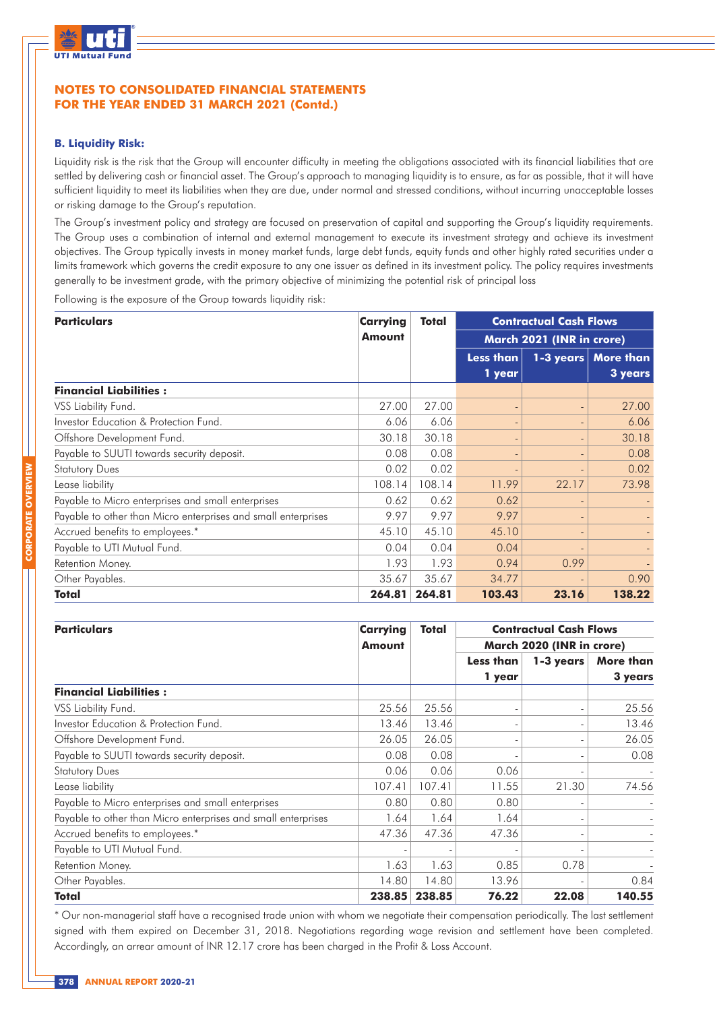

#### **B. Liquidity Risk:**

Liquidity risk is the risk that the Group will encounter difficulty in meeting the obligations associated with its financial liabilities that are settled by delivering cash or financial asset. The Group's approach to managing liquidity is to ensure, as far as possible, that it will have sufficient liquidity to meet its liabilities when they are due, under normal and stressed conditions, without incurring unacceptable losses or risking damage to the Group's reputation.

The Group's investment policy and strategy are focused on preservation of capital and supporting the Group's liquidity requirements. The Group uses a combination of internal and external management to execute its investment strategy and achieve its investment objectives. The Group typically invests in money market funds, large debt funds, equity funds and other highly rated securities under a limits framework which governs the credit exposure to any one issuer as defined in its investment policy. The policy requires investments generally to be investment grade, with the primary objective of minimizing the potential risk of principal loss

Following is the exposure of the Group towards liquidity risk:

| <b>Particulars</b>                                            | Carrying<br><b>Amount</b> | Total  | <b>Contractual Cash Flows</b> |                           |                  |  |
|---------------------------------------------------------------|---------------------------|--------|-------------------------------|---------------------------|------------------|--|
|                                                               |                           |        |                               | March 2021 (INR in crore) |                  |  |
|                                                               |                           |        | <b>Less than</b>              | $1-3$ years               | <b>More than</b> |  |
|                                                               |                           |        | 1 year                        |                           | 3 years          |  |
| <b>Financial Liabilities:</b>                                 |                           |        |                               |                           |                  |  |
| VSS Liability Fund.                                           | 27.00                     | 27.00  |                               |                           | 27.00            |  |
| Investor Education & Protection Fund.                         | 6.06                      | 6.06   |                               |                           | 6.06             |  |
| Offshore Development Fund.                                    | 30.18                     | 30.18  |                               |                           | 30.18            |  |
| Payable to SUUTI towards security deposit.                    | 0.08                      | 0.08   |                               |                           | 0.08             |  |
| <b>Statutory Dues</b>                                         | 0.02                      | 0.02   |                               |                           | 0.02             |  |
| Lease liability                                               | 108.14                    | 108.14 | 11.99                         | 22.17                     | 73.98            |  |
| Payable to Micro enterprises and small enterprises            | 0.62                      | 0.62   | 0.62                          |                           |                  |  |
| Payable to other than Micro enterprises and small enterprises | 9.97                      | 9.97   | 9.97                          |                           |                  |  |
| Accrued benefits to employees.*                               | 45.10                     | 45.10  | 45.10                         |                           |                  |  |
| Payable to UTI Mutual Fund.                                   | 0.04                      | 0.04   | 0.04                          |                           |                  |  |
| Retention Money.                                              | 1.93                      | 1.93   | 0.94                          | 0.99                      |                  |  |
| Other Payables.                                               | 35.67                     | 35.67  | 34.77                         |                           | 0.90             |  |
| <b>Total</b>                                                  | 264.81                    | 264.81 | 103.43                        | 23.16                     | 138.22           |  |

| <b>Particulars</b>                                            | <b>Carrying</b> | Total  | <b>Contractual Cash Flows</b> |                           |           |  |
|---------------------------------------------------------------|-----------------|--------|-------------------------------|---------------------------|-----------|--|
|                                                               | Amount          |        |                               | March 2020 (INR in crore) |           |  |
|                                                               |                 |        | <b>Less than</b>              | 1-3 years                 | More than |  |
|                                                               |                 |        | 1 year                        |                           | 3 years   |  |
| <b>Financial Liabilities:</b>                                 |                 |        |                               |                           |           |  |
| VSS Liability Fund.                                           | 25.56           | 25.56  |                               |                           | 25.56     |  |
| Investor Education & Protection Fund.                         | 13.46           | 13.46  |                               |                           | 13.46     |  |
| Offshore Development Fund.                                    | 26.05           | 26.05  | ٠                             |                           | 26.05     |  |
| Payable to SUUTI towards security deposit.                    | 0.08            | 0.08   | ٠                             |                           | 0.08      |  |
| <b>Statutory Dues</b>                                         | 0.06            | 0.06   | 0.06                          |                           |           |  |
| Lease liability                                               | 107.41          | 107.41 | 11.55                         | 21.30                     | 74.56     |  |
| Payable to Micro enterprises and small enterprises            | 0.80            | 0.80   | 0.80                          |                           |           |  |
| Payable to other than Micro enterprises and small enterprises | 1.64            | 1.64   | 1.64                          |                           |           |  |
| Accrued benefits to employees.*                               | 47.36           | 47.36  | 47.36                         |                           |           |  |
| Payable to UTI Mutual Fund.                                   |                 |        |                               |                           |           |  |
| Retention Money.                                              | 1.63            | 1.63   | 0.85                          | 0.78                      |           |  |
| Other Payables.                                               | 14.80           | 14.80  | 13.96                         |                           | 0.84      |  |
| Total                                                         | 238.85          | 238.85 | 76.22                         | 22.08                     | 140.55    |  |

\* Our non-managerial staff have a recognised trade union with whom we negotiate their compensation periodically. The last settlement signed with them expired on December 31, 2018. Negotiations regarding wage revision and settlement have been completed. Accordingly, an arrear amount of INR 12.17 crore has been charged in the Profit & Loss Account.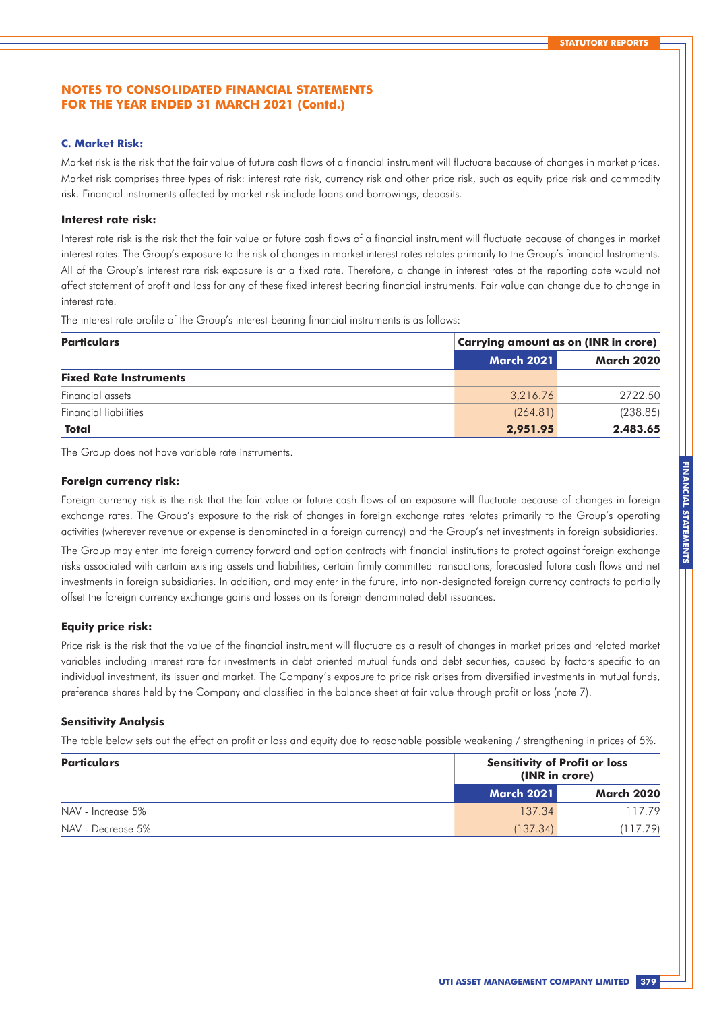#### **C. Market Risk:**

Market risk is the risk that the fair value of future cash flows of a financial instrument will fluctuate because of changes in market prices. Market risk comprises three types of risk: interest rate risk, currency risk and other price risk, such as equity price risk and commodity risk. Financial instruments affected by market risk include loans and borrowings, deposits.

#### **Interest rate risk:**

Interest rate risk is the risk that the fair value or future cash flows of a financial instrument will fluctuate because of changes in market interest rates. The Group's exposure to the risk of changes in market interest rates relates primarily to the Group's financial Instruments. All of the Group's interest rate risk exposure is at a fixed rate. Therefore, a change in interest rates at the reporting date would not affect statement of profit and loss for any of these fixed interest bearing financial instruments. Fair value can change due to change in interest rate.

The interest rate profile of the Group's interest-bearing financial instruments is as follows:

| <b>Particulars</b>            | Carrying amount as on (INR in crore) |                   |
|-------------------------------|--------------------------------------|-------------------|
|                               | <b>March 2021</b>                    | <b>March 2020</b> |
| <b>Fixed Rate Instruments</b> |                                      |                   |
| Financial assets              | 3,216.76                             | 2722.50           |
| <b>Financial liabilities</b>  | (264.81)                             | (238.85)          |
| Total                         | 2,951.95                             | 2.483.65          |

The Group does not have variable rate instruments.

#### **Foreign currency risk:**

Foreign currency risk is the risk that the fair value or future cash flows of an exposure will fluctuate because of changes in foreign exchange rates. The Group's exposure to the risk of changes in foreign exchange rates relates primarily to the Group's operating activities (wherever revenue or expense is denominated in a foreign currency) and the Group's net investments in foreign subsidiaries.

The Group may enter into foreign currency forward and option contracts with financial institutions to protect against foreign exchange risks associated with certain existing assets and liabilities, certain firmly committed transactions, forecasted future cash flows and net investments in foreign subsidiaries. In addition, and may enter in the future, into non-designated foreign currency contracts to partially offset the foreign currency exchange gains and losses on its foreign denominated debt issuances.

#### **Equity price risk:**

Price risk is the risk that the value of the financial instrument will fluctuate as a result of changes in market prices and related market variables including interest rate for investments in debt oriented mutual funds and debt securities, caused by factors specific to an individual investment, its issuer and market. The Company's exposure to price risk arises from diversified investments in mutual funds, preference shares held by the Company and classified in the balance sheet at fair value through profit or loss (note 7).

#### **Sensitivity Analysis**

The table below sets out the effect on profit or loss and equity due to reasonable possible weakening / strengthening in prices of 5%.

| <b>Particulars</b> |                   | <b>Sensitivity of Profit or loss</b><br>(INR in crore) |  |  |
|--------------------|-------------------|--------------------------------------------------------|--|--|
|                    | <b>March 2021</b> | <b>March 2020</b>                                      |  |  |
| NAV - Increase 5%  | 137 34            | 11779                                                  |  |  |
| NAV - Decrease 5%  | (137.34)          | 117.79)                                                |  |  |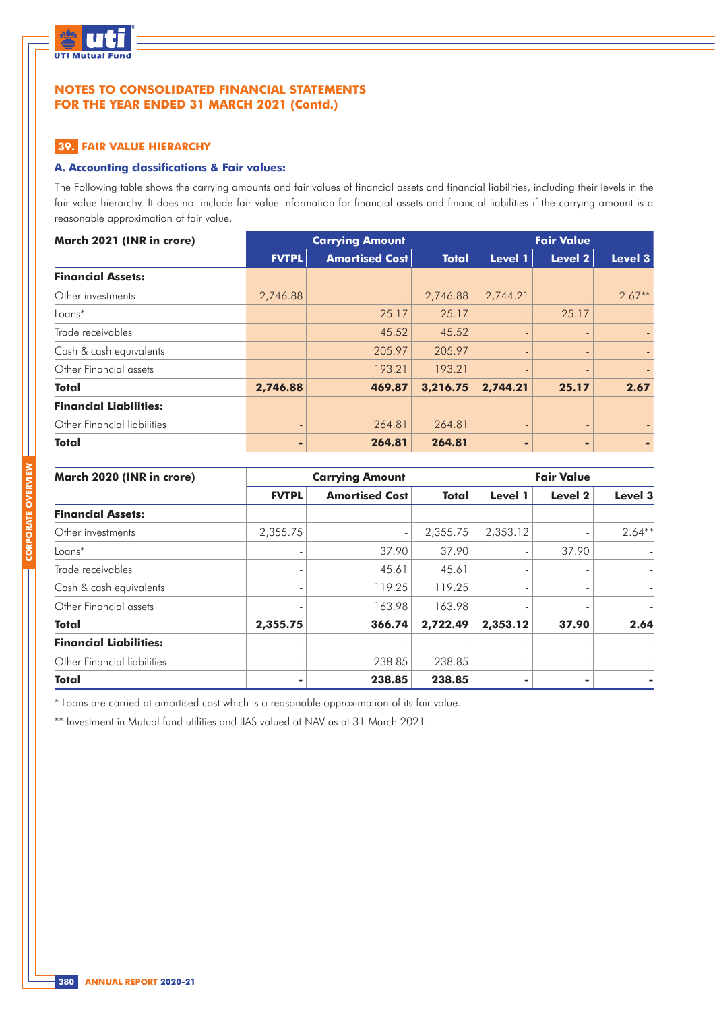

### **39. FAIR VALUE HIERARCHY**

### **A. Accounting classifications & Fair values:**

The Following table shows the carrying amounts and fair values of financial assets and financial liabilities, including their levels in the fair value hierarchy. It does not include fair value information for financial assets and financial liabilities if the carrying amount is a reasonable approximation of fair value.

| March 2021 (INR in crore)     |              | <b>Carrying Amount</b> | <b>Fair Value</b> |          |                          |          |
|-------------------------------|--------------|------------------------|-------------------|----------|--------------------------|----------|
|                               | <b>FVTPL</b> | <b>Amortised Cost</b>  | <b>Total</b>      | Level 1  | Level 2                  | Level 3  |
| <b>Financial Assets:</b>      |              |                        |                   |          |                          |          |
| Other investments             | 2,746.88     |                        | 2,746.88          | 2,744.21 | $\overline{\phantom{m}}$ | $2.67**$ |
| $Loans*$                      |              | 25.17                  | 25.17             |          | 25.17                    |          |
| Trade receivables             |              | 45.52                  | 45.52             |          |                          |          |
| Cash & cash equivalents       |              | 205.97                 | 205.97            |          |                          |          |
| Other Financial assets        |              | 193.21                 | 193.21            |          |                          |          |
| <b>Total</b>                  | 2,746.88     | 469.87                 | 3,216.75          | 2,744.21 | 25.17                    | 2.67     |
| <b>Financial Liabilities:</b> |              |                        |                   |          |                          |          |
| Other Financial liabilities   |              | 264.81                 | 264.81            |          |                          |          |
| <b>Total</b>                  |              | 264.81                 | 264.81            |          | -                        |          |

| March 2020 (INR in crore)     | <b>Carrying Amount</b> | <b>Fair Value</b>     |          |          |         |          |
|-------------------------------|------------------------|-----------------------|----------|----------|---------|----------|
|                               | <b>FVTPL</b>           | <b>Amortised Cost</b> | Total    | Level 1  | Level 2 | Level 3  |
| <b>Financial Assets:</b>      |                        |                       |          |          |         |          |
| Other investments             | 2,355.75               |                       | 2,355.75 | 2,353.12 |         | $2.64**$ |
| Loans*                        |                        | 37.90                 | 37.90    |          | 37.90   |          |
| Trade receivables             |                        | 45.61                 | 45.61    |          |         |          |
| Cash & cash equivalents       |                        | 119.25                | 119.25   |          |         |          |
| Other Financial assets        |                        | 163.98                | 163.98   |          |         |          |
| <b>Total</b>                  | 2,355.75               | 366.74                | 2,722.49 | 2,353.12 | 37.90   | 2.64     |
| <b>Financial Liabilities:</b> |                        |                       |          |          |         |          |
| Other Financial liabilities   |                        | 238.85                | 238.85   |          |         |          |
| Total                         |                        | 238.85                | 238.85   |          | ۰       | ۰        |

\* Loans are carried at amortised cost which is a reasonable approximation of its fair value.

\*\* Investment in Mutual fund utilities and IIAS valued at NAV as at 31 March 2021.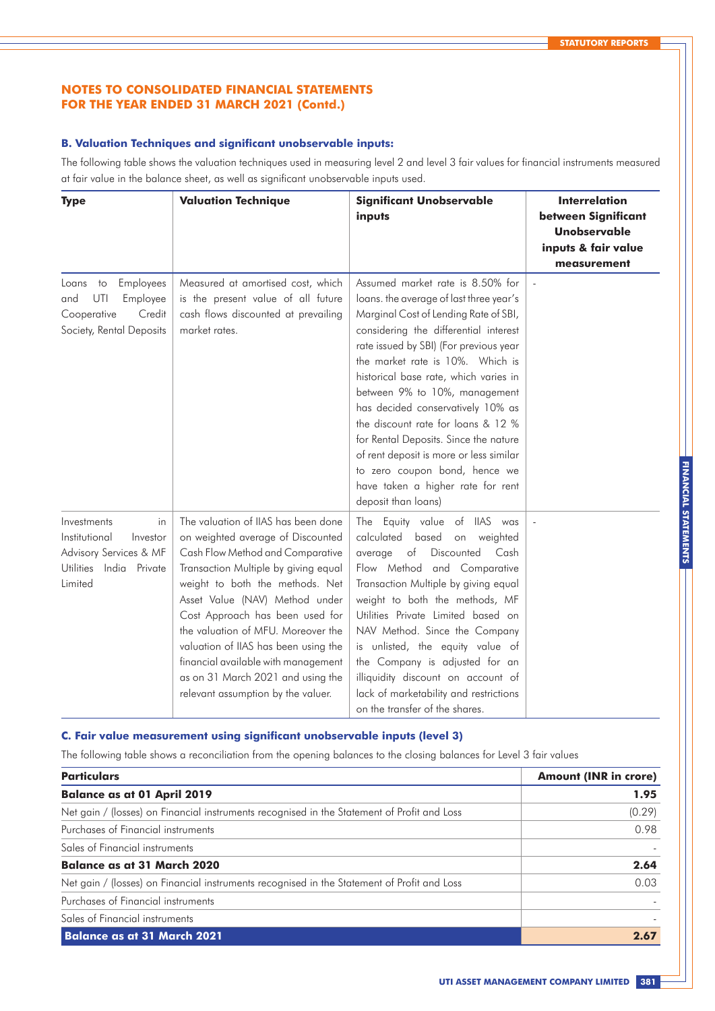#### **B. Valuation Techniques and significant unobservable inputs:**

The following table shows the valuation techniques used in measuring level 2 and level 3 fair values for financial instruments measured at fair value in the balance sheet, as well as significant unobservable inputs used.

| <b>Type</b>                                                                                                                   | <b>Valuation Technique</b>                                                                                                                                                                                                                                                                                                                                                                                                                                   | <b>Significant Unobservable</b><br>inputs                                                                                                                                                                                                                                                                                                                                                                                                                                                                                                                                         | <b>Interrelation</b><br>between Significant<br><b>Unobservable</b><br>inputs & fair value<br>measurement |
|-------------------------------------------------------------------------------------------------------------------------------|--------------------------------------------------------------------------------------------------------------------------------------------------------------------------------------------------------------------------------------------------------------------------------------------------------------------------------------------------------------------------------------------------------------------------------------------------------------|-----------------------------------------------------------------------------------------------------------------------------------------------------------------------------------------------------------------------------------------------------------------------------------------------------------------------------------------------------------------------------------------------------------------------------------------------------------------------------------------------------------------------------------------------------------------------------------|----------------------------------------------------------------------------------------------------------|
| Employees<br>$\overline{\phantom{a}}$<br>Loans<br>UTI<br>Employee<br>and<br>Credit<br>Cooperative<br>Society, Rental Deposits | Measured at amortised cost, which<br>is the present value of all future<br>cash flows discounted at prevailing<br>market rates.                                                                                                                                                                                                                                                                                                                              | Assumed market rate is 8.50% for<br>loans. the average of last three year's<br>Marginal Cost of Lending Rate of SBI,<br>considering the differential interest<br>rate issued by SBI) (For previous year<br>the market rate is 10%. Which is<br>historical base rate, which varies in<br>between 9% to 10%, management<br>has decided conservatively 10% as<br>the discount rate for loans & 12 %<br>for Rental Deposits. Since the nature<br>of rent deposit is more or less similar<br>to zero coupon bond, hence we<br>have taken a higher rate for rent<br>deposit than loans) |                                                                                                          |
| Investments<br>in<br>Institutional<br>Investor<br>Advisory Services & MF<br>Utilities India Private<br>Limited                | The valuation of IIAS has been done<br>on weighted average of Discounted<br>Cash Flow Method and Comparative<br>Transaction Multiple by giving equal<br>weight to both the methods. Net<br>Asset Value (NAV) Method under<br>Cost Approach has been used for<br>the valuation of MFU. Moreover the<br>valuation of IIAS has been using the<br>financial available with management<br>as on 31 March 2021 and using the<br>relevant assumption by the valuer. | The Equity value of IIAS was<br>calculated based<br>weighted<br>on<br>$\circ$ f<br>average<br>Discounted<br>Cash<br>Flow Method and Comparative<br>Transaction Multiple by giving equal<br>weight to both the methods, MF<br>Utilities Private Limited based on<br>NAV Method. Since the Company<br>is unlisted, the equity value of<br>the Company is adjusted for an<br>illiquidity discount on account of<br>lack of marketability and restrictions<br>on the transfer of the shares.                                                                                          |                                                                                                          |

### **C. Fair value measurement using significant unobservable inputs (level 3)**

The following table shows a reconciliation from the opening balances to the closing balances for Level 3 fair values

| <b>Particulars</b>                                                                          | <b>Amount (INR in crore)</b> |
|---------------------------------------------------------------------------------------------|------------------------------|
| <b>Balance as at 01 April 2019</b>                                                          | 1.95                         |
| Net gain / (losses) on Financial instruments recognised in the Statement of Profit and Loss | (0.29)                       |
| Purchases of Financial instruments                                                          | 0.98                         |
| Sales of Financial instruments                                                              |                              |
| <b>Balance as at 31 March 2020</b>                                                          | 2.64                         |
| Net gain / (losses) on Financial instruments recognised in the Statement of Profit and Loss | 0.03                         |
| Purchases of Financial instruments                                                          |                              |
| Sales of Financial instruments                                                              |                              |
| Balance as at 31 March 2021                                                                 | 2.67                         |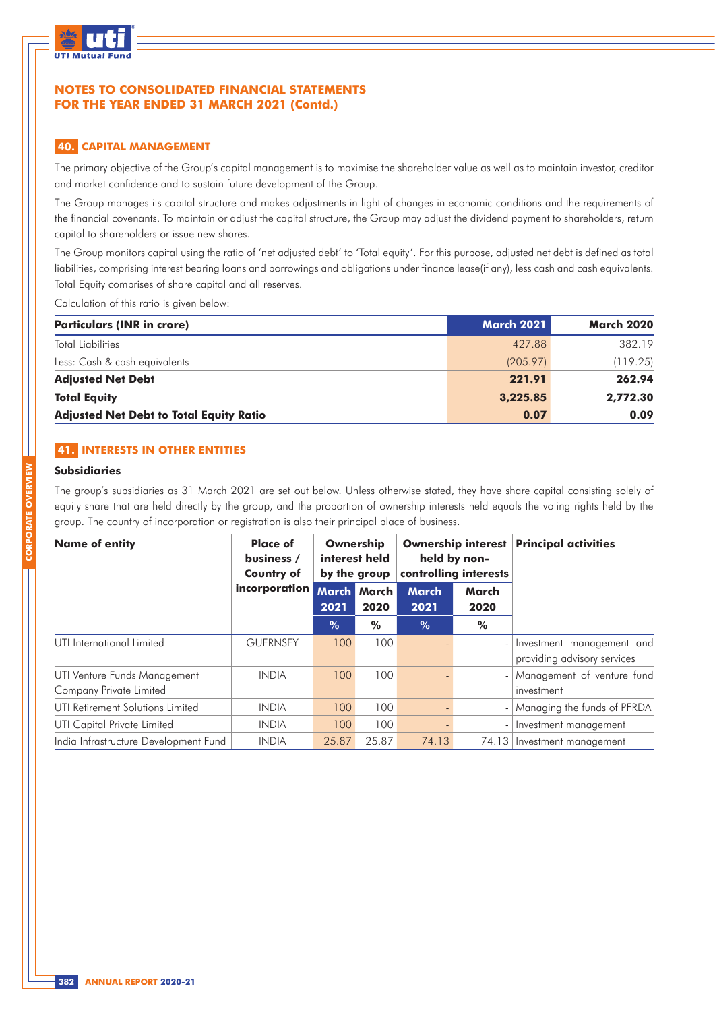

### **40. CAPITAL MANAGEMENT**

The primary objective of the Group's capital management is to maximise the shareholder value as well as to maintain investor, creditor and market confidence and to sustain future development of the Group.

The Group manages its capital structure and makes adjustments in light of changes in economic conditions and the requirements of the financial covenants. To maintain or adjust the capital structure, the Group may adjust the dividend payment to shareholders, return capital to shareholders or issue new shares.

The Group monitors capital using the ratio of 'net adjusted debt' to 'Total equity'. For this purpose, adjusted net debt is defined as total liabilities, comprising interest bearing loans and borrowings and obligations under finance lease(if any), less cash and cash equivalents. Total Equity comprises of share capital and all reserves.

Calculation of this ratio is given below:

| <b>Particulars (INR in crore)</b>              | <b>March 2021</b> | <b>March 2020</b> |
|------------------------------------------------|-------------------|-------------------|
| <b>Total Liabilities</b>                       | 427.88            | 382.19            |
| Less: Cash & cash equivalents                  | (205.97)          | (119.25)          |
| <b>Adjusted Net Debt</b>                       | 221.91            | 262.94            |
| <b>Total Equity</b>                            | 3,225.85          | 2,772.30          |
| <b>Adjusted Net Debt to Total Equity Ratio</b> | 0.07              | 0.09              |

### **41. INTERESTS IN OTHER ENTITIES**

#### **Subsidiaries**

The group's subsidiaries as 31 March 2021 are set out below. Unless otherwise stated, they have share capital consisting solely of equity share that are held directly by the group, and the proportion of ownership interests held equals the voting rights held by the group. The country of incorporation or registration is also their principal place of business.

| <b>Name of entity</b>                                   | <b>Place of</b><br>business /<br><b>Country of</b> | Ownership<br>interest held<br>by the group |                            | Ownership interest<br>held by non-<br>controlling interests |               | <b>Principal activities</b>                              |
|---------------------------------------------------------|----------------------------------------------------|--------------------------------------------|----------------------------|-------------------------------------------------------------|---------------|----------------------------------------------------------|
|                                                         | incorporation                                      | 2021                                       | <b>March March</b><br>2020 | <b>March</b><br>2021                                        | March<br>2020 |                                                          |
|                                                         |                                                    | $\%$                                       | $\%$                       | $\%$                                                        | $\%$          |                                                          |
| UTI International Limited                               | <b>GUERNSEY</b>                                    | 100                                        | 100                        |                                                             |               | Investment management and<br>providing advisory services |
| UTI Venture Funds Management<br>Company Private Limited | <b>INDIA</b>                                       | 100                                        | 100                        |                                                             |               | Management of venture fund<br>investment                 |
| UTI Retirement Solutions Limited                        | <b>INDIA</b>                                       | 100                                        | 100                        |                                                             |               | Managing the funds of PFRDA                              |
| <b>UTI Capital Private Limited</b>                      | <b>INDIA</b>                                       | 100                                        | 100                        |                                                             |               | Investment management                                    |
| India Infrastructure Development Fund                   | <b>INDIA</b>                                       | 25.87                                      | 25.87                      | 74.13                                                       | 74.13         | Investment management                                    |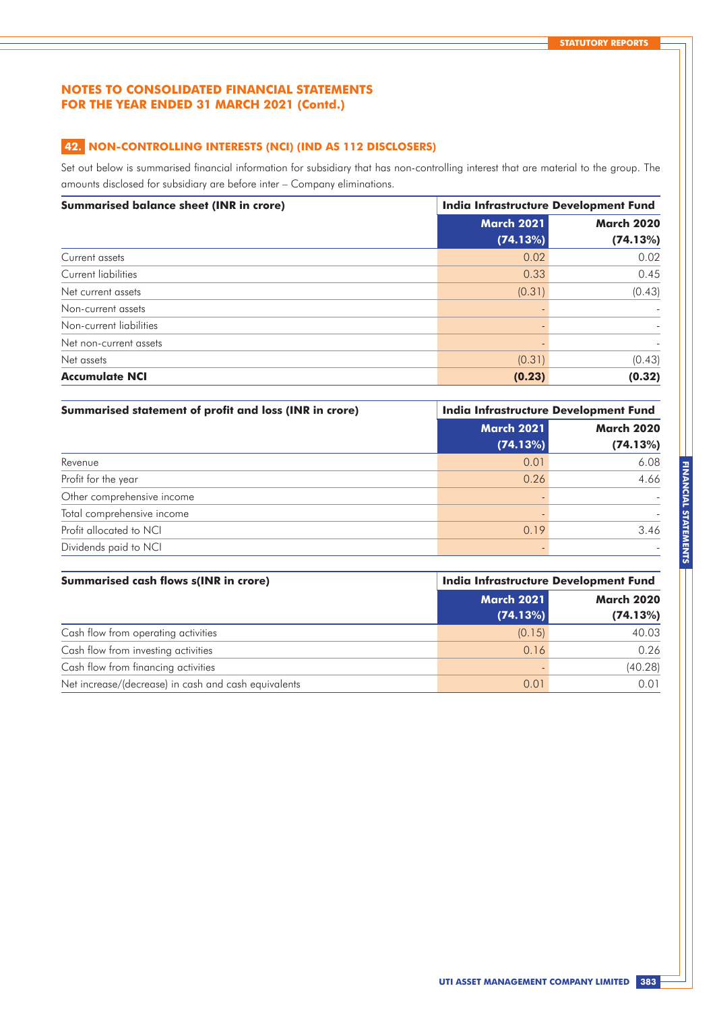### **42. NON-CONTROLLING INTERESTS (NCI) (IND AS 112 DISCLOSERS)**

Set out below is summarised financial information for subsidiary that has non-controlling interest that are material to the group. The amounts disclosed for subsidiary are before inter – Company eliminations.

| <b>Summarised balance sheet (INR in crore)</b> |                               | India Infrastructure Development Fund |  |  |
|------------------------------------------------|-------------------------------|---------------------------------------|--|--|
|                                                | <b>March 2021</b><br>(74.13%) | <b>March 2020</b><br>(74.13%)         |  |  |
| Current assets                                 | 0.02                          | 0.02                                  |  |  |
| <b>Current liabilities</b>                     | 0.33                          | 0.45                                  |  |  |
| Net current assets                             | (0.31)                        | (0.43)                                |  |  |
| Non-current assets                             |                               |                                       |  |  |
| Non-current liabilities                        |                               |                                       |  |  |
| Net non-current assets                         |                               |                                       |  |  |
| Net assets                                     | (0.31)                        | (0.43)                                |  |  |
| <b>Accumulate NCI</b>                          | (0.23)                        | (0.32)                                |  |  |

| <b>Summarised statement of profit and loss (INR in crore)</b> |                   | India Infrastructure Development Fund |  |  |
|---------------------------------------------------------------|-------------------|---------------------------------------|--|--|
|                                                               | <b>March 2021</b> | <b>March 2020</b>                     |  |  |
|                                                               | (74.13%)          | (74.13%)                              |  |  |
| Revenue                                                       | 0.01              | 6.08                                  |  |  |
| Profit for the year                                           | 0.26              | 4.66                                  |  |  |
| Other comprehensive income                                    |                   |                                       |  |  |
| Total comprehensive income                                    |                   |                                       |  |  |
| Profit allocated to NCI                                       | 0.19              | 3.46                                  |  |  |
| Dividends paid to NCI                                         |                   |                                       |  |  |

| <b>Summarised cash flows s(INR in crore)</b>         | India Infrastructure Development Fund |                   |  |
|------------------------------------------------------|---------------------------------------|-------------------|--|
|                                                      | <b>March 2021</b>                     | <b>March 2020</b> |  |
|                                                      | (74.13%)                              | (74.13%)          |  |
| Cash flow from operating activities                  | (0.15)                                | 40.03             |  |
| Cash flow from investing activities                  | 0.16                                  | 0.26              |  |
| Cash flow from financing activities                  |                                       | (40.28)           |  |
| Net increase/(decrease) in cash and cash equivalents | 0.01                                  | 0.01              |  |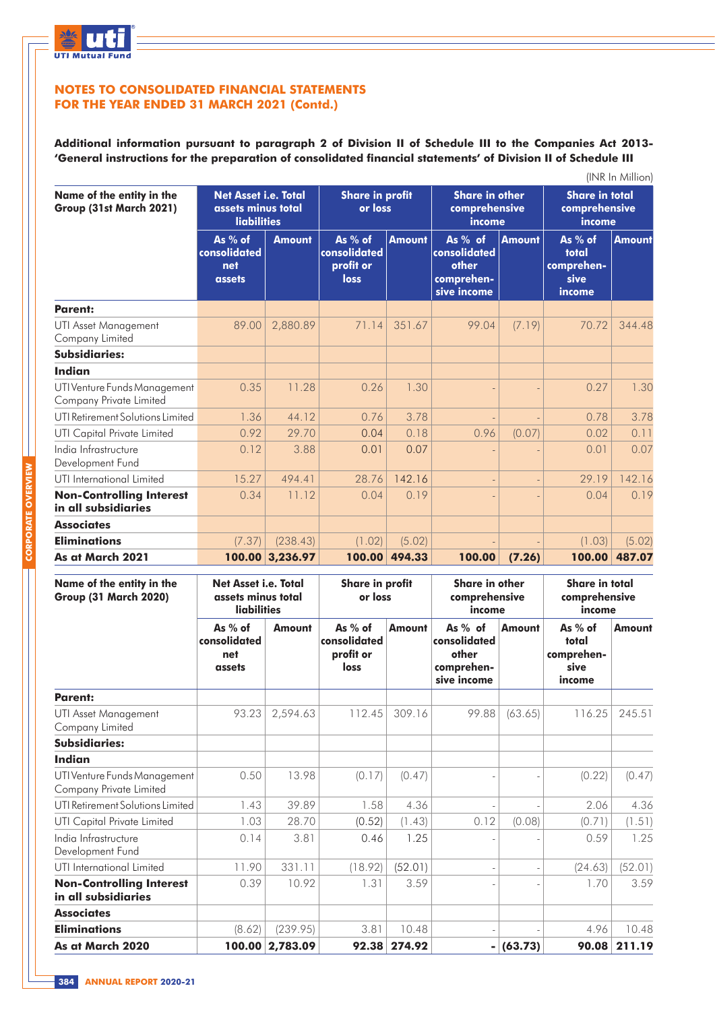

**Additional information pursuant to paragraph 2 of Division II of Schedule III to the Companies Act 2013- 'General instructions for the preparation of consolidated financial statements' of Division II of Schedule III**

|                                                         |                                                                  |               |                                              |               |                                                               |                          |                                                  | (INR In Million) |
|---------------------------------------------------------|------------------------------------------------------------------|---------------|----------------------------------------------|---------------|---------------------------------------------------------------|--------------------------|--------------------------------------------------|------------------|
| Name of the entity in the<br>Group (31st March 2021)    | Net Asset i.e. Total<br>assets minus total<br><b>liabilities</b> |               | <b>Share in profit</b><br>or loss            |               | <b>Share in other</b><br>comprehensive<br>income              |                          | <b>Share in total</b><br>comprehensive<br>income |                  |
|                                                         | As $%$ of<br>consolidated<br>net<br>assets                       | <b>Amount</b> | As % of<br>consolidated<br>profit or<br>loss | <b>Amount</b> | As % of<br>consolidated<br>other<br>comprehen-<br>sive income | <b>Amount</b>            | As % of<br>total<br>comprehen-<br>sive<br>income | <b>Amount</b>    |
| <b>Parent:</b>                                          |                                                                  |               |                                              |               |                                                               |                          |                                                  |                  |
| <b>UTI Asset Management</b><br><b>Company Limited</b>   | 89.00                                                            | 2,880.89      | 71.14                                        | 351.67        | 99.04                                                         | (7.19)                   | 70.72                                            | 344.48           |
| Subsidiaries:                                           |                                                                  |               |                                              |               |                                                               |                          |                                                  |                  |
| <b>Indian</b>                                           |                                                                  |               |                                              |               |                                                               |                          |                                                  |                  |
| UTI Venture Funds Management<br>Company Private Limited | 0.35                                                             | 11.28         | 0.26                                         | 1.30          |                                                               | $\overline{a}$           | 0.27                                             | 1.30             |
| UTI Retirement Solutions Limited                        | 1.36                                                             | 44.12         | 0.76                                         | 3.78          |                                                               |                          | 0.78                                             | 3.78             |
| UTI Capital Private Limited                             | 0.92                                                             | 29.70         | 0.04                                         | 0.18          | 0.96                                                          | (0.07)                   | 0.02                                             | 0.11             |
| India Infrastructure<br>Development Fund                | 0.12                                                             | 3.88          | 0.01                                         | 0.07          |                                                               |                          | 0.01                                             | 0.07             |
| UTI International Limited                               | 15.27                                                            | 494.41        | 28.76                                        | 142.16        |                                                               | $\overline{\phantom{a}}$ | 29.19                                            | 142.16           |
| <b>Non-Controlling Interest</b><br>in all subsidiaries  | 0.34                                                             | 11.12         | 0.04                                         | 0.19          |                                                               |                          | 0.04                                             | 0.19             |
| <b>Associates</b>                                       |                                                                  |               |                                              |               |                                                               |                          |                                                  |                  |
| <b>Eliminations</b>                                     | (7.37)                                                           | (238.43)      | (1.02)                                       | (5.02)        |                                                               |                          | (1.03)                                           | (5.02)           |
| As at March 2021                                        | 100.00                                                           | 3,236.97      | 100.00                                       | 494.33        | 100.00                                                        | (7.26)                   | 100.00                                           | 487.07           |

| Name of the entity in the<br><b>Group (31 March 2020)</b> | Net Asset i.e. Total<br>assets minus total<br>liabilities |                 | Share in profit<br>or loss                     |               | Share in other<br>comprehensive<br>income                     |               | <b>Share in total</b><br>comprehensive<br>income   |               |
|-----------------------------------------------------------|-----------------------------------------------------------|-----------------|------------------------------------------------|---------------|---------------------------------------------------------------|---------------|----------------------------------------------------|---------------|
|                                                           | As $%$ of<br>consolidated<br>net<br>assets                | <b>Amount</b>   | As $%$ of<br>consolidated<br>profit or<br>loss | <b>Amount</b> | As % of<br>consolidated<br>other<br>comprehen-<br>sive income | <b>Amount</b> | As $%$ of<br>total<br>comprehen-<br>sive<br>income | <b>Amount</b> |
| <b>Parent:</b>                                            |                                                           |                 |                                                |               |                                                               |               |                                                    |               |
| <b>UTI Asset Management</b><br>Company Limited            | 93.23                                                     | 2,594.63        | 112.45                                         | 309.16        | 99.88                                                         | (63.65)       | 116.25                                             | 245.51        |
| Subsidiaries:                                             |                                                           |                 |                                                |               |                                                               |               |                                                    |               |
| <b>Indian</b>                                             |                                                           |                 |                                                |               |                                                               |               |                                                    |               |
| UTI Venture Funds Management<br>Company Private Limited   | 0.50                                                      | 13.98           | (0.17)                                         | (0.47)        |                                                               |               | (0.22)                                             | (0.47)        |
| UTI Retirement Solutions Limited                          | 1.43                                                      | 39.89           | 1.58                                           | 4.36          |                                                               |               | 2.06                                               | 4.36          |
| <b>UTI Capital Private Limited</b>                        | 1.03                                                      | 28.70           | (0.52)                                         | (1.43)        | 0.12                                                          | (0.08)        | (0.71)                                             | (1.51)        |
| India Infrastructure<br>Development Fund                  | 0.14                                                      | 3.81            | 0.46                                           | 1.25          |                                                               |               | 0.59                                               | 1.25          |
| UTI International Limited                                 | 11.90                                                     | 331.11          | (18.92)                                        | (52.01)       |                                                               |               | (24.63)                                            | (52.01)       |
| <b>Non-Controlling Interest</b><br>in all subsidiaries    | 0.39                                                      | 10.92           | 1.31                                           | 3.59          |                                                               |               | 1.70                                               | 3.59          |
| <b>Associates</b>                                         |                                                           |                 |                                                |               |                                                               |               |                                                    |               |
| <b>Eliminations</b>                                       | (8.62)                                                    | (239.95)        | 3.81                                           | 10.48         |                                                               |               | 4.96                                               | 10.48         |
| As at March 2020                                          |                                                           | 100.00 2,783.09 | 92.38                                          | 274.92        |                                                               | $- (63.73)$   | 90.08                                              | 211.19        |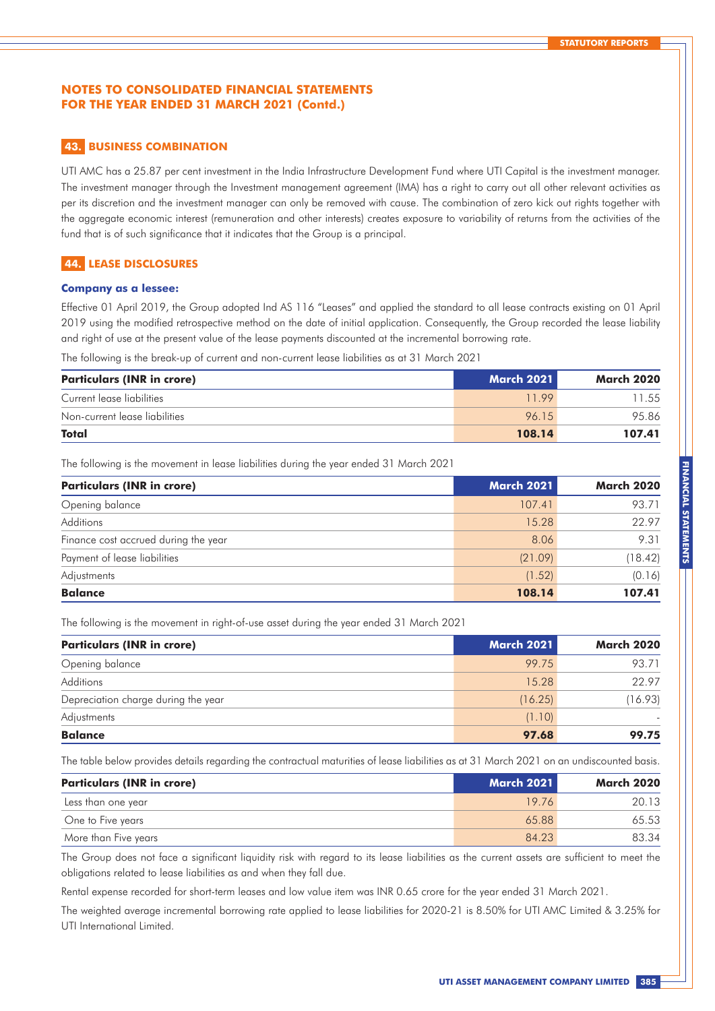### **43. BUSINESS COMBINATION**

UTI AMC has a 25.87 per cent investment in the India Infrastructure Development Fund where UTI Capital is the investment manager. The investment manager through the Investment management agreement (IMA) has a right to carry out all other relevant activities as per its discretion and the investment manager can only be removed with cause. The combination of zero kick out rights together with the aggregate economic interest (remuneration and other interests) creates exposure to variability of returns from the activities of the fund that is of such significance that it indicates that the Group is a principal.

### **44. LEASE DISCLOSURES**

#### **Company as a lessee:**

Effective 01 April 2019, the Group adopted Ind AS 116 "Leases" and applied the standard to all lease contracts existing on 01 April 2019 using the modified retrospective method on the date of initial application. Consequently, the Group recorded the lease liability and right of use at the present value of the lease payments discounted at the incremental borrowing rate.

The following is the break-up of current and non-current lease liabilities as at 31 March 2021

| <b>Particulars (INR in crore)</b> | <b>March 2021</b> | <b>March 2020</b> |
|-----------------------------------|-------------------|-------------------|
| Current lease liabilities         | 1199              | 1.55              |
| Non-current lease liabilities     | 96 15             | 95.86             |
| Total                             | 108.14            | 107.41            |

The following is the movement in lease liabilities during the year ended 31 March 2021

| <b>Particulars (INR in crore)</b>    | <b>March 2021</b> | <b>March 2020</b> |
|--------------------------------------|-------------------|-------------------|
| Opening balance                      | 107.41            | 93.71             |
| <b>Additions</b>                     | 15.28             | 22.97             |
| Finance cost accrued during the year | 8.06              | 9.31              |
| Payment of lease liabilities         | (21.09)           | (18.42)           |
| Adjustments                          | (1.52)            | (0.16)            |
| <b>Balance</b>                       | 108.14            | 107.41            |

The following is the movement in right-of-use asset during the year ended 31 March 2021

| <b>Particulars (INR in crore)</b>   | <b>March 2021</b> | <b>March 2020</b> |
|-------------------------------------|-------------------|-------------------|
| Opening balance                     | 99.75             | 93.71             |
| Additions                           | 15.28             | 22.97             |
| Depreciation charge during the year | (16.25)           | (16.93)           |
| Adjustments                         | (1.10)            |                   |
| <b>Balance</b>                      | 97.68             | 99.75             |

The table below provides details regarding the contractual maturities of lease liabilities as at 31 March 2021 on an undiscounted basis.

| <b>Particulars (INR in crore)</b> | <b>March 2021</b> | <b>March 2020</b> |
|-----------------------------------|-------------------|-------------------|
| Less than one year                | 1976              | 20.13             |
| One to Five years                 | 65.88             | 65.53             |
| More than Five years              | 84.23             | 83 34             |

The Group does not face a significant liquidity risk with regard to its lease liabilities as the current assets are sufficient to meet the obligations related to lease liabilities as and when they fall due.

Rental expense recorded for short-term leases and low value item was INR 0.65 crore for the year ended 31 March 2021.

The weighted average incremental borrowing rate applied to lease liabilities for 2020-21 is 8.50% for UTI AMC Limited & 3.25% for UTI International Limited.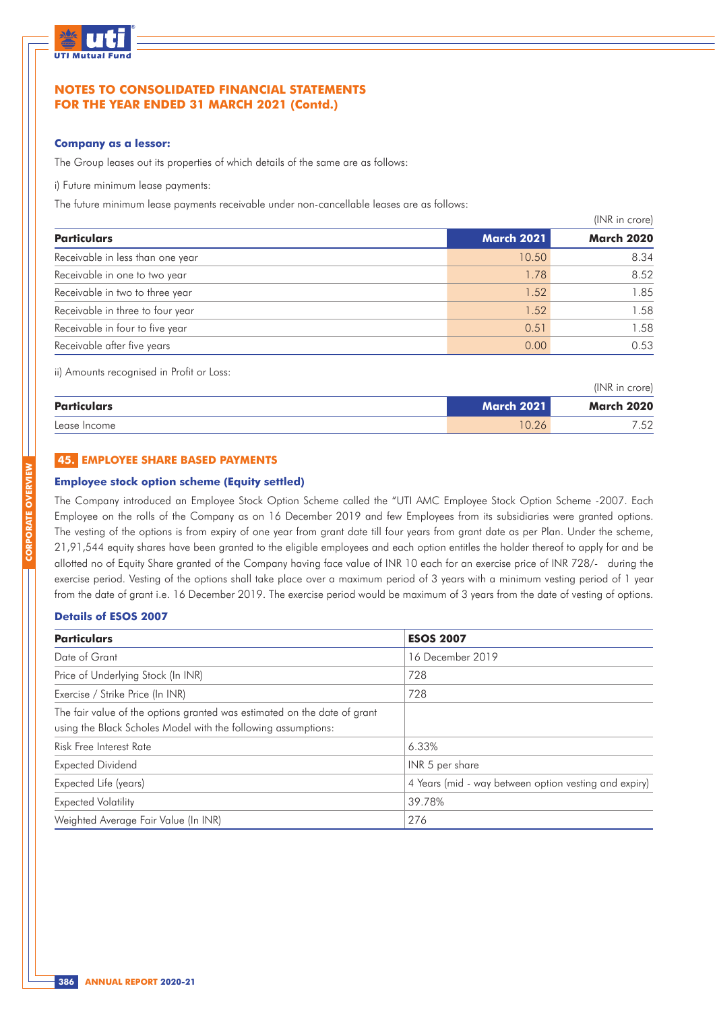

#### **Company as a lessor:**

The Group leases out its properties of which details of the same are as follows:

i) Future minimum lease payments:

The future minimum lease payments receivable under non-cancellable leases are as follows:

|                                  |            | (INR in crore)    |
|----------------------------------|------------|-------------------|
| <b>Particulars</b>               | March 2021 | <b>March 2020</b> |
| Receivable in less than one year | 10.50      | 8.34              |
| Receivable in one to two year    | 1.78       | 8.52              |
| Receivable in two to three year  | 1.52       | 1.85              |
| Receivable in three to four year | 1.52       | 1.58              |
| Receivable in four to five year  | 0.51       | 1.58              |
| Receivable after five years      | 0.00       | 0.53              |

ii) Amounts recognised in Profit or Loss:

|                    |                   | (INR in crore)    |
|--------------------|-------------------|-------------------|
| <b>Particulars</b> | <b>March 2021</b> | <b>March 2020</b> |
| Lease Income       | 10.26             | 7.52              |

#### **45. EMPLOYEE SHARE BASED PAYMENTS**

#### **Employee stock option scheme (Equity settled)**

The Company introduced an Employee Stock Option Scheme called the "UTI AMC Employee Stock Option Scheme -2007. Each Employee on the rolls of the Company as on 16 December 2019 and few Employees from its subsidiaries were granted options. The vesting of the options is from expiry of one year from grant date till four years from grant date as per Plan. Under the scheme, 21,91,544 equity shares have been granted to the eligible employees and each option entitles the holder thereof to apply for and be allotted no of Equity Share granted of the Company having face value of INR 10 each for an exercise price of INR 728/- during the exercise period. Vesting of the options shall take place over a maximum period of 3 years with a minimum vesting period of 1 year from the date of grant i.e. 16 December 2019. The exercise period would be maximum of 3 years from the date of vesting of options.

### **Details of ESOS 2007**

| <b>Particulars</b>                                                                                                                        | <b>ESOS 2007</b>                                      |
|-------------------------------------------------------------------------------------------------------------------------------------------|-------------------------------------------------------|
| Date of Grant                                                                                                                             | 16 December 2019                                      |
| Price of Underlying Stock (In INR)                                                                                                        | 728                                                   |
| Exercise / Strike Price (In INR)                                                                                                          | 728                                                   |
| The fair value of the options granted was estimated on the date of grant<br>using the Black Scholes Model with the following assumptions: |                                                       |
| Risk Free Interest Rate                                                                                                                   | 6.33%                                                 |
| <b>Expected Dividend</b>                                                                                                                  | INR 5 per share                                       |
| Expected Life (years)                                                                                                                     | 4 Years (mid - way between option vesting and expiry) |
| <b>Expected Volatility</b>                                                                                                                | 39.78%                                                |
| Weighted Average Fair Value (In INR)                                                                                                      | 276                                                   |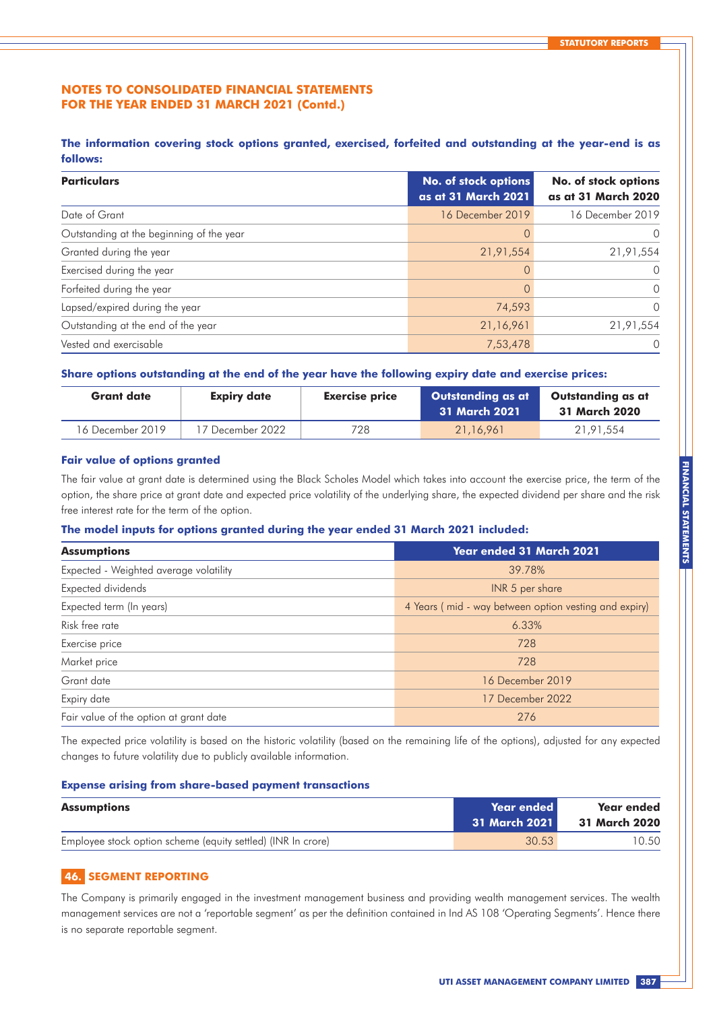### **The information covering stock options granted, exercised, forfeited and outstanding at the year-end is as follows:**

| <b>Particulars</b>                       | No. of stock options<br>as at 31 March 2021 | No. of stock options<br>as at 31 March 2020 |
|------------------------------------------|---------------------------------------------|---------------------------------------------|
| Date of Grant                            | 16 December 2019                            | 16 December 2019                            |
| Outstanding at the beginning of the year | 0                                           | 0                                           |
| Granted during the year                  | 21,91,554                                   | 21,91,554                                   |
| Exercised during the year                | 0                                           | 0                                           |
| Forfeited during the year                | $\Omega$                                    | $\Omega$                                    |
| Lapsed/expired during the year           | 74,593                                      | 0                                           |
| Outstanding at the end of the year       | 21,16,961                                   | 21,91,554                                   |
| Vested and exercisable                   | 7,53,478                                    | 0                                           |

#### **Share options outstanding at the end of the year have the following expiry date and exercise prices:**

| Grant date       | <b>Expiry date</b> | <b>Exercise price</b> | Outstanding as at<br>31 March 2021 | Outstandina as at<br>31 March 2020 |
|------------------|--------------------|-----------------------|------------------------------------|------------------------------------|
| 16 December 2019 | 17 December 2022   | 728                   | 21,16,961                          | 21,91,554                          |

#### **Fair value of options granted**

The fair value at grant date is determined using the Black Scholes Model which takes into account the exercise price, the term of the option, the share price at grant date and expected price volatility of the underlying share, the expected dividend per share and the risk free interest rate for the term of the option.

### **The model inputs for options granted during the year ended 31 March 2021 included:**

| <b>Assumptions</b>                     | <b>Year ended 31 March 2021</b>                       |  |
|----------------------------------------|-------------------------------------------------------|--|
| Expected - Weighted average volatility | 39.78%                                                |  |
| Expected dividends                     | INR 5 per share                                       |  |
| Expected term (In years)               | 4 Years (mid - way between option vesting and expiry) |  |
| Risk free rate                         | 6.33%                                                 |  |
| Exercise price                         | 728                                                   |  |
| Market price                           | 728                                                   |  |
| Grant date                             | 16 December 2019                                      |  |
| Expiry date                            | 17 December 2022                                      |  |
| Fair value of the option at grant date | 276                                                   |  |

The expected price volatility is based on the historic volatility (based on the remaining life of the options), adjusted for any expected changes to future volatility due to publicly available information.

#### **Expense arising from share-based payment transactions**

| <b>Assumptions</b>                                           | Year ended    | Year ended    |
|--------------------------------------------------------------|---------------|---------------|
|                                                              | 31 March 2021 | 31 March 2020 |
| Employee stock option scheme (equity settled) (INR In crore) | 30.53         | 10.50         |

### **46. SEGMENT REPORTING**

The Company is primarily engaged in the investment management business and providing wealth management services. The wealth management services are not a 'reportable segment' as per the definition contained in Ind AS 108 'Operating Segments'. Hence there is no separate reportable segment.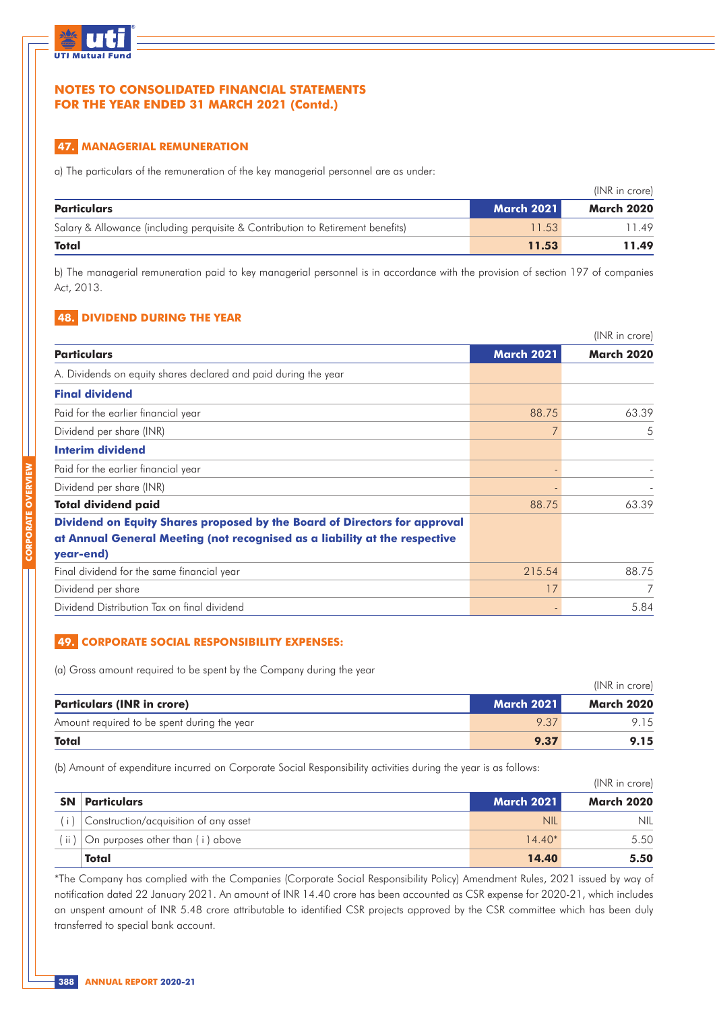

### **47. MANAGERIAL REMUNERATION**

a) The particulars of the remuneration of the key managerial personnel are as under:

|                                                                                 | (INR in crore)    |                   |
|---------------------------------------------------------------------------------|-------------------|-------------------|
| <b>Particulars</b>                                                              | <b>March 2021</b> | <b>March 2020</b> |
| Salary & Allowance (including perquisite & Contribution to Retirement benefits) | 11.53             | 1149              |
| Total                                                                           | 11.53             | 11.49             |

b) The managerial remuneration paid to key managerial personnel is in accordance with the provision of section 197 of companies Act, 2013.

### **48. DIVIDEND DURING THE YEAR**

|                          | (INR in crore)    |
|--------------------------|-------------------|
| <b>March 2021</b>        | <b>March 2020</b> |
|                          |                   |
|                          |                   |
| 88.75                    | 63.39             |
| $\overline{7}$           | 5                 |
|                          |                   |
| $\overline{\phantom{0}}$ |                   |
|                          |                   |
| 88.75                    | 63.39             |
|                          |                   |
|                          |                   |
|                          |                   |
| 215.54                   | 88.75             |
| 17                       | 7                 |
|                          | 5.84              |
|                          |                   |

### **49. CORPORATE SOCIAL RESPONSIBILITY EXPENSES:**

(a) Gross amount required to be spent by the Company during the year

|                                             |                   | (INR in crore)    |  |
|---------------------------------------------|-------------------|-------------------|--|
| <b>Particulars (INR in crore)</b>           | <b>March 2021</b> | <b>March 2020</b> |  |
| Amount required to be spent during the year | 9 37              | 9.15              |  |
| Total                                       | 9.37              | 9.15              |  |

(b) Amount of expenditure incurred on Corporate Social Responsibility activities during the year is as follows:

|      |                                       |                   | (INR in crore)    |
|------|---------------------------------------|-------------------|-------------------|
|      | <b>SN</b> Particulars                 | <b>March 2021</b> | <b>March 2020</b> |
| (i)  | Construction/acquisition of any asset | <b>NIL</b>        | nil.              |
| ۱i ا | On purposes other than (i) above      | $14.40*$          | 5.50              |
|      | Total                                 | 14.40             | 5.50              |

\*The Company has complied with the Companies (Corporate Social Responsibility Policy) Amendment Rules, 2021 issued by way of notification dated 22 January 2021. An amount of INR 14.40 crore has been accounted as CSR expense for 2020-21, which includes an unspent amount of INR 5.48 crore attributable to identified CSR projects approved by the CSR committee which has been duly transferred to special bank account.